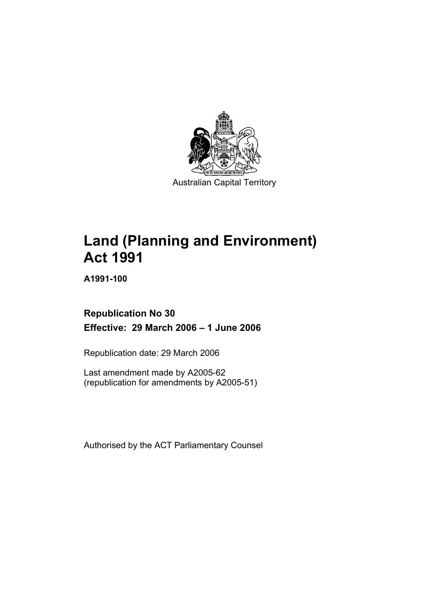

Australian Capital Territory

# **Land (Planning and Environment) Act 1991**

**A1991-100** 

# **Republication No 30 Effective: 29 March 2006 – 1 June 2006**

Republication date: 29 March 2006

Last amendment made by A2005-62 (republication for amendments by A2005-51)

Authorised by the ACT Parliamentary Counsel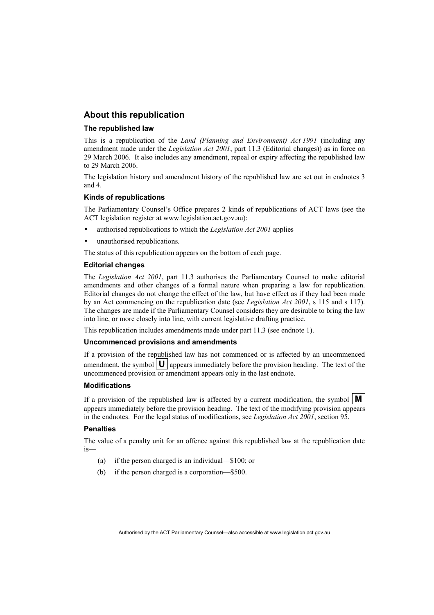## **About this republication**

#### **The republished law**

This is a republication of the *Land (Planning and Environment) Act 1991* (including any amendment made under the *Legislation Act 2001*, part 11.3 (Editorial changes)) as in force on 29 March 2006*.* It also includes any amendment, repeal or expiry affecting the republished law to 29 March 2006.

The legislation history and amendment history of the republished law are set out in endnotes 3 and 4.

#### **Kinds of republications**

The Parliamentary Counsel's Office prepares 2 kinds of republications of ACT laws (see the ACT legislation register at www.legislation.act.gov.au):

- authorised republications to which the *Legislation Act 2001* applies
- unauthorised republications.

The status of this republication appears on the bottom of each page.

#### **Editorial changes**

The *Legislation Act 2001*, part 11.3 authorises the Parliamentary Counsel to make editorial amendments and other changes of a formal nature when preparing a law for republication. Editorial changes do not change the effect of the law, but have effect as if they had been made by an Act commencing on the republication date (see *Legislation Act 2001*, s 115 and s 117). The changes are made if the Parliamentary Counsel considers they are desirable to bring the law into line, or more closely into line, with current legislative drafting practice.

This republication includes amendments made under part 11.3 (see endnote 1).

#### **Uncommenced provisions and amendments**

If a provision of the republished law has not commenced or is affected by an uncommenced amendment, the symbol  $\mathbf{U}$  appears immediately before the provision heading. The text of the uncommenced provision or amendment appears only in the last endnote.

#### **Modifications**

If a provision of the republished law is affected by a current modification, the symbol  $\mathbf{M}$ appears immediately before the provision heading. The text of the modifying provision appears in the endnotes. For the legal status of modifications, see *Legislation Act 2001*, section 95.

#### **Penalties**

The value of a penalty unit for an offence against this republished law at the republication date is—

- (a) if the person charged is an individual—\$100; or
- (b) if the person charged is a corporation—\$500.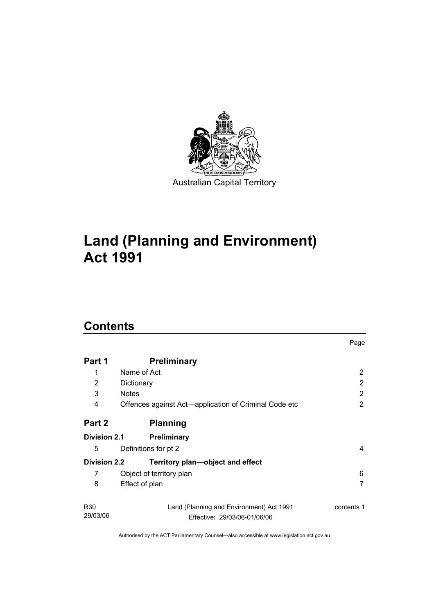

# **Land (Planning and Environment) Act 1991**

# **Contents**

| Part 1                      | <b>Preliminary</b>                                                       |            |
|-----------------------------|--------------------------------------------------------------------------|------------|
| 1                           | Name of Act                                                              | 2          |
| 2                           | Dictionary                                                               | 2          |
| 3                           | <b>Notes</b>                                                             | 2          |
| 4                           | Offences against Act-application of Criminal Code etc                    | 2          |
| Part 2                      | <b>Planning</b>                                                          |            |
| <b>Division 2.1</b>         | <b>Preliminary</b>                                                       |            |
| 5                           | Definitions for pt 2                                                     | 4          |
| <b>Division 2.2</b>         | Territory plan-object and effect                                         |            |
| 7                           | Object of territory plan                                                 | 6          |
| 8                           | Effect of plan                                                           | 7          |
| R <sub>30</sub><br>29/03/06 | Land (Planning and Environment) Act 1991<br>Effective: 29/03/06-01/06/06 | contents 1 |

Page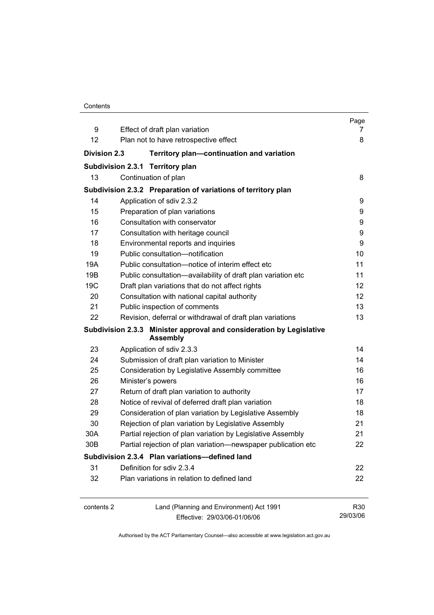| Contents |
|----------|
|----------|

|                     |                                                                                         | Page     |
|---------------------|-----------------------------------------------------------------------------------------|----------|
| 9                   | Effect of draft plan variation                                                          | 7        |
| 12                  | Plan not to have retrospective effect                                                   | 8        |
| <b>Division 2.3</b> | Territory plan-continuation and variation                                               |          |
|                     | Subdivision 2.3.1 Territory plan                                                        |          |
| 13                  | Continuation of plan                                                                    | 8        |
|                     | Subdivision 2.3.2 Preparation of variations of territory plan                           |          |
| 14                  | Application of sdiv 2.3.2                                                               | 9        |
| 15                  | Preparation of plan variations                                                          | 9        |
| 16                  | Consultation with conservator                                                           | 9        |
| 17                  | Consultation with heritage council                                                      | 9        |
| 18                  | Environmental reports and inquiries                                                     | 9        |
| 19                  | Public consultation-notification                                                        | 10       |
| 19A                 | Public consultation-notice of interim effect etc                                        | 11       |
| 19B                 | Public consultation-availability of draft plan variation etc                            | 11       |
| 19C                 | Draft plan variations that do not affect rights                                         | 12       |
| 20                  | Consultation with national capital authority                                            | 12       |
| 21                  | Public inspection of comments                                                           | 13       |
| 22                  | Revision, deferral or withdrawal of draft plan variations                               | 13       |
|                     | Subdivision 2.3.3 Minister approval and consideration by Legislative<br><b>Assembly</b> |          |
| 23                  | Application of sdiv 2.3.3                                                               | 14       |
| 24                  | Submission of draft plan variation to Minister                                          | 14       |
| 25                  | Consideration by Legislative Assembly committee                                         | 16       |
| 26                  | Minister's powers                                                                       | 16       |
| 27                  | Return of draft plan variation to authority                                             | 17       |
| 28                  | Notice of revival of deferred draft plan variation                                      | 18       |
| 29                  | Consideration of plan variation by Legislative Assembly                                 | 18       |
| 30                  | Rejection of plan variation by Legislative Assembly                                     | 21       |
| 30A                 | Partial rejection of plan variation by Legislative Assembly                             | 21       |
| 30B                 | Partial rejection of plan variation-newspaper publication etc                           | 22       |
|                     | Subdivision 2.3.4 Plan variations-defined land                                          |          |
| 31                  | Definition for sdiv 2.3.4                                                               | 22       |
| 32                  | Plan variations in relation to defined land                                             | 22       |
| contents 2          | Land (Planning and Environment) Act 1991                                                | R30      |
|                     | Effective: 29/03/06-01/06/06                                                            | 29/03/06 |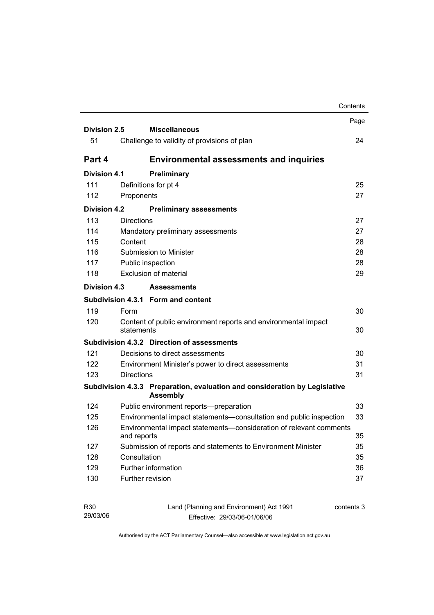|                     |                                                                                               | Contents |
|---------------------|-----------------------------------------------------------------------------------------------|----------|
|                     |                                                                                               | Page     |
| Division 2.5        | <b>Miscellaneous</b>                                                                          |          |
| 51                  | Challenge to validity of provisions of plan                                                   | 24       |
| Part 4              | <b>Environmental assessments and inquiries</b>                                                |          |
| <b>Division 4.1</b> | Preliminary                                                                                   |          |
| 111                 | Definitions for pt 4                                                                          | 25       |
| 112                 | Proponents                                                                                    | 27       |
| <b>Division 4.2</b> | <b>Preliminary assessments</b>                                                                |          |
| 113                 | <b>Directions</b>                                                                             | 27       |
| 114                 | Mandatory preliminary assessments                                                             | 27       |
| 115                 | Content                                                                                       | 28       |
| 116                 | Submission to Minister                                                                        | 28       |
| 117                 | Public inspection                                                                             | 28       |
| 118                 | Exclusion of material                                                                         | 29       |
| Division 4.3        | <b>Assessments</b>                                                                            |          |
|                     | Subdivision 4.3.1 Form and content                                                            |          |
| 119                 | Form                                                                                          | 30       |
| 120                 | Content of public environment reports and environmental impact<br>statements                  | 30       |
|                     | Subdivision 4.3.2 Direction of assessments                                                    |          |
| 121                 | Decisions to direct assessments                                                               | 30       |
| 122                 | Environment Minister's power to direct assessments                                            | 31       |
| 123                 | <b>Directions</b>                                                                             | 31       |
|                     | Subdivision 4.3.3 Preparation, evaluation and consideration by Legislative<br><b>Assembly</b> |          |
| 124                 | Public environment reports--preparation                                                       | 33       |
| 125                 | Environmental impact statements-consultation and public inspection                            | 33       |
| 126                 | Environmental impact statements-consideration of relevant comments<br>and reports             | 35       |
| 127                 | Submission of reports and statements to Environment Minister                                  | 35       |
| 128                 | Consultation                                                                                  | 35       |
| 129                 | Further information                                                                           | 36       |
| 130                 | Further revision                                                                              | 37       |
|                     |                                                                                               |          |

| R30      | Land (Planning and Environment) Act 1991 | contents 3 |
|----------|------------------------------------------|------------|
| 29/03/06 | Effective: 29/03/06-01/06/06             |            |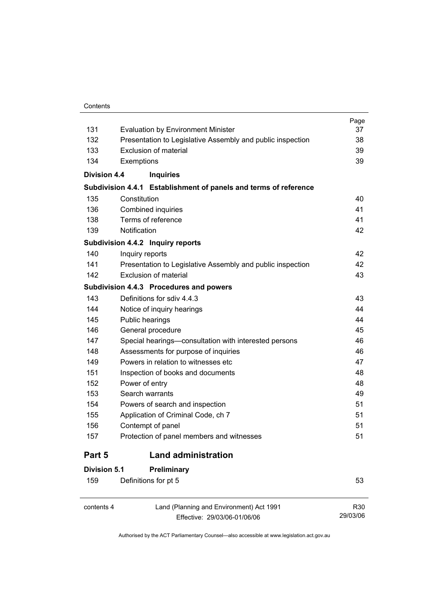#### **Contents**

| 131                 | <b>Evaluation by Environment Minister</b>                        | Page<br>37 |
|---------------------|------------------------------------------------------------------|------------|
| 132                 | Presentation to Legislative Assembly and public inspection       | 38         |
| 133                 | Exclusion of material                                            | 39         |
| 134                 | Exemptions                                                       | 39         |
| <b>Division 4.4</b> | <b>Inquiries</b>                                                 |            |
|                     | Subdivision 4.4.1 Establishment of panels and terms of reference |            |
| 135                 | Constitution                                                     | 40         |
| 136                 | Combined inquiries                                               | 41         |
| 138                 | Terms of reference                                               | 41         |
| 139                 | Notification                                                     | 42         |
|                     | Subdivision 4.4.2 Inquiry reports                                |            |
| 140                 | Inquiry reports                                                  | 42         |
| 141                 | Presentation to Legislative Assembly and public inspection       | 42         |
| 142                 | Exclusion of material                                            | 43         |
|                     | Subdivision 4.4.3 Procedures and powers                          |            |
| 143                 | Definitions for sdiv 4.4.3                                       | 43         |
| 144                 | Notice of inquiry hearings                                       | 44         |
| 145                 | Public hearings                                                  | 44         |
| 146                 | General procedure                                                | 45         |
| 147                 | Special hearings-consultation with interested persons            | 46         |
| 148                 | Assessments for purpose of inquiries                             | 46         |
| 149                 | Powers in relation to witnesses etc.                             | 47         |
| 151                 | Inspection of books and documents                                | 48         |
| 152                 | Power of entry                                                   | 48         |
| 153                 | Search warrants                                                  | 49         |
| 154                 | Powers of search and inspection                                  | 51         |
| 155                 | Application of Criminal Code, ch 7                               | 51         |
| 156                 | Contempt of panel                                                | 51         |
| 157                 | Protection of panel members and witnesses                        | 51         |
| Part 5              | <b>Land administration</b>                                       |            |
| <b>Division 5.1</b> | Preliminary                                                      |            |
| 159                 | Definitions for pt 5                                             | 53         |
| contents 4          | Land (Planning and Environment) Act 1991                         | R30        |

Effective: 29/03/06-01/06/06

R30 29/03/06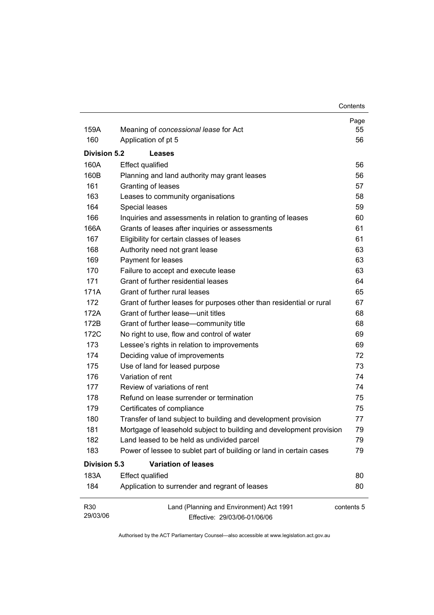| 159A                        | Meaning of concessional lease for Act                                    | Page<br>55 |
|-----------------------------|--------------------------------------------------------------------------|------------|
| 160                         | Application of pt 5                                                      | 56         |
|                             |                                                                          |            |
| <b>Division 5.2</b>         | <b>Leases</b>                                                            |            |
| 160A                        | Effect qualified                                                         | 56         |
| 160B                        | Planning and land authority may grant leases                             | 56         |
| 161                         | Granting of leases                                                       | 57         |
| 163                         | Leases to community organisations                                        | 58         |
| 164                         | Special leases                                                           | 59         |
| 166                         | Inquiries and assessments in relation to granting of leases              | 60         |
| 166A                        | Grants of leases after inquiries or assessments                          | 61         |
| 167                         | Eligibility for certain classes of leases                                | 61         |
| 168                         | Authority need not grant lease                                           | 63         |
| 169                         | Payment for leases                                                       | 63         |
| 170                         | Failure to accept and execute lease                                      | 63         |
| 171                         | Grant of further residential leases                                      | 64         |
| 171A                        | Grant of further rural leases                                            | 65         |
| 172                         | Grant of further leases for purposes other than residential or rural     | 67         |
| 172A                        | Grant of further lease-unit titles                                       | 68         |
| 172B                        | Grant of further lease-community title                                   | 68         |
| 172C                        | No right to use, flow and control of water                               | 69         |
| 173                         | Lessee's rights in relation to improvements                              | 69         |
| 174                         | Deciding value of improvements                                           | 72         |
| 175                         | Use of land for leased purpose                                           | 73         |
| 176                         | Variation of rent                                                        | 74         |
| 177                         | Review of variations of rent                                             | 74         |
| 178                         | Refund on lease surrender or termination                                 | 75         |
| 179                         | Certificates of compliance                                               | 75         |
| 180                         | Transfer of land subject to building and development provision           | 77         |
| 181                         | Mortgage of leasehold subject to building and development provision      | 79         |
| 182                         | Land leased to be held as undivided parcel                               | 79         |
| 183                         | Power of lessee to sublet part of building or land in certain cases      | 79         |
| <b>Division 5.3</b>         | <b>Variation of leases</b>                                               |            |
| 183A                        | <b>Effect qualified</b>                                                  | 80         |
| 184                         | Application to surrender and regrant of leases                           | 80         |
| R <sub>30</sub><br>29/03/06 | Land (Planning and Environment) Act 1991<br>Effective: 29/03/06-01/06/06 | contents 5 |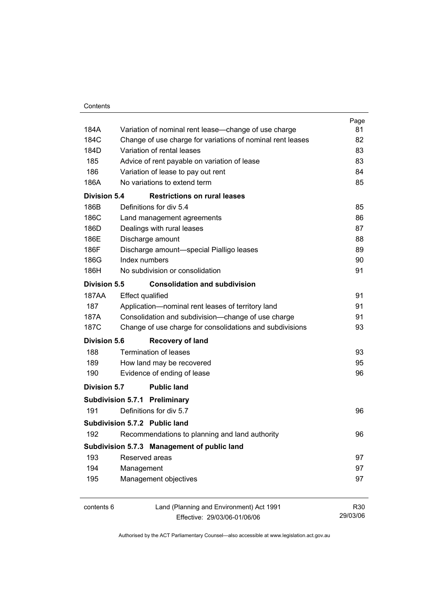|                     |                                                            | Page     |
|---------------------|------------------------------------------------------------|----------|
| 184A                | Variation of nominal rent lease—change of use charge       | 81       |
| 184C                | Change of use charge for variations of nominal rent leases | 82       |
| 184D                | Variation of rental leases                                 | 83       |
| 185                 | Advice of rent payable on variation of lease               | 83       |
| 186                 | Variation of lease to pay out rent                         | 84       |
| 186A                | No variations to extend term                               | 85       |
| <b>Division 5.4</b> | <b>Restrictions on rural leases</b>                        |          |
| 186B                | Definitions for div 5.4                                    | 85       |
| 186C                | Land management agreements                                 | 86       |
| 186D                | Dealings with rural leases                                 | 87       |
| 186E                | Discharge amount                                           | 88       |
| 186F                | Discharge amount-special Pialligo leases                   | 89       |
| 186G                | Index numbers                                              | 90       |
| 186H                | No subdivision or consolidation                            | 91       |
| Division 5.5        | <b>Consolidation and subdivision</b>                       |          |
| <b>187AA</b>        | <b>Effect qualified</b>                                    | 91       |
| 187                 | Application-nominal rent leases of territory land          | 91       |
| 187A                | Consolidation and subdivision--change of use charge        | 91       |
| 187C                | Change of use charge for consolidations and subdivisions   | 93       |
| <b>Division 5.6</b> | <b>Recovery of land</b>                                    |          |
| 188                 | Termination of leases                                      | 93       |
| 189                 | How land may be recovered                                  | 95       |
| 190                 | Evidence of ending of lease                                | 96       |
| <b>Division 5.7</b> | <b>Public land</b>                                         |          |
|                     | <b>Subdivision 5.7.1 Preliminary</b>                       |          |
| 191                 | Definitions for div 5.7                                    | 96       |
|                     | Subdivision 5.7.2 Public land                              |          |
| 192                 | Recommendations to planning and land authority             | 96       |
|                     | Subdivision 5.7.3 Management of public land                |          |
| 193                 | Reserved areas                                             | 97       |
| 194                 | Management                                                 | 97       |
| 195                 | Management objectives                                      | 97       |
| contents 6          | Land (Planning and Environment) Act 1991                   | R30      |
|                     | Effective: 29/03/06-01/06/06                               | 29/03/06 |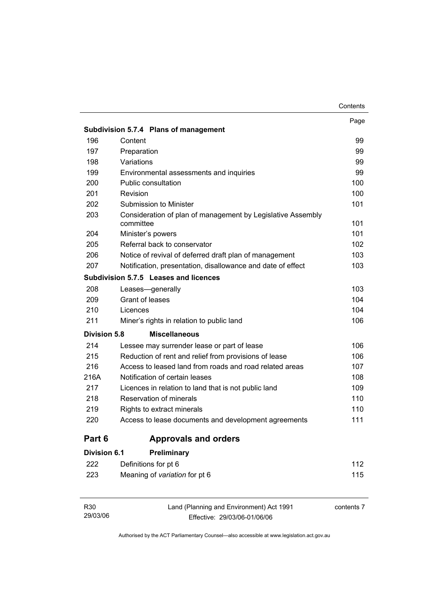|                     | Subdivision 5.7.4 Plans of management                                    | Page |
|---------------------|--------------------------------------------------------------------------|------|
| 196                 | Content                                                                  | 99   |
| 197                 | Preparation                                                              | 99   |
| 198                 | Variations                                                               | 99   |
| 199                 | Environmental assessments and inquiries                                  | 99   |
| 200                 | Public consultation                                                      | 100  |
| 201                 | Revision                                                                 | 100  |
| 202                 | Submission to Minister                                                   | 101  |
| 203                 | Consideration of plan of management by Legislative Assembly<br>committee | 101  |
| 204                 | Minister's powers                                                        | 101  |
| 205                 | Referral back to conservator                                             | 102  |
| 206                 | Notice of revival of deferred draft plan of management                   | 103  |
| 207                 | Notification, presentation, disallowance and date of effect              | 103  |
|                     | Subdivision 5.7.5 Leases and licences                                    |      |
| 208                 | Leases-generally                                                         | 103  |
| 209                 | Grant of leases                                                          | 104  |
| 210                 | Licences                                                                 | 104  |
| 211                 | Miner's rights in relation to public land                                | 106  |
| <b>Division 5.8</b> | <b>Miscellaneous</b>                                                     |      |
| 214                 | Lessee may surrender lease or part of lease                              | 106  |
| 215                 | Reduction of rent and relief from provisions of lease                    | 106  |
| 216                 | Access to leased land from roads and road related areas                  | 107  |
| 216A                | Notification of certain leases                                           | 108  |
| 217                 | Licences in relation to land that is not public land                     | 109  |
| 218                 | Reservation of minerals                                                  | 110  |
| 219                 | Rights to extract minerals                                               | 110  |
| 220                 | Access to lease documents and development agreements                     | 111  |
| Part 6              | <b>Approvals and orders</b>                                              |      |
| <b>Division 6.1</b> | Preliminary                                                              |      |
| 222                 | Definitions for pt 6                                                     | 112  |
| 223                 | Meaning of variation for pt 6                                            | 115  |

| R30      | Land (Planning and Environment) Act 1991 | contents 7 |
|----------|------------------------------------------|------------|
| 29/03/06 | Effective: 29/03/06-01/06/06             |            |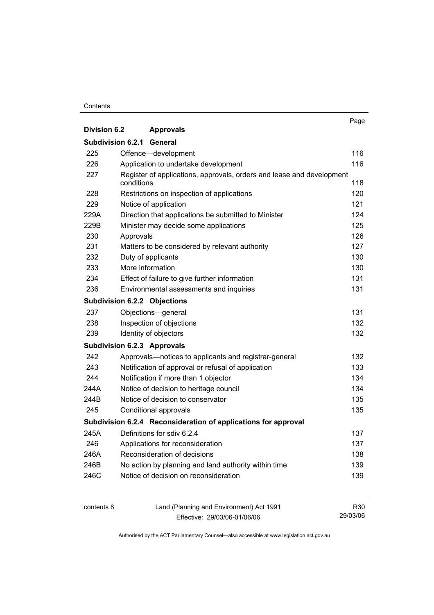#### **Contents**

|                     |                                                                       | Page |
|---------------------|-----------------------------------------------------------------------|------|
| <b>Division 6.2</b> | <b>Approvals</b>                                                      |      |
|                     | <b>Subdivision 6.2.1 General</b>                                      |      |
| 225                 | Offence-development                                                   | 116  |
| 226                 | Application to undertake development                                  | 116  |
| 227                 | Register of applications, approvals, orders and lease and development |      |
|                     | conditions                                                            | 118  |
| 228                 | Restrictions on inspection of applications                            | 120  |
| 229                 | Notice of application                                                 | 121  |
| 229A                | Direction that applications be submitted to Minister                  | 124  |
| 229B                | Minister may decide some applications                                 | 125  |
| 230                 | Approvals                                                             | 126  |
| 231                 | Matters to be considered by relevant authority                        | 127  |
| 232                 | Duty of applicants                                                    | 130  |
| 233                 | More information                                                      | 130  |
| 234                 | Effect of failure to give further information                         | 131  |
| 236                 | Environmental assessments and inquiries                               | 131  |
|                     | <b>Subdivision 6.2.2 Objections</b>                                   |      |
| 237                 | Objections-general                                                    | 131  |
| 238                 | Inspection of objections                                              | 132  |
| 239                 | Identity of objectors                                                 | 132  |
|                     | Subdivision 6.2.3 Approvals                                           |      |
| 242                 | Approvals-notices to applicants and registrar-general                 | 132  |
| 243                 | Notification of approval or refusal of application                    | 133  |
| 244                 | Notification if more than 1 objector                                  | 134  |
| 244A                | Notice of decision to heritage council                                | 134  |
| 244B                | Notice of decision to conservator                                     | 135  |
| 245                 | Conditional approvals                                                 | 135  |
|                     | Subdivision 6.2.4 Reconsideration of applications for approval        |      |
| 245A                | Definitions for sdiv 6.2.4                                            | 137  |
| 246                 | Applications for reconsideration                                      | 137  |
| 246A                | Reconsideration of decisions                                          | 138  |
| 246B                | No action by planning and land authority within time                  | 139  |
| 246C                | Notice of decision on reconsideration                                 | 139  |
|                     |                                                                       |      |

contents 8 Land (Planning and Environment) Act 1991 Effective: 29/03/06-01/06/06 R30 29/03/06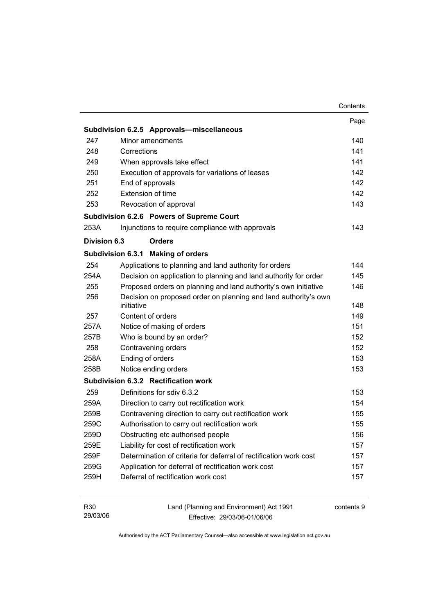|              |                                                                   | Contents   |
|--------------|-------------------------------------------------------------------|------------|
|              |                                                                   | Page       |
|              | Subdivision 6.2.5 Approvals-miscellaneous                         |            |
| 247          | Minor amendments                                                  | 140        |
| 248          | Corrections                                                       | 141        |
| 249          | When approvals take effect                                        | 141        |
| 250          | Execution of approvals for variations of leases                   | 142        |
| 251          | End of approvals                                                  | 142        |
| 252          | Extension of time                                                 | 142        |
| 253          | Revocation of approval                                            | 143        |
|              | Subdivision 6.2.6 Powers of Supreme Court                         |            |
| 253A         | Injunctions to require compliance with approvals                  | 143        |
| Division 6.3 | <b>Orders</b>                                                     |            |
|              | Subdivision 6.3.1 Making of orders                                |            |
| 254          | Applications to planning and land authority for orders            | 144        |
| 254A         | Decision on application to planning and land authority for order  | 145        |
| 255          | Proposed orders on planning and land authority's own initiative   | 146        |
| 256          | Decision on proposed order on planning and land authority's own   |            |
|              | initiative                                                        | 148        |
| 257          | Content of orders                                                 | 149        |
| 257A         | Notice of making of orders                                        | 151        |
| 257B         | Who is bound by an order?                                         | 152        |
| 258          | Contravening orders                                               | 152        |
| 258A         | Ending of orders                                                  | 153        |
| 258B         | Notice ending orders                                              | 153        |
|              | Subdivision 6.3.2 Rectification work                              |            |
| 259          | Definitions for sdiv 6.3.2                                        | 153        |
| 259A         | Direction to carry out rectification work                         | 154        |
| 259B         | Contravening direction to carry out rectification work            | 155        |
| 259C         | Authorisation to carry out rectification work                     | 155        |
| 259D         | Obstructing etc authorised people                                 | 156        |
| 259E         | Liability for cost of rectification work                          | 157        |
| 259F         | Determination of criteria for deferral of rectification work cost | 157        |
| 259G         | Application for deferral of rectification work cost               | 157        |
| 259H         | Deferral of rectification work cost                               | 157        |
|              |                                                                   |            |
| R30          | Land (Planning and Environment) Act 1991                          | contents 9 |

Effective: 29/03/06-01/06/06

29/03/06

contents 9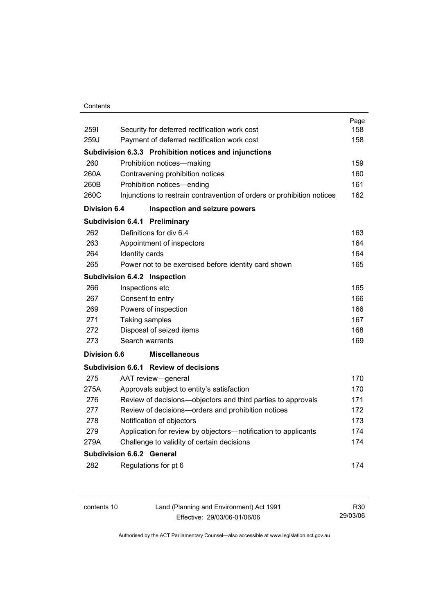### **Contents**

|                     |                                                                        | Page |
|---------------------|------------------------------------------------------------------------|------|
| 2591                | Security for deferred rectification work cost                          | 158  |
| 259J                | Payment of deferred rectification work cost                            | 158  |
|                     | Subdivision 6.3.3 Prohibition notices and injunctions                  |      |
| 260                 | Prohibition notices-making                                             | 159  |
| 260A                | Contravening prohibition notices                                       | 160  |
| 260B                | Prohibition notices-ending                                             | 161  |
| 260C                | Injunctions to restrain contravention of orders or prohibition notices | 162  |
| <b>Division 6.4</b> | Inspection and seizure powers                                          |      |
|                     | Subdivision 6.4.1<br>Preliminary                                       |      |
| 262                 | Definitions for div 6.4                                                | 163  |
| 263                 | Appointment of inspectors                                              | 164  |
| 264                 | Identity cards                                                         | 164  |
| 265                 | Power not to be exercised before identity card shown                   | 165  |
|                     | Subdivision 6.4.2 Inspection                                           |      |
| 266                 | Inspections etc                                                        | 165  |
| 267                 | Consent to entry                                                       | 166  |
| 269                 | Powers of inspection                                                   | 166  |
| 271                 | Taking samples                                                         | 167  |
| 272                 | Disposal of seized items                                               | 168  |
| 273                 | Search warrants                                                        | 169  |
| <b>Division 6.6</b> | <b>Miscellaneous</b>                                                   |      |
|                     | Subdivision 6.6.1 Review of decisions                                  |      |
| 275                 | AAT review-general                                                     | 170  |
| 275A                | Approvals subject to entity's satisfaction                             | 170  |
| 276                 | Review of decisions-objectors and third parties to approvals           | 171  |
| 277                 | Review of decisions-orders and prohibition notices                     | 172  |
| 278                 | Notification of objectors                                              | 173  |
| 279                 | Application for review by objectors—notification to applicants         | 174  |
| 279A                | Challenge to validity of certain decisions                             | 174  |
|                     | <b>Subdivision 6.6.2 General</b>                                       |      |
| 282                 | Regulations for pt 6                                                   | 174  |
|                     |                                                                        |      |

| contents 10 | Land (Planning and Environment) Act 1991 | R30      |
|-------------|------------------------------------------|----------|
|             | Effective: 29/03/06-01/06/06             | 29/03/06 |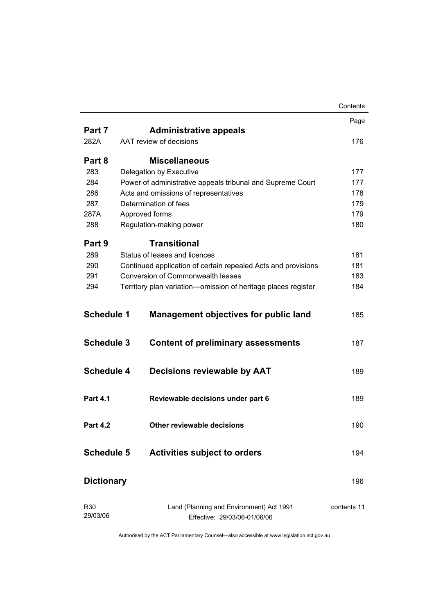|                   |                                                                          | Contents    |
|-------------------|--------------------------------------------------------------------------|-------------|
|                   |                                                                          | Page        |
| Part 7            | <b>Administrative appeals</b>                                            |             |
| 282A              | AAT review of decisions                                                  | 176         |
| Part 8            | <b>Miscellaneous</b>                                                     |             |
| 283               | Delegation by Executive                                                  | 177         |
| 284               | Power of administrative appeals tribunal and Supreme Court               | 177         |
| 286               | Acts and omissions of representatives                                    | 178         |
| 287               | Determination of fees                                                    | 179         |
| 287A              | Approved forms                                                           | 179         |
| 288               | Regulation-making power                                                  | 180         |
| Part 9            | <b>Transitional</b>                                                      |             |
| 289               | Status of leases and licences                                            | 181         |
| 290               | Continued application of certain repealed Acts and provisions            | 181         |
| 291               | Conversion of Commonwealth leases                                        | 183         |
| 294               | Territory plan variation-omission of heritage places register            | 184         |
| <b>Schedule 1</b> | <b>Management objectives for public land</b>                             | 185         |
| <b>Schedule 3</b> | <b>Content of preliminary assessments</b>                                | 187         |
| <b>Schedule 4</b> | <b>Decisions reviewable by AAT</b>                                       | 189         |
| <b>Part 4.1</b>   | Reviewable decisions under part 6                                        | 189         |
| <b>Part 4.2</b>   | Other reviewable decisions                                               | 190         |
| Schedule 5        | <b>Activities subject to orders</b>                                      | 194         |
| <b>Dictionary</b> |                                                                          | 196         |
| R30<br>29/03/06   | Land (Planning and Environment) Act 1991<br>Effective: 29/03/06-01/06/06 | contents 11 |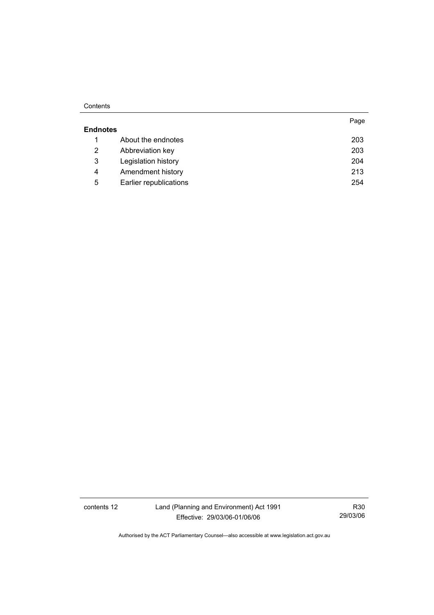#### **Contents**

|                 |                        | Page |
|-----------------|------------------------|------|
| <b>Endnotes</b> |                        |      |
|                 | About the endnotes     | 203  |
| 2               | Abbreviation key       | 203  |
| 3               | Legislation history    | 204  |
| 4               | Amendment history      | 213  |
| 5               | Earlier republications | 254  |

contents 12 Land (Planning and Environment) Act 1991 Effective: 29/03/06-01/06/06

R30 29/03/06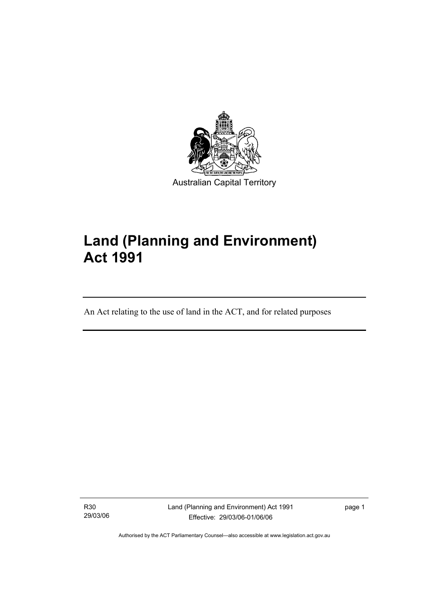

# **Land (Planning and Environment) Act 1991**

An Act relating to the use of land in the ACT, and for related purposes

R30 29/03/06

I

Land (Planning and Environment) Act 1991 Effective: 29/03/06-01/06/06

page 1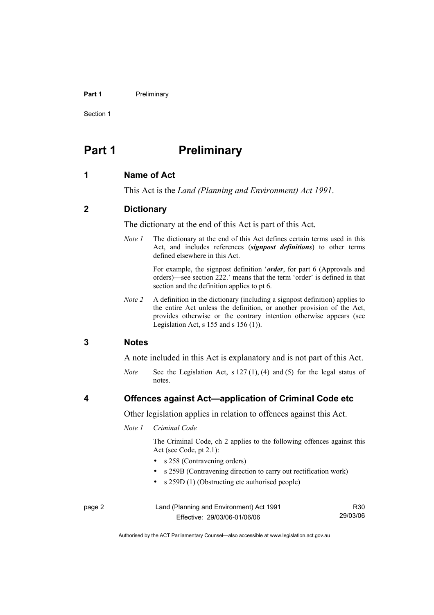#### Part 1 **Preliminary**

Section 1

# **Part 1** Preliminary

#### **1 Name of Act**

This Act is the *Land (Planning and Environment) Act 1991*.

### **2 Dictionary**

The dictionary at the end of this Act is part of this Act.

*Note 1* The dictionary at the end of this Act defines certain terms used in this Act, and includes references (*signpost definitions*) to other terms defined elsewhere in this Act.

> For example, the signpost definition '*order*, for part 6 (Approvals and orders)—see section 222.' means that the term 'order' is defined in that section and the definition applies to pt 6.

*Note 2* A definition in the dictionary (including a signpost definition) applies to the entire Act unless the definition, or another provision of the Act, provides otherwise or the contrary intention otherwise appears (see Legislation Act,  $s$  155 and  $s$  156 (1)).

### **3 Notes**

A note included in this Act is explanatory and is not part of this Act.

*Note* See the Legislation Act, s 127 (1), (4) and (5) for the legal status of notes.

## **4 Offences against Act—application of Criminal Code etc**

Other legislation applies in relation to offences against this Act.

#### *Note 1 Criminal Code*

 The Criminal Code, ch 2 applies to the following offences against this Act (see Code, pt 2.1):

- s 258 (Contravening orders)
- s 259B (Contravening direction to carry out rectification work)
- s 259D (1) (Obstructing etc authorised people)

| page 2 | Land (Planning and Environment) Act 1991 | R <sub>30</sub> |
|--------|------------------------------------------|-----------------|
|        | Effective: 29/03/06-01/06/06             | 29/03/06        |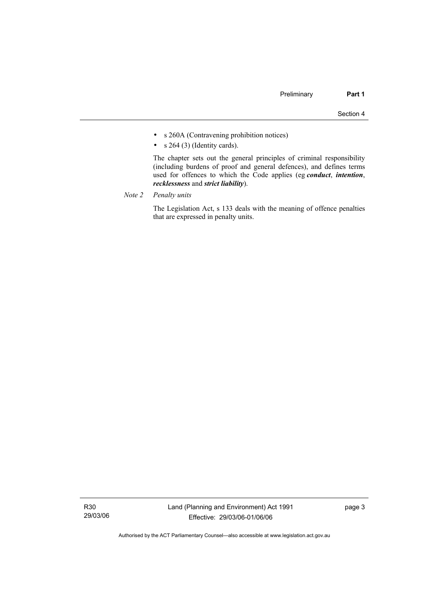- s 260A (Contravening prohibition notices)
- $s$  264 (3) (Identity cards).

 The chapter sets out the general principles of criminal responsibility (including burdens of proof and general defences), and defines terms used for offences to which the Code applies (eg *conduct*, *intention*, *recklessness* and *strict liability*).

*Note 2 Penalty units*

 The Legislation Act, s 133 deals with the meaning of offence penalties that are expressed in penalty units.

R30 29/03/06 page 3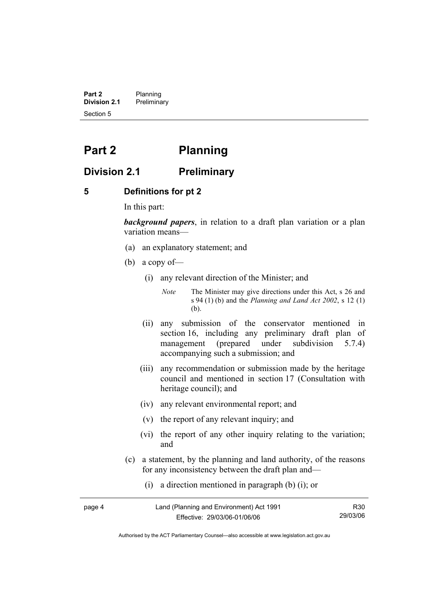**Part 2** Planning<br>**Division 2.1** Prelimina **Division 2.1** Preliminary Section 5

# **Part 2 Planning**

# **Division 2.1 Preliminary**

## **5 Definitions for pt 2**

In this part:

*background papers*, in relation to a draft plan variation or a plan variation means—

- (a) an explanatory statement; and
- (b) a copy of—
	- (i) any relevant direction of the Minister; and

*Note* The Minister may give directions under this Act, s 26 and s 94 (1) (b) and the *Planning and Land Act 2002*, s 12 (1) (b).

- (ii) any submission of the conservator mentioned in section 16, including any preliminary draft plan of management (prepared under subdivision 5.7.4) accompanying such a submission; and
- (iii) any recommendation or submission made by the heritage council and mentioned in section 17 (Consultation with heritage council); and
- (iv) any relevant environmental report; and
- (v) the report of any relevant inquiry; and
- (vi) the report of any other inquiry relating to the variation; and
- (c) a statement, by the planning and land authority, of the reasons for any inconsistency between the draft plan and—
	- (i) a direction mentioned in paragraph (b) (i); or

| page 4 | Land (Planning and Environment) Act 1991 | R30      |
|--------|------------------------------------------|----------|
|        | Effective: 29/03/06-01/06/06             | 29/03/06 |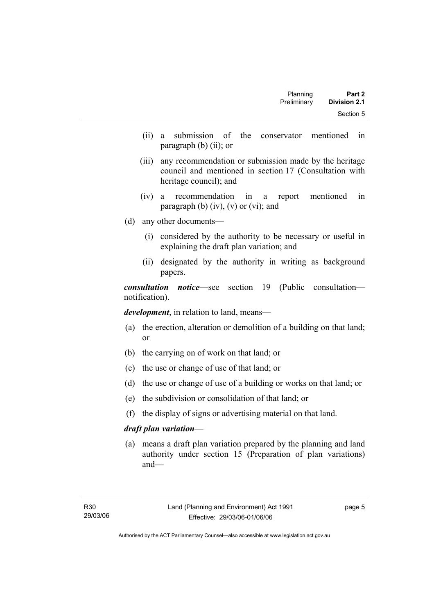| Planning    | Part 2              |
|-------------|---------------------|
| Preliminary | <b>Division 2.1</b> |
|             | Section 5           |

- (ii) a submission of the conservator mentioned in paragraph (b) (ii); or
- (iii) any recommendation or submission made by the heritage council and mentioned in section 17 (Consultation with heritage council); and
- (iv) a recommendation in a report mentioned in paragraph (b)  $(iv)$ ,  $(v)$  or  $(vi)$ ; and
- (d) any other documents—
	- (i) considered by the authority to be necessary or useful in explaining the draft plan variation; and
	- (ii) designated by the authority in writing as background papers.

*consultation notice*—see section 19 (Public consultation notification).

*development*, in relation to land, means—

- (a) the erection, alteration or demolition of a building on that land; or
- (b) the carrying on of work on that land; or
- (c) the use or change of use of that land; or
- (d) the use or change of use of a building or works on that land; or
- (e) the subdivision or consolidation of that land; or
- (f) the display of signs or advertising material on that land.

#### *draft plan variation*—

 (a) means a draft plan variation prepared by the planning and land authority under section 15 (Preparation of plan variations) and—

page 5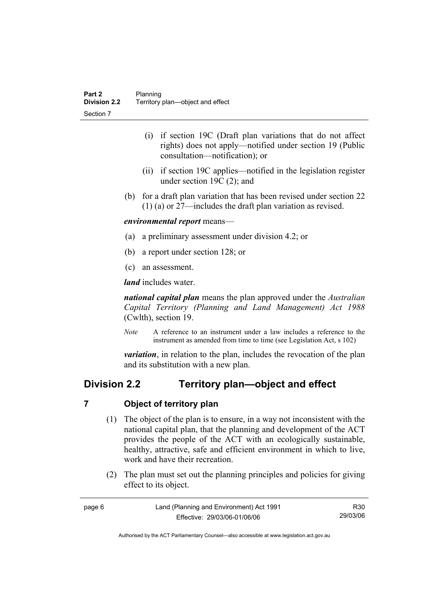- (i) if section 19C (Draft plan variations that do not affect rights) does not apply—notified under section 19 (Public consultation—notification); or
- (ii) if section 19C applies—notified in the legislation register under section 19C (2); and
- (b) for a draft plan variation that has been revised under section 22 (1) (a) or 27—includes the draft plan variation as revised.

### *environmental report* means—

- (a) a preliminary assessment under division 4.2; or
- (b) a report under section 128; or
- (c) an assessment.

*land* includes water.

*national capital plan* means the plan approved under the *Australian Capital Territory (Planning and Land Management) Act 1988* (Cwlth), section 19.

*Note* A reference to an instrument under a law includes a reference to the instrument as amended from time to time (see Legislation Act, s 102)

*variation*, in relation to the plan, includes the revocation of the plan and its substitution with a new plan.

# **Division 2.2 Territory plan—object and effect**

## **7 Object of territory plan**

- (1) The object of the plan is to ensure, in a way not inconsistent with the national capital plan, that the planning and development of the ACT provides the people of the ACT with an ecologically sustainable, healthy, attractive, safe and efficient environment in which to live, work and have their recreation.
- (2) The plan must set out the planning principles and policies for giving effect to its object.

| page 6 | Land (Planning and Environment) Act 1991 | R <sub>30</sub> |
|--------|------------------------------------------|-----------------|
|        | Effective: 29/03/06-01/06/06             | 29/03/06        |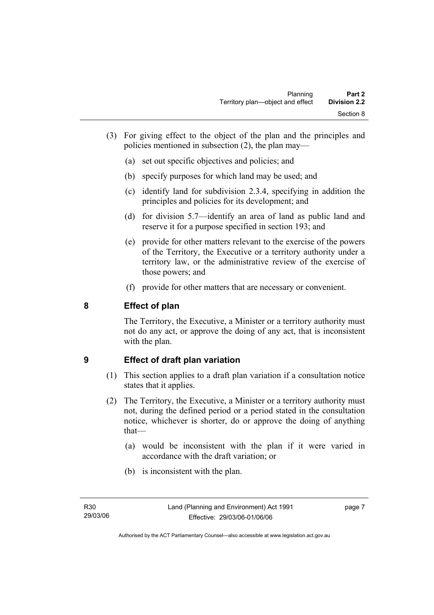- (3) For giving effect to the object of the plan and the principles and policies mentioned in subsection (2), the plan may—
	- (a) set out specific objectives and policies; and
	- (b) specify purposes for which land may be used; and
	- (c) identify land for subdivision 2.3.4, specifying in addition the principles and policies for its development; and
	- (d) for division 5.7—identify an area of land as public land and reserve it for a purpose specified in section 193; and
	- (e) provide for other matters relevant to the exercise of the powers of the Territory, the Executive or a territory authority under a territory law, or the administrative review of the exercise of those powers; and
	- (f) provide for other matters that are necessary or convenient.

# **8 Effect of plan**

The Territory, the Executive, a Minister or a territory authority must not do any act, or approve the doing of any act, that is inconsistent with the plan.

# **9 Effect of draft plan variation**

- (1) This section applies to a draft plan variation if a consultation notice states that it applies.
- (2) The Territory, the Executive, a Minister or a territory authority must not, during the defined period or a period stated in the consultation notice, whichever is shorter, do or approve the doing of anything that—
	- (a) would be inconsistent with the plan if it were varied in accordance with the draft variation; or
	- (b) is inconsistent with the plan.

page 7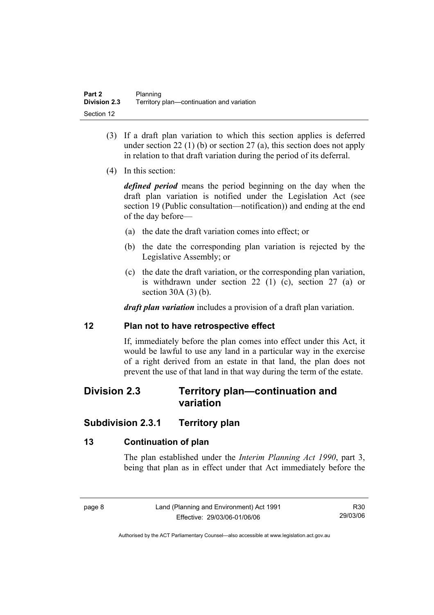- (3) If a draft plan variation to which this section applies is deferred under section 22 (1) (b) or section 27 (a), this section does not apply in relation to that draft variation during the period of its deferral.
- (4) In this section:

*defined period* means the period beginning on the day when the draft plan variation is notified under the Legislation Act (see section 19 (Public consultation—notification)) and ending at the end of the day before—

- (a) the date the draft variation comes into effect; or
- (b) the date the corresponding plan variation is rejected by the Legislative Assembly; or
- (c) the date the draft variation, or the corresponding plan variation, is withdrawn under section 22 (1) (c), section 27 (a) or section 30A (3) (b).

*draft plan variation* includes a provision of a draft plan variation.

## **12 Plan not to have retrospective effect**

If, immediately before the plan comes into effect under this Act, it would be lawful to use any land in a particular way in the exercise of a right derived from an estate in that land, the plan does not prevent the use of that land in that way during the term of the estate.

# **Division 2.3 Territory plan—continuation and variation**

# **Subdivision 2.3.1 Territory plan**

# **13 Continuation of plan**

The plan established under the *Interim Planning Act 1990*, part 3, being that plan as in effect under that Act immediately before the

R30 29/03/06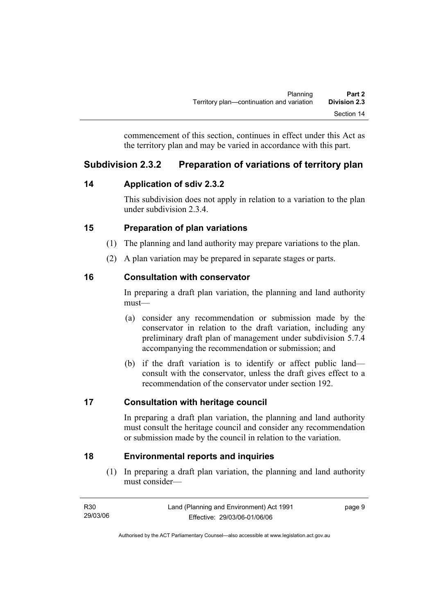commencement of this section, continues in effect under this Act as the territory plan and may be varied in accordance with this part.

# **Subdivision 2.3.2 Preparation of variations of territory plan**

# **14 Application of sdiv 2.3.2**

This subdivision does not apply in relation to a variation to the plan under subdivision 2.3.4.

# **15 Preparation of plan variations**

- (1) The planning and land authority may prepare variations to the plan.
- (2) A plan variation may be prepared in separate stages or parts.

# **16 Consultation with conservator**

In preparing a draft plan variation, the planning and land authority must—

- (a) consider any recommendation or submission made by the conservator in relation to the draft variation, including any preliminary draft plan of management under subdivision 5.7.4 accompanying the recommendation or submission; and
- (b) if the draft variation is to identify or affect public land consult with the conservator, unless the draft gives effect to a recommendation of the conservator under section 192.

# **17 Consultation with heritage council**

In preparing a draft plan variation, the planning and land authority must consult the heritage council and consider any recommendation or submission made by the council in relation to the variation.

# **18 Environmental reports and inquiries**

 (1) In preparing a draft plan variation, the planning and land authority must consider—

| R30      | Land (Planning and Environment) Act 1991 | page 9 |
|----------|------------------------------------------|--------|
| 29/03/06 | Effective: 29/03/06-01/06/06             |        |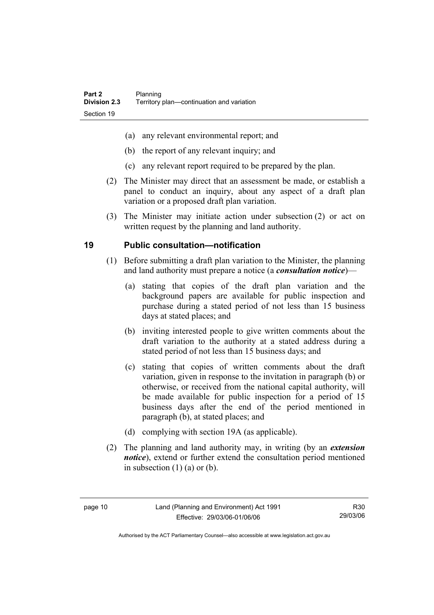- (a) any relevant environmental report; and
- (b) the report of any relevant inquiry; and
- (c) any relevant report required to be prepared by the plan.
- (2) The Minister may direct that an assessment be made, or establish a panel to conduct an inquiry, about any aspect of a draft plan variation or a proposed draft plan variation.
- (3) The Minister may initiate action under subsection (2) or act on written request by the planning and land authority.

# **19 Public consultation—notification**

- (1) Before submitting a draft plan variation to the Minister, the planning and land authority must prepare a notice (a *consultation notice*)—
	- (a) stating that copies of the draft plan variation and the background papers are available for public inspection and purchase during a stated period of not less than 15 business days at stated places; and
	- (b) inviting interested people to give written comments about the draft variation to the authority at a stated address during a stated period of not less than 15 business days; and
	- (c) stating that copies of written comments about the draft variation, given in response to the invitation in paragraph (b) or otherwise, or received from the national capital authority, will be made available for public inspection for a period of 15 business days after the end of the period mentioned in paragraph (b), at stated places; and
	- (d) complying with section 19A (as applicable).
- (2) The planning and land authority may, in writing (by an *extension notice*), extend or further extend the consultation period mentioned in subsection  $(1)$   $(a)$  or  $(b)$ .

R30 29/03/06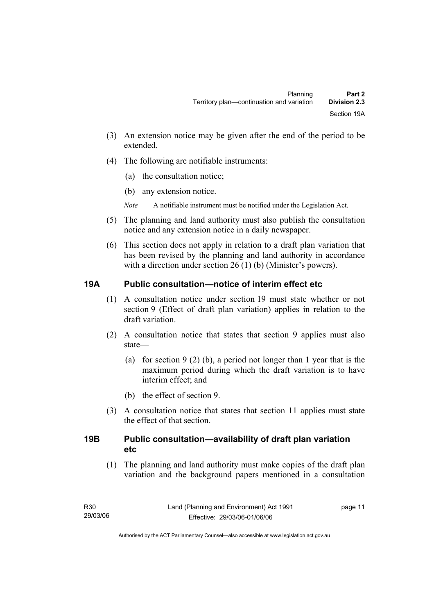- (3) An extension notice may be given after the end of the period to be extended.
- (4) The following are notifiable instruments:
	- (a) the consultation notice;
	- (b) any extension notice.
	- *Note* A notifiable instrument must be notified under the Legislation Act.
- (5) The planning and land authority must also publish the consultation notice and any extension notice in a daily newspaper.
- (6) This section does not apply in relation to a draft plan variation that has been revised by the planning and land authority in accordance with a direction under section 26 (1) (b) (Minister's powers).

# **19A Public consultation—notice of interim effect etc**

- (1) A consultation notice under section 19 must state whether or not section 9 (Effect of draft plan variation) applies in relation to the draft variation.
- (2) A consultation notice that states that section 9 applies must also state—
	- (a) for section 9 (2) (b), a period not longer than 1 year that is the maximum period during which the draft variation is to have interim effect; and
	- (b) the effect of section 9.
- (3) A consultation notice that states that section 11 applies must state the effect of that section.

# **19B Public consultation—availability of draft plan variation etc**

(1) The planning and land authority must make copies of the draft plan variation and the background papers mentioned in a consultation

page 11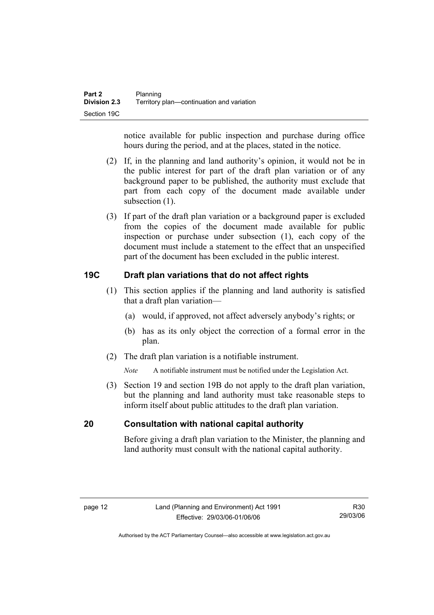notice available for public inspection and purchase during office hours during the period, and at the places, stated in the notice.

- (2) If, in the planning and land authority's opinion, it would not be in the public interest for part of the draft plan variation or of any background paper to be published, the authority must exclude that part from each copy of the document made available under subsection  $(1)$ .
- (3) If part of the draft plan variation or a background paper is excluded from the copies of the document made available for public inspection or purchase under subsection (1), each copy of the document must include a statement to the effect that an unspecified part of the document has been excluded in the public interest.

# **19C Draft plan variations that do not affect rights**

- (1) This section applies if the planning and land authority is satisfied that a draft plan variation—
	- (a) would, if approved, not affect adversely anybody's rights; or
	- (b) has as its only object the correction of a formal error in the plan.
- (2) The draft plan variation is a notifiable instrument.

*Note* A notifiable instrument must be notified under the Legislation Act.

 (3) Section 19 and section 19B do not apply to the draft plan variation, but the planning and land authority must take reasonable steps to inform itself about public attitudes to the draft plan variation.

## **20 Consultation with national capital authority**

Before giving a draft plan variation to the Minister, the planning and land authority must consult with the national capital authority.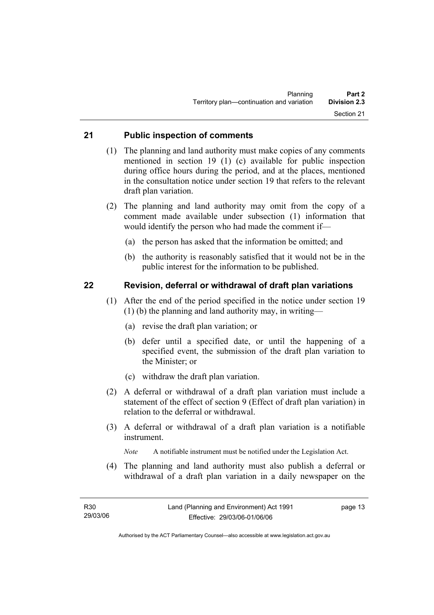# **21 Public inspection of comments**

- (1) The planning and land authority must make copies of any comments mentioned in section 19 (1) (c) available for public inspection during office hours during the period, and at the places, mentioned in the consultation notice under section 19 that refers to the relevant draft plan variation.
- (2) The planning and land authority may omit from the copy of a comment made available under subsection (1) information that would identify the person who had made the comment if—
	- (a) the person has asked that the information be omitted; and
	- (b) the authority is reasonably satisfied that it would not be in the public interest for the information to be published.

## **22 Revision, deferral or withdrawal of draft plan variations**

- (1) After the end of the period specified in the notice under section 19 (1) (b) the planning and land authority may, in writing—
	- (a) revise the draft plan variation; or
	- (b) defer until a specified date, or until the happening of a specified event, the submission of the draft plan variation to the Minister; or
	- (c) withdraw the draft plan variation.
- (2) A deferral or withdrawal of a draft plan variation must include a statement of the effect of section 9 (Effect of draft plan variation) in relation to the deferral or withdrawal.
- (3) A deferral or withdrawal of a draft plan variation is a notifiable instrument.

*Note* A notifiable instrument must be notified under the Legislation Act.

(4) The planning and land authority must also publish a deferral or withdrawal of a draft plan variation in a daily newspaper on the

page 13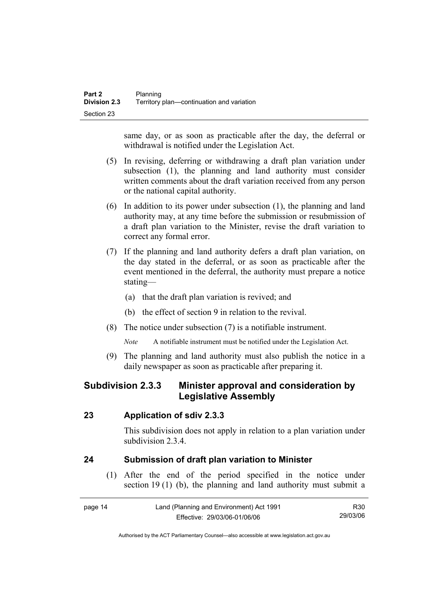same day, or as soon as practicable after the day, the deferral or withdrawal is notified under the Legislation Act.

- (5) In revising, deferring or withdrawing a draft plan variation under subsection (1), the planning and land authority must consider written comments about the draft variation received from any person or the national capital authority.
- (6) In addition to its power under subsection (1), the planning and land authority may, at any time before the submission or resubmission of a draft plan variation to the Minister, revise the draft variation to correct any formal error.
- (7) If the planning and land authority defers a draft plan variation, on the day stated in the deferral, or as soon as practicable after the event mentioned in the deferral, the authority must prepare a notice stating—
	- (a) that the draft plan variation is revived; and
	- (b) the effect of section 9 in relation to the revival.
- (8) The notice under subsection (7) is a notifiable instrument.

*Note* A notifiable instrument must be notified under the Legislation Act.

(9) The planning and land authority must also publish the notice in a daily newspaper as soon as practicable after preparing it.

# **Subdivision 2.3.3 Minister approval and consideration by Legislative Assembly**

## **23 Application of sdiv 2.3.3**

This subdivision does not apply in relation to a plan variation under subdivision 2.3.4

# **24 Submission of draft plan variation to Minister**

 (1) After the end of the period specified in the notice under section 19 (1) (b), the planning and land authority must submit a

| page 14 | Land (Planning and Environment) Act 1991 | R30      |
|---------|------------------------------------------|----------|
|         | Effective: 29/03/06-01/06/06             | 29/03/06 |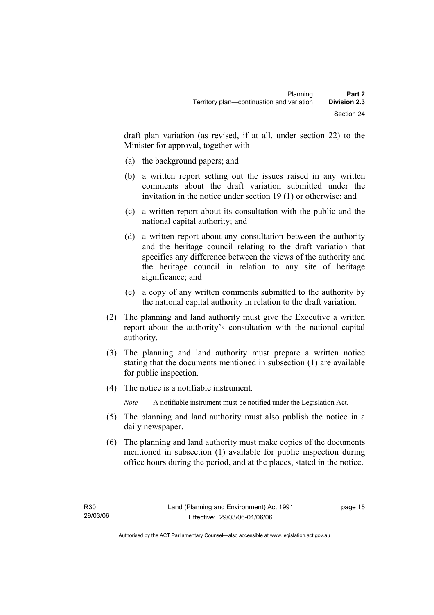draft plan variation (as revised, if at all, under section 22) to the Minister for approval, together with—

- (a) the background papers; and
- (b) a written report setting out the issues raised in any written comments about the draft variation submitted under the invitation in the notice under section 19 (1) or otherwise; and
- (c) a written report about its consultation with the public and the national capital authority; and
- (d) a written report about any consultation between the authority and the heritage council relating to the draft variation that specifies any difference between the views of the authority and the heritage council in relation to any site of heritage significance; and
- (e) a copy of any written comments submitted to the authority by the national capital authority in relation to the draft variation.
- (2) The planning and land authority must give the Executive a written report about the authority's consultation with the national capital authority.
- (3) The planning and land authority must prepare a written notice stating that the documents mentioned in subsection (1) are available for public inspection.
- (4) The notice is a notifiable instrument.

*Note* A notifiable instrument must be notified under the Legislation Act.

- (5) The planning and land authority must also publish the notice in a daily newspaper.
- (6) The planning and land authority must make copies of the documents mentioned in subsection (1) available for public inspection during office hours during the period, and at the places, stated in the notice.

page 15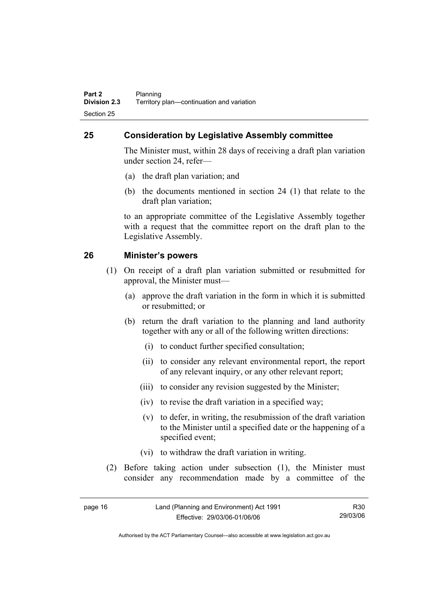# **25 Consideration by Legislative Assembly committee**

The Minister must, within 28 days of receiving a draft plan variation under section 24, refer—

- (a) the draft plan variation; and
- (b) the documents mentioned in section 24 (1) that relate to the draft plan variation;

to an appropriate committee of the Legislative Assembly together with a request that the committee report on the draft plan to the Legislative Assembly.

# **26 Minister's powers**

- (1) On receipt of a draft plan variation submitted or resubmitted for approval, the Minister must—
	- (a) approve the draft variation in the form in which it is submitted or resubmitted; or
	- (b) return the draft variation to the planning and land authority together with any or all of the following written directions:
		- (i) to conduct further specified consultation;
		- (ii) to consider any relevant environmental report, the report of any relevant inquiry, or any other relevant report;
		- (iii) to consider any revision suggested by the Minister;
		- (iv) to revise the draft variation in a specified way;
		- (v) to defer, in writing, the resubmission of the draft variation to the Minister until a specified date or the happening of a specified event;
		- (vi) to withdraw the draft variation in writing.
- (2) Before taking action under subsection (1), the Minister must consider any recommendation made by a committee of the

| page 16 | Land (Planning and Environment) Act 1991 | R <sub>30</sub> |
|---------|------------------------------------------|-----------------|
|         | Effective: 29/03/06-01/06/06             | 29/03/06        |

Authorised by the ACT Parliamentary Counsel—also accessible at www.legislation.act.gov.au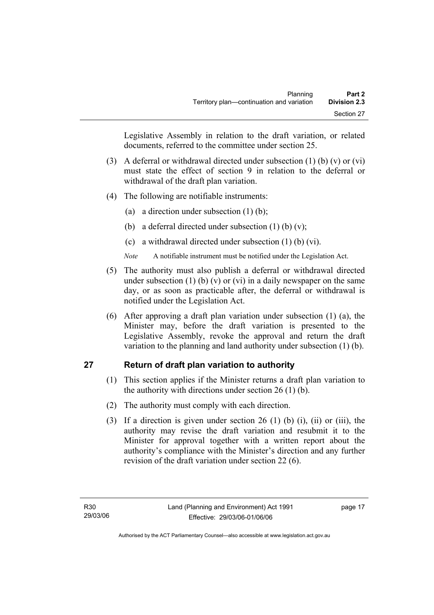Legislative Assembly in relation to the draft variation, or related documents, referred to the committee under section 25.

- (3) A deferral or withdrawal directed under subsection (1) (b) (v) or (vi) must state the effect of section 9 in relation to the deferral or withdrawal of the draft plan variation.
- (4) The following are notifiable instruments:
	- (a) a direction under subsection  $(1)$  (b);
	- (b) a deferral directed under subsection  $(1)$  (b)  $(v)$ ;
	- (c) a withdrawal directed under subsection (1) (b) (vi).
	- *Note* A notifiable instrument must be notified under the Legislation Act.
- (5) The authority must also publish a deferral or withdrawal directed under subsection (1) (b) (v) or (vi) in a daily newspaper on the same day, or as soon as practicable after, the deferral or withdrawal is notified under the Legislation Act.
- (6) After approving a draft plan variation under subsection (1) (a), the Minister may, before the draft variation is presented to the Legislative Assembly, revoke the approval and return the draft variation to the planning and land authority under subsection (1) (b).

# **27 Return of draft plan variation to authority**

- (1) This section applies if the Minister returns a draft plan variation to the authority with directions under section 26 (1) (b).
- (2) The authority must comply with each direction.
- (3) If a direction is given under section 26 (1) (b) (i), (ii) or (iii), the authority may revise the draft variation and resubmit it to the Minister for approval together with a written report about the authority's compliance with the Minister's direction and any further revision of the draft variation under section 22 (6).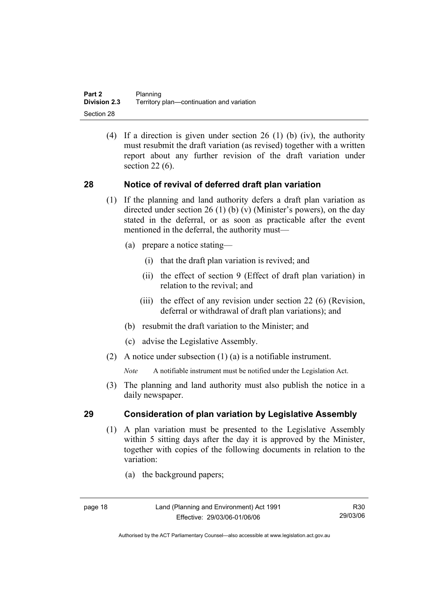(4) If a direction is given under section 26 (1) (b) (iv), the authority must resubmit the draft variation (as revised) together with a written report about any further revision of the draft variation under section 22 (6).

# **28 Notice of revival of deferred draft plan variation**

- (1) If the planning and land authority defers a draft plan variation as directed under section 26 (1) (b) (v) (Minister's powers), on the day stated in the deferral, or as soon as practicable after the event mentioned in the deferral, the authority must—
	- (a) prepare a notice stating—
		- (i) that the draft plan variation is revived; and
		- (ii) the effect of section 9 (Effect of draft plan variation) in relation to the revival; and
		- (iii) the effect of any revision under section 22 (6) (Revision, deferral or withdrawal of draft plan variations); and
	- (b) resubmit the draft variation to the Minister; and
	- (c) advise the Legislative Assembly.
- (2) A notice under subsection (1) (a) is a notifiable instrument.

*Note* A notifiable instrument must be notified under the Legislation Act.

(3) The planning and land authority must also publish the notice in a daily newspaper.

## **29 Consideration of plan variation by Legislative Assembly**

- (1) A plan variation must be presented to the Legislative Assembly within 5 sitting days after the day it is approved by the Minister, together with copies of the following documents in relation to the variation:
	- (a) the background papers;

R30 29/03/06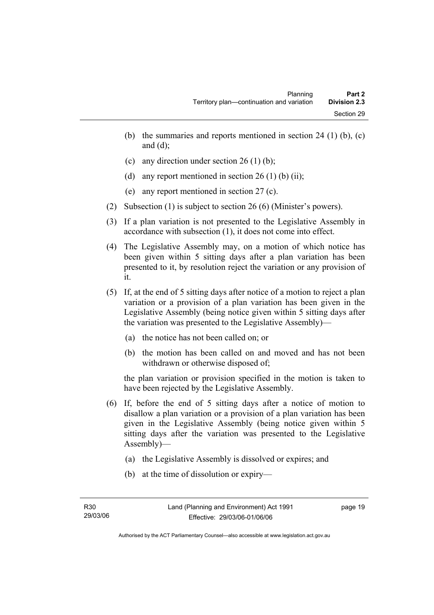- (b) the summaries and reports mentioned in section 24 (1) (b),  $(c)$ and  $(d)$ ;
- (c) any direction under section 26 (1) (b);
- (d) any report mentioned in section  $26(1)$  (b) (ii);
- (e) any report mentioned in section 27 (c).
- (2) Subsection (1) is subject to section 26 (6) (Minister's powers).
- (3) If a plan variation is not presented to the Legislative Assembly in accordance with subsection (1), it does not come into effect.
- (4) The Legislative Assembly may, on a motion of which notice has been given within 5 sitting days after a plan variation has been presented to it, by resolution reject the variation or any provision of it.
- (5) If, at the end of 5 sitting days after notice of a motion to reject a plan variation or a provision of a plan variation has been given in the Legislative Assembly (being notice given within 5 sitting days after the variation was presented to the Legislative Assembly)—
	- (a) the notice has not been called on; or
	- (b) the motion has been called on and moved and has not been withdrawn or otherwise disposed of;

the plan variation or provision specified in the motion is taken to have been rejected by the Legislative Assembly.

- (6) If, before the end of 5 sitting days after a notice of motion to disallow a plan variation or a provision of a plan variation has been given in the Legislative Assembly (being notice given within 5 sitting days after the variation was presented to the Legislative Assembly)—
	- (a) the Legislative Assembly is dissolved or expires; and
	- (b) at the time of dissolution or expiry—

page 19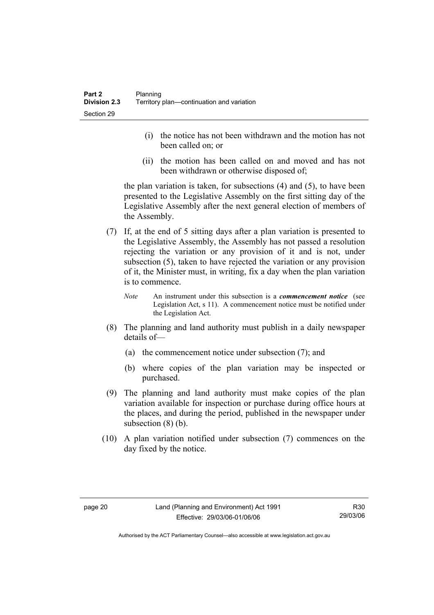- (i) the notice has not been withdrawn and the motion has not been called on; or
- (ii) the motion has been called on and moved and has not been withdrawn or otherwise disposed of;

the plan variation is taken, for subsections (4) and (5), to have been presented to the Legislative Assembly on the first sitting day of the Legislative Assembly after the next general election of members of the Assembly.

- (7) If, at the end of 5 sitting days after a plan variation is presented to the Legislative Assembly, the Assembly has not passed a resolution rejecting the variation or any provision of it and is not, under subsection (5), taken to have rejected the variation or any provision of it, the Minister must, in writing, fix a day when the plan variation is to commence.
	- *Note* An instrument under this subsection is a *commencement notice* (see Legislation Act, s 11). A commencement notice must be notified under the Legislation Act.
- (8) The planning and land authority must publish in a daily newspaper details of—
	- (a) the commencement notice under subsection (7); and
	- (b) where copies of the plan variation may be inspected or purchased.
- (9) The planning and land authority must make copies of the plan variation available for inspection or purchase during office hours at the places, and during the period, published in the newspaper under subsection  $(8)$  (b).
- (10) A plan variation notified under subsection (7) commences on the day fixed by the notice.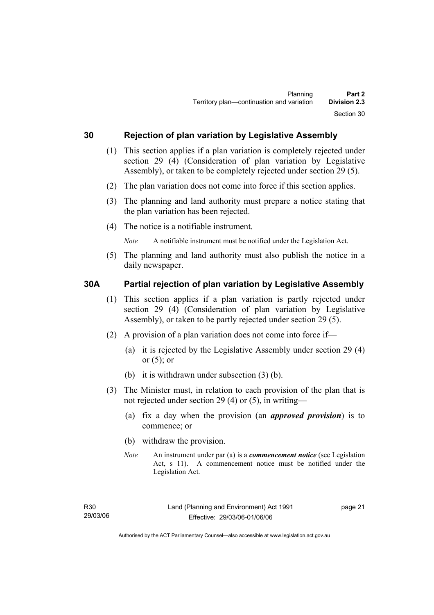## **30 Rejection of plan variation by Legislative Assembly**

- (1) This section applies if a plan variation is completely rejected under section 29 (4) (Consideration of plan variation by Legislative Assembly), or taken to be completely rejected under section 29 (5).
- (2) The plan variation does not come into force if this section applies.
- (3) The planning and land authority must prepare a notice stating that the plan variation has been rejected.
- (4) The notice is a notifiable instrument.

*Note* A notifiable instrument must be notified under the Legislation Act.

(5) The planning and land authority must also publish the notice in a daily newspaper.

## **30A Partial rejection of plan variation by Legislative Assembly**

- (1) This section applies if a plan variation is partly rejected under section 29 (4) (Consideration of plan variation by Legislative Assembly), or taken to be partly rejected under section 29 (5).
- (2) A provision of a plan variation does not come into force if—
	- (a) it is rejected by the Legislative Assembly under section 29 (4) or  $(5)$ ; or
	- (b) it is withdrawn under subsection (3) (b).
- (3) The Minister must, in relation to each provision of the plan that is not rejected under section 29 (4) or (5), in writing—
	- (a) fix a day when the provision (an *approved provision*) is to commence; or
	- (b) withdraw the provision.
	- *Note* An instrument under par (a) is a *commencement notice* (see Legislation Act, s 11). A commencement notice must be notified under the Legislation Act.

page 21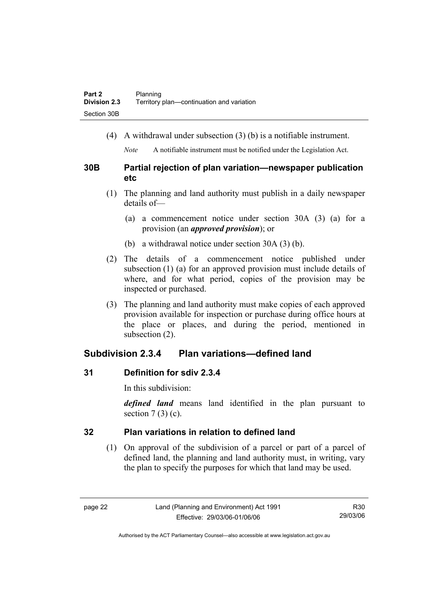(4) A withdrawal under subsection (3) (b) is a notifiable instrument.

*Note* A notifiable instrument must be notified under the Legislation Act.

# **30B Partial rejection of plan variation—newspaper publication etc**

- (1) The planning and land authority must publish in a daily newspaper details of—
	- (a) a commencement notice under section 30A (3) (a) for a provision (an *approved provision*); or
	- (b) a withdrawal notice under section 30A (3) (b).
- (2) The details of a commencement notice published under subsection (1) (a) for an approved provision must include details of where, and for what period, copies of the provision may be inspected or purchased.
- (3) The planning and land authority must make copies of each approved provision available for inspection or purchase during office hours at the place or places, and during the period, mentioned in subsection (2).

# **Subdivision 2.3.4 Plan variations—defined land**

# **31 Definition for sdiv 2.3.4**

In this subdivision:

*defined land* means land identified in the plan pursuant to section  $7(3)(c)$ .

# **32 Plan variations in relation to defined land**

 (1) On approval of the subdivision of a parcel or part of a parcel of defined land, the planning and land authority must, in writing, vary the plan to specify the purposes for which that land may be used.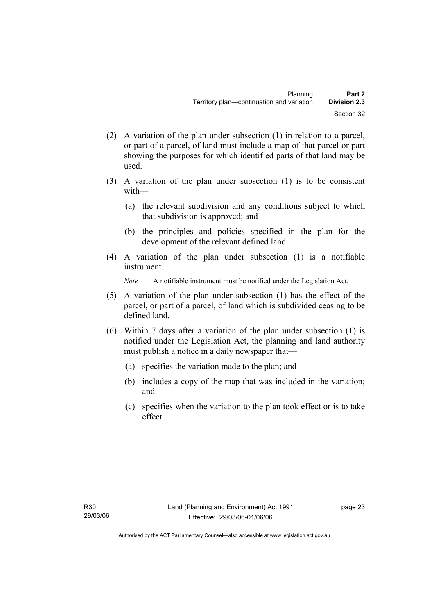- (2) A variation of the plan under subsection (1) in relation to a parcel, or part of a parcel, of land must include a map of that parcel or part showing the purposes for which identified parts of that land may be used.
- (3) A variation of the plan under subsection (1) is to be consistent with—
	- (a) the relevant subdivision and any conditions subject to which that subdivision is approved; and
	- (b) the principles and policies specified in the plan for the development of the relevant defined land.
- (4) A variation of the plan under subsection (1) is a notifiable instrument.

*Note* A notifiable instrument must be notified under the Legislation Act.

- (5) A variation of the plan under subsection (1) has the effect of the parcel, or part of a parcel, of land which is subdivided ceasing to be defined land.
- (6) Within 7 days after a variation of the plan under subsection (1) is notified under the Legislation Act, the planning and land authority must publish a notice in a daily newspaper that—
	- (a) specifies the variation made to the plan; and
	- (b) includes a copy of the map that was included in the variation; and
	- (c) specifies when the variation to the plan took effect or is to take effect.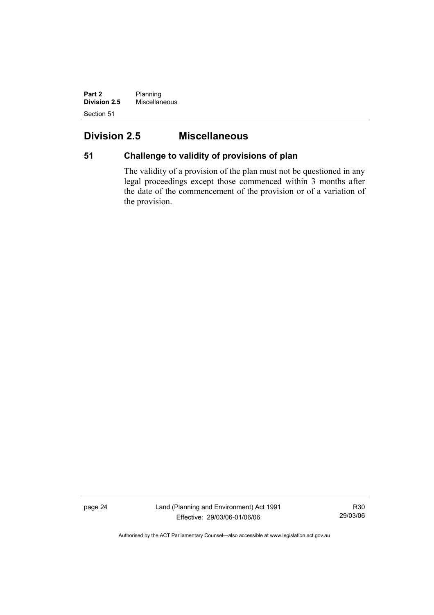**Part 2** Planning **Division 2.5** Miscellaneous Section 51

# **Division 2.5 Miscellaneous**

# **51 Challenge to validity of provisions of plan**

The validity of a provision of the plan must not be questioned in any legal proceedings except those commenced within 3 months after the date of the commencement of the provision or of a variation of the provision.

page 24 Land (Planning and Environment) Act 1991 Effective: 29/03/06-01/06/06

R30 29/03/06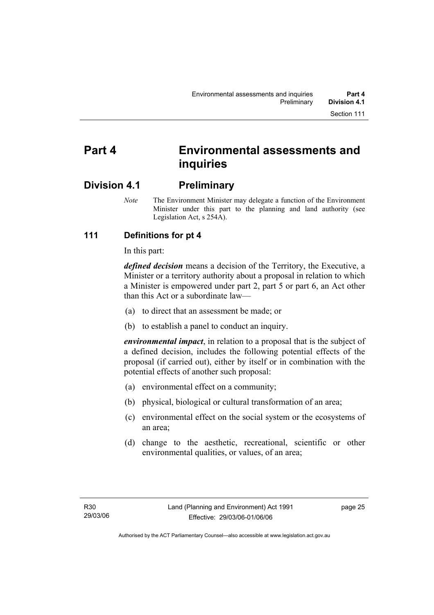# **Part 4 Environmental assessments and inquiries**

# **Division 4.1 Preliminary**

*Note* The Environment Minister may delegate a function of the Environment Minister under this part to the planning and land authority (see Legislation Act, s 254A).

### **111 Definitions for pt 4**

In this part:

*defined decision* means a decision of the Territory, the Executive, a Minister or a territory authority about a proposal in relation to which a Minister is empowered under part 2, part 5 or part 6, an Act other than this Act or a subordinate law—

- (a) to direct that an assessment be made; or
- (b) to establish a panel to conduct an inquiry.

*environmental impact*, in relation to a proposal that is the subject of a defined decision, includes the following potential effects of the proposal (if carried out), either by itself or in combination with the potential effects of another such proposal:

- (a) environmental effect on a community;
- (b) physical, biological or cultural transformation of an area;
- (c) environmental effect on the social system or the ecosystems of an area;
- (d) change to the aesthetic, recreational, scientific or other environmental qualities, or values, of an area;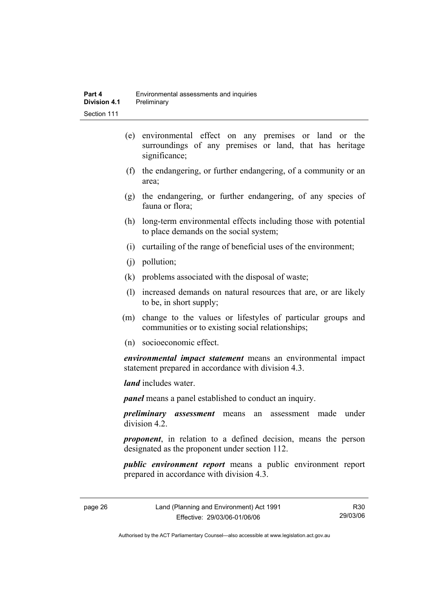- (e) environmental effect on any premises or land or the surroundings of any premises or land, that has heritage significance;
- (f) the endangering, or further endangering, of a community or an area;
- (g) the endangering, or further endangering, of any species of fauna or flora;
- (h) long-term environmental effects including those with potential to place demands on the social system;
- (i) curtailing of the range of beneficial uses of the environment;
- (j) pollution;
- (k) problems associated with the disposal of waste;
- (l) increased demands on natural resources that are, or are likely to be, in short supply;
- (m) change to the values or lifestyles of particular groups and communities or to existing social relationships;
- (n) socioeconomic effect.

*environmental impact statement* means an environmental impact statement prepared in accordance with division 4.3.

*land* includes water.

*panel* means a panel established to conduct an inquiry.

*preliminary assessment* means an assessment made under division 4.2.

*proponent*, in relation to a defined decision, means the person designated as the proponent under section 112.

*public environment report* means a public environment report prepared in accordance with division 4.3.

page 26 Land (Planning and Environment) Act 1991 Effective: 29/03/06-01/06/06

R30 29/03/06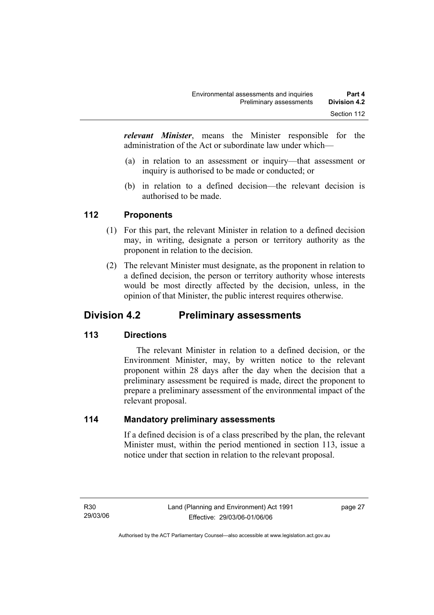*relevant Minister*, means the Minister responsible for the administration of the Act or subordinate law under which—

- (a) in relation to an assessment or inquiry—that assessment or inquiry is authorised to be made or conducted; or
- (b) in relation to a defined decision—the relevant decision is authorised to be made.

#### **112 Proponents**

- (1) For this part, the relevant Minister in relation to a defined decision may, in writing, designate a person or territory authority as the proponent in relation to the decision.
- (2) The relevant Minister must designate, as the proponent in relation to a defined decision, the person or territory authority whose interests would be most directly affected by the decision, unless, in the opinion of that Minister, the public interest requires otherwise.

# **Division 4.2 Preliminary assessments**

#### **113 Directions**

 The relevant Minister in relation to a defined decision, or the Environment Minister, may, by written notice to the relevant proponent within 28 days after the day when the decision that a preliminary assessment be required is made, direct the proponent to prepare a preliminary assessment of the environmental impact of the relevant proposal.

#### **114 Mandatory preliminary assessments**

If a defined decision is of a class prescribed by the plan, the relevant Minister must, within the period mentioned in section 113, issue a notice under that section in relation to the relevant proposal.

page 27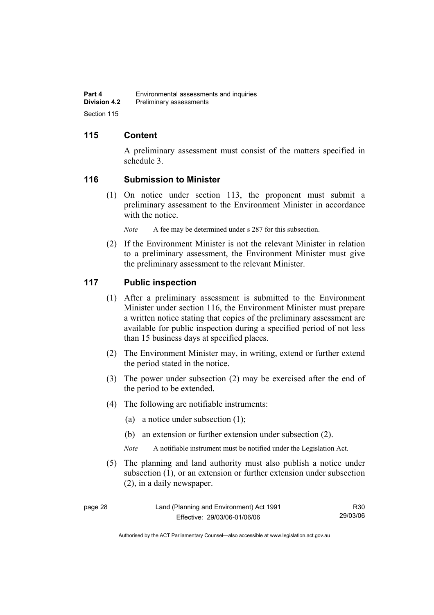#### **115 Content**

A preliminary assessment must consist of the matters specified in schedule 3.

#### **116 Submission to Minister**

 (1) On notice under section 113, the proponent must submit a preliminary assessment to the Environment Minister in accordance with the notice.

*Note* A fee may be determined under s 287 for this subsection.

 (2) If the Environment Minister is not the relevant Minister in relation to a preliminary assessment, the Environment Minister must give the preliminary assessment to the relevant Minister.

#### **117 Public inspection**

- (1) After a preliminary assessment is submitted to the Environment Minister under section 116, the Environment Minister must prepare a written notice stating that copies of the preliminary assessment are available for public inspection during a specified period of not less than 15 business days at specified places.
- (2) The Environment Minister may, in writing, extend or further extend the period stated in the notice.
- (3) The power under subsection (2) may be exercised after the end of the period to be extended.
- (4) The following are notifiable instruments:
	- (a) a notice under subsection (1);
	- (b) an extension or further extension under subsection (2).
	- *Note* A notifiable instrument must be notified under the Legislation Act.
- (5) The planning and land authority must also publish a notice under subsection (1), or an extension or further extension under subsection (2), in a daily newspaper.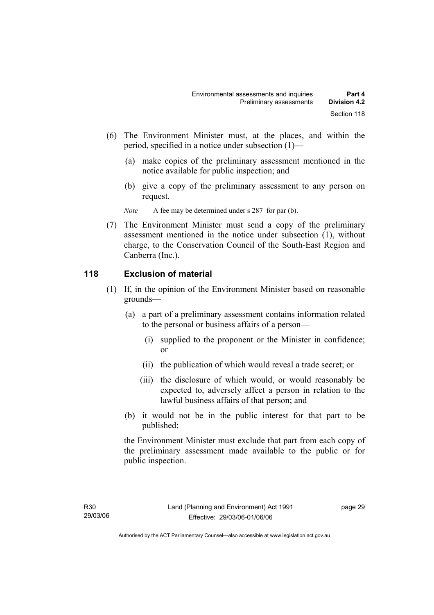- (6) The Environment Minister must, at the places, and within the period, specified in a notice under subsection (1)—
	- (a) make copies of the preliminary assessment mentioned in the notice available for public inspection; and
	- (b) give a copy of the preliminary assessment to any person on request.

*Note* A fee may be determined under s 287 for par (b).

 (7) The Environment Minister must send a copy of the preliminary assessment mentioned in the notice under subsection (1), without charge, to the Conservation Council of the South-East Region and Canberra (Inc.).

#### **118 Exclusion of material**

- (1) If, in the opinion of the Environment Minister based on reasonable grounds—
	- (a) a part of a preliminary assessment contains information related to the personal or business affairs of a person—
		- (i) supplied to the proponent or the Minister in confidence; or
		- (ii) the publication of which would reveal a trade secret; or
		- (iii) the disclosure of which would, or would reasonably be expected to, adversely affect a person in relation to the lawful business affairs of that person; and
	- (b) it would not be in the public interest for that part to be published;

the Environment Minister must exclude that part from each copy of the preliminary assessment made available to the public or for public inspection.

page 29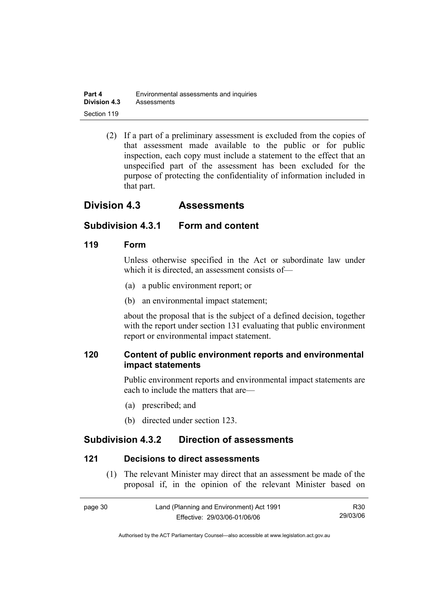| Part 4              | Environmental assessments and inquiries |  |
|---------------------|-----------------------------------------|--|
| <b>Division 4.3</b> | Assessments                             |  |
| Section 119         |                                         |  |

 (2) If a part of a preliminary assessment is excluded from the copies of that assessment made available to the public or for public inspection, each copy must include a statement to the effect that an unspecified part of the assessment has been excluded for the purpose of protecting the confidentiality of information included in that part.

# **Division 4.3 Assessments**

### **Subdivision 4.3.1 Form and content**

#### **119 Form**

Unless otherwise specified in the Act or subordinate law under which it is directed, an assessment consists of—

- (a) a public environment report; or
- (b) an environmental impact statement;

about the proposal that is the subject of a defined decision, together with the report under section 131 evaluating that public environment report or environmental impact statement.

### **120 Content of public environment reports and environmental impact statements**

Public environment reports and environmental impact statements are each to include the matters that are—

- (a) prescribed; and
- (b) directed under section 123.

# **Subdivision 4.3.2 Direction of assessments**

#### **121 Decisions to direct assessments**

 (1) The relevant Minister may direct that an assessment be made of the proposal if, in the opinion of the relevant Minister based on

| page 30 | Land (Planning and Environment) Act 1991 | R30      |
|---------|------------------------------------------|----------|
|         | Effective: 29/03/06-01/06/06             | 29/03/06 |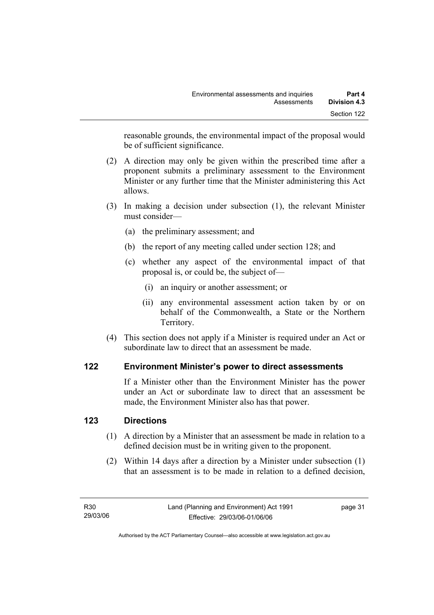reasonable grounds, the environmental impact of the proposal would be of sufficient significance.

- (2) A direction may only be given within the prescribed time after a proponent submits a preliminary assessment to the Environment Minister or any further time that the Minister administering this Act allows.
- (3) In making a decision under subsection (1), the relevant Minister must consider—
	- (a) the preliminary assessment; and
	- (b) the report of any meeting called under section 128; and
	- (c) whether any aspect of the environmental impact of that proposal is, or could be, the subject of—
		- (i) an inquiry or another assessment; or
		- (ii) any environmental assessment action taken by or on behalf of the Commonwealth, a State or the Northern Territory.
- (4) This section does not apply if a Minister is required under an Act or subordinate law to direct that an assessment be made.

#### **122 Environment Minister's power to direct assessments**

If a Minister other than the Environment Minister has the power under an Act or subordinate law to direct that an assessment be made, the Environment Minister also has that power.

#### **123 Directions**

- (1) A direction by a Minister that an assessment be made in relation to a defined decision must be in writing given to the proponent.
- (2) Within 14 days after a direction by a Minister under subsection (1) that an assessment is to be made in relation to a defined decision,

page 31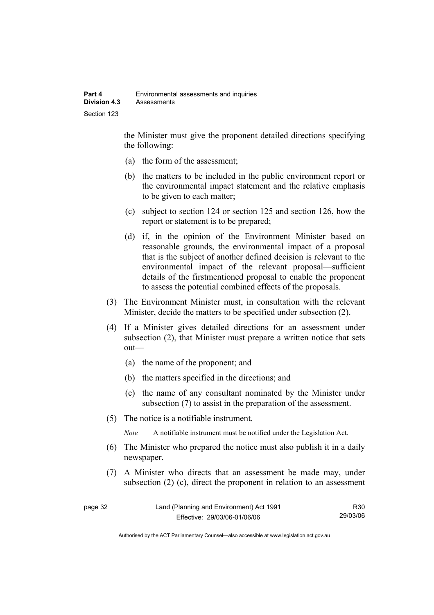the Minister must give the proponent detailed directions specifying the following:

- (a) the form of the assessment;
- (b) the matters to be included in the public environment report or the environmental impact statement and the relative emphasis to be given to each matter;
- (c) subject to section 124 or section 125 and section 126, how the report or statement is to be prepared;
- (d) if, in the opinion of the Environment Minister based on reasonable grounds, the environmental impact of a proposal that is the subject of another defined decision is relevant to the environmental impact of the relevant proposal—sufficient details of the firstmentioned proposal to enable the proponent to assess the potential combined effects of the proposals.
- (3) The Environment Minister must, in consultation with the relevant Minister, decide the matters to be specified under subsection (2).
- (4) If a Minister gives detailed directions for an assessment under subsection (2), that Minister must prepare a written notice that sets out—
	- (a) the name of the proponent; and
	- (b) the matters specified in the directions; and
	- (c) the name of any consultant nominated by the Minister under subsection (7) to assist in the preparation of the assessment.
- (5) The notice is a notifiable instrument.

*Note* A notifiable instrument must be notified under the Legislation Act.

- (6) The Minister who prepared the notice must also publish it in a daily newspaper.
- (7) A Minister who directs that an assessment be made may, under subsection (2) (c), direct the proponent in relation to an assessment

| page 32 | Land (Planning and Environment) Act 1991 | R30      |
|---------|------------------------------------------|----------|
|         | Effective: 29/03/06-01/06/06             | 29/03/06 |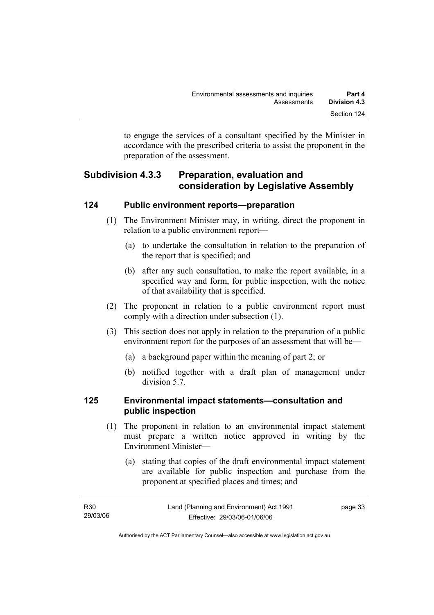to engage the services of a consultant specified by the Minister in accordance with the prescribed criteria to assist the proponent in the preparation of the assessment.

# **Subdivision 4.3.3 Preparation, evaluation and consideration by Legislative Assembly**

#### **124 Public environment reports—preparation**

- (1) The Environment Minister may, in writing, direct the proponent in relation to a public environment report—
	- (a) to undertake the consultation in relation to the preparation of the report that is specified; and
	- (b) after any such consultation, to make the report available, in a specified way and form, for public inspection, with the notice of that availability that is specified.
- (2) The proponent in relation to a public environment report must comply with a direction under subsection (1).
- (3) This section does not apply in relation to the preparation of a public environment report for the purposes of an assessment that will be—
	- (a) a background paper within the meaning of part 2; or
	- (b) notified together with a draft plan of management under division 5.7.

#### **125 Environmental impact statements—consultation and public inspection**

- (1) The proponent in relation to an environmental impact statement must prepare a written notice approved in writing by the Environment Minister—
	- (a) stating that copies of the draft environmental impact statement are available for public inspection and purchase from the proponent at specified places and times; and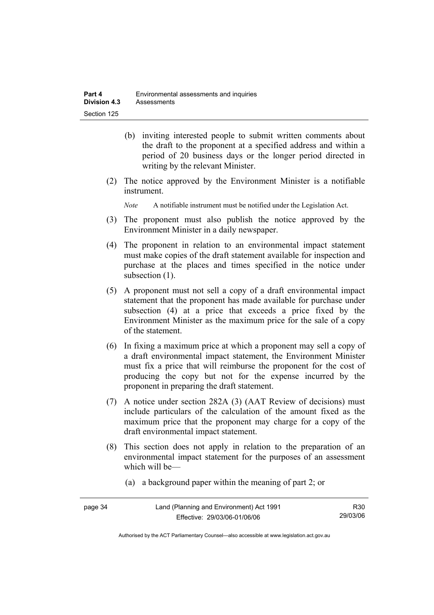- (b) inviting interested people to submit written comments about the draft to the proponent at a specified address and within a period of 20 business days or the longer period directed in writing by the relevant Minister.
- (2) The notice approved by the Environment Minister is a notifiable instrument.

*Note* A notifiable instrument must be notified under the Legislation Act.

- (3) The proponent must also publish the notice approved by the Environment Minister in a daily newspaper.
- (4) The proponent in relation to an environmental impact statement must make copies of the draft statement available for inspection and purchase at the places and times specified in the notice under subsection  $(1)$ .
- (5) A proponent must not sell a copy of a draft environmental impact statement that the proponent has made available for purchase under subsection (4) at a price that exceeds a price fixed by the Environment Minister as the maximum price for the sale of a copy of the statement.
- (6) In fixing a maximum price at which a proponent may sell a copy of a draft environmental impact statement, the Environment Minister must fix a price that will reimburse the proponent for the cost of producing the copy but not for the expense incurred by the proponent in preparing the draft statement.
- (7) A notice under section 282A (3) (AAT Review of decisions) must include particulars of the calculation of the amount fixed as the maximum price that the proponent may charge for a copy of the draft environmental impact statement.
- (8) This section does not apply in relation to the preparation of an environmental impact statement for the purposes of an assessment which will be—
	- (a) a background paper within the meaning of part 2; or

| page 34 | Land (Planning and Environment) Act 1991 | R <sub>30</sub> |
|---------|------------------------------------------|-----------------|
|         | Effective: 29/03/06-01/06/06             | 29/03/06        |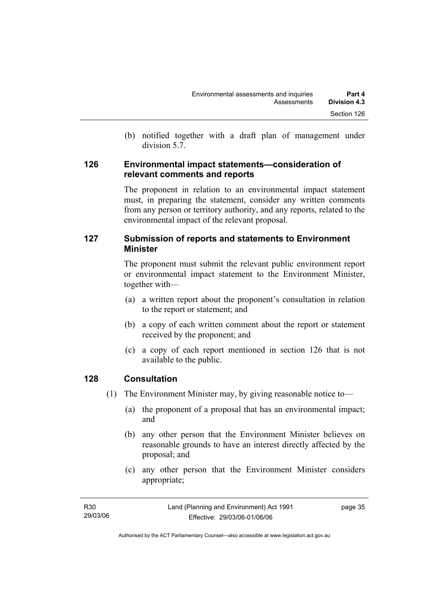(b) notified together with a draft plan of management under division 5.7.

#### **126 Environmental impact statements—consideration of relevant comments and reports**

The proponent in relation to an environmental impact statement must, in preparing the statement, consider any written comments from any person or territory authority, and any reports, related to the environmental impact of the relevant proposal.

#### **127 Submission of reports and statements to Environment Minister**

The proponent must submit the relevant public environment report or environmental impact statement to the Environment Minister, together with—

- (a) a written report about the proponent's consultation in relation to the report or statement; and
- (b) a copy of each written comment about the report or statement received by the proponent; and
- (c) a copy of each report mentioned in section 126 that is not available to the public.

#### **128 Consultation**

- (1) The Environment Minister may, by giving reasonable notice to—
	- (a) the proponent of a proposal that has an environmental impact; and
	- (b) any other person that the Environment Minister believes on reasonable grounds to have an interest directly affected by the proposal; and
	- (c) any other person that the Environment Minister considers appropriate;

| R30      | Land (Planning and Environment) Act 1991 | page 35 |
|----------|------------------------------------------|---------|
| 29/03/06 | Effective: 29/03/06-01/06/06             |         |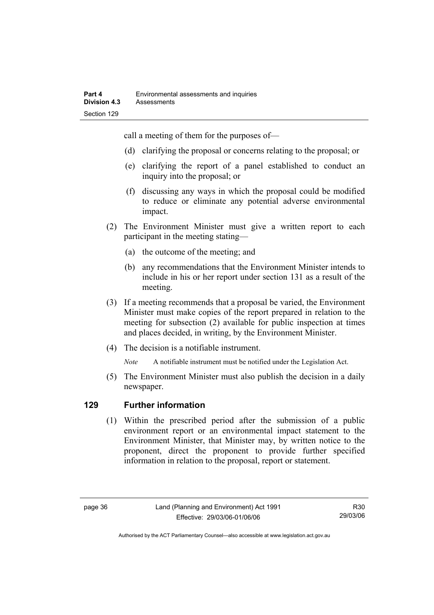call a meeting of them for the purposes of—

- (d) clarifying the proposal or concerns relating to the proposal; or
- (e) clarifying the report of a panel established to conduct an inquiry into the proposal; or
- (f) discussing any ways in which the proposal could be modified to reduce or eliminate any potential adverse environmental impact.
- (2) The Environment Minister must give a written report to each participant in the meeting stating—
	- (a) the outcome of the meeting; and
	- (b) any recommendations that the Environment Minister intends to include in his or her report under section 131 as a result of the meeting.
- (3) If a meeting recommends that a proposal be varied, the Environment Minister must make copies of the report prepared in relation to the meeting for subsection (2) available for public inspection at times and places decided, in writing, by the Environment Minister.
- (4) The decision is a notifiable instrument.

*Note* A notifiable instrument must be notified under the Legislation Act.

(5) The Environment Minister must also publish the decision in a daily newspaper.

#### **129 Further information**

 (1) Within the prescribed period after the submission of a public environment report or an environmental impact statement to the Environment Minister, that Minister may, by written notice to the proponent, direct the proponent to provide further specified information in relation to the proposal, report or statement.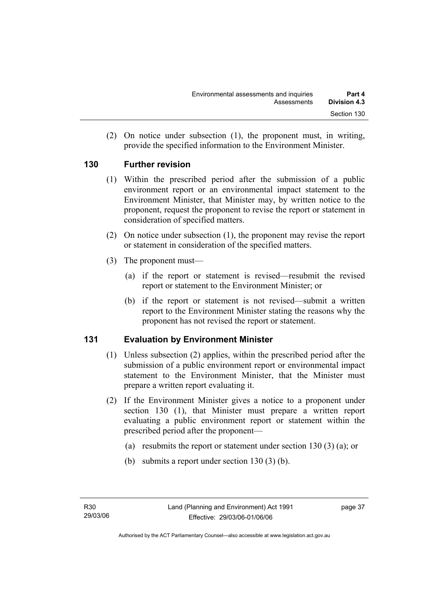(2) On notice under subsection (1), the proponent must, in writing, provide the specified information to the Environment Minister.

#### **130 Further revision**

- (1) Within the prescribed period after the submission of a public environment report or an environmental impact statement to the Environment Minister, that Minister may, by written notice to the proponent, request the proponent to revise the report or statement in consideration of specified matters.
- (2) On notice under subsection (1), the proponent may revise the report or statement in consideration of the specified matters.
- (3) The proponent must—
	- (a) if the report or statement is revised—resubmit the revised report or statement to the Environment Minister; or
	- (b) if the report or statement is not revised—submit a written report to the Environment Minister stating the reasons why the proponent has not revised the report or statement.

#### **131 Evaluation by Environment Minister**

- (1) Unless subsection (2) applies, within the prescribed period after the submission of a public environment report or environmental impact statement to the Environment Minister, that the Minister must prepare a written report evaluating it.
- (2) If the Environment Minister gives a notice to a proponent under section 130 (1), that Minister must prepare a written report evaluating a public environment report or statement within the prescribed period after the proponent—
	- (a) resubmits the report or statement under section 130 (3) (a); or
	- (b) submits a report under section 130 (3) (b).

page 37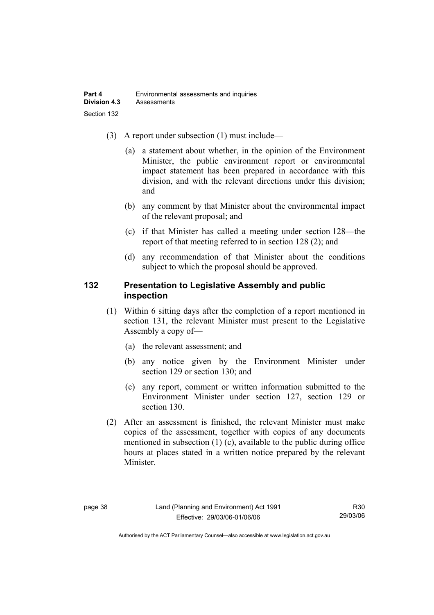- (3) A report under subsection (1) must include—
	- (a) a statement about whether, in the opinion of the Environment Minister, the public environment report or environmental impact statement has been prepared in accordance with this division, and with the relevant directions under this division; and
	- (b) any comment by that Minister about the environmental impact of the relevant proposal; and
	- (c) if that Minister has called a meeting under section 128—the report of that meeting referred to in section 128 (2); and
	- (d) any recommendation of that Minister about the conditions subject to which the proposal should be approved.

#### **132 Presentation to Legislative Assembly and public inspection**

- (1) Within 6 sitting days after the completion of a report mentioned in section 131, the relevant Minister must present to the Legislative Assembly a copy of—
	- (a) the relevant assessment; and
	- (b) any notice given by the Environment Minister under section 129 or section 130; and
	- (c) any report, comment or written information submitted to the Environment Minister under section 127, section 129 or section 130.
- (2) After an assessment is finished, the relevant Minister must make copies of the assessment, together with copies of any documents mentioned in subsection (1) (c), available to the public during office hours at places stated in a written notice prepared by the relevant Minister.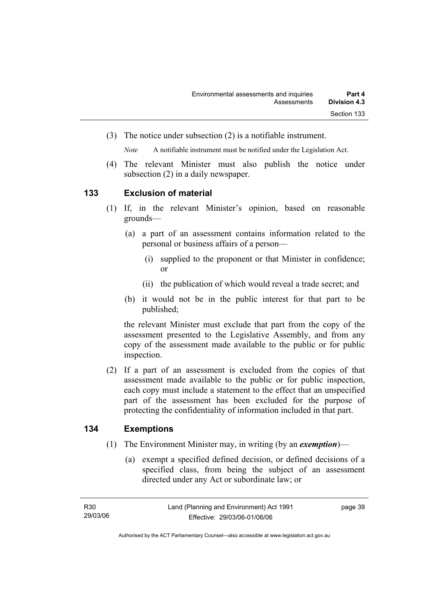(3) The notice under subsection (2) is a notifiable instrument.

*Note* A notifiable instrument must be notified under the Legislation Act.

(4) The relevant Minister must also publish the notice under subsection (2) in a daily newspaper.

#### **133 Exclusion of material**

- (1) If, in the relevant Minister's opinion, based on reasonable grounds—
	- (a) a part of an assessment contains information related to the personal or business affairs of a person—
		- (i) supplied to the proponent or that Minister in confidence; or
		- (ii) the publication of which would reveal a trade secret; and
	- (b) it would not be in the public interest for that part to be published;

the relevant Minister must exclude that part from the copy of the assessment presented to the Legislative Assembly, and from any copy of the assessment made available to the public or for public inspection.

 (2) If a part of an assessment is excluded from the copies of that assessment made available to the public or for public inspection, each copy must include a statement to the effect that an unspecified part of the assessment has been excluded for the purpose of protecting the confidentiality of information included in that part.

#### **134 Exemptions**

- (1) The Environment Minister may, in writing (by an *exemption*)—
	- (a) exempt a specified defined decision, or defined decisions of a specified class, from being the subject of an assessment directed under any Act or subordinate law; or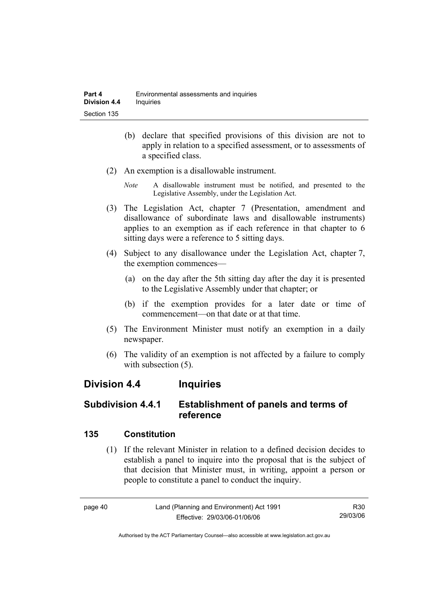- (b) declare that specified provisions of this division are not to apply in relation to a specified assessment, or to assessments of a specified class.
- (2) An exemption is a disallowable instrument.
	- *Note* A disallowable instrument must be notified, and presented to the Legislative Assembly, under the Legislation Act.
- (3) The Legislation Act, chapter 7 (Presentation, amendment and disallowance of subordinate laws and disallowable instruments) applies to an exemption as if each reference in that chapter to 6 sitting days were a reference to 5 sitting days.
- (4) Subject to any disallowance under the Legislation Act, chapter 7, the exemption commences—
	- (a) on the day after the 5th sitting day after the day it is presented to the Legislative Assembly under that chapter; or
	- (b) if the exemption provides for a later date or time of commencement—on that date or at that time.
- (5) The Environment Minister must notify an exemption in a daily newspaper.
- (6) The validity of an exemption is not affected by a failure to comply with subsection  $(5)$ .

# **Division 4.4 Inquiries**

### **Subdivision 4.4.1 Establishment of panels and terms of reference**

#### **135 Constitution**

 (1) If the relevant Minister in relation to a defined decision decides to establish a panel to inquire into the proposal that is the subject of that decision that Minister must, in writing, appoint a person or people to constitute a panel to conduct the inquiry.

R30 29/03/06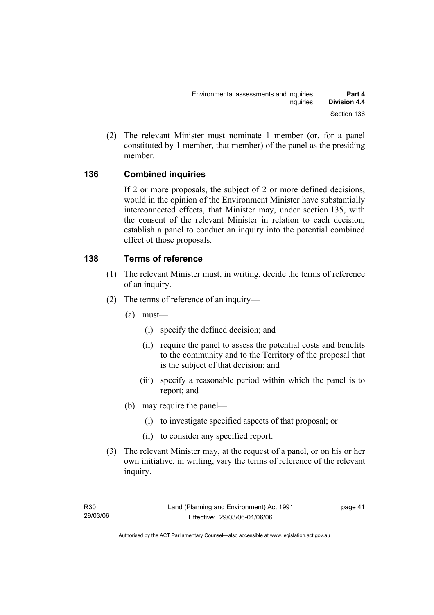(2) The relevant Minister must nominate 1 member (or, for a panel constituted by 1 member, that member) of the panel as the presiding member.

#### **136 Combined inquiries**

If 2 or more proposals, the subject of 2 or more defined decisions, would in the opinion of the Environment Minister have substantially interconnected effects, that Minister may, under section 135, with the consent of the relevant Minister in relation to each decision, establish a panel to conduct an inquiry into the potential combined effect of those proposals.

#### **138 Terms of reference**

- (1) The relevant Minister must, in writing, decide the terms of reference of an inquiry.
- (2) The terms of reference of an inquiry—
	- (a) must—
		- (i) specify the defined decision; and
		- (ii) require the panel to assess the potential costs and benefits to the community and to the Territory of the proposal that is the subject of that decision; and
		- (iii) specify a reasonable period within which the panel is to report; and
	- (b) may require the panel—
		- (i) to investigate specified aspects of that proposal; or
		- (ii) to consider any specified report.
- (3) The relevant Minister may, at the request of a panel, or on his or her own initiative, in writing, vary the terms of reference of the relevant inquiry.

page 41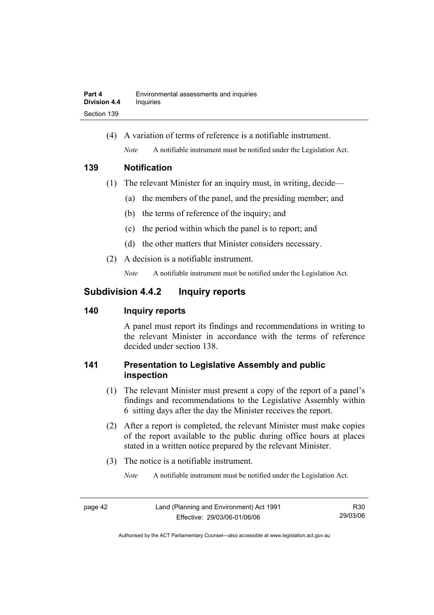(4) A variation of terms of reference is a notifiable instrument. *Note* A notifiable instrument must be notified under the Legislation Act.

#### **139 Notification**

- (1) The relevant Minister for an inquiry must, in writing, decide—
	- (a) the members of the panel, and the presiding member; and
	- (b) the terms of reference of the inquiry; and
	- (c) the period within which the panel is to report; and
	- (d) the other matters that Minister considers necessary.
- (2) A decision is a notifiable instrument.

*Note* A notifiable instrument must be notified under the Legislation Act.

# **Subdivision 4.4.2 Inquiry reports**

#### **140 Inquiry reports**

A panel must report its findings and recommendations in writing to the relevant Minister in accordance with the terms of reference decided under section 138.

### **141 Presentation to Legislative Assembly and public inspection**

- (1) The relevant Minister must present a copy of the report of a panel's findings and recommendations to the Legislative Assembly within 6 sitting days after the day the Minister receives the report.
- (2) After a report is completed, the relevant Minister must make copies of the report available to the public during office hours at places stated in a written notice prepared by the relevant Minister.
- (3) The notice is a notifiable instrument.

*Note* A notifiable instrument must be notified under the Legislation Act.

R30 29/03/06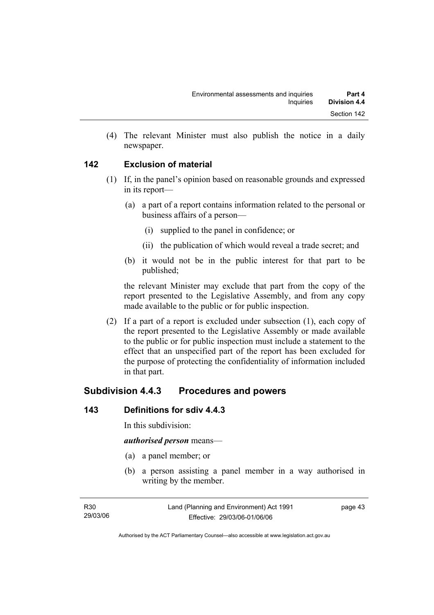(4) The relevant Minister must also publish the notice in a daily newspaper.

#### **142 Exclusion of material**

- (1) If, in the panel's opinion based on reasonable grounds and expressed in its report—
	- (a) a part of a report contains information related to the personal or business affairs of a person—
		- (i) supplied to the panel in confidence; or
		- (ii) the publication of which would reveal a trade secret; and
	- (b) it would not be in the public interest for that part to be published;

the relevant Minister may exclude that part from the copy of the report presented to the Legislative Assembly, and from any copy made available to the public or for public inspection.

 (2) If a part of a report is excluded under subsection (1), each copy of the report presented to the Legislative Assembly or made available to the public or for public inspection must include a statement to the effect that an unspecified part of the report has been excluded for the purpose of protecting the confidentiality of information included in that part.

# **Subdivision 4.4.3 Procedures and powers**

#### **143 Definitions for sdiv 4.4.3**

In this subdivision:

#### *authorised person* means—

- (a) a panel member; or
- (b) a person assisting a panel member in a way authorised in writing by the member.

page 43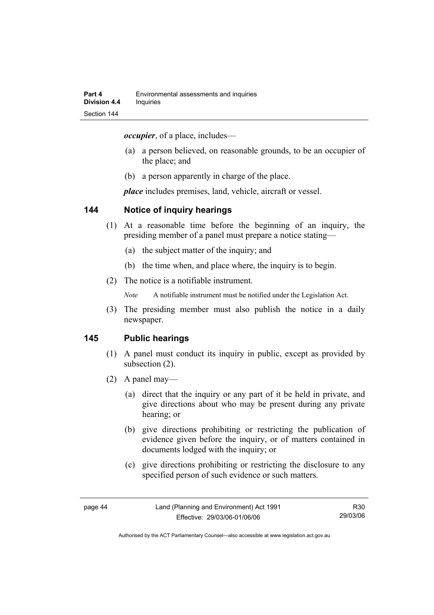*occupier*, of a place, includes—

- (a) a person believed, on reasonable grounds, to be an occupier of the place; and
- (b) a person apparently in charge of the place.

*place* includes premises, land, vehicle, aircraft or vessel.

#### **144 Notice of inquiry hearings**

- (1) At a reasonable time before the beginning of an inquiry, the presiding member of a panel must prepare a notice stating—
	- (a) the subject matter of the inquiry; and
	- (b) the time when, and place where, the inquiry is to begin.
- (2) The notice is a notifiable instrument.

*Note* A notifiable instrument must be notified under the Legislation Act.

(3) The presiding member must also publish the notice in a daily newspaper.

#### **145 Public hearings**

- (1) A panel must conduct its inquiry in public, except as provided by subsection (2).
- (2) A panel may—
	- (a) direct that the inquiry or any part of it be held in private, and give directions about who may be present during any private hearing; or
	- (b) give directions prohibiting or restricting the publication of evidence given before the inquiry, or of matters contained in documents lodged with the inquiry; or
	- (c) give directions prohibiting or restricting the disclosure to any specified person of such evidence or such matters.

R30 29/03/06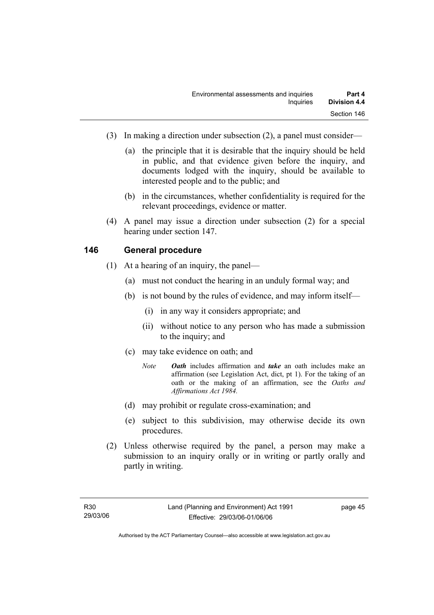- (3) In making a direction under subsection (2), a panel must consider—
	- (a) the principle that it is desirable that the inquiry should be held in public, and that evidence given before the inquiry, and documents lodged with the inquiry, should be available to interested people and to the public; and
	- (b) in the circumstances, whether confidentiality is required for the relevant proceedings, evidence or matter.
- (4) A panel may issue a direction under subsection (2) for a special hearing under section 147.

#### **146 General procedure**

- (1) At a hearing of an inquiry, the panel—
	- (a) must not conduct the hearing in an unduly formal way; and
	- (b) is not bound by the rules of evidence, and may inform itself—
		- (i) in any way it considers appropriate; and
		- (ii) without notice to any person who has made a submission to the inquiry; and
	- (c) may take evidence on oath; and
		- *Note Oath* includes affirmation and *take* an oath includes make an affirmation (see Legislation Act, dict, pt 1). For the taking of an oath or the making of an affirmation, see the *Oaths and Affirmations Act 1984.*
	- (d) may prohibit or regulate cross-examination; and
	- (e) subject to this subdivision, may otherwise decide its own procedures.
- (2) Unless otherwise required by the panel, a person may make a submission to an inquiry orally or in writing or partly orally and partly in writing.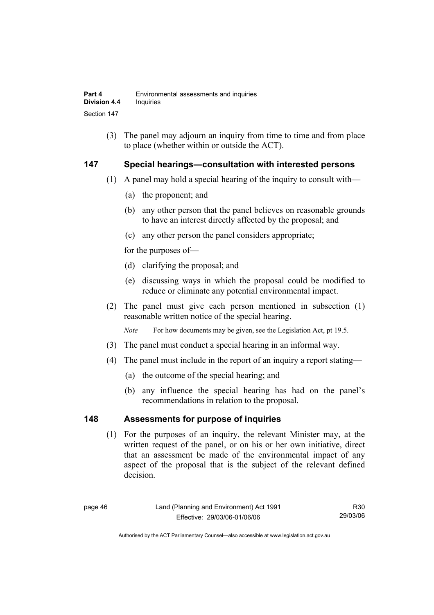(3) The panel may adjourn an inquiry from time to time and from place to place (whether within or outside the ACT).

#### **147 Special hearings—consultation with interested persons**

- (1) A panel may hold a special hearing of the inquiry to consult with—
	- (a) the proponent; and
	- (b) any other person that the panel believes on reasonable grounds to have an interest directly affected by the proposal; and
	- (c) any other person the panel considers appropriate;

for the purposes of—

- (d) clarifying the proposal; and
- (e) discussing ways in which the proposal could be modified to reduce or eliminate any potential environmental impact.
- (2) The panel must give each person mentioned in subsection (1) reasonable written notice of the special hearing.

*Note* For how documents may be given, see the Legislation Act, pt 19.5.

- (3) The panel must conduct a special hearing in an informal way.
- (4) The panel must include in the report of an inquiry a report stating—
	- (a) the outcome of the special hearing; and
	- (b) any influence the special hearing has had on the panel's recommendations in relation to the proposal.

#### **148 Assessments for purpose of inquiries**

 (1) For the purposes of an inquiry, the relevant Minister may, at the written request of the panel, or on his or her own initiative, direct that an assessment be made of the environmental impact of any aspect of the proposal that is the subject of the relevant defined decision.

R30 29/03/06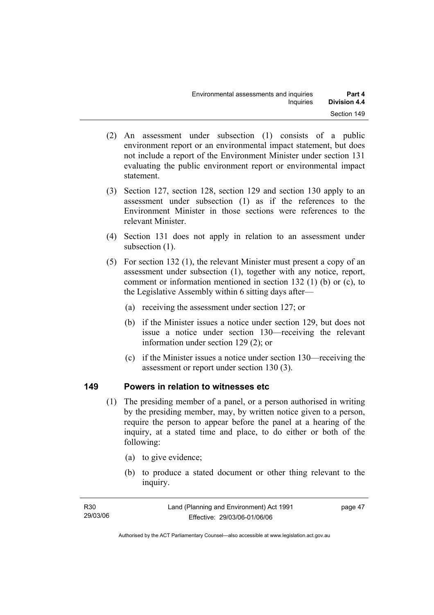- (2) An assessment under subsection (1) consists of a public environment report or an environmental impact statement, but does not include a report of the Environment Minister under section 131 evaluating the public environment report or environmental impact statement.
- (3) Section 127, section 128, section 129 and section 130 apply to an assessment under subsection (1) as if the references to the Environment Minister in those sections were references to the relevant Minister.
- (4) Section 131 does not apply in relation to an assessment under subsection  $(1)$ .
- (5) For section 132 (1), the relevant Minister must present a copy of an assessment under subsection (1), together with any notice, report, comment or information mentioned in section 132 (1) (b) or (c), to the Legislative Assembly within 6 sitting days after—
	- (a) receiving the assessment under section 127; or
	- (b) if the Minister issues a notice under section 129, but does not issue a notice under section 130—receiving the relevant information under section 129 (2); or
	- (c) if the Minister issues a notice under section 130—receiving the assessment or report under section 130 (3).

#### **149 Powers in relation to witnesses etc**

- (1) The presiding member of a panel, or a person authorised in writing by the presiding member, may, by written notice given to a person, require the person to appear before the panel at a hearing of the inquiry, at a stated time and place, to do either or both of the following:
	- (a) to give evidence;
	- (b) to produce a stated document or other thing relevant to the inquiry.

| R30      | Land (Planning and Environment) Act 1991 | page 47 |
|----------|------------------------------------------|---------|
| 29/03/06 | Effective: 29/03/06-01/06/06             |         |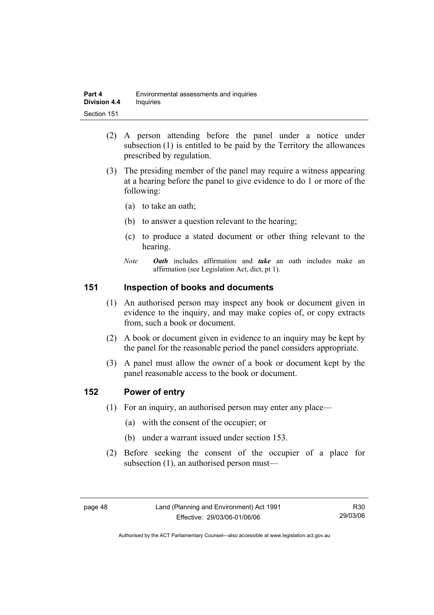| Part 4              | Environmental assessments and inquiries |  |
|---------------------|-----------------------------------------|--|
| <b>Division 4.4</b> | Inquiries                               |  |
| Section 151         |                                         |  |

- (2) A person attending before the panel under a notice under subsection (1) is entitled to be paid by the Territory the allowances prescribed by regulation.
- (3) The presiding member of the panel may require a witness appearing at a hearing before the panel to give evidence to do 1 or more of the following:
	- (a) to take an oath;
	- (b) to answer a question relevant to the hearing;
	- (c) to produce a stated document or other thing relevant to the hearing.
	- *Note Oath* includes affirmation and *take* an oath includes make an affirmation (see Legislation Act, dict, pt 1).

#### **151 Inspection of books and documents**

- (1) An authorised person may inspect any book or document given in evidence to the inquiry, and may make copies of, or copy extracts from, such a book or document.
- (2) A book or document given in evidence to an inquiry may be kept by the panel for the reasonable period the panel considers appropriate.
- (3) A panel must allow the owner of a book or document kept by the panel reasonable access to the book or document.

#### **152 Power of entry**

- (1) For an inquiry, an authorised person may enter any place—
	- (a) with the consent of the occupier; or
	- (b) under a warrant issued under section 153.
- (2) Before seeking the consent of the occupier of a place for subsection (1), an authorised person must—

R30 29/03/06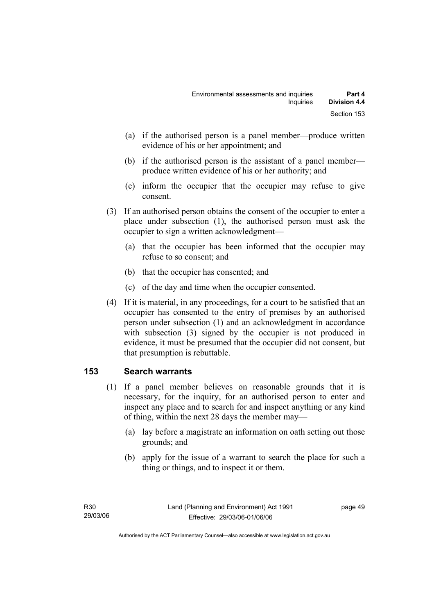- (a) if the authorised person is a panel member—produce written evidence of his or her appointment; and
- (b) if the authorised person is the assistant of a panel member produce written evidence of his or her authority; and
- (c) inform the occupier that the occupier may refuse to give consent.
- (3) If an authorised person obtains the consent of the occupier to enter a place under subsection (1), the authorised person must ask the occupier to sign a written acknowledgment—
	- (a) that the occupier has been informed that the occupier may refuse to so consent; and
	- (b) that the occupier has consented; and
	- (c) of the day and time when the occupier consented.
- (4) If it is material, in any proceedings, for a court to be satisfied that an occupier has consented to the entry of premises by an authorised person under subsection (1) and an acknowledgment in accordance with subsection (3) signed by the occupier is not produced in evidence, it must be presumed that the occupier did not consent, but that presumption is rebuttable.

#### **153 Search warrants**

- (1) If a panel member believes on reasonable grounds that it is necessary, for the inquiry, for an authorised person to enter and inspect any place and to search for and inspect anything or any kind of thing, within the next 28 days the member may—
	- (a) lay before a magistrate an information on oath setting out those grounds; and
	- (b) apply for the issue of a warrant to search the place for such a thing or things, and to inspect it or them.

page 49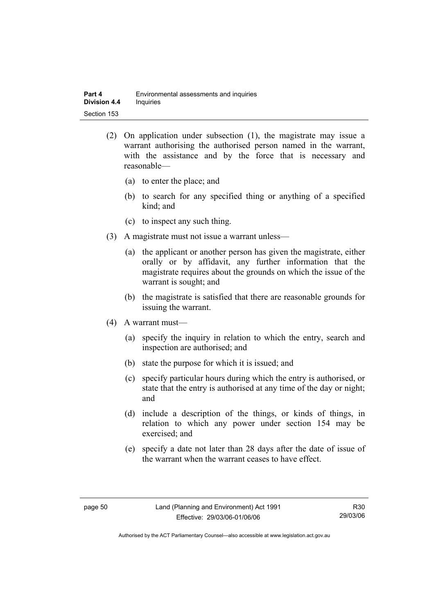- (2) On application under subsection (1), the magistrate may issue a warrant authorising the authorised person named in the warrant, with the assistance and by the force that is necessary and reasonable—
	- (a) to enter the place; and
	- (b) to search for any specified thing or anything of a specified kind; and
	- (c) to inspect any such thing.
- (3) A magistrate must not issue a warrant unless—
	- (a) the applicant or another person has given the magistrate, either orally or by affidavit, any further information that the magistrate requires about the grounds on which the issue of the warrant is sought; and
	- (b) the magistrate is satisfied that there are reasonable grounds for issuing the warrant.
- (4) A warrant must—
	- (a) specify the inquiry in relation to which the entry, search and inspection are authorised; and
	- (b) state the purpose for which it is issued; and
	- (c) specify particular hours during which the entry is authorised, or state that the entry is authorised at any time of the day or night; and
	- (d) include a description of the things, or kinds of things, in relation to which any power under section 154 may be exercised; and
	- (e) specify a date not later than 28 days after the date of issue of the warrant when the warrant ceases to have effect.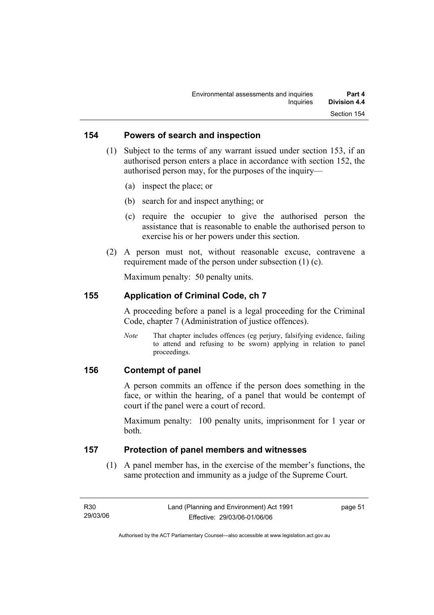#### **154 Powers of search and inspection**

- (1) Subject to the terms of any warrant issued under section 153, if an authorised person enters a place in accordance with section 152, the authorised person may, for the purposes of the inquiry—
	- (a) inspect the place; or
	- (b) search for and inspect anything; or
	- (c) require the occupier to give the authorised person the assistance that is reasonable to enable the authorised person to exercise his or her powers under this section.
- (2) A person must not, without reasonable excuse, contravene a requirement made of the person under subsection (1) (c).

Maximum penalty: 50 penalty units.

#### **155 Application of Criminal Code, ch 7**

A proceeding before a panel is a legal proceeding for the Criminal Code, chapter 7 (Administration of justice offences).

*Note* That chapter includes offences (eg perjury, falsifying evidence, failing to attend and refusing to be sworn) applying in relation to panel proceedings.

#### **156 Contempt of panel**

A person commits an offence if the person does something in the face, or within the hearing, of a panel that would be contempt of court if the panel were a court of record.

Maximum penalty: 100 penalty units, imprisonment for 1 year or both.

#### **157 Protection of panel members and witnesses**

 (1) A panel member has, in the exercise of the member's functions, the same protection and immunity as a judge of the Supreme Court.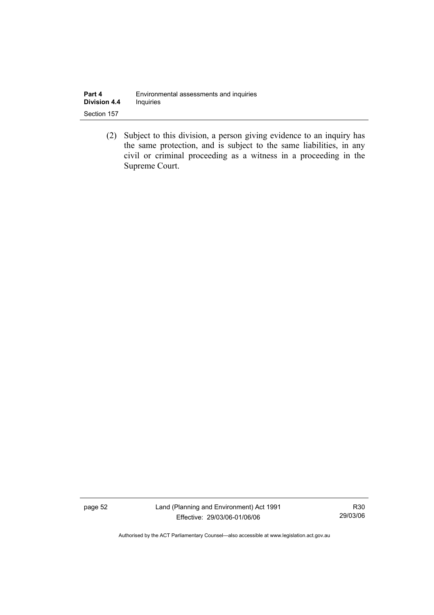| Part 4              | Environmental assessments and inquiries |
|---------------------|-----------------------------------------|
| <b>Division 4.4</b> | <b>Inquiries</b>                        |
| Section 157         |                                         |

 (2) Subject to this division, a person giving evidence to an inquiry has the same protection, and is subject to the same liabilities, in any civil or criminal proceeding as a witness in a proceeding in the Supreme Court.

page 52 Land (Planning and Environment) Act 1991 Effective: 29/03/06-01/06/06

R30 29/03/06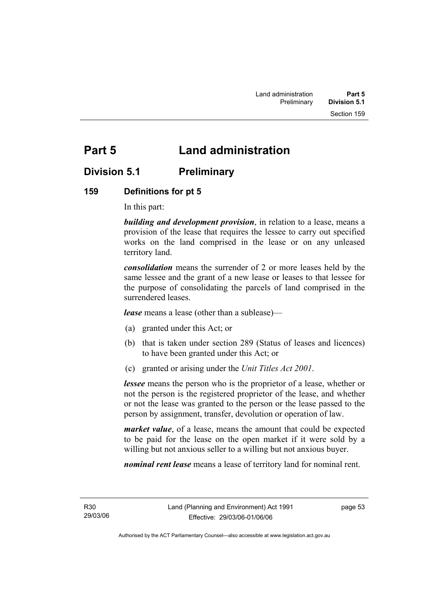# **Part 5 Land administration**

# **Division 5.1 Preliminary**

#### **159 Definitions for pt 5**

In this part:

*building and development provision*, in relation to a lease, means a provision of the lease that requires the lessee to carry out specified works on the land comprised in the lease or on any unleased territory land.

*consolidation* means the surrender of 2 or more leases held by the same lessee and the grant of a new lease or leases to that lessee for the purpose of consolidating the parcels of land comprised in the surrendered leases.

*lease* means a lease (other than a sublease)—

- (a) granted under this Act; or
- (b) that is taken under section 289 (Status of leases and licences) to have been granted under this Act; or
- (c) granted or arising under the *Unit Titles Act 2001*.

*lessee* means the person who is the proprietor of a lease, whether or not the person is the registered proprietor of the lease, and whether or not the lease was granted to the person or the lease passed to the person by assignment, transfer, devolution or operation of law.

*market value*, of a lease, means the amount that could be expected to be paid for the lease on the open market if it were sold by a willing but not anxious seller to a willing but not anxious buyer.

*nominal rent lease* means a lease of territory land for nominal rent.

R30 29/03/06 page 53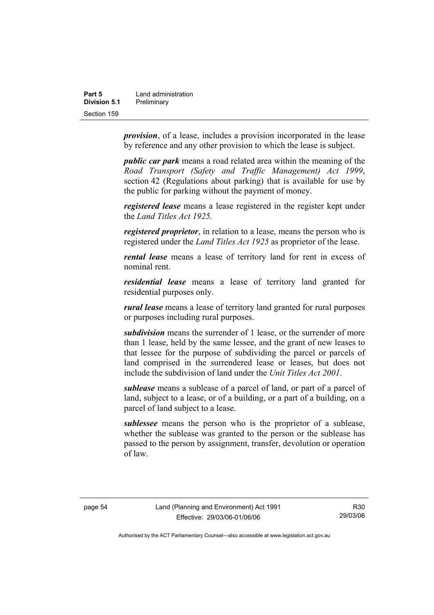| Part 5       | Land administration |
|--------------|---------------------|
| Division 5.1 | Preliminary         |
| Section 159  |                     |

*provision*, of a lease, includes a provision incorporated in the lease by reference and any other provision to which the lease is subject.

*public car park* means a road related area within the meaning of the *Road Transport (Safety and Traffic Management) Act 1999*, section 42 (Regulations about parking) that is available for use by the public for parking without the payment of money.

*registered lease* means a lease registered in the register kept under the *Land Titles Act 1925.*

*registered proprietor*, in relation to a lease, means the person who is registered under the *Land Titles Act 1925* as proprietor of the lease.

*rental lease* means a lease of territory land for rent in excess of nominal rent.

*residential lease* means a lease of territory land granted for residential purposes only.

*rural lease* means a lease of territory land granted for rural purposes or purposes including rural purposes.

*subdivision* means the surrender of 1 lease, or the surrender of more than 1 lease, held by the same lessee, and the grant of new leases to that lessee for the purpose of subdividing the parcel or parcels of land comprised in the surrendered lease or leases, but does not include the subdivision of land under the *Unit Titles Act 2001*.

*sublease* means a sublease of a parcel of land, or part of a parcel of land, subject to a lease, or of a building, or a part of a building, on a parcel of land subject to a lease.

*sublessee* means the person who is the proprietor of a sublease, whether the sublease was granted to the person or the sublease has passed to the person by assignment, transfer, devolution or operation of law.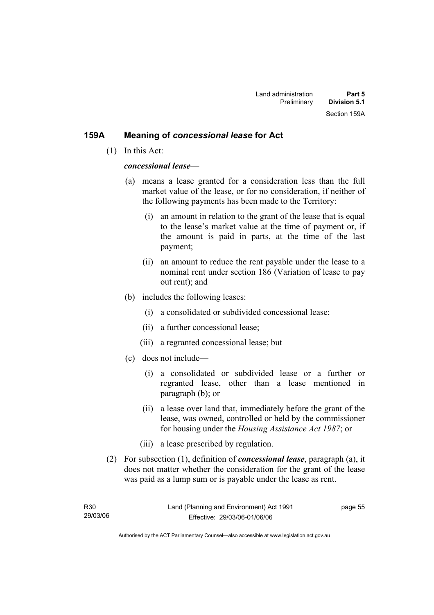#### **159A Meaning of** *concessional lease* **for Act**

(1) In this Act:

#### *concessional lease*—

- (a) means a lease granted for a consideration less than the full market value of the lease, or for no consideration, if neither of the following payments has been made to the Territory:
	- (i) an amount in relation to the grant of the lease that is equal to the lease's market value at the time of payment or, if the amount is paid in parts, at the time of the last payment;
	- (ii) an amount to reduce the rent payable under the lease to a nominal rent under section 186 (Variation of lease to pay out rent); and
- (b) includes the following leases:
	- (i) a consolidated or subdivided concessional lease;
	- (ii) a further concessional lease;
	- (iii) a regranted concessional lease; but
- (c) does not include—
	- (i) a consolidated or subdivided lease or a further or regranted lease, other than a lease mentioned in paragraph (b); or
	- (ii) a lease over land that, immediately before the grant of the lease, was owned, controlled or held by the commissioner for housing under the *Housing Assistance Act 1987*; or
	- (iii) a lease prescribed by regulation.
- (2) For subsection (1), definition of *concessional lease*, paragraph (a), it does not matter whether the consideration for the grant of the lease was paid as a lump sum or is payable under the lease as rent.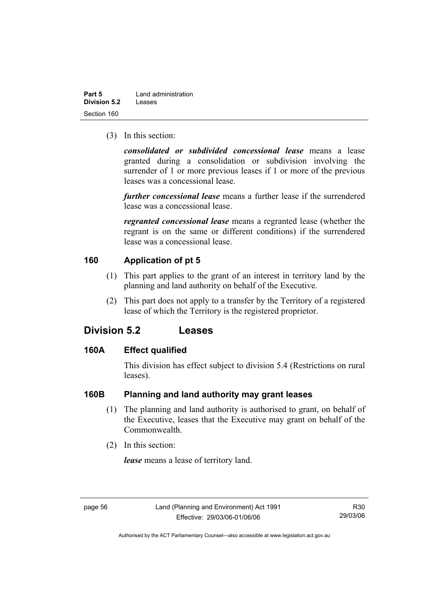| Part 5       | Land administration |
|--------------|---------------------|
| Division 5.2 | Leases              |
| Section 160  |                     |

(3) In this section:

*consolidated or subdivided concessional lease* means a lease granted during a consolidation or subdivision involving the surrender of 1 or more previous leases if 1 or more of the previous leases was a concessional lease.

*further concessional lease* means a further lease if the surrendered lease was a concessional lease.

*regranted concessional lease* means a regranted lease (whether the regrant is on the same or different conditions) if the surrendered lease was a concessional lease.

#### **160 Application of pt 5**

- (1) This part applies to the grant of an interest in territory land by the planning and land authority on behalf of the Executive.
- (2) This part does not apply to a transfer by the Territory of a registered lease of which the Territory is the registered proprietor.

### **Division 5.2 Leases**

#### **160A Effect qualified**

This division has effect subject to division 5.4 (Restrictions on rural leases).

#### **160B Planning and land authority may grant leases**

- (1) The planning and land authority is authorised to grant, on behalf of the Executive, leases that the Executive may grant on behalf of the Commonwealth.
- (2) In this section:

*lease* means a lease of territory land.

R30 29/03/06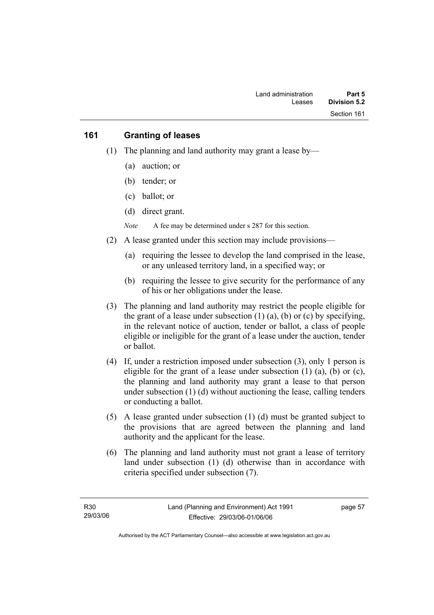#### **161 Granting of leases**

- (1) The planning and land authority may grant a lease by—
	- (a) auction; or
	- (b) tender; or
	- (c) ballot; or
	- (d) direct grant.

*Note* A fee may be determined under s 287 for this section.

- (2) A lease granted under this section may include provisions—
	- (a) requiring the lessee to develop the land comprised in the lease, or any unleased territory land, in a specified way; or
	- (b) requiring the lessee to give security for the performance of any of his or her obligations under the lease.
- (3) The planning and land authority may restrict the people eligible for the grant of a lease under subsection  $(1)$   $(a)$ ,  $(b)$  or  $(c)$  by specifying, in the relevant notice of auction, tender or ballot, a class of people eligible or ineligible for the grant of a lease under the auction, tender or ballot.
- (4) If, under a restriction imposed under subsection (3), only 1 person is eligible for the grant of a lease under subsection  $(1)$   $(a)$ ,  $(b)$  or  $(c)$ , the planning and land authority may grant a lease to that person under subsection (1) (d) without auctioning the lease, calling tenders or conducting a ballot.
- (5) A lease granted under subsection (1) (d) must be granted subject to the provisions that are agreed between the planning and land authority and the applicant for the lease.
- (6) The planning and land authority must not grant a lease of territory land under subsection (1) (d) otherwise than in accordance with criteria specified under subsection (7).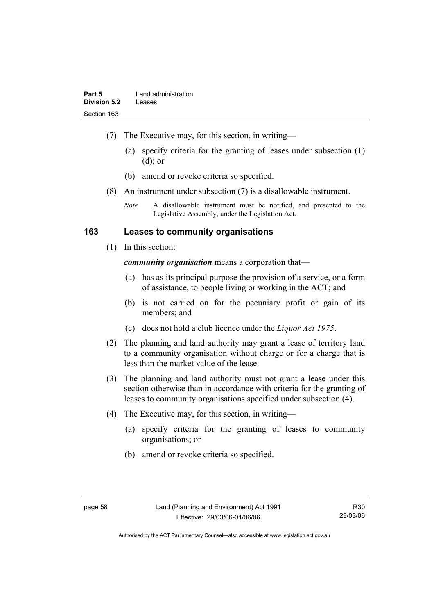- (7) The Executive may, for this section, in writing—
	- (a) specify criteria for the granting of leases under subsection (1) (d); or
	- (b) amend or revoke criteria so specified.
- (8) An instrument under subsection (7) is a disallowable instrument.
	- *Note* A disallowable instrument must be notified, and presented to the Legislative Assembly, under the Legislation Act.

#### **163 Leases to community organisations**

(1) In this section:

*community organisation* means a corporation that—

- (a) has as its principal purpose the provision of a service, or a form of assistance, to people living or working in the ACT; and
- (b) is not carried on for the pecuniary profit or gain of its members; and
- (c) does not hold a club licence under the *Liquor Act 1975*.
- (2) The planning and land authority may grant a lease of territory land to a community organisation without charge or for a charge that is less than the market value of the lease.
- (3) The planning and land authority must not grant a lease under this section otherwise than in accordance with criteria for the granting of leases to community organisations specified under subsection (4).
- (4) The Executive may, for this section, in writing—
	- (a) specify criteria for the granting of leases to community organisations; or
	- (b) amend or revoke criteria so specified.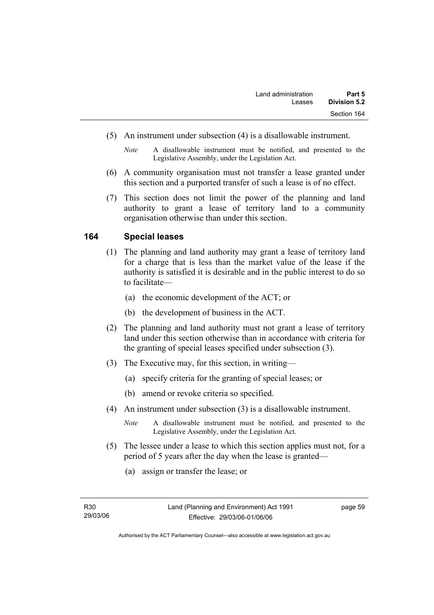- (5) An instrument under subsection (4) is a disallowable instrument.
	- *Note* A disallowable instrument must be notified, and presented to the Legislative Assembly, under the Legislation Act.
- (6) A community organisation must not transfer a lease granted under this section and a purported transfer of such a lease is of no effect.
- (7) This section does not limit the power of the planning and land authority to grant a lease of territory land to a community organisation otherwise than under this section.

#### **164 Special leases**

- (1) The planning and land authority may grant a lease of territory land for a charge that is less than the market value of the lease if the authority is satisfied it is desirable and in the public interest to do so to facilitate—
	- (a) the economic development of the ACT; or
	- (b) the development of business in the ACT.
- (2) The planning and land authority must not grant a lease of territory land under this section otherwise than in accordance with criteria for the granting of special leases specified under subsection (3).
- (3) The Executive may, for this section, in writing—
	- (a) specify criteria for the granting of special leases; or
	- (b) amend or revoke criteria so specified.
- (4) An instrument under subsection (3) is a disallowable instrument.
	- *Note* A disallowable instrument must be notified, and presented to the Legislative Assembly, under the Legislation Act.
- (5) The lessee under a lease to which this section applies must not, for a period of 5 years after the day when the lease is granted—
	- (a) assign or transfer the lease; or

page 59

Authorised by the ACT Parliamentary Counsel—also accessible at www.legislation.act.gov.au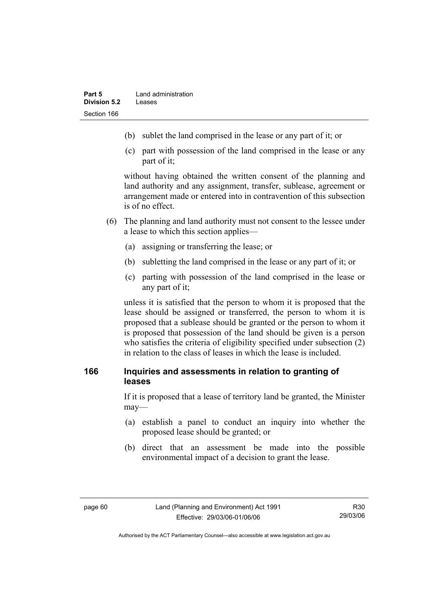- (b) sublet the land comprised in the lease or any part of it; or
- (c) part with possession of the land comprised in the lease or any part of it;

without having obtained the written consent of the planning and land authority and any assignment, transfer, sublease, agreement or arrangement made or entered into in contravention of this subsection is of no effect.

- (6) The planning and land authority must not consent to the lessee under a lease to which this section applies—
	- (a) assigning or transferring the lease; or
	- (b) subletting the land comprised in the lease or any part of it; or
	- (c) parting with possession of the land comprised in the lease or any part of it;

unless it is satisfied that the person to whom it is proposed that the lease should be assigned or transferred, the person to whom it is proposed that a sublease should be granted or the person to whom it is proposed that possession of the land should be given is a person who satisfies the criteria of eligibility specified under subsection (2) in relation to the class of leases in which the lease is included.

## **166 Inquiries and assessments in relation to granting of leases**

If it is proposed that a lease of territory land be granted, the Minister may—

- (a) establish a panel to conduct an inquiry into whether the proposed lease should be granted; or
- (b) direct that an assessment be made into the possible environmental impact of a decision to grant the lease.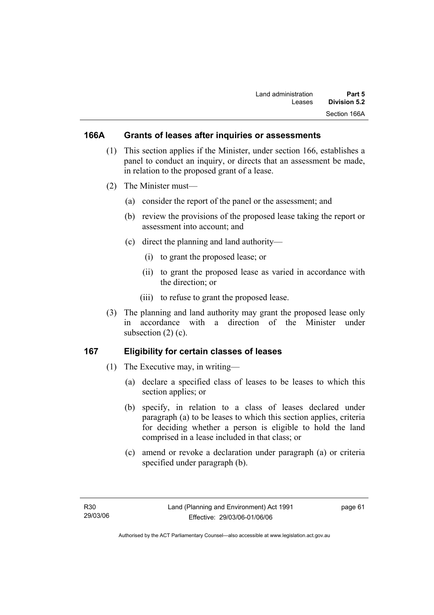## **166A Grants of leases after inquiries or assessments**

- (1) This section applies if the Minister, under section 166, establishes a panel to conduct an inquiry, or directs that an assessment be made, in relation to the proposed grant of a lease.
- (2) The Minister must—
	- (a) consider the report of the panel or the assessment; and
	- (b) review the provisions of the proposed lease taking the report or assessment into account; and
	- (c) direct the planning and land authority—
		- (i) to grant the proposed lease; or
		- (ii) to grant the proposed lease as varied in accordance with the direction; or
		- (iii) to refuse to grant the proposed lease.
- (3) The planning and land authority may grant the proposed lease only in accordance with a direction of the Minister under subsection  $(2)$   $(c)$ .

## **167 Eligibility for certain classes of leases**

- (1) The Executive may, in writing—
	- (a) declare a specified class of leases to be leases to which this section applies; or
	- (b) specify, in relation to a class of leases declared under paragraph (a) to be leases to which this section applies, criteria for deciding whether a person is eligible to hold the land comprised in a lease included in that class; or
	- (c) amend or revoke a declaration under paragraph (a) or criteria specified under paragraph (b).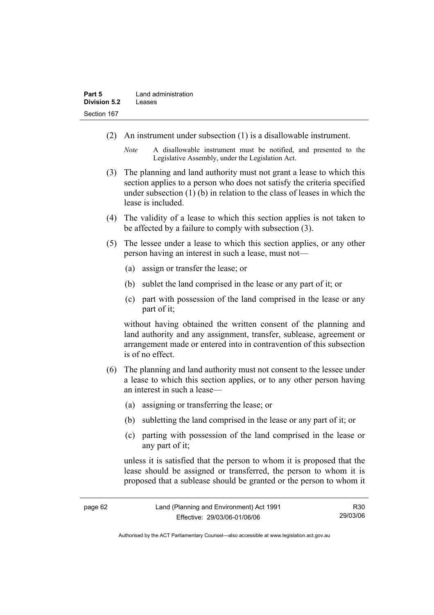- (2) An instrument under subsection (1) is a disallowable instrument.
	- *Note* A disallowable instrument must be notified, and presented to the Legislative Assembly, under the Legislation Act.
- (3) The planning and land authority must not grant a lease to which this section applies to a person who does not satisfy the criteria specified under subsection (1) (b) in relation to the class of leases in which the lease is included.
- (4) The validity of a lease to which this section applies is not taken to be affected by a failure to comply with subsection (3).
- (5) The lessee under a lease to which this section applies, or any other person having an interest in such a lease, must not—
	- (a) assign or transfer the lease; or
	- (b) sublet the land comprised in the lease or any part of it; or
	- (c) part with possession of the land comprised in the lease or any part of it;

without having obtained the written consent of the planning and land authority and any assignment, transfer, sublease, agreement or arrangement made or entered into in contravention of this subsection is of no effect.

- (6) The planning and land authority must not consent to the lessee under a lease to which this section applies, or to any other person having an interest in such a lease—
	- (a) assigning or transferring the lease; or
	- (b) subletting the land comprised in the lease or any part of it; or
	- (c) parting with possession of the land comprised in the lease or any part of it;

unless it is satisfied that the person to whom it is proposed that the lease should be assigned or transferred, the person to whom it is proposed that a sublease should be granted or the person to whom it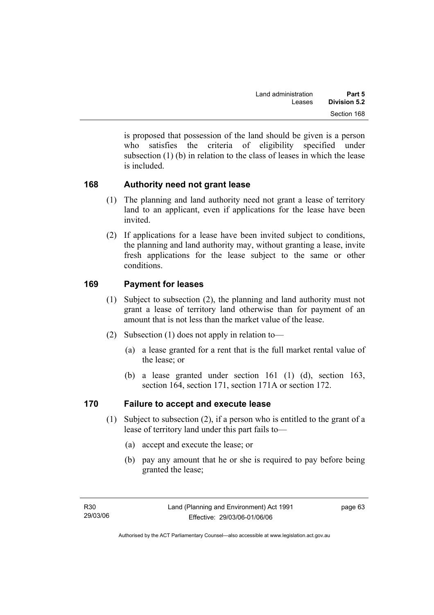is proposed that possession of the land should be given is a person who satisfies the criteria of eligibility specified under subsection (1) (b) in relation to the class of leases in which the lease is included.

## **168 Authority need not grant lease**

- (1) The planning and land authority need not grant a lease of territory land to an applicant, even if applications for the lease have been invited.
- (2) If applications for a lease have been invited subject to conditions, the planning and land authority may, without granting a lease, invite fresh applications for the lease subject to the same or other conditions.

## **169 Payment for leases**

- (1) Subject to subsection (2), the planning and land authority must not grant a lease of territory land otherwise than for payment of an amount that is not less than the market value of the lease.
- (2) Subsection (1) does not apply in relation to—
	- (a) a lease granted for a rent that is the full market rental value of the lease; or
	- (b) a lease granted under section 161 (1) (d), section 163, section 164, section 171, section 171A or section 172.

## **170 Failure to accept and execute lease**

- (1) Subject to subsection (2), if a person who is entitled to the grant of a lease of territory land under this part fails to—
	- (a) accept and execute the lease; or
	- (b) pay any amount that he or she is required to pay before being granted the lease;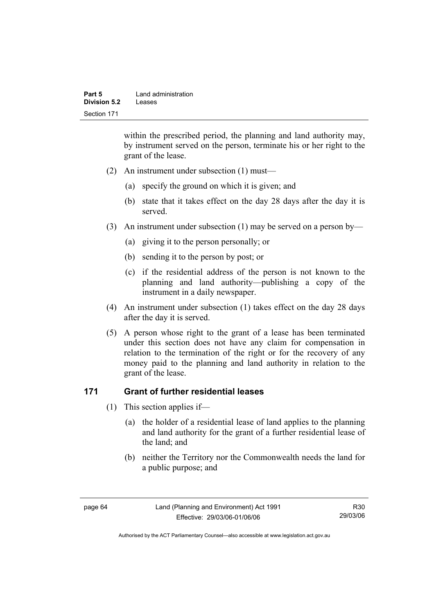| Part 5       | Land administration |
|--------------|---------------------|
| Division 5.2 | Leases              |
| Section 171  |                     |

within the prescribed period, the planning and land authority may, by instrument served on the person, terminate his or her right to the grant of the lease.

- (2) An instrument under subsection (1) must—
	- (a) specify the ground on which it is given; and
	- (b) state that it takes effect on the day 28 days after the day it is served.
- (3) An instrument under subsection (1) may be served on a person by—
	- (a) giving it to the person personally; or
	- (b) sending it to the person by post; or
	- (c) if the residential address of the person is not known to the planning and land authority—publishing a copy of the instrument in a daily newspaper.
- (4) An instrument under subsection (1) takes effect on the day 28 days after the day it is served.
- (5) A person whose right to the grant of a lease has been terminated under this section does not have any claim for compensation in relation to the termination of the right or for the recovery of any money paid to the planning and land authority in relation to the grant of the lease.

#### **171 Grant of further residential leases**

- (1) This section applies if—
	- (a) the holder of a residential lease of land applies to the planning and land authority for the grant of a further residential lease of the land; and
	- (b) neither the Territory nor the Commonwealth needs the land for a public purpose; and

Authorised by the ACT Parliamentary Counsel—also accessible at www.legislation.act.gov.au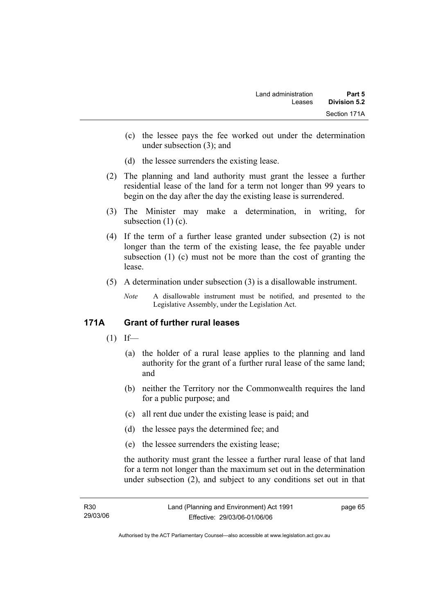- (c) the lessee pays the fee worked out under the determination under subsection (3); and
- (d) the lessee surrenders the existing lease.
- (2) The planning and land authority must grant the lessee a further residential lease of the land for a term not longer than 99 years to begin on the day after the day the existing lease is surrendered.
- (3) The Minister may make a determination, in writing, for subsection  $(1)(c)$ .
- (4) If the term of a further lease granted under subsection (2) is not longer than the term of the existing lease, the fee payable under subsection (1) (c) must not be more than the cost of granting the lease.
- (5) A determination under subsection (3) is a disallowable instrument.
	- *Note* A disallowable instrument must be notified, and presented to the Legislative Assembly, under the Legislation Act.

## **171A Grant of further rural leases**

- $(1)$  If—
	- (a) the holder of a rural lease applies to the planning and land authority for the grant of a further rural lease of the same land; and
	- (b) neither the Territory nor the Commonwealth requires the land for a public purpose; and
	- (c) all rent due under the existing lease is paid; and
	- (d) the lessee pays the determined fee; and
	- (e) the lessee surrenders the existing lease;

the authority must grant the lessee a further rural lease of that land for a term not longer than the maximum set out in the determination under subsection (2), and subject to any conditions set out in that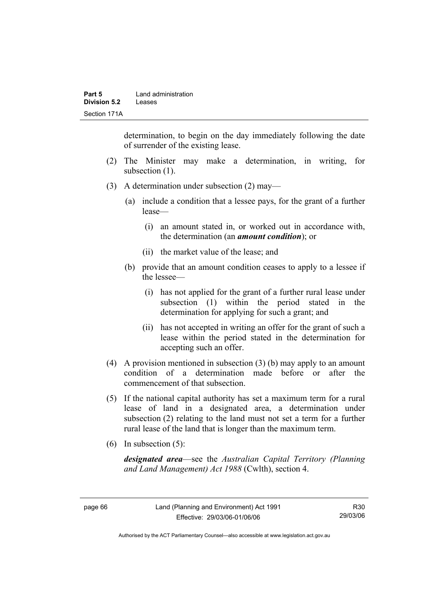determination, to begin on the day immediately following the date of surrender of the existing lease.

- (2) The Minister may make a determination, in writing, for subsection (1).
- (3) A determination under subsection (2) may—
	- (a) include a condition that a lessee pays, for the grant of a further lease—
		- (i) an amount stated in, or worked out in accordance with, the determination (an *amount condition*); or
		- (ii) the market value of the lease; and
	- (b) provide that an amount condition ceases to apply to a lessee if the lessee—
		- (i) has not applied for the grant of a further rural lease under subsection (1) within the period stated in the determination for applying for such a grant; and
		- (ii) has not accepted in writing an offer for the grant of such a lease within the period stated in the determination for accepting such an offer.
- (4) A provision mentioned in subsection (3) (b) may apply to an amount condition of a determination made before or after the commencement of that subsection.
- (5) If the national capital authority has set a maximum term for a rural lease of land in a designated area, a determination under subsection (2) relating to the land must not set a term for a further rural lease of the land that is longer than the maximum term.
- (6) In subsection (5):

*designated area*—see the *Australian Capital Territory (Planning and Land Management) Act 1988* (Cwlth), section 4.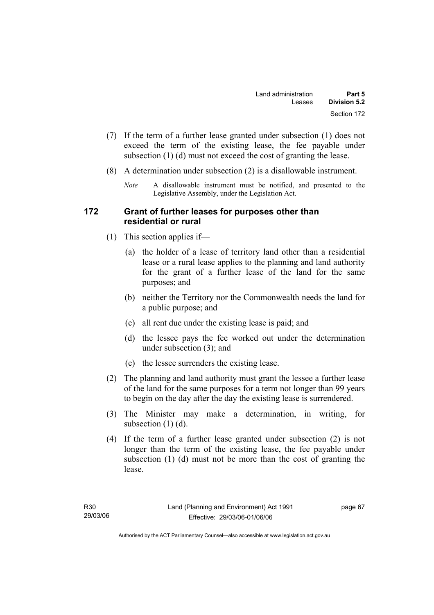- (7) If the term of a further lease granted under subsection (1) does not exceed the term of the existing lease, the fee payable under subsection (1) (d) must not exceed the cost of granting the lease.
- (8) A determination under subsection (2) is a disallowable instrument.
	- *Note* A disallowable instrument must be notified, and presented to the Legislative Assembly, under the Legislation Act.

### **172 Grant of further leases for purposes other than residential or rural**

- (1) This section applies if—
	- (a) the holder of a lease of territory land other than a residential lease or a rural lease applies to the planning and land authority for the grant of a further lease of the land for the same purposes; and
	- (b) neither the Territory nor the Commonwealth needs the land for a public purpose; and
	- (c) all rent due under the existing lease is paid; and
	- (d) the lessee pays the fee worked out under the determination under subsection (3); and
	- (e) the lessee surrenders the existing lease.
- (2) The planning and land authority must grant the lessee a further lease of the land for the same purposes for a term not longer than 99 years to begin on the day after the day the existing lease is surrendered.
- (3) The Minister may make a determination, in writing, for subsection  $(1)$   $(d)$ .
- (4) If the term of a further lease granted under subsection (2) is not longer than the term of the existing lease, the fee payable under subsection (1) (d) must not be more than the cost of granting the lease.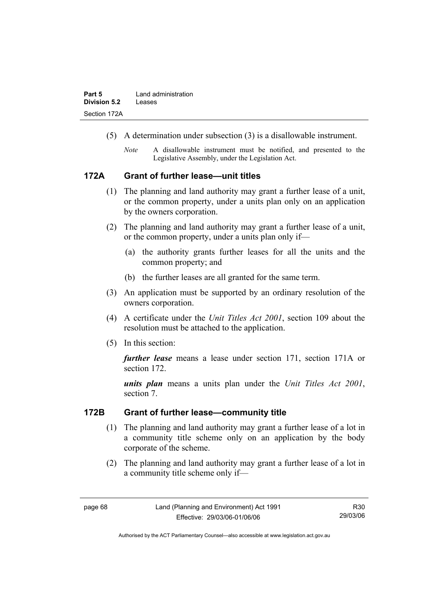- (5) A determination under subsection (3) is a disallowable instrument.
	- *Note* A disallowable instrument must be notified, and presented to the Legislative Assembly, under the Legislation Act.

#### **172A Grant of further lease—unit titles**

- (1) The planning and land authority may grant a further lease of a unit, or the common property, under a units plan only on an application by the owners corporation.
- (2) The planning and land authority may grant a further lease of a unit, or the common property, under a units plan only if—
	- (a) the authority grants further leases for all the units and the common property; and
	- (b) the further leases are all granted for the same term.
- (3) An application must be supported by an ordinary resolution of the owners corporation.
- (4) A certificate under the *Unit Titles Act 2001*, section 109 about the resolution must be attached to the application.
- (5) In this section:

*further lease* means a lease under section 171, section 171A or section 172.

*units plan* means a units plan under the *Unit Titles Act 2001*, section 7.

#### **172B Grant of further lease—community title**

- (1) The planning and land authority may grant a further lease of a lot in a community title scheme only on an application by the body corporate of the scheme.
- (2) The planning and land authority may grant a further lease of a lot in a community title scheme only if—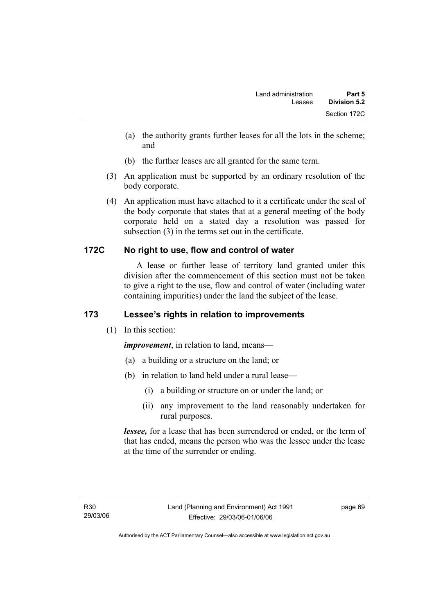- (a) the authority grants further leases for all the lots in the scheme; and
- (b) the further leases are all granted for the same term.
- (3) An application must be supported by an ordinary resolution of the body corporate.
- (4) An application must have attached to it a certificate under the seal of the body corporate that states that at a general meeting of the body corporate held on a stated day a resolution was passed for subsection (3) in the terms set out in the certificate.

## **172C No right to use, flow and control of water**

 A lease or further lease of territory land granted under this division after the commencement of this section must not be taken to give a right to the use, flow and control of water (including water containing impurities) under the land the subject of the lease.

## **173 Lessee's rights in relation to improvements**

(1) In this section:

*improvement*, in relation to land, means—

- (a) a building or a structure on the land; or
- (b) in relation to land held under a rural lease—
	- (i) a building or structure on or under the land; or
	- (ii) any improvement to the land reasonably undertaken for rural purposes.

*lessee,* for a lease that has been surrendered or ended, or the term of that has ended, means the person who was the lessee under the lease at the time of the surrender or ending.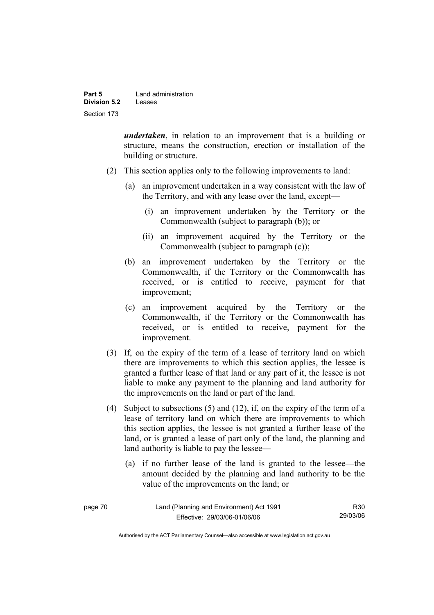| Part 5       | Land administration |
|--------------|---------------------|
| Division 5.2 | Leases              |
| Section 173  |                     |

*undertaken*, in relation to an improvement that is a building or structure, means the construction, erection or installation of the building or structure.

- (2) This section applies only to the following improvements to land:
	- (a) an improvement undertaken in a way consistent with the law of the Territory, and with any lease over the land, except—
		- (i) an improvement undertaken by the Territory or the Commonwealth (subject to paragraph (b)); or
		- (ii) an improvement acquired by the Territory or the Commonwealth (subject to paragraph (c));
	- (b) an improvement undertaken by the Territory or the Commonwealth, if the Territory or the Commonwealth has received, or is entitled to receive, payment for that improvement;
	- (c) an improvement acquired by the Territory or the Commonwealth, if the Territory or the Commonwealth has received, or is entitled to receive, payment for the improvement.
- (3) If, on the expiry of the term of a lease of territory land on which there are improvements to which this section applies, the lessee is granted a further lease of that land or any part of it, the lessee is not liable to make any payment to the planning and land authority for the improvements on the land or part of the land.
- (4) Subject to subsections (5) and (12), if, on the expiry of the term of a lease of territory land on which there are improvements to which this section applies, the lessee is not granted a further lease of the land, or is granted a lease of part only of the land, the planning and land authority is liable to pay the lessee—
	- (a) if no further lease of the land is granted to the lessee—the amount decided by the planning and land authority to be the value of the improvements on the land; or

| page 70 | Land (Planning and Environment) Act 1991 | R <sub>30</sub> |
|---------|------------------------------------------|-----------------|
|         | Effective: 29/03/06-01/06/06             | 29/03/06        |

Authorised by the ACT Parliamentary Counsel—also accessible at www.legislation.act.gov.au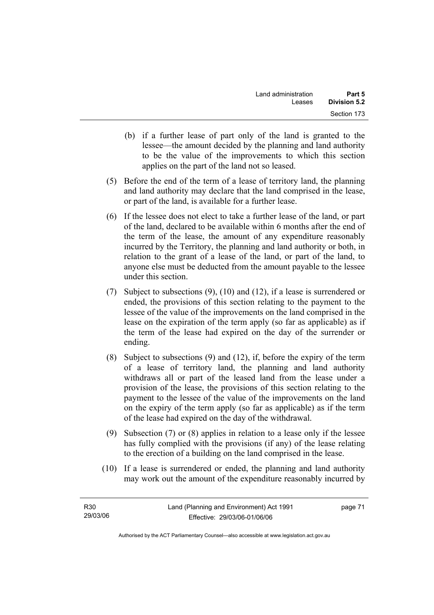- (b) if a further lease of part only of the land is granted to the lessee—the amount decided by the planning and land authority to be the value of the improvements to which this section applies on the part of the land not so leased.
- (5) Before the end of the term of a lease of territory land, the planning and land authority may declare that the land comprised in the lease, or part of the land, is available for a further lease.
- (6) If the lessee does not elect to take a further lease of the land, or part of the land, declared to be available within 6 months after the end of the term of the lease, the amount of any expenditure reasonably incurred by the Territory, the planning and land authority or both, in relation to the grant of a lease of the land, or part of the land, to anyone else must be deducted from the amount payable to the lessee under this section.
- (7) Subject to subsections (9), (10) and (12), if a lease is surrendered or ended, the provisions of this section relating to the payment to the lessee of the value of the improvements on the land comprised in the lease on the expiration of the term apply (so far as applicable) as if the term of the lease had expired on the day of the surrender or ending.
- (8) Subject to subsections (9) and (12), if, before the expiry of the term of a lease of territory land, the planning and land authority withdraws all or part of the leased land from the lease under a provision of the lease, the provisions of this section relating to the payment to the lessee of the value of the improvements on the land on the expiry of the term apply (so far as applicable) as if the term of the lease had expired on the day of the withdrawal.
- (9) Subsection (7) or (8) applies in relation to a lease only if the lessee has fully complied with the provisions (if any) of the lease relating to the erection of a building on the land comprised in the lease.
- (10) If a lease is surrendered or ended, the planning and land authority may work out the amount of the expenditure reasonably incurred by

| R30      | Land (Planning and Environment) Act 1991 | page 71 |
|----------|------------------------------------------|---------|
| 29/03/06 | Effective: 29/03/06-01/06/06             |         |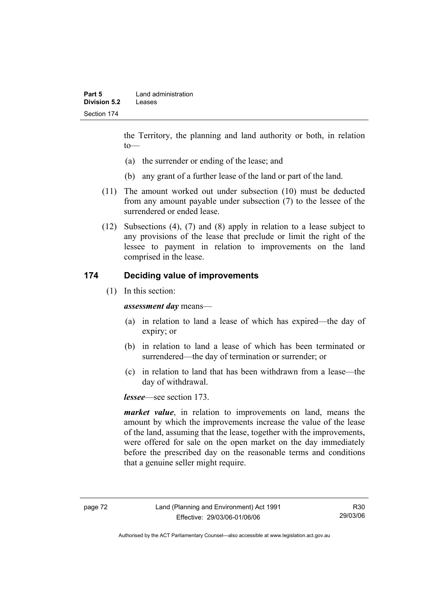the Territory, the planning and land authority or both, in relation to—

- (a) the surrender or ending of the lease; and
- (b) any grant of a further lease of the land or part of the land.
- (11) The amount worked out under subsection (10) must be deducted from any amount payable under subsection (7) to the lessee of the surrendered or ended lease.
- (12) Subsections (4), (7) and (8) apply in relation to a lease subject to any provisions of the lease that preclude or limit the right of the lessee to payment in relation to improvements on the land comprised in the lease.

## **174 Deciding value of improvements**

(1) In this section:

*assessment day* means—

- (a) in relation to land a lease of which has expired—the day of expiry; or
- (b) in relation to land a lease of which has been terminated or surrendered—the day of termination or surrender; or
- (c) in relation to land that has been withdrawn from a lease—the day of withdrawal.

*lessee*—see section 173.

*market value*, in relation to improvements on land, means the amount by which the improvements increase the value of the lease of the land, assuming that the lease, together with the improvements, were offered for sale on the open market on the day immediately before the prescribed day on the reasonable terms and conditions that a genuine seller might require.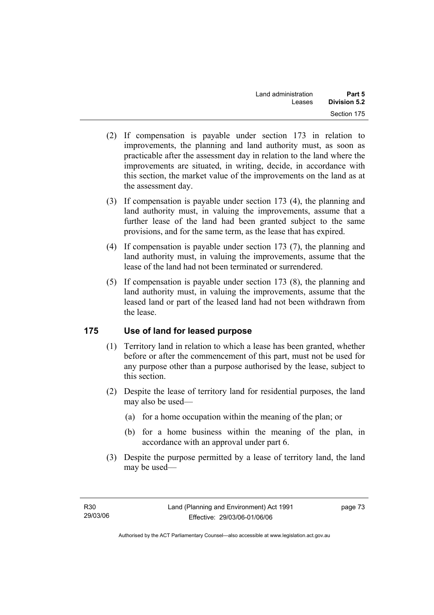- (2) If compensation is payable under section 173 in relation to improvements, the planning and land authority must, as soon as practicable after the assessment day in relation to the land where the improvements are situated, in writing, decide, in accordance with this section, the market value of the improvements on the land as at the assessment day.
- (3) If compensation is payable under section 173 (4), the planning and land authority must, in valuing the improvements, assume that a further lease of the land had been granted subject to the same provisions, and for the same term, as the lease that has expired.
- (4) If compensation is payable under section 173 (7), the planning and land authority must, in valuing the improvements, assume that the lease of the land had not been terminated or surrendered.
- (5) If compensation is payable under section 173 (8), the planning and land authority must, in valuing the improvements, assume that the leased land or part of the leased land had not been withdrawn from the lease.

## **175 Use of land for leased purpose**

- (1) Territory land in relation to which a lease has been granted, whether before or after the commencement of this part, must not be used for any purpose other than a purpose authorised by the lease, subject to this section.
- (2) Despite the lease of territory land for residential purposes, the land may also be used—
	- (a) for a home occupation within the meaning of the plan; or
	- (b) for a home business within the meaning of the plan, in accordance with an approval under part 6.
- (3) Despite the purpose permitted by a lease of territory land, the land may be used—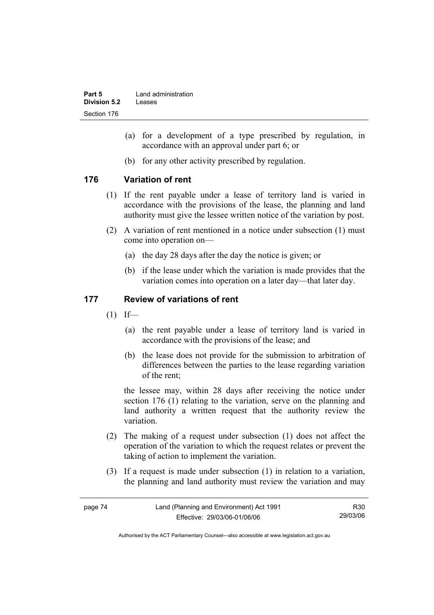| Part 5       | Land administration |
|--------------|---------------------|
| Division 5.2 | Leases              |
| Section 176  |                     |

- (a) for a development of a type prescribed by regulation, in accordance with an approval under part 6; or
- (b) for any other activity prescribed by regulation.

## **176 Variation of rent**

- (1) If the rent payable under a lease of territory land is varied in accordance with the provisions of the lease, the planning and land authority must give the lessee written notice of the variation by post.
- (2) A variation of rent mentioned in a notice under subsection (1) must come into operation on—
	- (a) the day 28 days after the day the notice is given; or
	- (b) if the lease under which the variation is made provides that the variation comes into operation on a later day—that later day.

### **177 Review of variations of rent**

- $(1)$  If—
	- (a) the rent payable under a lease of territory land is varied in accordance with the provisions of the lease; and
	- (b) the lease does not provide for the submission to arbitration of differences between the parties to the lease regarding variation of the rent;

the lessee may, within 28 days after receiving the notice under section 176 (1) relating to the variation, serve on the planning and land authority a written request that the authority review the variation.

- (2) The making of a request under subsection (1) does not affect the operation of the variation to which the request relates or prevent the taking of action to implement the variation.
- (3) If a request is made under subsection (1) in relation to a variation, the planning and land authority must review the variation and may

| page 74 | Land (Planning and Environment) Act 1991 | R30      |
|---------|------------------------------------------|----------|
|         | Effective: 29/03/06-01/06/06             | 29/03/06 |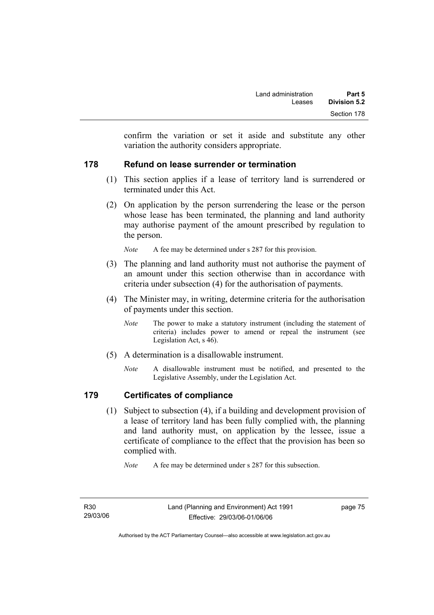confirm the variation or set it aside and substitute any other variation the authority considers appropriate.

## **178 Refund on lease surrender or termination**

- (1) This section applies if a lease of territory land is surrendered or terminated under this Act.
- (2) On application by the person surrendering the lease or the person whose lease has been terminated, the planning and land authority may authorise payment of the amount prescribed by regulation to the person.

*Note* A fee may be determined under s 287 for this provision.

- (3) The planning and land authority must not authorise the payment of an amount under this section otherwise than in accordance with criteria under subsection (4) for the authorisation of payments.
- (4) The Minister may, in writing, determine criteria for the authorisation of payments under this section.
	- *Note* The power to make a statutory instrument (including the statement of criteria) includes power to amend or repeal the instrument (see Legislation Act, s 46).
- (5) A determination is a disallowable instrument.
	- *Note* A disallowable instrument must be notified, and presented to the Legislative Assembly, under the Legislation Act.

## **179 Certificates of compliance**

 (1) Subject to subsection (4), if a building and development provision of a lease of territory land has been fully complied with, the planning and land authority must, on application by the lessee, issue a certificate of compliance to the effect that the provision has been so complied with.

*Note* A fee may be determined under s 287 for this subsection.

R30 29/03/06 page 75

Authorised by the ACT Parliamentary Counsel—also accessible at www.legislation.act.gov.au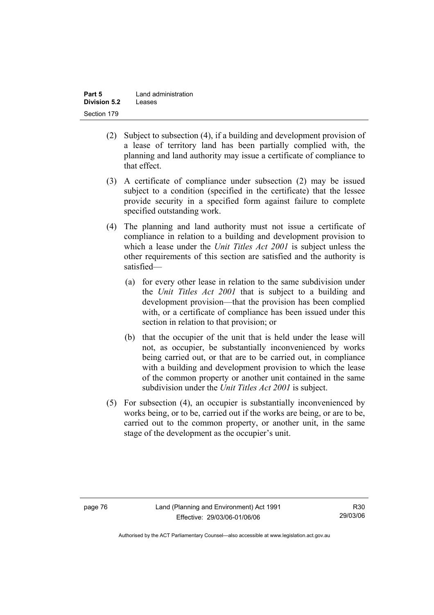| Part 5       | Land administration |
|--------------|---------------------|
| Division 5.2 | Leases              |
| Section 179  |                     |

- (2) Subject to subsection (4), if a building and development provision of a lease of territory land has been partially complied with, the planning and land authority may issue a certificate of compliance to that effect.
- (3) A certificate of compliance under subsection (2) may be issued subject to a condition (specified in the certificate) that the lessee provide security in a specified form against failure to complete specified outstanding work.
- (4) The planning and land authority must not issue a certificate of compliance in relation to a building and development provision to which a lease under the *Unit Titles Act 2001* is subject unless the other requirements of this section are satisfied and the authority is satisfied—
	- (a) for every other lease in relation to the same subdivision under the *Unit Titles Act 2001* that is subject to a building and development provision—that the provision has been complied with, or a certificate of compliance has been issued under this section in relation to that provision; or
	- (b) that the occupier of the unit that is held under the lease will not, as occupier, be substantially inconvenienced by works being carried out, or that are to be carried out, in compliance with a building and development provision to which the lease of the common property or another unit contained in the same subdivision under the *Unit Titles Act 2001* is subject.
- (5) For subsection (4), an occupier is substantially inconvenienced by works being, or to be, carried out if the works are being, or are to be, carried out to the common property, or another unit, in the same stage of the development as the occupier's unit.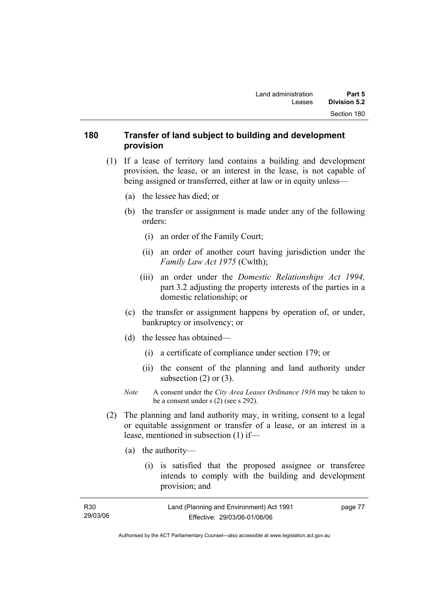## **180 Transfer of land subject to building and development provision**

- (1) If a lease of territory land contains a building and development provision, the lease, or an interest in the lease, is not capable of being assigned or transferred, either at law or in equity unless—
	- (a) the lessee has died; or
	- (b) the transfer or assignment is made under any of the following orders:
		- (i) an order of the Family Court;
		- (ii) an order of another court having jurisdiction under the *Family Law Act 1975* (Cwlth);
		- (iii) an order under the *Domestic Relationships Act 1994,*  part 3.2 adjusting the property interests of the parties in a domestic relationship; or
	- (c) the transfer or assignment happens by operation of, or under, bankruptcy or insolvency; or
	- (d) the lessee has obtained—
		- (i) a certificate of compliance under section 179; or
		- (ii) the consent of the planning and land authority under subsection  $(2)$  or  $(3)$ .
	- *Note* A consent under the *City Area Leases Ordinance 1936* may be taken to be a consent under s (2) (see s 292).
- (2) The planning and land authority may, in writing, consent to a legal or equitable assignment or transfer of a lease, or an interest in a lease, mentioned in subsection (1) if—
	- (a) the authority—
		- (i) is satisfied that the proposed assignee or transferee intends to comply with the building and development provision; and

| R30      | Land (Planning and Environment) Act 1991 | page 77 |
|----------|------------------------------------------|---------|
| 29/03/06 | Effective: 29/03/06-01/06/06             |         |

Authorised by the ACT Parliamentary Counsel—also accessible at www.legislation.act.gov.au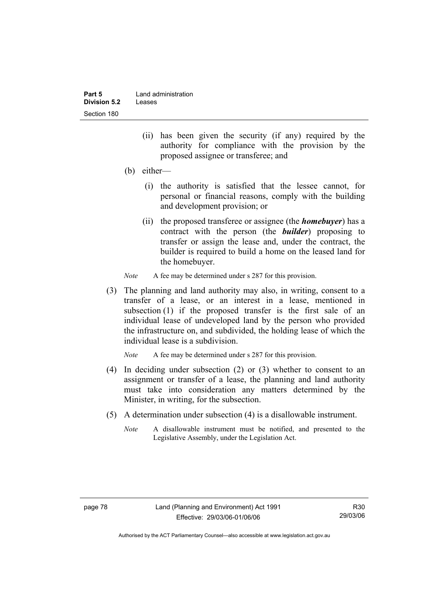| Part 5       | Land administration |
|--------------|---------------------|
| Division 5.2 | Leases              |
| Section 180  |                     |

- (ii) has been given the security (if any) required by the authority for compliance with the provision by the proposed assignee or transferee; and
- (b) either—
	- (i) the authority is satisfied that the lessee cannot, for personal or financial reasons, comply with the building and development provision; or
	- (ii) the proposed transferee or assignee (the *homebuyer*) has a contract with the person (the *builder*) proposing to transfer or assign the lease and, under the contract, the builder is required to build a home on the leased land for the homebuyer.
- *Note* A fee may be determined under s 287 for this provision.
- (3) The planning and land authority may also, in writing, consent to a transfer of a lease, or an interest in a lease, mentioned in subsection (1) if the proposed transfer is the first sale of an individual lease of undeveloped land by the person who provided the infrastructure on, and subdivided, the holding lease of which the individual lease is a subdivision.

*Note* A fee may be determined under s 287 for this provision.

- (4) In deciding under subsection (2) or (3) whether to consent to an assignment or transfer of a lease, the planning and land authority must take into consideration any matters determined by the Minister, in writing, for the subsection.
- (5) A determination under subsection (4) is a disallowable instrument.
	- *Note* A disallowable instrument must be notified, and presented to the Legislative Assembly, under the Legislation Act.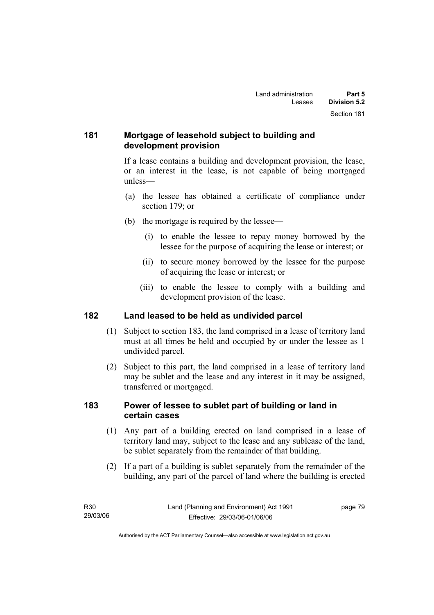## **181 Mortgage of leasehold subject to building and development provision**

If a lease contains a building and development provision, the lease, or an interest in the lease, is not capable of being mortgaged unless—

- (a) the lessee has obtained a certificate of compliance under section 179; or
- (b) the mortgage is required by the lessee—
	- (i) to enable the lessee to repay money borrowed by the lessee for the purpose of acquiring the lease or interest; or
	- (ii) to secure money borrowed by the lessee for the purpose of acquiring the lease or interest; or
	- (iii) to enable the lessee to comply with a building and development provision of the lease.

## **182 Land leased to be held as undivided parcel**

- (1) Subject to section 183, the land comprised in a lease of territory land must at all times be held and occupied by or under the lessee as 1 undivided parcel.
- (2) Subject to this part, the land comprised in a lease of territory land may be sublet and the lease and any interest in it may be assigned, transferred or mortgaged.

## **183 Power of lessee to sublet part of building or land in certain cases**

- (1) Any part of a building erected on land comprised in a lease of territory land may, subject to the lease and any sublease of the land, be sublet separately from the remainder of that building.
- (2) If a part of a building is sublet separately from the remainder of the building, any part of the parcel of land where the building is erected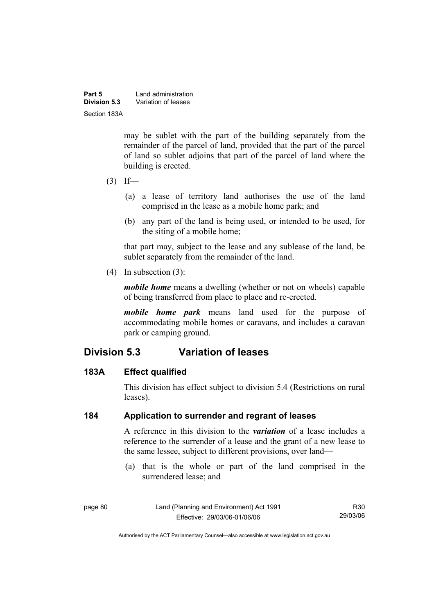| Part 5       | Land administration |
|--------------|---------------------|
| Division 5.3 | Variation of leases |
| Section 183A |                     |

may be sublet with the part of the building separately from the remainder of the parcel of land, provided that the part of the parcel of land so sublet adjoins that part of the parcel of land where the building is erected.

- $(3)$  If—
	- (a) a lease of territory land authorises the use of the land comprised in the lease as a mobile home park; and
	- (b) any part of the land is being used, or intended to be used, for the siting of a mobile home;

that part may, subject to the lease and any sublease of the land, be sublet separately from the remainder of the land.

(4) In subsection (3):

*mobile home* means a dwelling (whether or not on wheels) capable of being transferred from place to place and re-erected.

*mobile home park* means land used for the purpose of accommodating mobile homes or caravans, and includes a caravan park or camping ground.

# **Division 5.3 Variation of leases**

### **183A Effect qualified**

This division has effect subject to division 5.4 (Restrictions on rural leases).

### **184 Application to surrender and regrant of leases**

A reference in this division to the *variation* of a lease includes a reference to the surrender of a lease and the grant of a new lease to the same lessee, subject to different provisions, over land—

 (a) that is the whole or part of the land comprised in the surrendered lease; and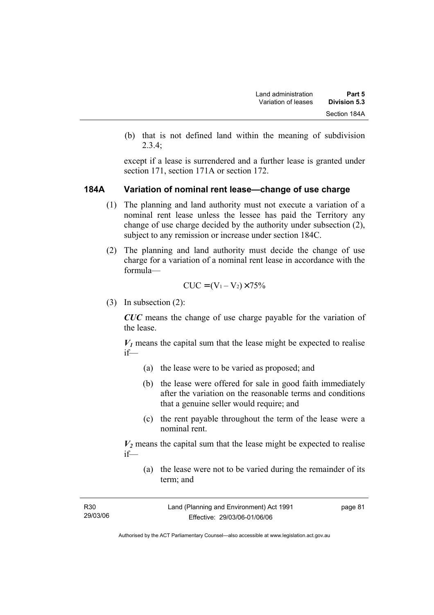(b) that is not defined land within the meaning of subdivision 2.3.4;

except if a lease is surrendered and a further lease is granted under section 171, section 171A or section 172.

#### **184A Variation of nominal rent lease—change of use charge**

- (1) The planning and land authority must not execute a variation of a nominal rent lease unless the lessee has paid the Territory any change of use charge decided by the authority under subsection (2), subject to any remission or increase under section 184C.
- (2) The planning and land authority must decide the change of use charge for a variation of a nominal rent lease in accordance with the formula—

$$
CUC = (V_1 - V_2) \times 75\%
$$

(3) In subsection (2):

*CUC* means the change of use charge payable for the variation of the lease.

 $V_1$  means the capital sum that the lease might be expected to realise if—

- (a) the lease were to be varied as proposed; and
- (b) the lease were offered for sale in good faith immediately after the variation on the reasonable terms and conditions that a genuine seller would require; and
- (c) the rent payable throughout the term of the lease were a nominal rent.

 $V_2$  means the capital sum that the lease might be expected to realise if—

 (a) the lease were not to be varied during the remainder of its term; and

| R <sub>30</sub> | Land (Planning and Environment) Act 1991 | page 81 |
|-----------------|------------------------------------------|---------|
| 29/03/06        | Effective: 29/03/06-01/06/06             |         |
|                 |                                          |         |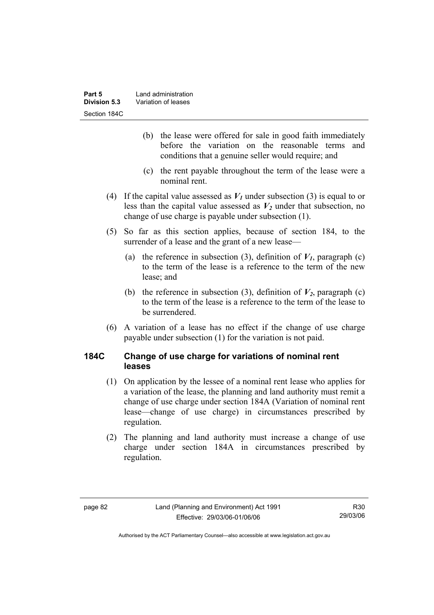- (b) the lease were offered for sale in good faith immediately before the variation on the reasonable terms and conditions that a genuine seller would require; and
- (c) the rent payable throughout the term of the lease were a nominal rent.
- (4) If the capital value assessed as  $V_1$  under subsection (3) is equal to or less than the capital value assessed as  $V_2$  under that subsection, no change of use charge is payable under subsection (1).
- (5) So far as this section applies, because of section 184, to the surrender of a lease and the grant of a new lease—
	- (a) the reference in subsection (3), definition of  $V_I$ , paragraph (c) to the term of the lease is a reference to the term of the new lease; and
	- (b) the reference in subsection (3), definition of  $V_2$ , paragraph (c) to the term of the lease is a reference to the term of the lease to be surrendered.
- (6) A variation of a lease has no effect if the change of use charge payable under subsection (1) for the variation is not paid.

## **184C Change of use charge for variations of nominal rent leases**

- (1) On application by the lessee of a nominal rent lease who applies for a variation of the lease, the planning and land authority must remit a change of use charge under section 184A (Variation of nominal rent lease—change of use charge) in circumstances prescribed by regulation.
- (2) The planning and land authority must increase a change of use charge under section 184A in circumstances prescribed by regulation.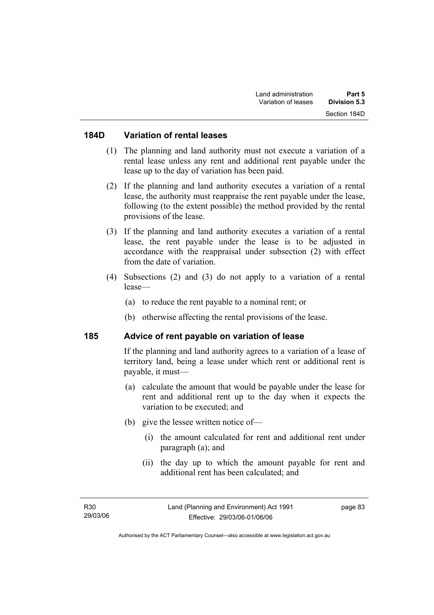#### **184D Variation of rental leases**

- (1) The planning and land authority must not execute a variation of a rental lease unless any rent and additional rent payable under the lease up to the day of variation has been paid.
- (2) If the planning and land authority executes a variation of a rental lease, the authority must reappraise the rent payable under the lease, following (to the extent possible) the method provided by the rental provisions of the lease.
- (3) If the planning and land authority executes a variation of a rental lease, the rent payable under the lease is to be adjusted in accordance with the reappraisal under subsection (2) with effect from the date of variation.
- (4) Subsections (2) and (3) do not apply to a variation of a rental lease—
	- (a) to reduce the rent payable to a nominal rent; or
	- (b) otherwise affecting the rental provisions of the lease.

#### **185 Advice of rent payable on variation of lease**

If the planning and land authority agrees to a variation of a lease of territory land, being a lease under which rent or additional rent is payable, it must—

- (a) calculate the amount that would be payable under the lease for rent and additional rent up to the day when it expects the variation to be executed; and
- (b) give the lessee written notice of—
	- (i) the amount calculated for rent and additional rent under paragraph (a); and
	- (ii) the day up to which the amount payable for rent and additional rent has been calculated; and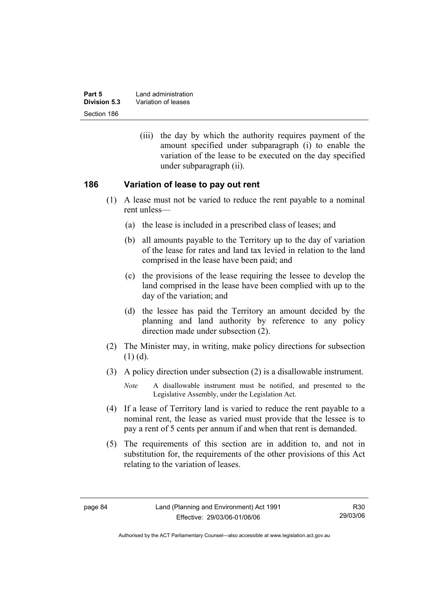| Part 5       | Land administration |
|--------------|---------------------|
| Division 5.3 | Variation of leases |
| Section 186  |                     |

 (iii) the day by which the authority requires payment of the amount specified under subparagraph (i) to enable the variation of the lease to be executed on the day specified under subparagraph (ii).

#### **186 Variation of lease to pay out rent**

- (1) A lease must not be varied to reduce the rent payable to a nominal rent unless—
	- (a) the lease is included in a prescribed class of leases; and
	- (b) all amounts payable to the Territory up to the day of variation of the lease for rates and land tax levied in relation to the land comprised in the lease have been paid; and
	- (c) the provisions of the lease requiring the lessee to develop the land comprised in the lease have been complied with up to the day of the variation; and
	- (d) the lessee has paid the Territory an amount decided by the planning and land authority by reference to any policy direction made under subsection (2).
- (2) The Minister may, in writing, make policy directions for subsection  $(1)$   $(d)$ .
- (3) A policy direction under subsection (2) is a disallowable instrument.

- (4) If a lease of Territory land is varied to reduce the rent payable to a nominal rent, the lease as varied must provide that the lessee is to pay a rent of 5 cents per annum if and when that rent is demanded.
- (5) The requirements of this section are in addition to, and not in substitution for, the requirements of the other provisions of this Act relating to the variation of leases.

*Note* A disallowable instrument must be notified, and presented to the Legislative Assembly, under the Legislation Act.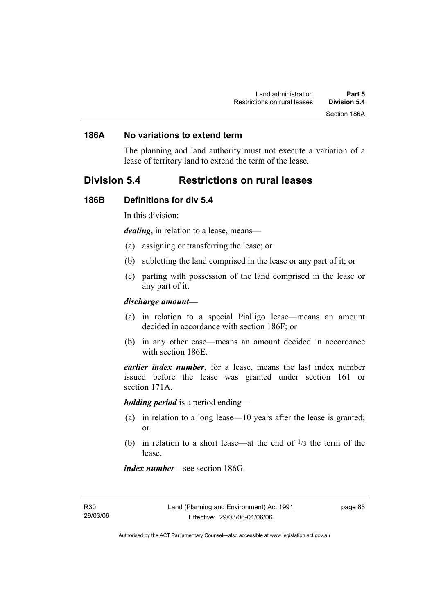#### **186A No variations to extend term**

The planning and land authority must not execute a variation of a lease of territory land to extend the term of the lease.

## **Division 5.4 Restrictions on rural leases**

#### **186B Definitions for div 5.4**

In this division:

*dealing*, in relation to a lease, means—

- (a) assigning or transferring the lease; or
- (b) subletting the land comprised in the lease or any part of it; or
- (c) parting with possession of the land comprised in the lease or any part of it.

#### *discharge amount—*

- (a) in relation to a special Pialligo lease—means an amount decided in accordance with section 186F; or
- (b) in any other case—means an amount decided in accordance with section 186E.

*earlier index number***,** for a lease, means the last index number issued before the lease was granted under section 161 or section 171A.

*holding period* is a period ending—

- (a) in relation to a long lease—10 years after the lease is granted; or
- (b) in relation to a short lease—at the end of  $\frac{1}{3}$  the term of the lease.

*index number*—see section 186G.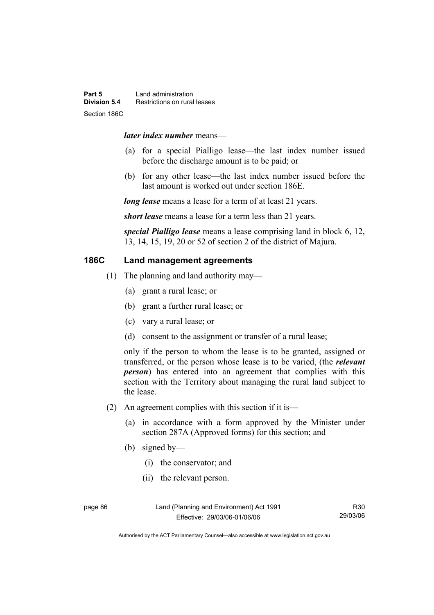#### *later index number* means—

- (a) for a special Pialligo lease—the last index number issued before the discharge amount is to be paid; or
- (b) for any other lease—the last index number issued before the last amount is worked out under section 186E.

*long lease* means a lease for a term of at least 21 years.

*short lease* means a lease for a term less than 21 years.

*special Pialligo lease* means a lease comprising land in block 6, 12, 13, 14, 15, 19, 20 or 52 of section 2 of the district of Majura.

## **186C Land management agreements**

- (1) The planning and land authority may—
	- (a) grant a rural lease; or
	- (b) grant a further rural lease; or
	- (c) vary a rural lease; or
	- (d) consent to the assignment or transfer of a rural lease;

only if the person to whom the lease is to be granted, assigned or transferred, or the person whose lease is to be varied, (the *relevant person*) has entered into an agreement that complies with this section with the Territory about managing the rural land subject to the lease.

- (2) An agreement complies with this section if it is—
	- (a) in accordance with a form approved by the Minister under section 287A (Approved forms) for this section; and
	- (b) signed by—
		- (i) the conservator; and
		- (ii) the relevant person.

page 86 Land (Planning and Environment) Act 1991 Effective: 29/03/06-01/06/06

Authorised by the ACT Parliamentary Counsel—also accessible at www.legislation.act.gov.au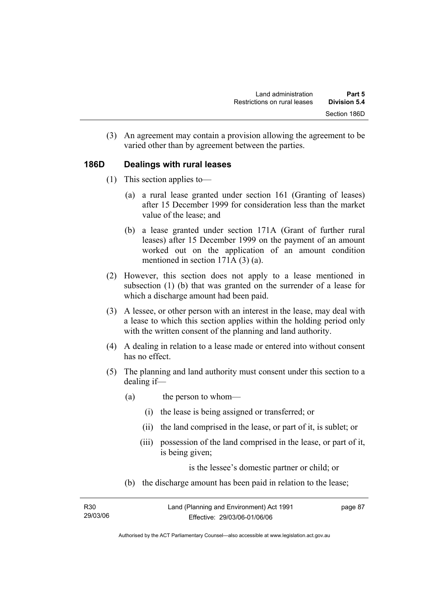(3) An agreement may contain a provision allowing the agreement to be varied other than by agreement between the parties.

## **186D Dealings with rural leases**

- (1) This section applies to—
	- (a) a rural lease granted under section 161 (Granting of leases) after 15 December 1999 for consideration less than the market value of the lease; and
	- (b) a lease granted under section 171A (Grant of further rural leases) after 15 December 1999 on the payment of an amount worked out on the application of an amount condition mentioned in section 171A (3) (a).
- (2) However, this section does not apply to a lease mentioned in subsection (1) (b) that was granted on the surrender of a lease for which a discharge amount had been paid.
- (3) A lessee, or other person with an interest in the lease, may deal with a lease to which this section applies within the holding period only with the written consent of the planning and land authority.
- (4) A dealing in relation to a lease made or entered into without consent has no effect.
- (5) The planning and land authority must consent under this section to a dealing if—
	- (a) the person to whom—
		- (i) the lease is being assigned or transferred; or
		- (ii) the land comprised in the lease, or part of it, is sublet; or
		- (iii) possession of the land comprised in the lease, or part of it, is being given;

is the lessee's domestic partner or child; or

(b) the discharge amount has been paid in relation to the lease;

| R30      | Land (Planning and Environment) Act 1991 | page 87 |
|----------|------------------------------------------|---------|
| 29/03/06 | Effective: 29/03/06-01/06/06             |         |

Authorised by the ACT Parliamentary Counsel—also accessible at www.legislation.act.gov.au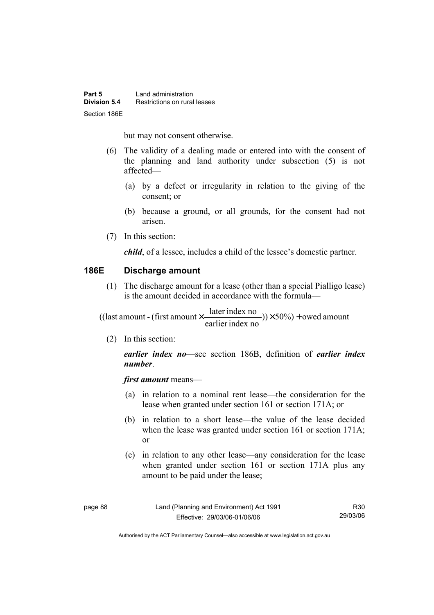but may not consent otherwise.

- (6) The validity of a dealing made or entered into with the consent of the planning and land authority under subsection (5) is not affected—
	- (a) by a defect or irregularity in relation to the giving of the consent; or
	- (b) because a ground, or all grounds, for the consent had not arisen.
- (7) In this section:

*child*, of a lessee, includes a child of the lessee's domestic partner.

## **186E Discharge amount**

 (1) The discharge amount for a lease (other than a special Pialligo lease) is the amount decided in accordance with the formula—

 $(y) \times 50\%$  + owed amount earlier index no ((last amount - (first amount  $\times \frac{\text{later index no}}{\text{in} \cdot \cdot \cdot \cdot}$ )) $\times$  50%) +

(2) In this section:

*earlier index no*—see section 186B, definition of *earlier index number*.

*first amount* means—

- (a) in relation to a nominal rent lease—the consideration for the lease when granted under section 161 or section 171A; or
- (b) in relation to a short lease—the value of the lease decided when the lease was granted under section 161 or section 171A; or
- (c) in relation to any other lease—any consideration for the lease when granted under section 161 or section 171A plus any amount to be paid under the lease;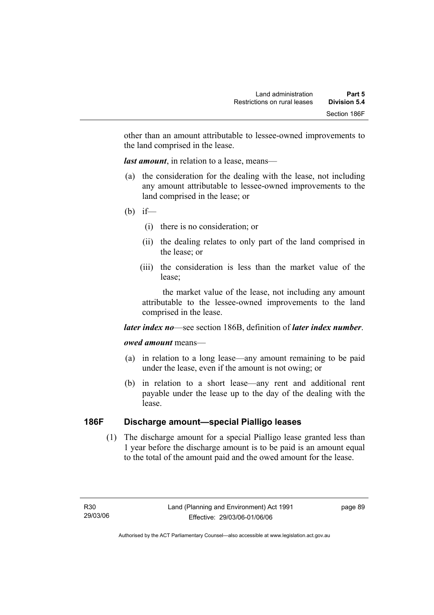other than an amount attributable to lessee-owned improvements to the land comprised in the lease.

*last amount*, in relation to a lease, means—

- (a) the consideration for the dealing with the lease, not including any amount attributable to lessee-owned improvements to the land comprised in the lease; or
- (b) if—
	- (i) there is no consideration; or
	- (ii) the dealing relates to only part of the land comprised in the lease; or
	- (iii) the consideration is less than the market value of the lease;

 the market value of the lease, not including any amount attributable to the lessee-owned improvements to the land comprised in the lease.

#### *later index no*—see section 186B, definition of *later index number*.

#### *owed amount* means—

- (a) in relation to a long lease—any amount remaining to be paid under the lease, even if the amount is not owing; or
- (b) in relation to a short lease—any rent and additional rent payable under the lease up to the day of the dealing with the lease.

## **186F Discharge amount—special Pialligo leases**

 (1) The discharge amount for a special Pialligo lease granted less than 1 year before the discharge amount is to be paid is an amount equal to the total of the amount paid and the owed amount for the lease.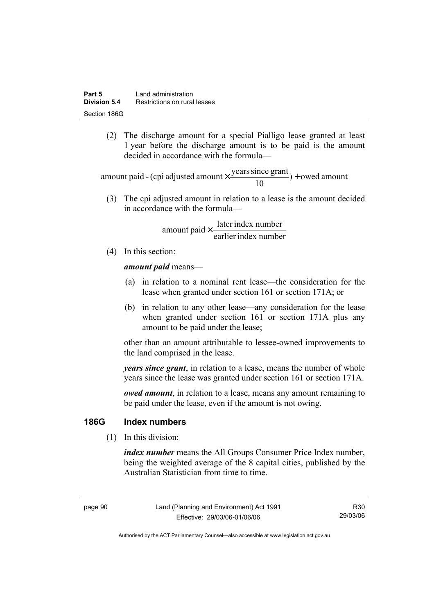(2) The discharge amount for a special Pialligo lease granted at least 1 year before the discharge amount is to be paid is the amount decided in accordance with the formula—

 $) +$  owed amount 10 amount paid - (cpi adjusted amount  $\times \frac{\text{years since grant}}{10}$ ) +

 (3) The cpi adjusted amount in relation to a lease is the amount decided in accordance with the formula—

> earlier index number amount paid  $\times \frac{\text{later index number}}{\text{lintermax}}$

(4) In this section:

*amount paid* means—

- (a) in relation to a nominal rent lease—the consideration for the lease when granted under section 161 or section 171A; or
- (b) in relation to any other lease—any consideration for the lease when granted under section 161 or section 171A plus any amount to be paid under the lease;

other than an amount attributable to lessee-owned improvements to the land comprised in the lease.

*years since grant*, in relation to a lease, means the number of whole years since the lease was granted under section 161 or section 171A.

*owed amount*, in relation to a lease, means any amount remaining to be paid under the lease, even if the amount is not owing.

### **186G Index numbers**

(1) In this division:

*index number* means the All Groups Consumer Price Index number, being the weighted average of the 8 capital cities, published by the Australian Statistician from time to time.

page 90 Land (Planning and Environment) Act 1991 Effective: 29/03/06-01/06/06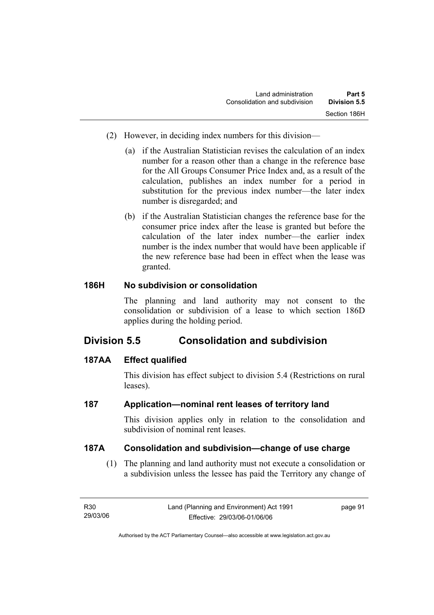- (2) However, in deciding index numbers for this division—
	- (a) if the Australian Statistician revises the calculation of an index number for a reason other than a change in the reference base for the All Groups Consumer Price Index and, as a result of the calculation, publishes an index number for a period in substitution for the previous index number—the later index number is disregarded; and
	- (b) if the Australian Statistician changes the reference base for the consumer price index after the lease is granted but before the calculation of the later index number—the earlier index number is the index number that would have been applicable if the new reference base had been in effect when the lease was granted.

## **186H No subdivision or consolidation**

The planning and land authority may not consent to the consolidation or subdivision of a lease to which section 186D applies during the holding period.

# **Division 5.5 Consolidation and subdivision**

## **187AA Effect qualified**

This division has effect subject to division 5.4 (Restrictions on rural leases).

## **187 Application—nominal rent leases of territory land**

This division applies only in relation to the consolidation and subdivision of nominal rent leases.

#### **187A Consolidation and subdivision—change of use charge**

 (1) The planning and land authority must not execute a consolidation or a subdivision unless the lessee has paid the Territory any change of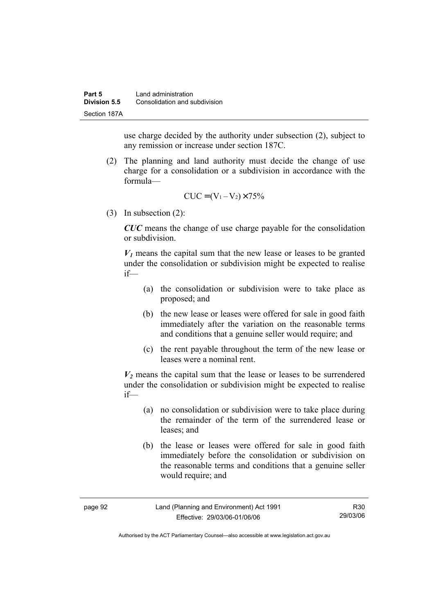use charge decided by the authority under subsection (2), subject to any remission or increase under section 187C.

 (2) The planning and land authority must decide the change of use charge for a consolidation or a subdivision in accordance with the formula—

$$
CUC = (V_1 - V_2) \times 75\%
$$

(3) In subsection (2):

*CUC* means the change of use charge payable for the consolidation or subdivision.

 $V_1$  means the capital sum that the new lease or leases to be granted under the consolidation or subdivision might be expected to realise if—

- (a) the consolidation or subdivision were to take place as proposed; and
- (b) the new lease or leases were offered for sale in good faith immediately after the variation on the reasonable terms and conditions that a genuine seller would require; and
- (c) the rent payable throughout the term of the new lease or leases were a nominal rent.

 $V_2$  means the capital sum that the lease or leases to be surrendered under the consolidation or subdivision might be expected to realise if—

- (a) no consolidation or subdivision were to take place during the remainder of the term of the surrendered lease or leases; and
- (b) the lease or leases were offered for sale in good faith immediately before the consolidation or subdivision on the reasonable terms and conditions that a genuine seller would require; and

| page 92 | Land (Planning and Environment) Act 1991 | R30      |
|---------|------------------------------------------|----------|
|         | Effective: 29/03/06-01/06/06             | 29/03/06 |

Authorised by the ACT Parliamentary Counsel—also accessible at www.legislation.act.gov.au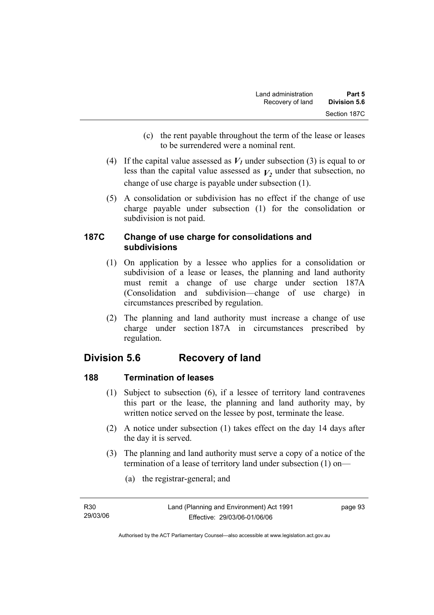- (c) the rent payable throughout the term of the lease or leases to be surrendered were a nominal rent.
- (4) If the capital value assessed as  $V_I$  under subsection (3) is equal to or less than the capital value assessed as  $V_2$  under that subsection, no change of use charge is payable under subsection (1).
- (5) A consolidation or subdivision has no effect if the change of use charge payable under subsection (1) for the consolidation or subdivision is not paid.

## **187C Change of use charge for consolidations and subdivisions**

- (1) On application by a lessee who applies for a consolidation or subdivision of a lease or leases, the planning and land authority must remit a change of use charge under section 187A (Consolidation and subdivision—change of use charge) in circumstances prescribed by regulation.
- (2) The planning and land authority must increase a change of use charge under section 187A in circumstances prescribed by regulation.

# **Division 5.6 Recovery of land**

## **188 Termination of leases**

- (1) Subject to subsection (6), if a lessee of territory land contravenes this part or the lease, the planning and land authority may, by written notice served on the lessee by post, terminate the lease.
- (2) A notice under subsection (1) takes effect on the day 14 days after the day it is served.
- (3) The planning and land authority must serve a copy of a notice of the termination of a lease of territory land under subsection (1) on—
	- (a) the registrar-general; and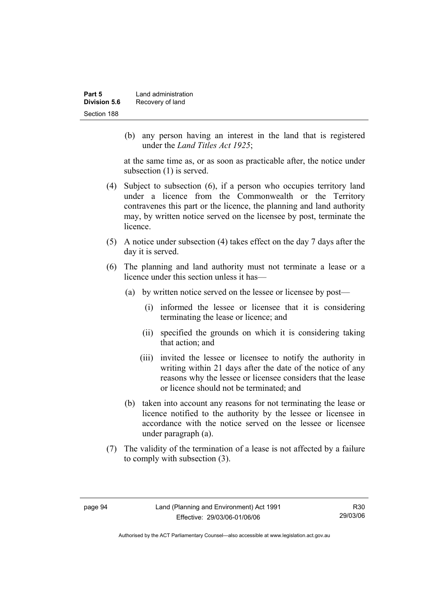| Part 5       | Land administration |
|--------------|---------------------|
| Division 5.6 | Recovery of land    |
| Section 188  |                     |

 (b) any person having an interest in the land that is registered under the *Land Titles Act 1925*;

at the same time as, or as soon as practicable after, the notice under subsection (1) is served.

- (4) Subject to subsection (6), if a person who occupies territory land under a licence from the Commonwealth or the Territory contravenes this part or the licence, the planning and land authority may, by written notice served on the licensee by post, terminate the licence.
- (5) A notice under subsection (4) takes effect on the day 7 days after the day it is served.
- (6) The planning and land authority must not terminate a lease or a licence under this section unless it has—
	- (a) by written notice served on the lessee or licensee by post—
		- (i) informed the lessee or licensee that it is considering terminating the lease or licence; and
		- (ii) specified the grounds on which it is considering taking that action; and
		- (iii) invited the lessee or licensee to notify the authority in writing within 21 days after the date of the notice of any reasons why the lessee or licensee considers that the lease or licence should not be terminated; and
	- (b) taken into account any reasons for not terminating the lease or licence notified to the authority by the lessee or licensee in accordance with the notice served on the lessee or licensee under paragraph (a).
- (7) The validity of the termination of a lease is not affected by a failure to comply with subsection (3).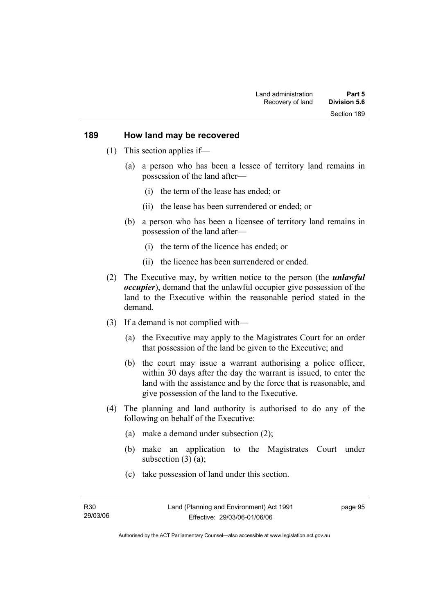#### **189 How land may be recovered**

- (1) This section applies if—
	- (a) a person who has been a lessee of territory land remains in possession of the land after—
		- (i) the term of the lease has ended; or
		- (ii) the lease has been surrendered or ended; or
	- (b) a person who has been a licensee of territory land remains in possession of the land after—
		- (i) the term of the licence has ended; or
		- (ii) the licence has been surrendered or ended.
- (2) The Executive may, by written notice to the person (the *unlawful occupier*), demand that the unlawful occupier give possession of the land to the Executive within the reasonable period stated in the demand.
- (3) If a demand is not complied with—
	- (a) the Executive may apply to the Magistrates Court for an order that possession of the land be given to the Executive; and
	- (b) the court may issue a warrant authorising a police officer, within 30 days after the day the warrant is issued, to enter the land with the assistance and by the force that is reasonable, and give possession of the land to the Executive.
- (4) The planning and land authority is authorised to do any of the following on behalf of the Executive:
	- (a) make a demand under subsection (2);
	- (b) make an application to the Magistrates Court under subsection  $(3)$   $(a)$ ;
	- (c) take possession of land under this section.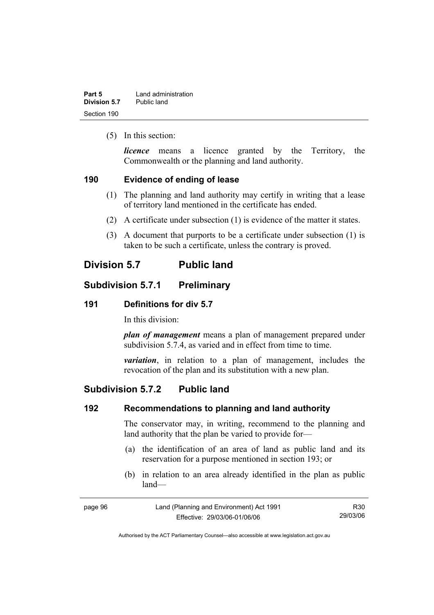| Part 5       | Land administration |
|--------------|---------------------|
| Division 5.7 | Public land         |
| Section 190  |                     |

(5) In this section:

*licence* means a licence granted by the Territory, the Commonwealth or the planning and land authority.

#### **190 Evidence of ending of lease**

- (1) The planning and land authority may certify in writing that a lease of territory land mentioned in the certificate has ended.
- (2) A certificate under subsection (1) is evidence of the matter it states.
- (3) A document that purports to be a certificate under subsection (1) is taken to be such a certificate, unless the contrary is proved.

# **Division 5.7 Public land**

# **Subdivision 5.7.1 Preliminary**

#### **191 Definitions for div 5.7**

In this division:

*plan of management* means a plan of management prepared under subdivision 5.7.4, as varied and in effect from time to time.

*variation*, in relation to a plan of management, includes the revocation of the plan and its substitution with a new plan.

# **Subdivision 5.7.2 Public land**

#### **192 Recommendations to planning and land authority**

The conservator may, in writing, recommend to the planning and land authority that the plan be varied to provide for—

- (a) the identification of an area of land as public land and its reservation for a purpose mentioned in section 193; or
- (b) in relation to an area already identified in the plan as public land—

| page 96 | Land (Planning and Environment) Act 1991 | R30      |
|---------|------------------------------------------|----------|
|         | Effective: 29/03/06-01/06/06             | 29/03/06 |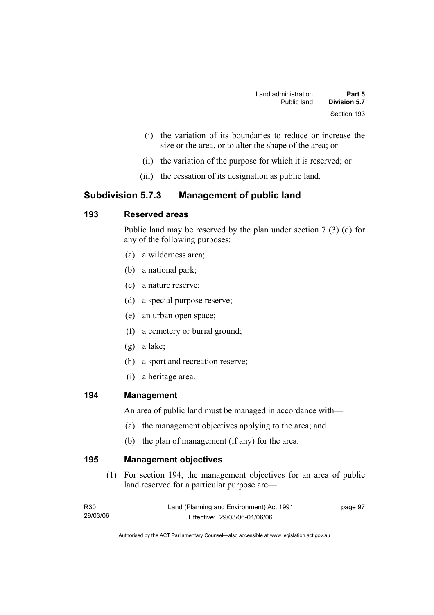- (i) the variation of its boundaries to reduce or increase the size or the area, or to alter the shape of the area; or
- (ii) the variation of the purpose for which it is reserved; or
- (iii) the cessation of its designation as public land.

# **Subdivision 5.7.3 Management of public land**

# **193 Reserved areas**

Public land may be reserved by the plan under section 7 (3) (d) for any of the following purposes:

- (a) a wilderness area;
- (b) a national park;
- (c) a nature reserve;
- (d) a special purpose reserve;
- (e) an urban open space;
- (f) a cemetery or burial ground;
- (g) a lake;
- (h) a sport and recreation reserve;
- (i) a heritage area.

### **194 Management**

An area of public land must be managed in accordance with—

- (a) the management objectives applying to the area; and
- (b) the plan of management (if any) for the area.

**195 Management objectives** 

 (1) For section 194, the management objectives for an area of public land reserved for a particular purpose are—

| R30      | Land (Planning and Environment) Act 1991 | page 97 |
|----------|------------------------------------------|---------|
| 29/03/06 | Effective: 29/03/06-01/06/06             |         |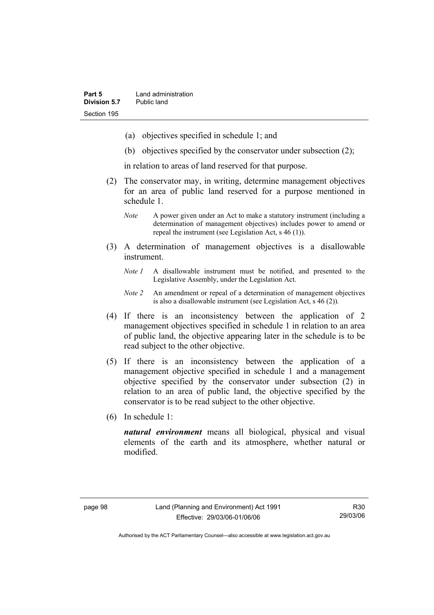- (a) objectives specified in schedule 1; and
- (b) objectives specified by the conservator under subsection (2);

in relation to areas of land reserved for that purpose.

- (2) The conservator may, in writing, determine management objectives for an area of public land reserved for a purpose mentioned in schedule 1.
	- *Note* A power given under an Act to make a statutory instrument (including a determination of management objectives) includes power to amend or repeal the instrument (see Legislation Act, s 46 (1)).
- (3) A determination of management objectives is a disallowable instrument.
	- *Note 1* A disallowable instrument must be notified, and presented to the Legislative Assembly, under the Legislation Act.
	- *Note 2* An amendment or repeal of a determination of management objectives is also a disallowable instrument (see Legislation Act, s 46 (2))*.*
- (4) If there is an inconsistency between the application of 2 management objectives specified in schedule 1 in relation to an area of public land, the objective appearing later in the schedule is to be read subject to the other objective.
- (5) If there is an inconsistency between the application of a management objective specified in schedule 1 and a management objective specified by the conservator under subsection (2) in relation to an area of public land, the objective specified by the conservator is to be read subject to the other objective.
- (6) In schedule 1:

*natural environment* means all biological, physical and visual elements of the earth and its atmosphere, whether natural or modified.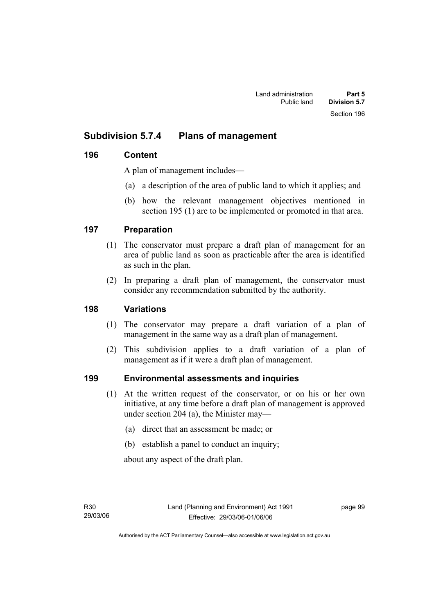# **Subdivision 5.7.4 Plans of management**

# **196 Content**

A plan of management includes—

- (a) a description of the area of public land to which it applies; and
- (b) how the relevant management objectives mentioned in section 195 (1) are to be implemented or promoted in that area.

# **197 Preparation**

- (1) The conservator must prepare a draft plan of management for an area of public land as soon as practicable after the area is identified as such in the plan.
- (2) In preparing a draft plan of management, the conservator must consider any recommendation submitted by the authority.

# **198 Variations**

- (1) The conservator may prepare a draft variation of a plan of management in the same way as a draft plan of management.
- (2) This subdivision applies to a draft variation of a plan of management as if it were a draft plan of management.

# **199 Environmental assessments and inquiries**

- (1) At the written request of the conservator, or on his or her own initiative, at any time before a draft plan of management is approved under section 204 (a), the Minister may—
	- (a) direct that an assessment be made; or
	- (b) establish a panel to conduct an inquiry;

about any aspect of the draft plan.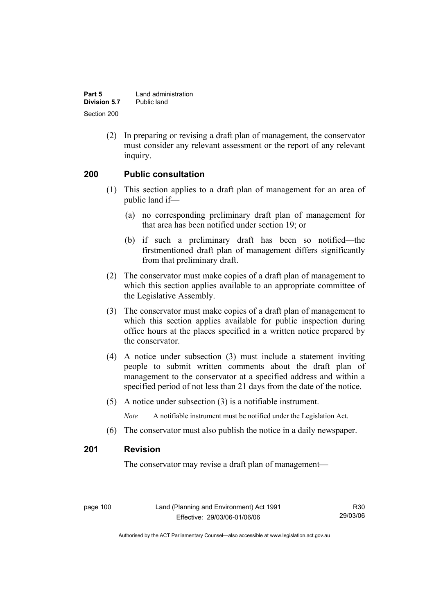| Part 5              | Land administration |
|---------------------|---------------------|
| <b>Division 5.7</b> | Public land         |
| Section 200         |                     |

 (2) In preparing or revising a draft plan of management, the conservator must consider any relevant assessment or the report of any relevant inquiry.

#### **200 Public consultation**

- (1) This section applies to a draft plan of management for an area of public land if—
	- (a) no corresponding preliminary draft plan of management for that area has been notified under section 19; or
	- (b) if such a preliminary draft has been so notified—the firstmentioned draft plan of management differs significantly from that preliminary draft.
- (2) The conservator must make copies of a draft plan of management to which this section applies available to an appropriate committee of the Legislative Assembly.
- (3) The conservator must make copies of a draft plan of management to which this section applies available for public inspection during office hours at the places specified in a written notice prepared by the conservator.
- (4) A notice under subsection (3) must include a statement inviting people to submit written comments about the draft plan of management to the conservator at a specified address and within a specified period of not less than 21 days from the date of the notice.
- (5) A notice under subsection (3) is a notifiable instrument.

*Note* A notifiable instrument must be notified under the Legislation Act.

(6) The conservator must also publish the notice in a daily newspaper.

#### **201 Revision**

The conservator may revise a draft plan of management—

page 100 Land (Planning and Environment) Act 1991 Effective: 29/03/06-01/06/06

R30 29/03/06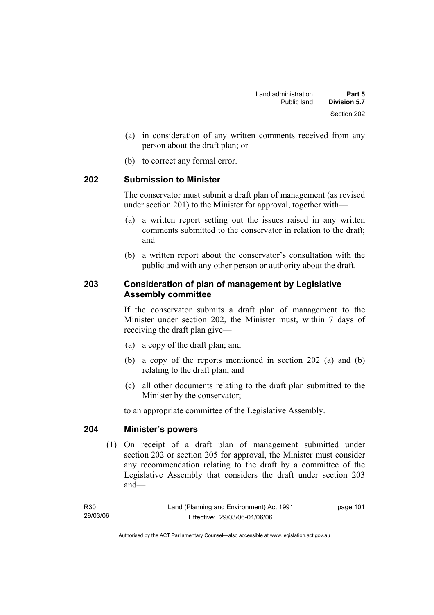- (a) in consideration of any written comments received from any person about the draft plan; or
- (b) to correct any formal error.

### **202 Submission to Minister**

The conservator must submit a draft plan of management (as revised under section 201) to the Minister for approval, together with—

- (a) a written report setting out the issues raised in any written comments submitted to the conservator in relation to the draft; and
- (b) a written report about the conservator's consultation with the public and with any other person or authority about the draft.

# **203 Consideration of plan of management by Legislative Assembly committee**

If the conservator submits a draft plan of management to the Minister under section 202, the Minister must, within 7 days of receiving the draft plan give—

- (a) a copy of the draft plan; and
- (b) a copy of the reports mentioned in section 202 (a) and (b) relating to the draft plan; and
- (c) all other documents relating to the draft plan submitted to the Minister by the conservator;

to an appropriate committee of the Legislative Assembly.

#### **204 Minister's powers**

 (1) On receipt of a draft plan of management submitted under section 202 or section 205 for approval, the Minister must consider any recommendation relating to the draft by a committee of the Legislative Assembly that considers the draft under section 203 and—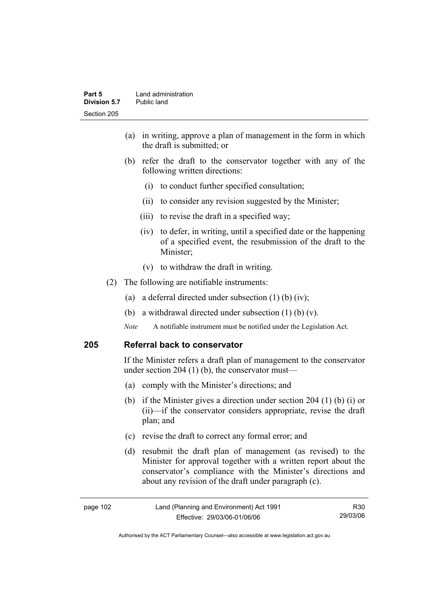- (a) in writing, approve a plan of management in the form in which the draft is submitted; or
- (b) refer the draft to the conservator together with any of the following written directions:
	- (i) to conduct further specified consultation;
	- (ii) to consider any revision suggested by the Minister;
	- (iii) to revise the draft in a specified way;
	- (iv) to defer, in writing, until a specified date or the happening of a specified event, the resubmission of the draft to the Minister;
	- (v) to withdraw the draft in writing.
- (2) The following are notifiable instruments:
	- (a) a deferral directed under subsection (1) (b) (iv);
	- (b) a withdrawal directed under subsection  $(1)$  (b)  $(v)$ .
	- *Note* A notifiable instrument must be notified under the Legislation Act.

#### **205 Referral back to conservator**

If the Minister refers a draft plan of management to the conservator under section 204 (1) (b), the conservator must—

- (a) comply with the Minister's directions; and
- (b) if the Minister gives a direction under section 204 (1) (b) (i) or (ii)—if the conservator considers appropriate, revise the draft plan; and
- (c) revise the draft to correct any formal error; and
- (d) resubmit the draft plan of management (as revised) to the Minister for approval together with a written report about the conservator's compliance with the Minister's directions and about any revision of the draft under paragraph (c).

| page 102 | Land (Planning and Environment) Act 1991 | R30      |
|----------|------------------------------------------|----------|
|          | Effective: 29/03/06-01/06/06             | 29/03/06 |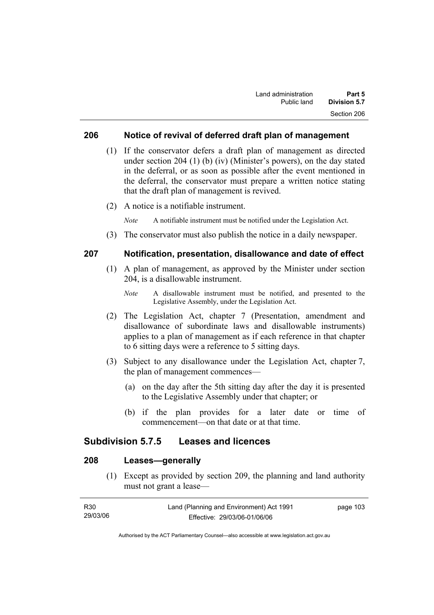### **206 Notice of revival of deferred draft plan of management**

- (1) If the conservator defers a draft plan of management as directed under section 204 (1) (b) (iv) (Minister's powers), on the day stated in the deferral, or as soon as possible after the event mentioned in the deferral, the conservator must prepare a written notice stating that the draft plan of management is revived.
- (2) A notice is a notifiable instrument.

*Note* A notifiable instrument must be notified under the Legislation Act.

(3) The conservator must also publish the notice in a daily newspaper.

#### **207 Notification, presentation, disallowance and date of effect**

- (1) A plan of management, as approved by the Minister under section 204, is a disallowable instrument.
	- *Note* A disallowable instrument must be notified, and presented to the Legislative Assembly, under the Legislation Act.
- (2) The Legislation Act, chapter 7 (Presentation, amendment and disallowance of subordinate laws and disallowable instruments) applies to a plan of management as if each reference in that chapter to 6 sitting days were a reference to 5 sitting days.
- (3) Subject to any disallowance under the Legislation Act, chapter 7, the plan of management commences—
	- (a) on the day after the 5th sitting day after the day it is presented to the Legislative Assembly under that chapter; or
	- (b) if the plan provides for a later date or time of commencement—on that date or at that time.

### **Subdivision 5.7.5 Leases and licences**

# **208 Leases—generally**

 (1) Except as provided by section 209, the planning and land authority must not grant a lease—

| R30      | Land (Planning and Environment) Act 1991 | page 103 |
|----------|------------------------------------------|----------|
| 29/03/06 | Effective: 29/03/06-01/06/06             |          |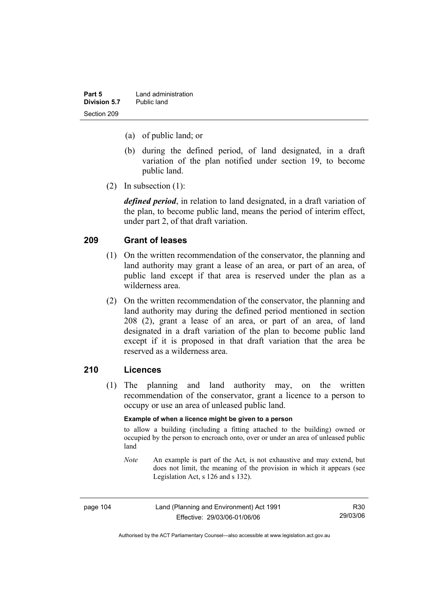| Part 5       | Land administration |
|--------------|---------------------|
| Division 5.7 | Public land         |
| Section 209  |                     |

- (a) of public land; or
- (b) during the defined period, of land designated, in a draft variation of the plan notified under section 19, to become public land.
- (2) In subsection (1):

*defined period*, in relation to land designated, in a draft variation of the plan, to become public land, means the period of interim effect, under part 2, of that draft variation.

#### **209 Grant of leases**

- (1) On the written recommendation of the conservator, the planning and land authority may grant a lease of an area, or part of an area, of public land except if that area is reserved under the plan as a wilderness area.
- (2) On the written recommendation of the conservator, the planning and land authority may during the defined period mentioned in section 208 (2), grant a lease of an area, or part of an area, of land designated in a draft variation of the plan to become public land except if it is proposed in that draft variation that the area be reserved as a wilderness area.

#### **210 Licences**

 (1) The planning and land authority may, on the written recommendation of the conservator, grant a licence to a person to occupy or use an area of unleased public land.

#### **Example of when a licence might be given to a person**

to allow a building (including a fitting attached to the building) owned or occupied by the person to encroach onto, over or under an area of unleased public land

*Note* An example is part of the Act, is not exhaustive and may extend, but does not limit, the meaning of the provision in which it appears (see Legislation Act, s 126 and s 132).

| page 104 | Land (Planning and Environment) Act 1991 | R30      |
|----------|------------------------------------------|----------|
|          | Effective: 29/03/06-01/06/06             | 29/03/06 |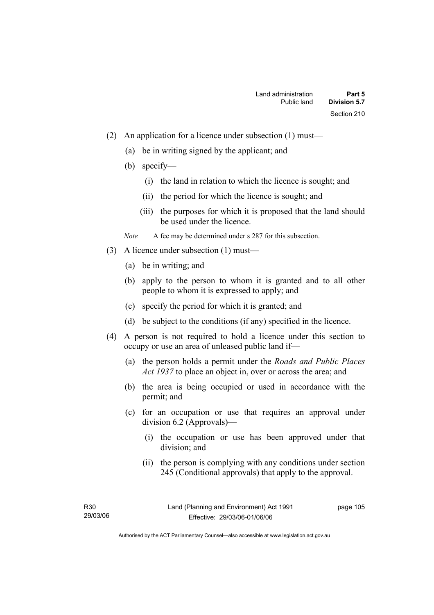- (2) An application for a licence under subsection (1) must—
	- (a) be in writing signed by the applicant; and
	- (b) specify—
		- (i) the land in relation to which the licence is sought; and
		- (ii) the period for which the licence is sought; and
		- (iii) the purposes for which it is proposed that the land should be used under the licence.

*Note* A fee may be determined under s 287 for this subsection.

- (3) A licence under subsection (1) must—
	- (a) be in writing; and
	- (b) apply to the person to whom it is granted and to all other people to whom it is expressed to apply; and
	- (c) specify the period for which it is granted; and
	- (d) be subject to the conditions (if any) specified in the licence.
- (4) A person is not required to hold a licence under this section to occupy or use an area of unleased public land if—
	- (a) the person holds a permit under the *Roads and Public Places Act 1937* to place an object in, over or across the area; and
	- (b) the area is being occupied or used in accordance with the permit; and
	- (c) for an occupation or use that requires an approval under division 6.2 (Approvals)—
		- (i) the occupation or use has been approved under that division; and
		- (ii) the person is complying with any conditions under section 245 (Conditional approvals) that apply to the approval.

R30 29/03/06 page 105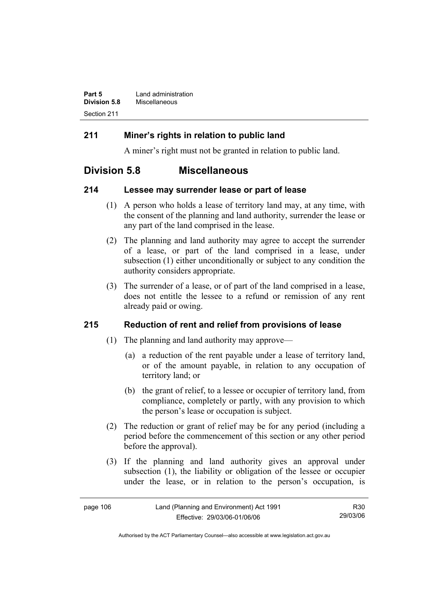| Part 5              | Land administration |
|---------------------|---------------------|
| <b>Division 5.8</b> | Miscellaneous       |
| Section 211         |                     |

# **211 Miner's rights in relation to public land**

A miner's right must not be granted in relation to public land.

# **Division 5.8 Miscellaneous**

### **214 Lessee may surrender lease or part of lease**

- (1) A person who holds a lease of territory land may, at any time, with the consent of the planning and land authority, surrender the lease or any part of the land comprised in the lease.
- (2) The planning and land authority may agree to accept the surrender of a lease, or part of the land comprised in a lease, under subsection (1) either unconditionally or subject to any condition the authority considers appropriate.
- (3) The surrender of a lease, or of part of the land comprised in a lease, does not entitle the lessee to a refund or remission of any rent already paid or owing.

# **215 Reduction of rent and relief from provisions of lease**

- (1) The planning and land authority may approve—
	- (a) a reduction of the rent payable under a lease of territory land, or of the amount payable, in relation to any occupation of territory land; or
	- (b) the grant of relief, to a lessee or occupier of territory land, from compliance, completely or partly, with any provision to which the person's lease or occupation is subject.
- (2) The reduction or grant of relief may be for any period (including a period before the commencement of this section or any other period before the approval).
- (3) If the planning and land authority gives an approval under subsection (1), the liability or obligation of the lessee or occupier under the lease, or in relation to the person's occupation, is

| page 106 | Land (Planning and Environment) Act 1991 | R30      |
|----------|------------------------------------------|----------|
|          | Effective: 29/03/06-01/06/06             | 29/03/06 |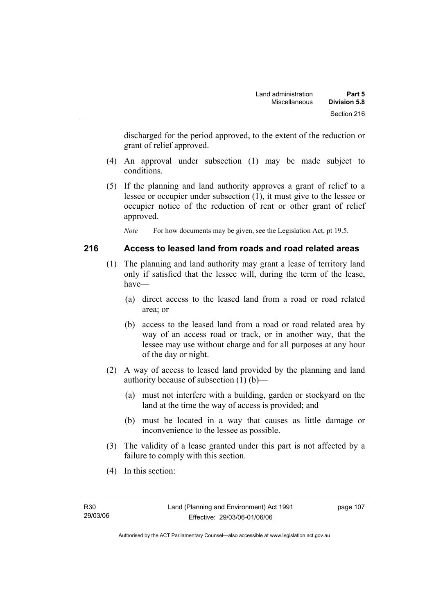discharged for the period approved, to the extent of the reduction or grant of relief approved.

- (4) An approval under subsection (1) may be made subject to conditions.
- (5) If the planning and land authority approves a grant of relief to a lessee or occupier under subsection (1), it must give to the lessee or occupier notice of the reduction of rent or other grant of relief approved.

*Note* For how documents may be given, see the Legislation Act, pt 19.5.

# **216 Access to leased land from roads and road related areas**

- (1) The planning and land authority may grant a lease of territory land only if satisfied that the lessee will, during the term of the lease, have—
	- (a) direct access to the leased land from a road or road related area; or
	- (b) access to the leased land from a road or road related area by way of an access road or track, or in another way, that the lessee may use without charge and for all purposes at any hour of the day or night.
- (2) A way of access to leased land provided by the planning and land authority because of subsection (1) (b)—
	- (a) must not interfere with a building, garden or stockyard on the land at the time the way of access is provided; and
	- (b) must be located in a way that causes as little damage or inconvenience to the lessee as possible.
- (3) The validity of a lease granted under this part is not affected by a failure to comply with this section.
- (4) In this section: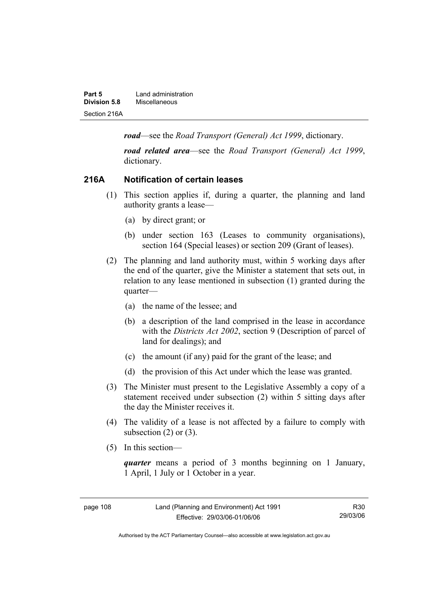| Part 5       | Land administration |
|--------------|---------------------|
| Division 5.8 | Miscellaneous       |
| Section 216A |                     |

*road*—see the *Road Transport (General) Act 1999*, dictionary.

*road related area*—see the *Road Transport (General) Act 1999*, dictionary.

### **216A Notification of certain leases**

- (1) This section applies if, during a quarter, the planning and land authority grants a lease—
	- (a) by direct grant; or
	- (b) under section 163 (Leases to community organisations), section 164 (Special leases) or section 209 (Grant of leases).
- (2) The planning and land authority must, within 5 working days after the end of the quarter, give the Minister a statement that sets out, in relation to any lease mentioned in subsection (1) granted during the quarter—
	- (a) the name of the lessee; and
	- (b) a description of the land comprised in the lease in accordance with the *Districts Act 2002*, section 9 (Description of parcel of land for dealings); and
	- (c) the amount (if any) paid for the grant of the lease; and
	- (d) the provision of this Act under which the lease was granted.
- (3) The Minister must present to the Legislative Assembly a copy of a statement received under subsection (2) within 5 sitting days after the day the Minister receives it.
- (4) The validity of a lease is not affected by a failure to comply with subsection  $(2)$  or  $(3)$ .
- (5) In this section—

*quarter* means a period of 3 months beginning on 1 January, 1 April, 1 July or 1 October in a year.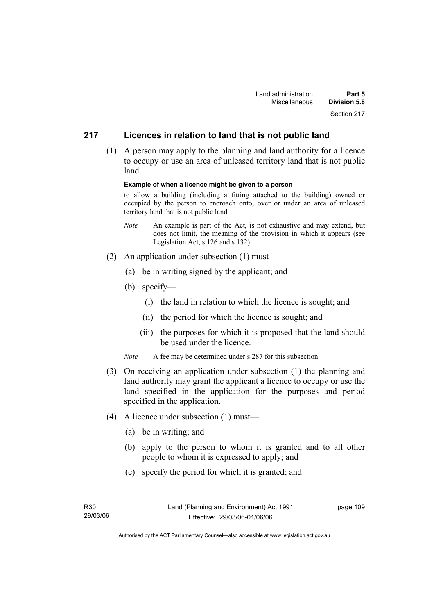# **217 Licences in relation to land that is not public land**

 (1) A person may apply to the planning and land authority for a licence to occupy or use an area of unleased territory land that is not public land.

#### **Example of when a licence might be given to a person**

to allow a building (including a fitting attached to the building) owned or occupied by the person to encroach onto, over or under an area of unleased territory land that is not public land

- *Note* An example is part of the Act, is not exhaustive and may extend, but does not limit, the meaning of the provision in which it appears (see Legislation Act, s 126 and s 132).
- (2) An application under subsection (1) must—
	- (a) be in writing signed by the applicant; and
	- (b) specify—
		- (i) the land in relation to which the licence is sought; and
		- (ii) the period for which the licence is sought; and
		- (iii) the purposes for which it is proposed that the land should be used under the licence.
	- *Note* A fee may be determined under s 287 for this subsection.
- (3) On receiving an application under subsection (1) the planning and land authority may grant the applicant a licence to occupy or use the land specified in the application for the purposes and period specified in the application.
- (4) A licence under subsection (1) must—
	- (a) be in writing; and
	- (b) apply to the person to whom it is granted and to all other people to whom it is expressed to apply; and
	- (c) specify the period for which it is granted; and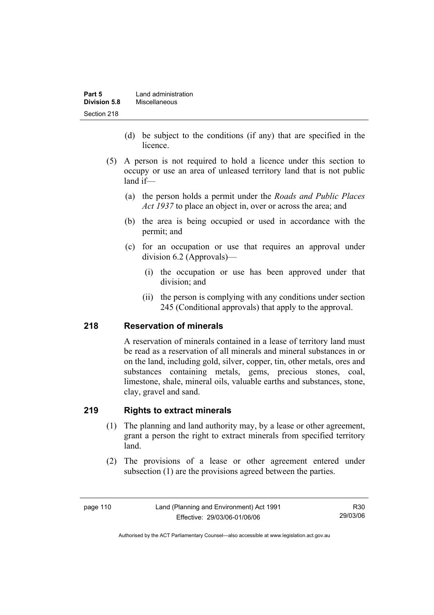| Part 5       | Land administration |
|--------------|---------------------|
| Division 5.8 | Miscellaneous       |
| Section 218  |                     |

- (d) be subject to the conditions (if any) that are specified in the licence.
- (5) A person is not required to hold a licence under this section to occupy or use an area of unleased territory land that is not public land if—
	- (a) the person holds a permit under the *Roads and Public Places Act 1937* to place an object in, over or across the area; and
	- (b) the area is being occupied or used in accordance with the permit; and
	- (c) for an occupation or use that requires an approval under division 6.2 (Approvals)—
		- (i) the occupation or use has been approved under that division; and
		- (ii) the person is complying with any conditions under section 245 (Conditional approvals) that apply to the approval.

# **218 Reservation of minerals**

A reservation of minerals contained in a lease of territory land must be read as a reservation of all minerals and mineral substances in or on the land, including gold, silver, copper, tin, other metals, ores and substances containing metals, gems, precious stones, coal, limestone, shale, mineral oils, valuable earths and substances, stone, clay, gravel and sand.

## **219 Rights to extract minerals**

- (1) The planning and land authority may, by a lease or other agreement, grant a person the right to extract minerals from specified territory land.
- (2) The provisions of a lease or other agreement entered under subsection (1) are the provisions agreed between the parties.

page 110 Land (Planning and Environment) Act 1991 Effective: 29/03/06-01/06/06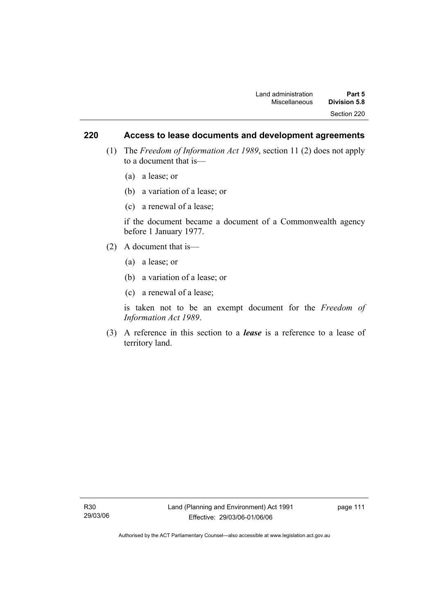# **220 Access to lease documents and development agreements**

- (1) The *Freedom of Information Act 1989*, section 11 (2) does not apply to a document that is—
	- (a) a lease; or
	- (b) a variation of a lease; or
	- (c) a renewal of a lease;

if the document became a document of a Commonwealth agency before 1 January 1977.

- (2) A document that is—
	- (a) a lease; or
	- (b) a variation of a lease; or
	- (c) a renewal of a lease;

is taken not to be an exempt document for the *Freedom of Information Act 1989*.

 (3) A reference in this section to a *lease* is a reference to a lease of territory land.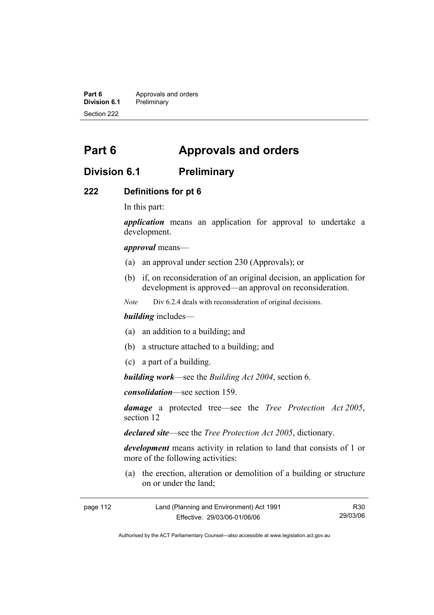**Part 6 Approvals and orders**<br>**Division 6.1 Preliminary Division 6.1** Preliminary Section 222

# **Part 6 Approvals and orders**

# **Division 6.1 Preliminary**

#### **222 Definitions for pt 6**

In this part:

*application* means an application for approval to undertake a development.

*approval* means—

- (a) an approval under section 230 (Approvals); or
- (b) if, on reconsideration of an original decision, an application for development is approved—an approval on reconsideration.

*Note* Div 6.2.4 deals with reconsideration of original decisions.

#### *building* includes—

- (a) an addition to a building; and
- (b) a structure attached to a building; and
- (c) a part of a building.

*building work*—see the *Building Act 2004*, section 6.

*consolidation*—see section 159.

*damage* a protected tree—see the *Tree Protection Act 2005*, section 12

*declared site*—see the *Tree Protection Act 2005*, dictionary.

*development* means activity in relation to land that consists of 1 or more of the following activities:

 (a) the erection, alteration or demolition of a building or structure on or under the land;

| page 112 | Land (Planning and Environment) Act 1991 | R30      |
|----------|------------------------------------------|----------|
|          | Effective: 29/03/06-01/06/06             | 29/03/06 |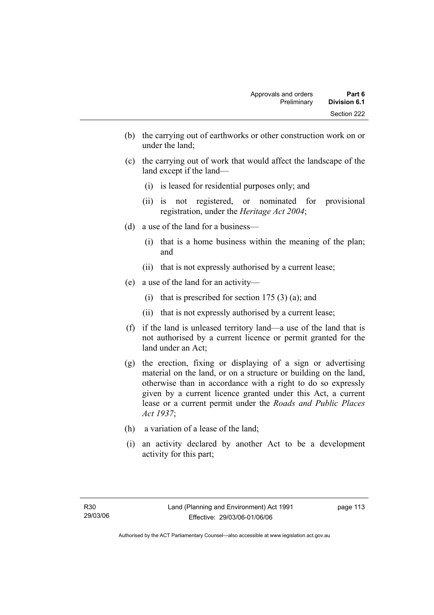- (b) the carrying out of earthworks or other construction work on or under the land;
- (c) the carrying out of work that would affect the landscape of the land except if the land—
	- (i) is leased for residential purposes only; and
	- (ii) is not registered, or nominated for provisional registration, under the *Heritage Act 2004*;
- (d) a use of the land for a business—
	- (i) that is a home business within the meaning of the plan; and
	- (ii) that is not expressly authorised by a current lease;
- (e) a use of the land for an activity—
	- (i) that is prescribed for section  $175(3)(a)$ ; and
	- (ii) that is not expressly authorised by a current lease;
- (f) if the land is unleased territory land—a use of the land that is not authorised by a current licence or permit granted for the land under an Act;
- (g) the erection, fixing or displaying of a sign or advertising material on the land, or on a structure or building on the land, otherwise than in accordance with a right to do so expressly given by a current licence granted under this Act, a current lease or a current permit under the *Roads and Public Places Act 1937*;
- (h) a variation of a lease of the land;
- (i) an activity declared by another Act to be a development activity for this part;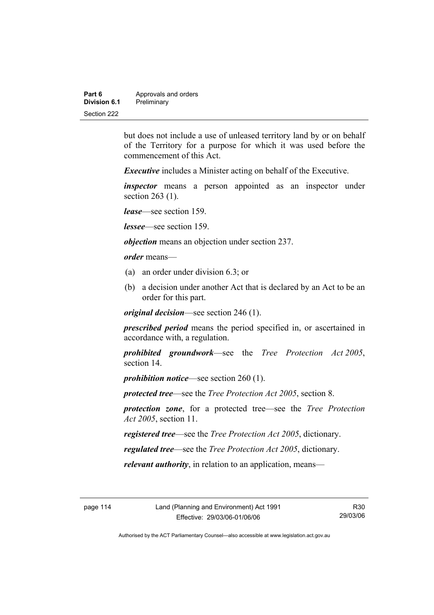| Part 6       | Approvals and orders |
|--------------|----------------------|
| Division 6.1 | Preliminary          |
| Section 222  |                      |

but does not include a use of unleased territory land by or on behalf of the Territory for a purpose for which it was used before the commencement of this Act.

*Executive* includes a Minister acting on behalf of the Executive.

*inspector* means a person appointed as an inspector under section 263 (1).

*lease*—see section 159.

*lessee*—see section 159.

*objection* means an objection under section 237.

*order* means—

- (a) an order under division 6.3; or
- (b) a decision under another Act that is declared by an Act to be an order for this part.

*original decision*—see section 246 (1).

*prescribed period* means the period specified in, or ascertained in accordance with, a regulation.

*prohibited groundwork*—see the *Tree Protection Act 2005*, section 14.

*prohibition notice*—see section 260 (1).

*protected tree*—see the *Tree Protection Act 2005*, section 8.

*protection zone*, for a protected tree—see the *Tree Protection Act 2005*, section 11.

*registered tree*—see the *Tree Protection Act 2005*, dictionary.

*regulated tree*—see the *Tree Protection Act 2005*, dictionary.

*relevant authority*, in relation to an application, means—

R30 29/03/06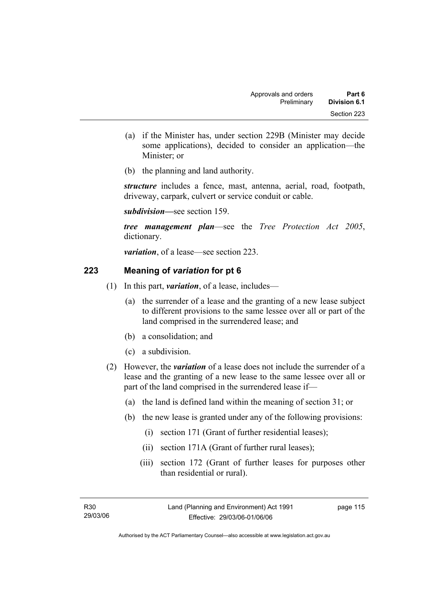- (a) if the Minister has, under section 229B (Minister may decide some applications), decided to consider an application—the Minister; or
- (b) the planning and land authority.

*structure* includes a fence, mast, antenna, aerial, road, footpath, driveway, carpark, culvert or service conduit or cable.

*subdivision—*see section 159.

*tree management plan*—see the *Tree Protection Act 2005*, dictionary.

*variation*, of a lease—see section 223.

# **223 Meaning of** *variation* **for pt 6**

- (1) In this part, *variation*, of a lease, includes—
	- (a) the surrender of a lease and the granting of a new lease subject to different provisions to the same lessee over all or part of the land comprised in the surrendered lease; and
	- (b) a consolidation; and
	- (c) a subdivision.
- (2) However, the *variation* of a lease does not include the surrender of a lease and the granting of a new lease to the same lessee over all or part of the land comprised in the surrendered lease if—
	- (a) the land is defined land within the meaning of section 31; or
	- (b) the new lease is granted under any of the following provisions:
		- (i) section 171 (Grant of further residential leases);
		- (ii) section 171A (Grant of further rural leases);
		- (iii) section 172 (Grant of further leases for purposes other than residential or rural).

Authorised by the ACT Parliamentary Counsel—also accessible at www.legislation.act.gov.au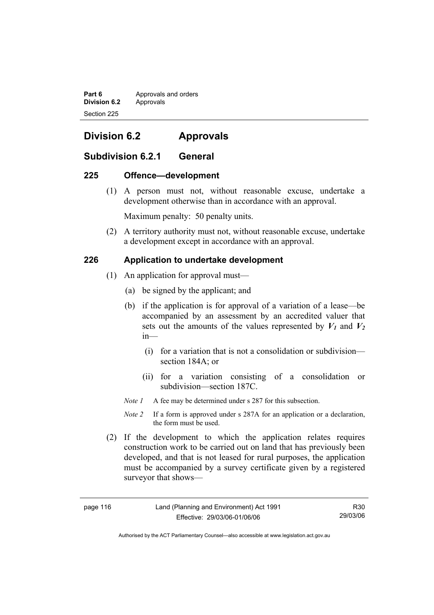**Part 6 Approvals and orders Division 6.2** Approvals Section 225

# **Division 6.2 Approvals**

# **Subdivision 6.2.1 General**

### **225 Offence—development**

 (1) A person must not, without reasonable excuse, undertake a development otherwise than in accordance with an approval.

Maximum penalty: 50 penalty units.

 (2) A territory authority must not, without reasonable excuse, undertake a development except in accordance with an approval.

# **226 Application to undertake development**

- (1) An application for approval must—
	- (a) be signed by the applicant; and
	- (b) if the application is for approval of a variation of a lease—be accompanied by an assessment by an accredited valuer that sets out the amounts of the values represented by  $V_1$  and  $V_2$ in—
		- (i) for a variation that is not a consolidation or subdivision section 184A; or
		- (ii) for a variation consisting of a consolidation or subdivision—section 187C.
	- *Note 1* A fee may be determined under s 287 for this subsection.
	- *Note 2* If a form is approved under s 287A for an application or a declaration, the form must be used.
- (2) If the development to which the application relates requires construction work to be carried out on land that has previously been developed, and that is not leased for rural purposes, the application must be accompanied by a survey certificate given by a registered surveyor that shows—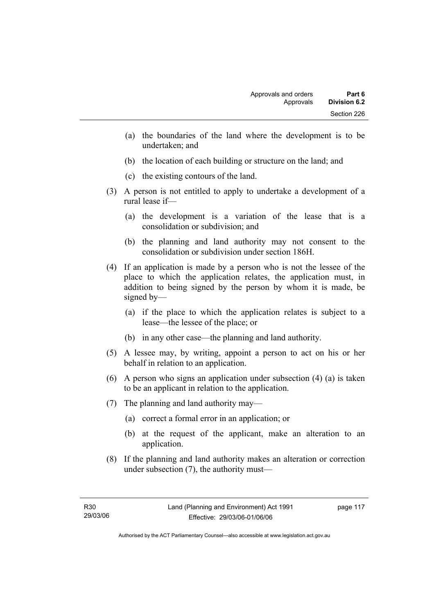- (a) the boundaries of the land where the development is to be undertaken; and
- (b) the location of each building or structure on the land; and
- (c) the existing contours of the land.
- (3) A person is not entitled to apply to undertake a development of a rural lease if—
	- (a) the development is a variation of the lease that is a consolidation or subdivision; and
	- (b) the planning and land authority may not consent to the consolidation or subdivision under section 186H.
- (4) If an application is made by a person who is not the lessee of the place to which the application relates, the application must, in addition to being signed by the person by whom it is made, be signed by—
	- (a) if the place to which the application relates is subject to a lease—the lessee of the place; or
	- (b) in any other case—the planning and land authority.
- (5) A lessee may, by writing, appoint a person to act on his or her behalf in relation to an application.
- (6) A person who signs an application under subsection (4) (a) is taken to be an applicant in relation to the application.
- (7) The planning and land authority may—
	- (a) correct a formal error in an application; or
	- (b) at the request of the applicant, make an alteration to an application.
- (8) If the planning and land authority makes an alteration or correction under subsection (7), the authority must—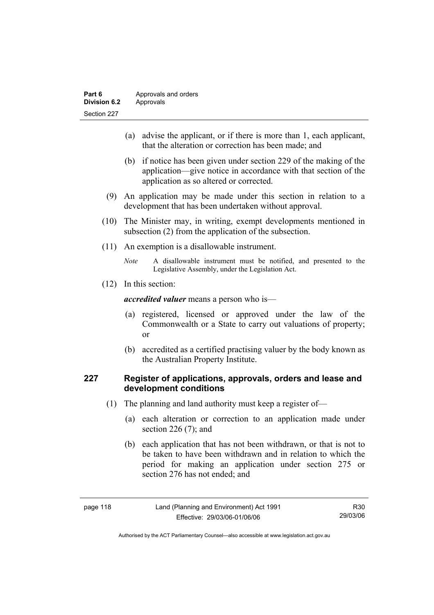| Part 6       | Approvals and orders |
|--------------|----------------------|
| Division 6.2 | Approvals            |
| Section 227  |                      |

- (a) advise the applicant, or if there is more than 1, each applicant, that the alteration or correction has been made; and
- (b) if notice has been given under section 229 of the making of the application—give notice in accordance with that section of the application as so altered or corrected.
- (9) An application may be made under this section in relation to a development that has been undertaken without approval.
- (10) The Minister may, in writing, exempt developments mentioned in subsection (2) from the application of the subsection.
- (11) An exemption is a disallowable instrument.
	- *Note* A disallowable instrument must be notified, and presented to the Legislative Assembly, under the Legislation Act.
- (12) In this section:

*accredited valuer* means a person who is—

- (a) registered, licensed or approved under the law of the Commonwealth or a State to carry out valuations of property; or
- (b) accredited as a certified practising valuer by the body known as the Australian Property Institute.

# **227 Register of applications, approvals, orders and lease and development conditions**

- (1) The planning and land authority must keep a register of—
	- (a) each alteration or correction to an application made under section 226 (7); and
	- (b) each application that has not been withdrawn, or that is not to be taken to have been withdrawn and in relation to which the period for making an application under section 275 or section 276 has not ended; and

| page |  |  |
|------|--|--|
|------|--|--|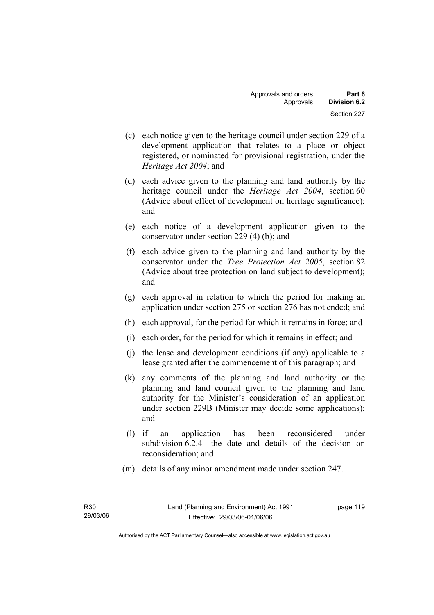- (c) each notice given to the heritage council under section 229 of a development application that relates to a place or object registered, or nominated for provisional registration, under the *Heritage Act 2004*; and
- (d) each advice given to the planning and land authority by the heritage council under the *Heritage Act 2004*, section 60 (Advice about effect of development on heritage significance); and
- (e) each notice of a development application given to the conservator under section 229 (4) (b); and
- (f) each advice given to the planning and land authority by the conservator under the *Tree Protection Act 2005*, section 82 (Advice about tree protection on land subject to development); and
- (g) each approval in relation to which the period for making an application under section 275 or section 276 has not ended; and
- (h) each approval, for the period for which it remains in force; and
- (i) each order, for the period for which it remains in effect; and
- (j) the lease and development conditions (if any) applicable to a lease granted after the commencement of this paragraph; and
- (k) any comments of the planning and land authority or the planning and land council given to the planning and land authority for the Minister's consideration of an application under section 229B (Minister may decide some applications); and
- (l) if an application has been reconsidered under subdivision 6.2.4—the date and details of the decision on reconsideration; and
- (m) details of any minor amendment made under section 247.

page 119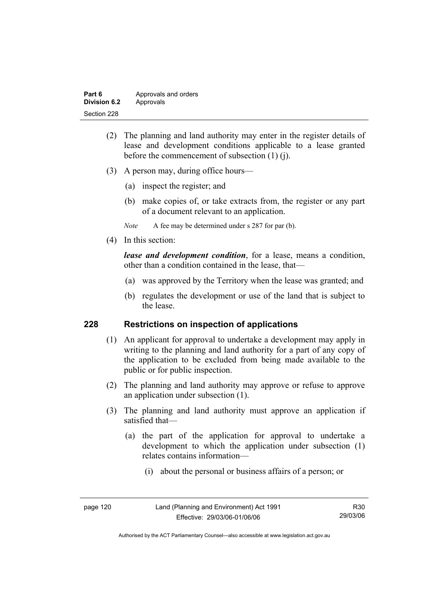| Part 6       | Approvals and orders |
|--------------|----------------------|
| Division 6.2 | Approvals            |
| Section 228  |                      |

- (2) The planning and land authority may enter in the register details of lease and development conditions applicable to a lease granted before the commencement of subsection (1) (j).
- (3) A person may, during office hours—
	- (a) inspect the register; and
	- (b) make copies of, or take extracts from, the register or any part of a document relevant to an application.
	- *Note* A fee may be determined under s 287 for par (b).
- (4) In this section:

*lease and development condition*, for a lease, means a condition, other than a condition contained in the lease, that—

- (a) was approved by the Territory when the lease was granted; and
- (b) regulates the development or use of the land that is subject to the lease.

### **228 Restrictions on inspection of applications**

- (1) An applicant for approval to undertake a development may apply in writing to the planning and land authority for a part of any copy of the application to be excluded from being made available to the public or for public inspection.
- (2) The planning and land authority may approve or refuse to approve an application under subsection (1).
- (3) The planning and land authority must approve an application if satisfied that—
	- (a) the part of the application for approval to undertake a development to which the application under subsection (1) relates contains information—
		- (i) about the personal or business affairs of a person; or

| page 120 |  |  |
|----------|--|--|
|----------|--|--|

Authorised by the ACT Parliamentary Counsel—also accessible at www.legislation.act.gov.au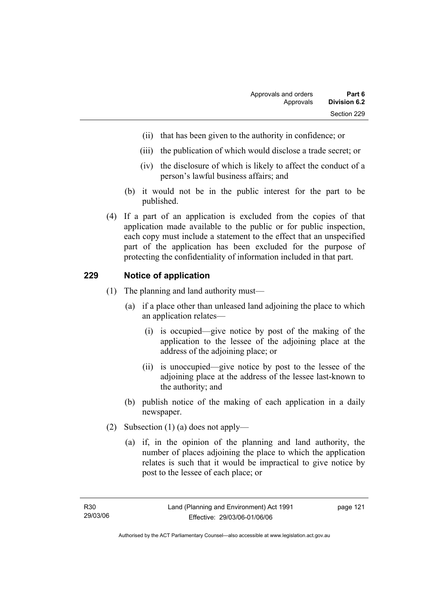- (ii) that has been given to the authority in confidence; or
- (iii) the publication of which would disclose a trade secret; or
- (iv) the disclosure of which is likely to affect the conduct of a person's lawful business affairs; and
- (b) it would not be in the public interest for the part to be published.
- (4) If a part of an application is excluded from the copies of that application made available to the public or for public inspection, each copy must include a statement to the effect that an unspecified part of the application has been excluded for the purpose of protecting the confidentiality of information included in that part.

# **229 Notice of application**

- (1) The planning and land authority must—
	- (a) if a place other than unleased land adjoining the place to which an application relates—
		- (i) is occupied—give notice by post of the making of the application to the lessee of the adjoining place at the address of the adjoining place; or
		- (ii) is unoccupied—give notice by post to the lessee of the adjoining place at the address of the lessee last-known to the authority; and
	- (b) publish notice of the making of each application in a daily newspaper.
- (2) Subsection (1) (a) does not apply—
	- (a) if, in the opinion of the planning and land authority, the number of places adjoining the place to which the application relates is such that it would be impractical to give notice by post to the lessee of each place; or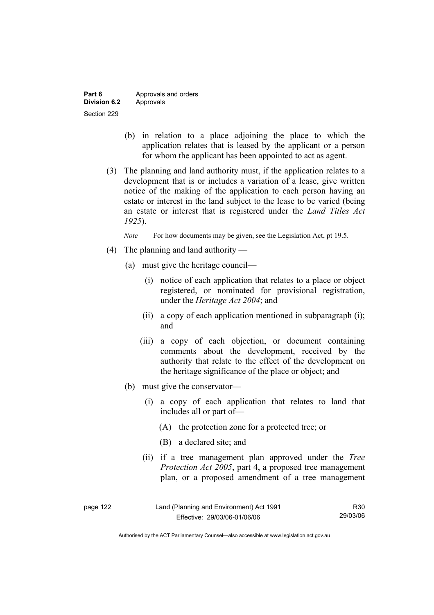| Part 6       | Approvals and orders |
|--------------|----------------------|
| Division 6.2 | Approvals            |
| Section 229  |                      |

- (b) in relation to a place adjoining the place to which the application relates that is leased by the applicant or a person for whom the applicant has been appointed to act as agent.
- (3) The planning and land authority must, if the application relates to a development that is or includes a variation of a lease, give written notice of the making of the application to each person having an estate or interest in the land subject to the lease to be varied (being an estate or interest that is registered under the *Land Titles Act 1925*).

*Note* For how documents may be given, see the Legislation Act, pt 19.5.

- (4) The planning and land authority
	- (a) must give the heritage council—
		- (i) notice of each application that relates to a place or object registered, or nominated for provisional registration, under the *Heritage Act 2004*; and
		- (ii) a copy of each application mentioned in subparagraph (i); and
		- (iii) a copy of each objection, or document containing comments about the development, received by the authority that relate to the effect of the development on the heritage significance of the place or object; and
	- (b) must give the conservator—
		- (i) a copy of each application that relates to land that includes all or part of—
			- (A) the protection zone for a protected tree; or
			- (B) a declared site; and
		- (ii) if a tree management plan approved under the *Tree Protection Act 2005*, part 4, a proposed tree management plan, or a proposed amendment of a tree management

| page 122 | Land (Planning and Environment) Act 1991 | R30      |
|----------|------------------------------------------|----------|
|          | Effective: 29/03/06-01/06/06             | 29/03/06 |

Authorised by the ACT Parliamentary Counsel—also accessible at www.legislation.act.gov.au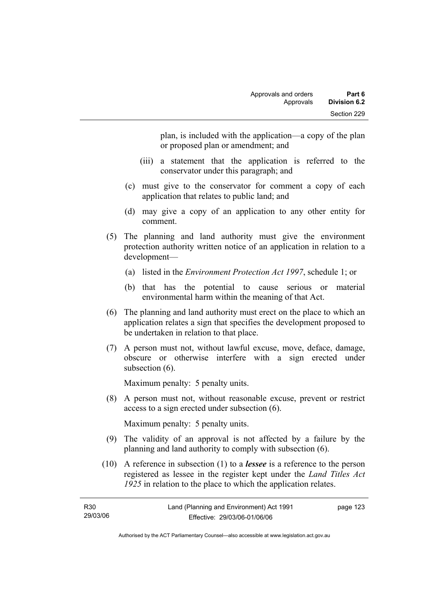plan, is included with the application—a copy of the plan or proposed plan or amendment; and

- (iii) a statement that the application is referred to the conservator under this paragraph; and
- (c) must give to the conservator for comment a copy of each application that relates to public land; and
- (d) may give a copy of an application to any other entity for comment.
- (5) The planning and land authority must give the environment protection authority written notice of an application in relation to a development—
	- (a) listed in the *Environment Protection Act 1997*, schedule 1; or
	- (b) that has the potential to cause serious or material environmental harm within the meaning of that Act.
- (6) The planning and land authority must erect on the place to which an application relates a sign that specifies the development proposed to be undertaken in relation to that place.
- (7) A person must not, without lawful excuse, move, deface, damage, obscure or otherwise interfere with a sign erected under subsection  $(6)$ .

Maximum penalty: 5 penalty units.

 (8) A person must not, without reasonable excuse, prevent or restrict access to a sign erected under subsection (6).

Maximum penalty: 5 penalty units.

- (9) The validity of an approval is not affected by a failure by the planning and land authority to comply with subsection (6).
- (10) A reference in subsection (1) to a *lessee* is a reference to the person registered as lessee in the register kept under the *Land Titles Act 1925* in relation to the place to which the application relates.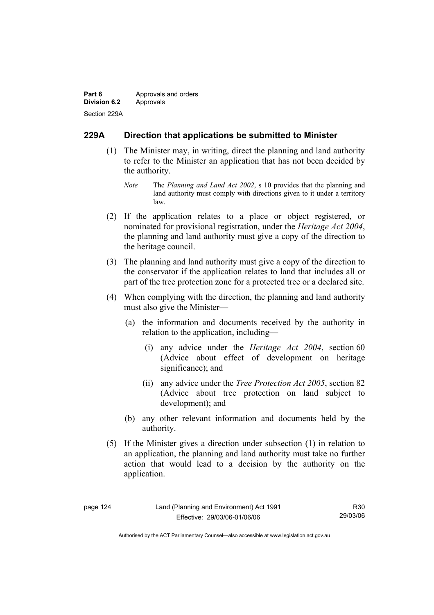| Part 6              | Approvals and orders |  |
|---------------------|----------------------|--|
| <b>Division 6.2</b> | Approvals            |  |
| Section 229A        |                      |  |

# **229A Direction that applications be submitted to Minister**

- (1) The Minister may, in writing, direct the planning and land authority to refer to the Minister an application that has not been decided by the authority.
	- *Note* The *Planning and Land Act 2002*, s 10 provides that the planning and land authority must comply with directions given to it under a territory law.
- (2) If the application relates to a place or object registered, or nominated for provisional registration, under the *Heritage Act 2004*, the planning and land authority must give a copy of the direction to the heritage council.
- (3) The planning and land authority must give a copy of the direction to the conservator if the application relates to land that includes all or part of the tree protection zone for a protected tree or a declared site.
- (4) When complying with the direction, the planning and land authority must also give the Minister—
	- (a) the information and documents received by the authority in relation to the application, including—
		- (i) any advice under the *Heritage Act 2004*, section 60 (Advice about effect of development on heritage significance); and
		- (ii) any advice under the *Tree Protection Act 2005*, section 82 (Advice about tree protection on land subject to development); and
	- (b) any other relevant information and documents held by the authority.
- (5) If the Minister gives a direction under subsection (1) in relation to an application, the planning and land authority must take no further action that would lead to a decision by the authority on the application.

| page |  |
|------|--|
|------|--|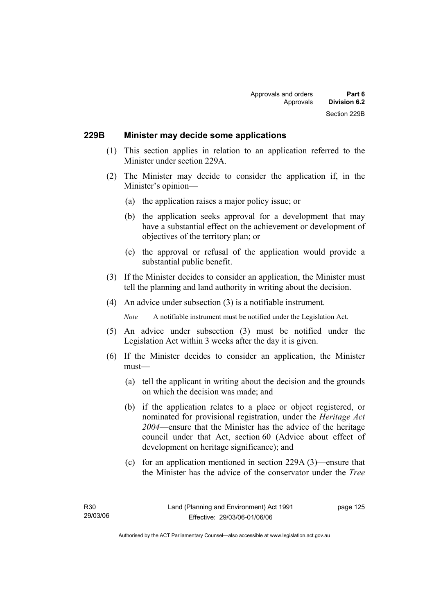#### **229B Minister may decide some applications**

- (1) This section applies in relation to an application referred to the Minister under section 229A.
- (2) The Minister may decide to consider the application if, in the Minister's opinion—
	- (a) the application raises a major policy issue; or
	- (b) the application seeks approval for a development that may have a substantial effect on the achievement or development of objectives of the territory plan; or
	- (c) the approval or refusal of the application would provide a substantial public benefit.
- (3) If the Minister decides to consider an application, the Minister must tell the planning and land authority in writing about the decision.
- (4) An advice under subsection (3) is a notifiable instrument.

*Note* A notifiable instrument must be notified under the Legislation Act.

- (5) An advice under subsection (3) must be notified under the Legislation Act within 3 weeks after the day it is given.
- (6) If the Minister decides to consider an application, the Minister must—
	- (a) tell the applicant in writing about the decision and the grounds on which the decision was made; and
	- (b) if the application relates to a place or object registered, or nominated for provisional registration, under the *Heritage Act 2004*—ensure that the Minister has the advice of the heritage council under that Act, section 60 (Advice about effect of development on heritage significance); and
	- (c) for an application mentioned in section 229A (3)—ensure that the Minister has the advice of the conservator under the *Tree*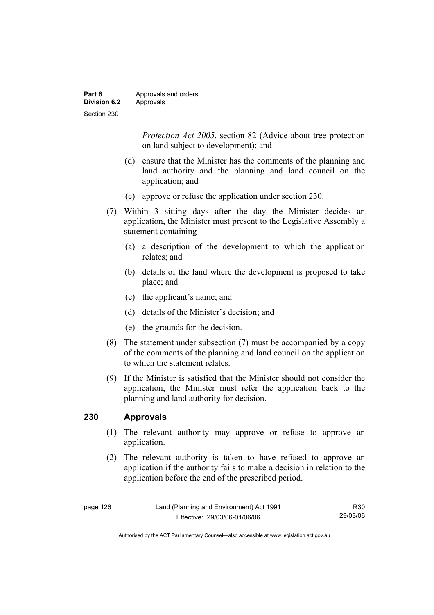| Part 6              | Approvals and orders |
|---------------------|----------------------|
| <b>Division 6.2</b> | Approvals            |
| Section 230         |                      |

*Protection Act 2005*, section 82 (Advice about tree protection on land subject to development); and

- (d) ensure that the Minister has the comments of the planning and land authority and the planning and land council on the application; and
- (e) approve or refuse the application under section 230.
- (7) Within 3 sitting days after the day the Minister decides an application, the Minister must present to the Legislative Assembly a statement containing—
	- (a) a description of the development to which the application relates; and
	- (b) details of the land where the development is proposed to take place; and
	- (c) the applicant's name; and
	- (d) details of the Minister's decision; and
	- (e) the grounds for the decision.
- (8) The statement under subsection (7) must be accompanied by a copy of the comments of the planning and land council on the application to which the statement relates.
- (9) If the Minister is satisfied that the Minister should not consider the application, the Minister must refer the application back to the planning and land authority for decision.

### **230 Approvals**

- (1) The relevant authority may approve or refuse to approve an application.
- (2) The relevant authority is taken to have refused to approve an application if the authority fails to make a decision in relation to the application before the end of the prescribed period.

| page 126 | Land (Planning and Environment) Act 1991 | R30      |
|----------|------------------------------------------|----------|
|          | Effective: 29/03/06-01/06/06             | 29/03/06 |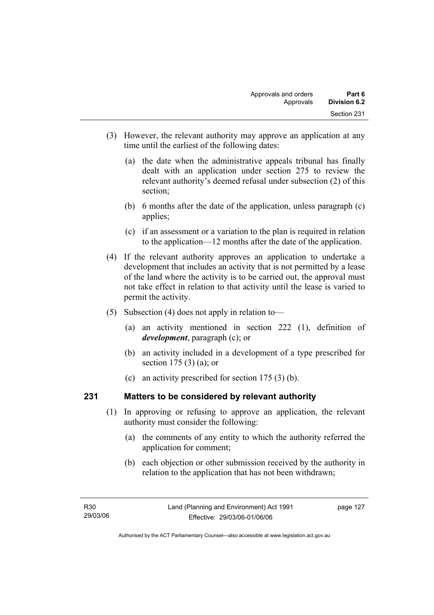- (3) However, the relevant authority may approve an application at any time until the earliest of the following dates:
	- (a) the date when the administrative appeals tribunal has finally dealt with an application under section 275 to review the relevant authority's deemed refusal under subsection (2) of this section;
	- (b) 6 months after the date of the application, unless paragraph (c) applies;
	- (c) if an assessment or a variation to the plan is required in relation to the application—12 months after the date of the application.
- (4) If the relevant authority approves an application to undertake a development that includes an activity that is not permitted by a lease of the land where the activity is to be carried out, the approval must not take effect in relation to that activity until the lease is varied to permit the activity.
- (5) Subsection (4) does not apply in relation to—
	- (a) an activity mentioned in section 222 (1), definition of *development*, paragraph (c); or
	- (b) an activity included in a development of a type prescribed for section 175 (3) (a); or
	- (c) an activity prescribed for section 175 (3) (b).

# **231 Matters to be considered by relevant authority**

- (1) In approving or refusing to approve an application, the relevant authority must consider the following:
	- (a) the comments of any entity to which the authority referred the application for comment;
	- (b) each objection or other submission received by the authority in relation to the application that has not been withdrawn;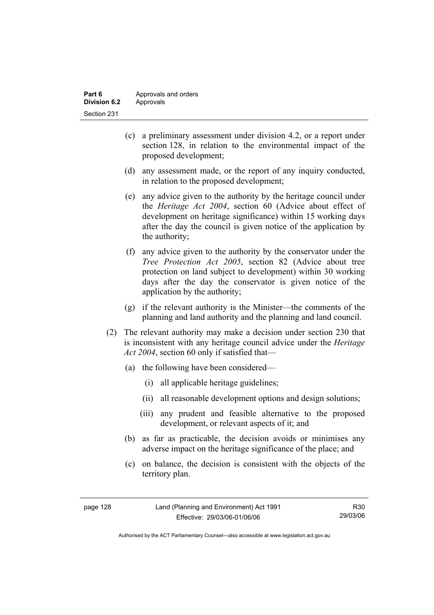| Part 6       | Approvals and orders |
|--------------|----------------------|
| Division 6.2 | Approvals            |
| Section 231  |                      |

- (c) a preliminary assessment under division 4.2, or a report under section 128, in relation to the environmental impact of the proposed development;
- (d) any assessment made, or the report of any inquiry conducted, in relation to the proposed development;
- (e) any advice given to the authority by the heritage council under the *Heritage Act 2004*, section 60 (Advice about effect of development on heritage significance) within 15 working days after the day the council is given notice of the application by the authority;
- (f) any advice given to the authority by the conservator under the *Tree Protection Act 2005*, section 82 (Advice about tree protection on land subject to development) within 30 working days after the day the conservator is given notice of the application by the authority;
- (g) if the relevant authority is the Minister—the comments of the planning and land authority and the planning and land council.
- (2) The relevant authority may make a decision under section 230 that is inconsistent with any heritage council advice under the *Heritage Act 2004*, section 60 only if satisfied that—
	- (a) the following have been considered—
		- (i) all applicable heritage guidelines;
		- (ii) all reasonable development options and design solutions;
		- (iii) any prudent and feasible alternative to the proposed development, or relevant aspects of it; and
	- (b) as far as practicable, the decision avoids or minimises any adverse impact on the heritage significance of the place; and
	- (c) on balance, the decision is consistent with the objects of the territory plan.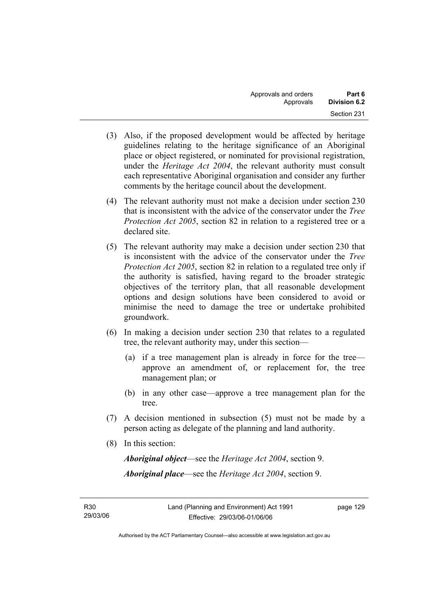- (3) Also, if the proposed development would be affected by heritage guidelines relating to the heritage significance of an Aboriginal place or object registered, or nominated for provisional registration, under the *Heritage Act 2004*, the relevant authority must consult each representative Aboriginal organisation and consider any further comments by the heritage council about the development.
- (4) The relevant authority must not make a decision under section 230 that is inconsistent with the advice of the conservator under the *Tree Protection Act 2005*, section 82 in relation to a registered tree or a declared site.
- (5) The relevant authority may make a decision under section 230 that is inconsistent with the advice of the conservator under the *Tree Protection Act 2005*, section 82 in relation to a regulated tree only if the authority is satisfied, having regard to the broader strategic objectives of the territory plan, that all reasonable development options and design solutions have been considered to avoid or minimise the need to damage the tree or undertake prohibited groundwork.
- (6) In making a decision under section 230 that relates to a regulated tree, the relevant authority may, under this section—
	- (a) if a tree management plan is already in force for the tree approve an amendment of, or replacement for, the tree management plan; or
	- (b) in any other case—approve a tree management plan for the tree.
- (7) A decision mentioned in subsection (5) must not be made by a person acting as delegate of the planning and land authority.
- (8) In this section:

*Aboriginal object*—see the *Heritage Act 2004*, section 9. *Aboriginal place*—see the *Heritage Act 2004*, section 9.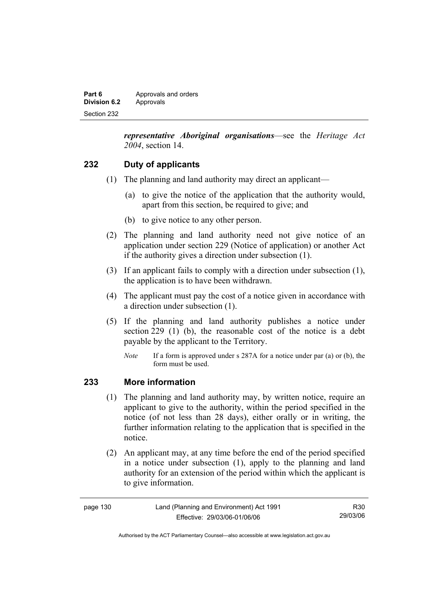| Part 6       | Approvals and orders |
|--------------|----------------------|
| Division 6.2 | Approvals            |
| Section 232  |                      |

*representative Aboriginal organisations*—see the *Heritage Act 2004*, section 14.

# **232 Duty of applicants**

- (1) The planning and land authority may direct an applicant—
	- (a) to give the notice of the application that the authority would, apart from this section, be required to give; and
	- (b) to give notice to any other person.
- (2) The planning and land authority need not give notice of an application under section 229 (Notice of application) or another Act if the authority gives a direction under subsection (1).
- (3) If an applicant fails to comply with a direction under subsection (1), the application is to have been withdrawn.
- (4) The applicant must pay the cost of a notice given in accordance with a direction under subsection (1).
- (5) If the planning and land authority publishes a notice under section 229 (1) (b), the reasonable cost of the notice is a debt payable by the applicant to the Territory.
	- *Note* If a form is approved under s 287A for a notice under par (a) or (b), the form must be used.

### **233 More information**

- (1) The planning and land authority may, by written notice, require an applicant to give to the authority, within the period specified in the notice (of not less than 28 days), either orally or in writing, the further information relating to the application that is specified in the notice.
- (2) An applicant may, at any time before the end of the period specified in a notice under subsection (1), apply to the planning and land authority for an extension of the period within which the applicant is to give information.

| page 130 | Land (Planning and Environment) Act 1991 | R30      |
|----------|------------------------------------------|----------|
|          | Effective: 29/03/06-01/06/06             | 29/03/06 |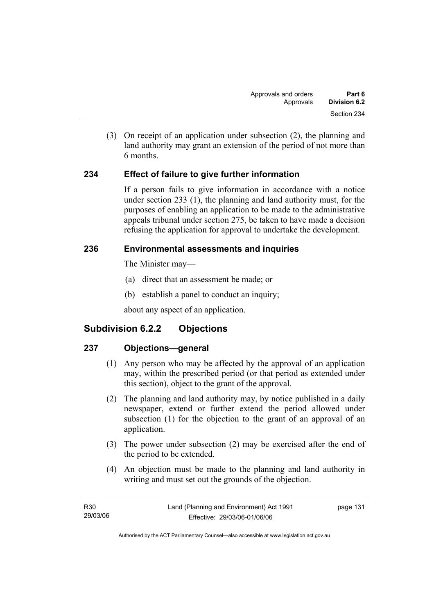(3) On receipt of an application under subsection (2), the planning and land authority may grant an extension of the period of not more than 6 months.

## **234 Effect of failure to give further information**

If a person fails to give information in accordance with a notice under section 233 (1), the planning and land authority must, for the purposes of enabling an application to be made to the administrative appeals tribunal under section 275, be taken to have made a decision refusing the application for approval to undertake the development.

## **236 Environmental assessments and inquiries**

The Minister may—

- (a) direct that an assessment be made; or
- (b) establish a panel to conduct an inquiry;

about any aspect of an application.

# **Subdivision 6.2.2 Objections**

## **237 Objections—general**

- (1) Any person who may be affected by the approval of an application may, within the prescribed period (or that period as extended under this section), object to the grant of the approval.
- (2) The planning and land authority may, by notice published in a daily newspaper, extend or further extend the period allowed under subsection (1) for the objection to the grant of an approval of an application.
- (3) The power under subsection (2) may be exercised after the end of the period to be extended.
- (4) An objection must be made to the planning and land authority in writing and must set out the grounds of the objection.

| R30      | Land (Planning and Environment) Act 1991 | page 131 |
|----------|------------------------------------------|----------|
| 29/03/06 | Effective: 29/03/06-01/06/06             |          |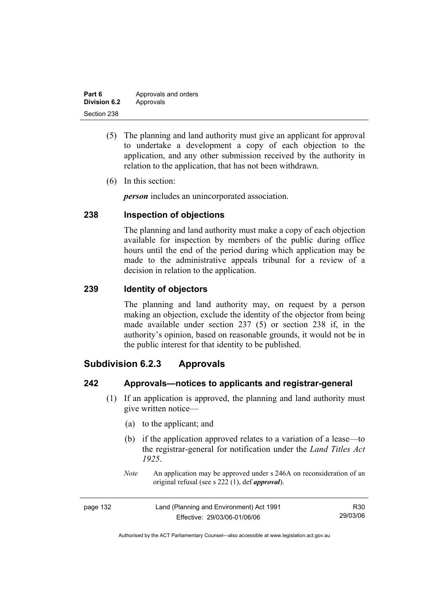| Part 6              | Approvals and orders |
|---------------------|----------------------|
| <b>Division 6.2</b> | Approvals            |
| Section 238         |                      |

- (5) The planning and land authority must give an applicant for approval to undertake a development a copy of each objection to the application, and any other submission received by the authority in relation to the application, that has not been withdrawn.
- (6) In this section:

*person* includes an unincorporated association.

## **238 Inspection of objections**

The planning and land authority must make a copy of each objection available for inspection by members of the public during office hours until the end of the period during which application may be made to the administrative appeals tribunal for a review of a decision in relation to the application.

### **239 Identity of objectors**

The planning and land authority may, on request by a person making an objection, exclude the identity of the objector from being made available under section 237 (5) or section 238 if, in the authority's opinion, based on reasonable grounds, it would not be in the public interest for that identity to be published.

# **Subdivision 6.2.3 Approvals**

### **242 Approvals—notices to applicants and registrar-general**

- (1) If an application is approved, the planning and land authority must give written notice—
	- (a) to the applicant; and
	- (b) if the application approved relates to a variation of a lease—to the registrar-general for notification under the *Land Titles Act 1925*.
	- *Note* An application may be approved under s 246A on reconsideration of an original refusal (see s 222 (1), def *approval*).

| page 132 | Land (Planning and Environment) Act 1991 | R30      |
|----------|------------------------------------------|----------|
|          | Effective: 29/03/06-01/06/06             | 29/03/06 |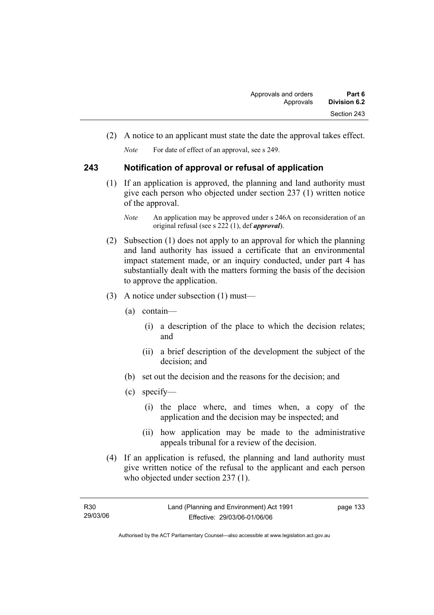(2) A notice to an applicant must state the date the approval takes effect.

*Note* For date of effect of an approval, see s 249.

## **243 Notification of approval or refusal of application**

 (1) If an application is approved, the planning and land authority must give each person who objected under section 237 (1) written notice of the approval.

- (2) Subsection (1) does not apply to an approval for which the planning and land authority has issued a certificate that an environmental impact statement made, or an inquiry conducted, under part 4 has substantially dealt with the matters forming the basis of the decision to approve the application.
- (3) A notice under subsection (1) must—
	- (a) contain—
		- (i) a description of the place to which the decision relates; and
		- (ii) a brief description of the development the subject of the decision; and
	- (b) set out the decision and the reasons for the decision; and
	- (c) specify—
		- (i) the place where, and times when, a copy of the application and the decision may be inspected; and
		- (ii) how application may be made to the administrative appeals tribunal for a review of the decision.
- (4) If an application is refused, the planning and land authority must give written notice of the refusal to the applicant and each person who objected under section 237 (1).

*Note* An application may be approved under s 246A on reconsideration of an original refusal (see s 222 (1), def *approval*).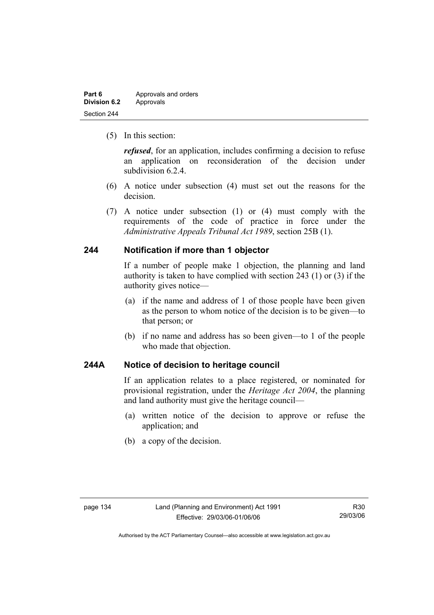| Part 6              | Approvals and orders |
|---------------------|----------------------|
| <b>Division 6.2</b> | Approvals            |
| Section 244         |                      |

(5) In this section:

*refused*, for an application, includes confirming a decision to refuse an application on reconsideration of the decision under subdivision 6.2.4.

- (6) A notice under subsection (4) must set out the reasons for the decision.
- (7) A notice under subsection (1) or (4) must comply with the requirements of the code of practice in force under the *Administrative Appeals Tribunal Act 1989*, section 25B (1).

### **244 Notification if more than 1 objector**

If a number of people make 1 objection, the planning and land authority is taken to have complied with section 243 (1) or (3) if the authority gives notice—

- (a) if the name and address of 1 of those people have been given as the person to whom notice of the decision is to be given—to that person; or
- (b) if no name and address has so been given—to 1 of the people who made that objection.

## **244A Notice of decision to heritage council**

If an application relates to a place registered, or nominated for provisional registration, under the *Heritage Act 2004*, the planning and land authority must give the heritage council—

- (a) written notice of the decision to approve or refuse the application; and
- (b) a copy of the decision.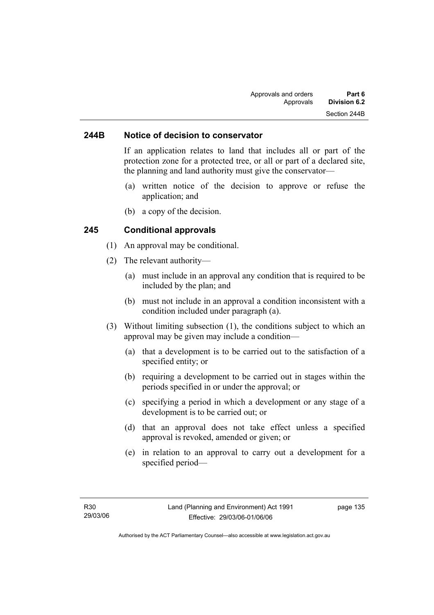#### **244B Notice of decision to conservator**

If an application relates to land that includes all or part of the protection zone for a protected tree, or all or part of a declared site, the planning and land authority must give the conservator—

- (a) written notice of the decision to approve or refuse the application; and
- (b) a copy of the decision.

#### **245 Conditional approvals**

- (1) An approval may be conditional.
- (2) The relevant authority—
	- (a) must include in an approval any condition that is required to be included by the plan; and
	- (b) must not include in an approval a condition inconsistent with a condition included under paragraph (a).
- (3) Without limiting subsection (1), the conditions subject to which an approval may be given may include a condition—
	- (a) that a development is to be carried out to the satisfaction of a specified entity; or
	- (b) requiring a development to be carried out in stages within the periods specified in or under the approval; or
	- (c) specifying a period in which a development or any stage of a development is to be carried out; or
	- (d) that an approval does not take effect unless a specified approval is revoked, amended or given; or
	- (e) in relation to an approval to carry out a development for a specified period—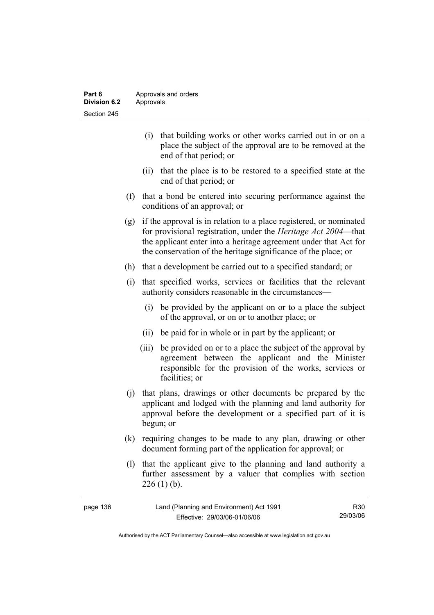| Part 6       | Approvals and orders |
|--------------|----------------------|
| Division 6.2 | Approvals            |
| Section 245  |                      |

- (i) that building works or other works carried out in or on a place the subject of the approval are to be removed at the end of that period; or
- (ii) that the place is to be restored to a specified state at the end of that period; or
- (f) that a bond be entered into securing performance against the conditions of an approval; or
- (g) if the approval is in relation to a place registered, or nominated for provisional registration, under the *Heritage Act 2004*—that the applicant enter into a heritage agreement under that Act for the conservation of the heritage significance of the place; or
- (h) that a development be carried out to a specified standard; or
- (i) that specified works, services or facilities that the relevant authority considers reasonable in the circumstances—
	- (i) be provided by the applicant on or to a place the subject of the approval, or on or to another place; or
	- (ii) be paid for in whole or in part by the applicant; or
	- (iii) be provided on or to a place the subject of the approval by agreement between the applicant and the Minister responsible for the provision of the works, services or facilities; or
- (j) that plans, drawings or other documents be prepared by the applicant and lodged with the planning and land authority for approval before the development or a specified part of it is begun; or
- (k) requiring changes to be made to any plan, drawing or other document forming part of the application for approval; or
- (l) that the applicant give to the planning and land authority a further assessment by a valuer that complies with section  $226(1)$  (b).

| page 136 | Land (Planning and Environment) Act 1991 | R30      |
|----------|------------------------------------------|----------|
|          | Effective: 29/03/06-01/06/06             | 29/03/06 |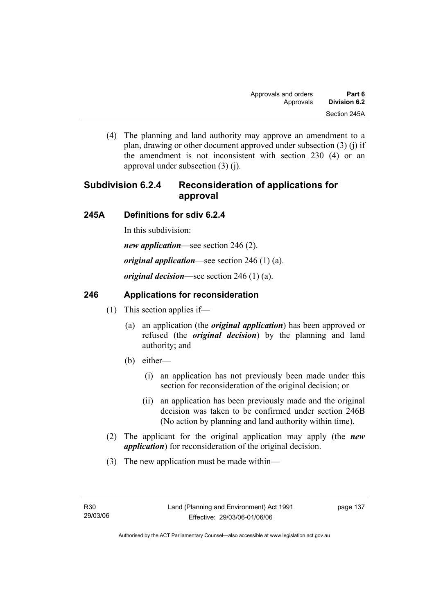(4) The planning and land authority may approve an amendment to a plan, drawing or other document approved under subsection (3) (j) if the amendment is not inconsistent with section 230 (4) or an approval under subsection (3) (j).

# **Subdivision 6.2.4 Reconsideration of applications for approval**

## **245A Definitions for sdiv 6.2.4**

In this subdivision:

*new application*—see section 246 (2).

*original application*—see section 246 (1) (a).

*original decision*—see section 246 (1) (a).

## **246 Applications for reconsideration**

- (1) This section applies if—
	- (a) an application (the *original application*) has been approved or refused (the *original decision*) by the planning and land authority; and
	- (b) either—
		- (i) an application has not previously been made under this section for reconsideration of the original decision; or
		- (ii) an application has been previously made and the original decision was taken to be confirmed under section 246B (No action by planning and land authority within time).
- (2) The applicant for the original application may apply (the *new application*) for reconsideration of the original decision.
- (3) The new application must be made within—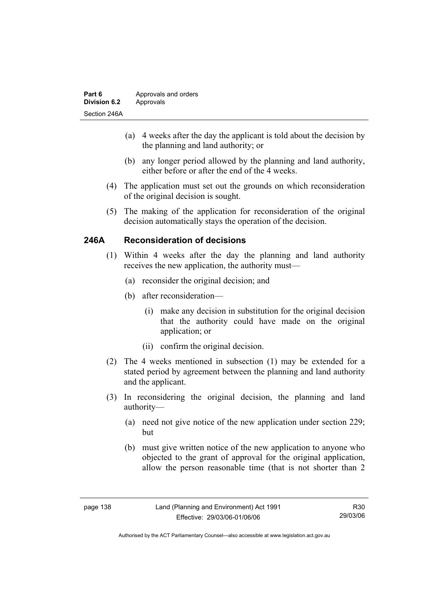| Part 6              | Approvals and orders |
|---------------------|----------------------|
| <b>Division 6.2</b> | Approvals            |
| Section 246A        |                      |

- (a) 4 weeks after the day the applicant is told about the decision by the planning and land authority; or
- (b) any longer period allowed by the planning and land authority, either before or after the end of the 4 weeks.
- (4) The application must set out the grounds on which reconsideration of the original decision is sought.
- (5) The making of the application for reconsideration of the original decision automatically stays the operation of the decision.

## **246A Reconsideration of decisions**

- (1) Within 4 weeks after the day the planning and land authority receives the new application, the authority must—
	- (a) reconsider the original decision; and
	- (b) after reconsideration—
		- (i) make any decision in substitution for the original decision that the authority could have made on the original application; or
		- (ii) confirm the original decision.
- (2) The 4 weeks mentioned in subsection (1) may be extended for a stated period by agreement between the planning and land authority and the applicant.
- (3) In reconsidering the original decision, the planning and land authority—
	- (a) need not give notice of the new application under section 229; but
	- (b) must give written notice of the new application to anyone who objected to the grant of approval for the original application, allow the person reasonable time (that is not shorter than 2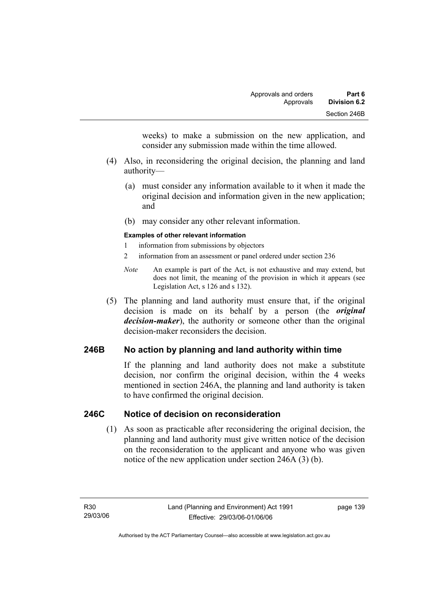weeks) to make a submission on the new application, and consider any submission made within the time allowed.

- (4) Also, in reconsidering the original decision, the planning and land authority—
	- (a) must consider any information available to it when it made the original decision and information given in the new application; and
	- (b) may consider any other relevant information.

#### **Examples of other relevant information**

- 1 information from submissions by objectors
- 2 information from an assessment or panel ordered under section 236
- *Note* An example is part of the Act, is not exhaustive and may extend, but does not limit, the meaning of the provision in which it appears (see Legislation Act, s 126 and s 132).
- (5) The planning and land authority must ensure that, if the original decision is made on its behalf by a person (the *original decision-maker*), the authority or someone other than the original decision-maker reconsiders the decision.

## **246B No action by planning and land authority within time**

If the planning and land authority does not make a substitute decision, nor confirm the original decision, within the 4 weeks mentioned in section 246A, the planning and land authority is taken to have confirmed the original decision.

### **246C Notice of decision on reconsideration**

 (1) As soon as practicable after reconsidering the original decision, the planning and land authority must give written notice of the decision on the reconsideration to the applicant and anyone who was given notice of the new application under section 246A (3) (b).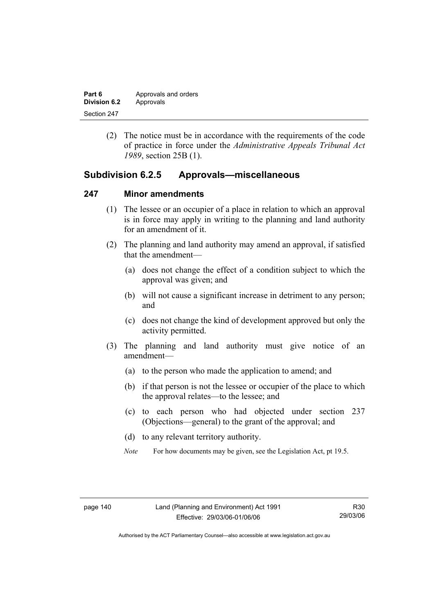| Part 6       | Approvals and orders |
|--------------|----------------------|
| Division 6.2 | Approvals            |
| Section 247  |                      |

 (2) The notice must be in accordance with the requirements of the code of practice in force under the *Administrative Appeals Tribunal Act 1989*, section 25B (1).

## **Subdivision 6.2.5 Approvals—miscellaneous**

#### **247 Minor amendments**

- (1) The lessee or an occupier of a place in relation to which an approval is in force may apply in writing to the planning and land authority for an amendment of it.
- (2) The planning and land authority may amend an approval, if satisfied that the amendment—
	- (a) does not change the effect of a condition subject to which the approval was given; and
	- (b) will not cause a significant increase in detriment to any person; and
	- (c) does not change the kind of development approved but only the activity permitted.
- (3) The planning and land authority must give notice of an amendment—
	- (a) to the person who made the application to amend; and
	- (b) if that person is not the lessee or occupier of the place to which the approval relates—to the lessee; and
	- (c) to each person who had objected under section 237 (Objections—general) to the grant of the approval; and
	- (d) to any relevant territory authority.
	- *Note* For how documents may be given, see the Legislation Act, pt 19.5.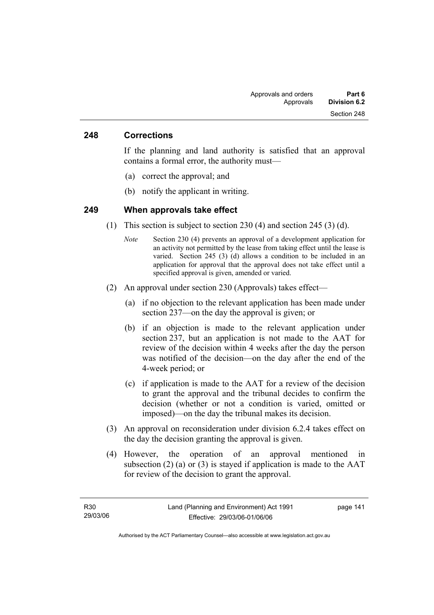#### **248 Corrections**

If the planning and land authority is satisfied that an approval contains a formal error, the authority must—

- (a) correct the approval; and
- (b) notify the applicant in writing.

#### **249 When approvals take effect**

- (1) This section is subject to section 230 (4) and section 245 (3) (d).
	- *Note* Section 230 (4) prevents an approval of a development application for an activity not permitted by the lease from taking effect until the lease is varied. Section 245 (3) (d) allows a condition to be included in an application for approval that the approval does not take effect until a specified approval is given, amended or varied.
- (2) An approval under section 230 (Approvals) takes effect—
	- (a) if no objection to the relevant application has been made under section 237—on the day the approval is given; or
	- (b) if an objection is made to the relevant application under section 237, but an application is not made to the AAT for review of the decision within 4 weeks after the day the person was notified of the decision—on the day after the end of the 4-week period; or
	- (c) if application is made to the AAT for a review of the decision to grant the approval and the tribunal decides to confirm the decision (whether or not a condition is varied, omitted or imposed)—on the day the tribunal makes its decision.
- (3) An approval on reconsideration under division 6.2.4 takes effect on the day the decision granting the approval is given.
- (4) However, the operation of an approval mentioned in subsection  $(2)$  (a) or  $(3)$  is stayed if application is made to the AAT for review of the decision to grant the approval.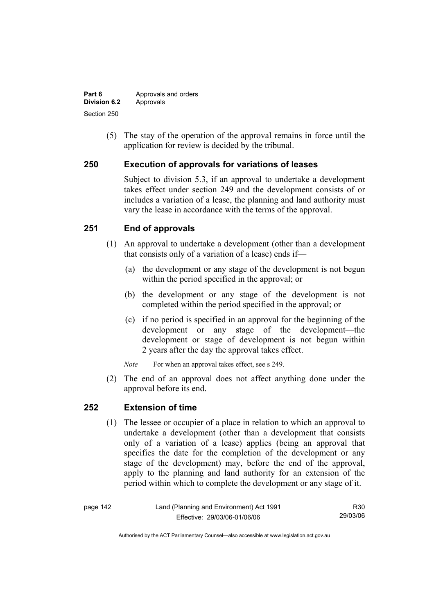| Part 6       | Approvals and orders |
|--------------|----------------------|
| Division 6.2 | Approvals            |
| Section 250  |                      |

 (5) The stay of the operation of the approval remains in force until the application for review is decided by the tribunal.

## **250 Execution of approvals for variations of leases**

Subject to division 5.3, if an approval to undertake a development takes effect under section 249 and the development consists of or includes a variation of a lease, the planning and land authority must vary the lease in accordance with the terms of the approval.

## **251 End of approvals**

- (1) An approval to undertake a development (other than a development that consists only of a variation of a lease) ends if—
	- (a) the development or any stage of the development is not begun within the period specified in the approval; or
	- (b) the development or any stage of the development is not completed within the period specified in the approval; or
	- (c) if no period is specified in an approval for the beginning of the development or any stage of the development—the development or stage of development is not begun within 2 years after the day the approval takes effect.

*Note* For when an approval takes effect, see s 249.

 (2) The end of an approval does not affect anything done under the approval before its end.

### **252 Extension of time**

 (1) The lessee or occupier of a place in relation to which an approval to undertake a development (other than a development that consists only of a variation of a lease) applies (being an approval that specifies the date for the completion of the development or any stage of the development) may, before the end of the approval, apply to the planning and land authority for an extension of the period within which to complete the development or any stage of it.

| page 142 | Land (Planning and Environment) Act 1991 | R30      |
|----------|------------------------------------------|----------|
|          | Effective: 29/03/06-01/06/06             | 29/03/06 |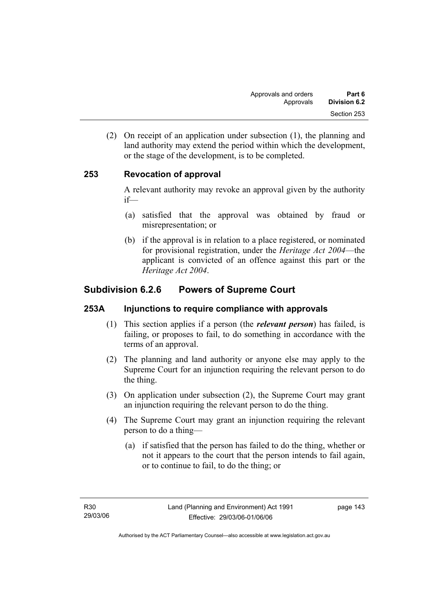(2) On receipt of an application under subsection (1), the planning and land authority may extend the period within which the development, or the stage of the development, is to be completed.

## **253 Revocation of approval**

A relevant authority may revoke an approval given by the authority if—

- (a) satisfied that the approval was obtained by fraud or misrepresentation; or
- (b) if the approval is in relation to a place registered, or nominated for provisional registration, under the *Heritage Act 2004*—the applicant is convicted of an offence against this part or the *Heritage Act 2004*.

# **Subdivision 6.2.6 Powers of Supreme Court**

## **253A Injunctions to require compliance with approvals**

- (1) This section applies if a person (the *relevant person*) has failed, is failing, or proposes to fail, to do something in accordance with the terms of an approval.
- (2) The planning and land authority or anyone else may apply to the Supreme Court for an injunction requiring the relevant person to do the thing.
- (3) On application under subsection (2), the Supreme Court may grant an injunction requiring the relevant person to do the thing.
- (4) The Supreme Court may grant an injunction requiring the relevant person to do a thing—
	- (a) if satisfied that the person has failed to do the thing, whether or not it appears to the court that the person intends to fail again, or to continue to fail, to do the thing; or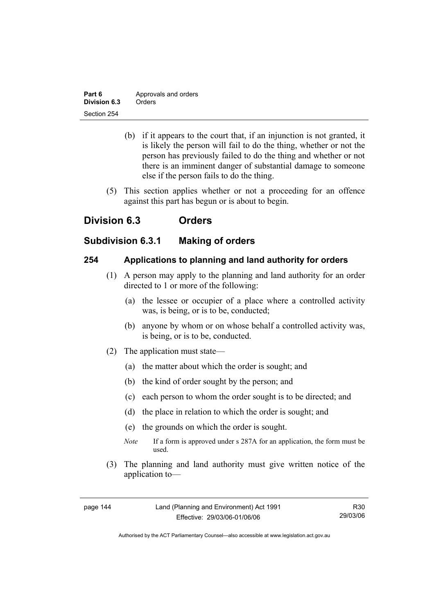| Part 6       | Approvals and orders |
|--------------|----------------------|
| Division 6.3 | Orders               |
| Section 254  |                      |

- (b) if it appears to the court that, if an injunction is not granted, it is likely the person will fail to do the thing, whether or not the person has previously failed to do the thing and whether or not there is an imminent danger of substantial damage to someone else if the person fails to do the thing.
- (5) This section applies whether or not a proceeding for an offence against this part has begun or is about to begin.

# **Division 6.3 Orders**

## **Subdivision 6.3.1 Making of orders**

## **254 Applications to planning and land authority for orders**

- (1) A person may apply to the planning and land authority for an order directed to 1 or more of the following:
	- (a) the lessee or occupier of a place where a controlled activity was, is being, or is to be, conducted;
	- (b) anyone by whom or on whose behalf a controlled activity was, is being, or is to be, conducted.
- (2) The application must state—
	- (a) the matter about which the order is sought; and
	- (b) the kind of order sought by the person; and
	- (c) each person to whom the order sought is to be directed; and
	- (d) the place in relation to which the order is sought; and
	- (e) the grounds on which the order is sought.
	- *Note* If a form is approved under s 287A for an application, the form must be used.
- (3) The planning and land authority must give written notice of the application to—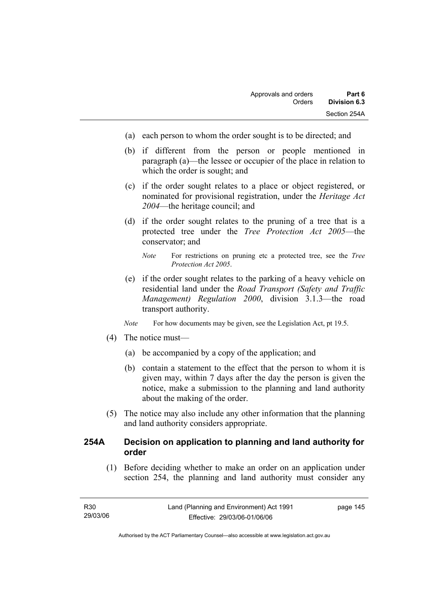- (a) each person to whom the order sought is to be directed; and
- (b) if different from the person or people mentioned in paragraph (a)—the lessee or occupier of the place in relation to which the order is sought; and
- (c) if the order sought relates to a place or object registered, or nominated for provisional registration, under the *Heritage Act 2004*—the heritage council; and
- (d) if the order sought relates to the pruning of a tree that is a protected tree under the *Tree Protection Act 2005*—the conservator; and
	- *Note* For restrictions on pruning etc a protected tree, see the *Tree Protection Act 2005*.
- (e) if the order sought relates to the parking of a heavy vehicle on residential land under the *Road Transport (Safety and Traffic Management) Regulation 2000*, division 3.1.3—the road transport authority.
- *Note* For how documents may be given, see the Legislation Act, pt 19.5.
- (4) The notice must—
	- (a) be accompanied by a copy of the application; and
	- (b) contain a statement to the effect that the person to whom it is given may, within 7 days after the day the person is given the notice, make a submission to the planning and land authority about the making of the order.
- (5) The notice may also include any other information that the planning and land authority considers appropriate.

## **254A Decision on application to planning and land authority for order**

 (1) Before deciding whether to make an order on an application under section 254, the planning and land authority must consider any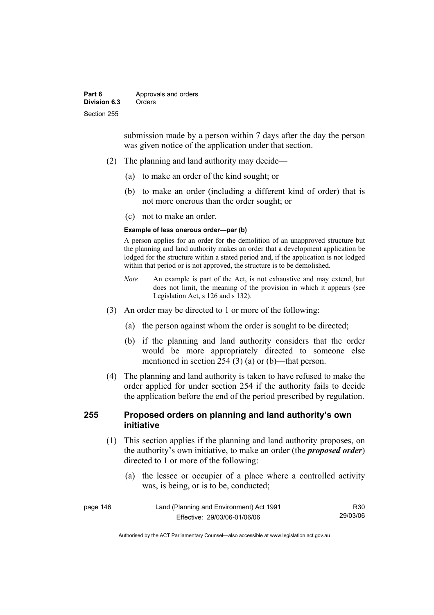submission made by a person within 7 days after the day the person was given notice of the application under that section.

- (2) The planning and land authority may decide—
	- (a) to make an order of the kind sought; or
	- (b) to make an order (including a different kind of order) that is not more onerous than the order sought; or
	- (c) not to make an order.

#### **Example of less onerous order—par (b)**

A person applies for an order for the demolition of an unapproved structure but the planning and land authority makes an order that a development application be lodged for the structure within a stated period and, if the application is not lodged within that period or is not approved, the structure is to be demolished.

- *Note* An example is part of the Act, is not exhaustive and may extend, but does not limit, the meaning of the provision in which it appears (see Legislation Act, s 126 and s 132).
- (3) An order may be directed to 1 or more of the following:
	- (a) the person against whom the order is sought to be directed;
	- (b) if the planning and land authority considers that the order would be more appropriately directed to someone else mentioned in section 254 (3) (a) or (b)—that person.
- (4) The planning and land authority is taken to have refused to make the order applied for under section 254 if the authority fails to decide the application before the end of the period prescribed by regulation.

## **255 Proposed orders on planning and land authority's own initiative**

- (1) This section applies if the planning and land authority proposes, on the authority's own initiative, to make an order (the *proposed order*) directed to 1 or more of the following:
	- (a) the lessee or occupier of a place where a controlled activity was, is being, or is to be, conducted;

| page 146 | Land (Planning and Environment) Act 1991 | R <sub>30</sub> |
|----------|------------------------------------------|-----------------|
|          | Effective: 29/03/06-01/06/06             | 29/03/06        |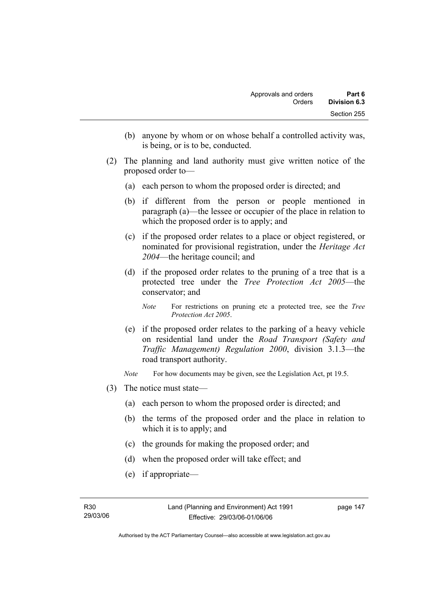- (b) anyone by whom or on whose behalf a controlled activity was, is being, or is to be, conducted.
- (2) The planning and land authority must give written notice of the proposed order to—
	- (a) each person to whom the proposed order is directed; and
	- (b) if different from the person or people mentioned in paragraph (a)—the lessee or occupier of the place in relation to which the proposed order is to apply; and
	- (c) if the proposed order relates to a place or object registered, or nominated for provisional registration, under the *Heritage Act 2004*—the heritage council; and
	- (d) if the proposed order relates to the pruning of a tree that is a protected tree under the *Tree Protection Act 2005*—the conservator; and
		- *Note* For restrictions on pruning etc a protected tree, see the *Tree Protection Act 2005*.
	- (e) if the proposed order relates to the parking of a heavy vehicle on residential land under the *Road Transport (Safety and Traffic Management) Regulation 2000*, division 3.1.3—the road transport authority.
	- *Note* For how documents may be given, see the Legislation Act, pt 19.5.
- (3) The notice must state—
	- (a) each person to whom the proposed order is directed; and
	- (b) the terms of the proposed order and the place in relation to which it is to apply; and
	- (c) the grounds for making the proposed order; and
	- (d) when the proposed order will take effect; and
	- (e) if appropriate—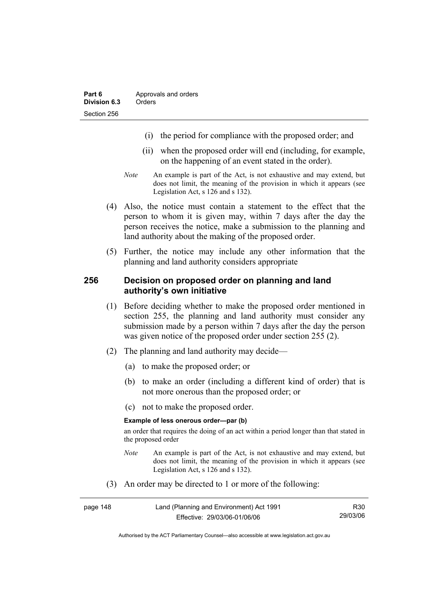- (i) the period for compliance with the proposed order; and
- (ii) when the proposed order will end (including, for example, on the happening of an event stated in the order).
- *Note* An example is part of the Act, is not exhaustive and may extend, but does not limit, the meaning of the provision in which it appears (see Legislation Act, s 126 and s 132).
- (4) Also, the notice must contain a statement to the effect that the person to whom it is given may, within 7 days after the day the person receives the notice, make a submission to the planning and land authority about the making of the proposed order.
- (5) Further, the notice may include any other information that the planning and land authority considers appropriate

#### **256 Decision on proposed order on planning and land authority's own initiative**

- (1) Before deciding whether to make the proposed order mentioned in section 255, the planning and land authority must consider any submission made by a person within 7 days after the day the person was given notice of the proposed order under section 255 (2).
- (2) The planning and land authority may decide—
	- (a) to make the proposed order; or
	- (b) to make an order (including a different kind of order) that is not more onerous than the proposed order; or
	- (c) not to make the proposed order.

#### **Example of less onerous order—par (b)**

an order that requires the doing of an act within a period longer than that stated in the proposed order

- *Note* An example is part of the Act, is not exhaustive and may extend, but does not limit, the meaning of the provision in which it appears (see Legislation Act, s 126 and s 132).
- (3) An order may be directed to 1 or more of the following:

| page 148 | Land (Planning and Environment) Act 1991 | R <sub>30</sub> |
|----------|------------------------------------------|-----------------|
|          | Effective: 29/03/06-01/06/06             | 29/03/06        |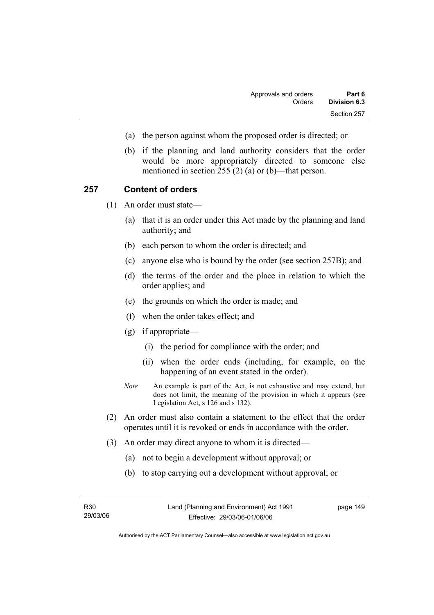- (a) the person against whom the proposed order is directed; or
- (b) if the planning and land authority considers that the order would be more appropriately directed to someone else mentioned in section 255 (2) (a) or (b)—that person.

#### **257 Content of orders**

(1) An order must state—

- (a) that it is an order under this Act made by the planning and land authority; and
- (b) each person to whom the order is directed; and
- (c) anyone else who is bound by the order (see section 257B); and
- (d) the terms of the order and the place in relation to which the order applies; and
- (e) the grounds on which the order is made; and
- (f) when the order takes effect; and
- (g) if appropriate—
	- (i) the period for compliance with the order; and
	- (ii) when the order ends (including, for example, on the happening of an event stated in the order).
- *Note* An example is part of the Act, is not exhaustive and may extend, but does not limit, the meaning of the provision in which it appears (see Legislation Act, s 126 and s 132).
- (2) An order must also contain a statement to the effect that the order operates until it is revoked or ends in accordance with the order.
- (3) An order may direct anyone to whom it is directed—
	- (a) not to begin a development without approval; or
	- (b) to stop carrying out a development without approval; or

| R30      |  |
|----------|--|
| 29/03/06 |  |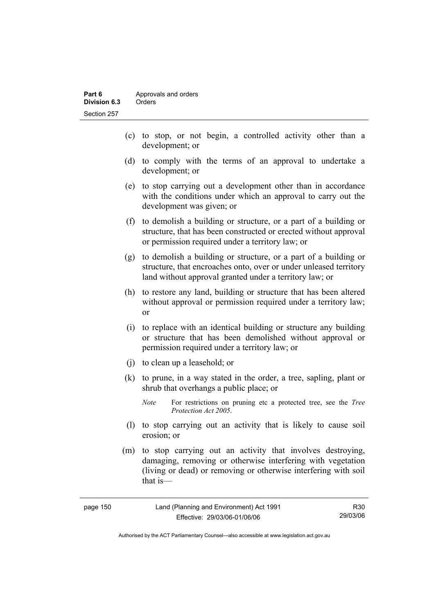- (c) to stop, or not begin, a controlled activity other than a development; or
- (d) to comply with the terms of an approval to undertake a development; or
- (e) to stop carrying out a development other than in accordance with the conditions under which an approval to carry out the development was given; or
- (f) to demolish a building or structure, or a part of a building or structure, that has been constructed or erected without approval or permission required under a territory law; or
- (g) to demolish a building or structure, or a part of a building or structure, that encroaches onto, over or under unleased territory land without approval granted under a territory law; or
- (h) to restore any land, building or structure that has been altered without approval or permission required under a territory law; or
- (i) to replace with an identical building or structure any building or structure that has been demolished without approval or permission required under a territory law; or
- (j) to clean up a leasehold; or
- (k) to prune, in a way stated in the order, a tree, sapling, plant or shrub that overhangs a public place; or
	- *Note* For restrictions on pruning etc a protected tree, see the *Tree Protection Act 2005*.
- (l) to stop carrying out an activity that is likely to cause soil erosion; or
- (m) to stop carrying out an activity that involves destroying, damaging, removing or otherwise interfering with vegetation (living or dead) or removing or otherwise interfering with soil that is—

| page 150 | Land (Planning and Environment) Act 1991 | R30      |
|----------|------------------------------------------|----------|
|          | Effective: 29/03/06-01/06/06             | 29/03/06 |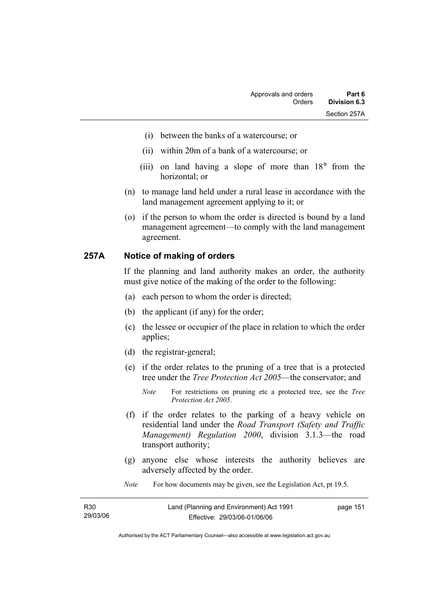- (i) between the banks of a watercourse; or
- (ii) within 20m of a bank of a watercourse; or
- (iii) on land having a slope of more than 18° from the horizontal; or
- (n) to manage land held under a rural lease in accordance with the land management agreement applying to it; or
- (o) if the person to whom the order is directed is bound by a land management agreement—to comply with the land management agreement.

#### **257A Notice of making of orders**

If the planning and land authority makes an order, the authority must give notice of the making of the order to the following:

- (a) each person to whom the order is directed;
- (b) the applicant (if any) for the order;
- (c) the lessee or occupier of the place in relation to which the order applies;
- (d) the registrar-general;
- (e) if the order relates to the pruning of a tree that is a protected tree under the *Tree Protection Act 2005*—the conservator; and
	- *Note* For restrictions on pruning etc a protected tree, see the *Tree Protection Act 2005*.
- (f) if the order relates to the parking of a heavy vehicle on residential land under the *Road Transport (Safety and Traffic Management) Regulation 2000*, division 3.1.3—the road transport authority;
- (g) anyone else whose interests the authority believes are adversely affected by the order.
- *Note* For how documents may be given, see the Legislation Act, pt 19.5.

| R30      | Land (Planning and Environment) Act 1991 | page 151 |
|----------|------------------------------------------|----------|
| 29/03/06 | Effective: 29/03/06-01/06/06             |          |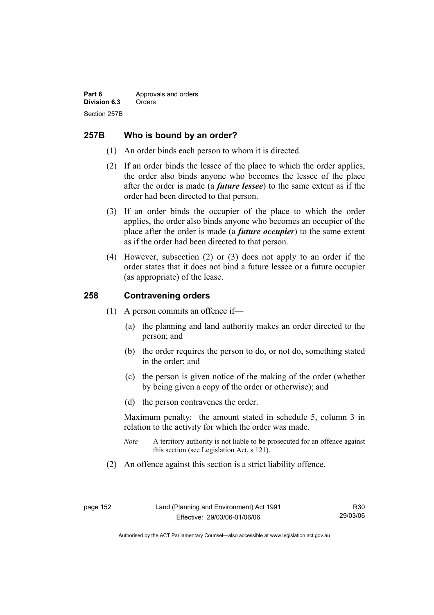## **257B Who is bound by an order?**

- (1) An order binds each person to whom it is directed.
- (2) If an order binds the lessee of the place to which the order applies, the order also binds anyone who becomes the lessee of the place after the order is made (a *future lessee*) to the same extent as if the order had been directed to that person.
- (3) If an order binds the occupier of the place to which the order applies, the order also binds anyone who becomes an occupier of the place after the order is made (a *future occupier*) to the same extent as if the order had been directed to that person.
- (4) However, subsection (2) or (3) does not apply to an order if the order states that it does not bind a future lessee or a future occupier (as appropriate) of the lease.

## **258 Contravening orders**

- (1) A person commits an offence if—
	- (a) the planning and land authority makes an order directed to the person; and
	- (b) the order requires the person to do, or not do, something stated in the order; and
	- (c) the person is given notice of the making of the order (whether by being given a copy of the order or otherwise); and
	- (d) the person contravenes the order.

Maximum penalty: the amount stated in schedule 5, column 3 in relation to the activity for which the order was made.

- *Note* A territory authority is not liable to be prosecuted for an offence against this section (see Legislation Act, s 121).
- (2) An offence against this section is a strict liability offence.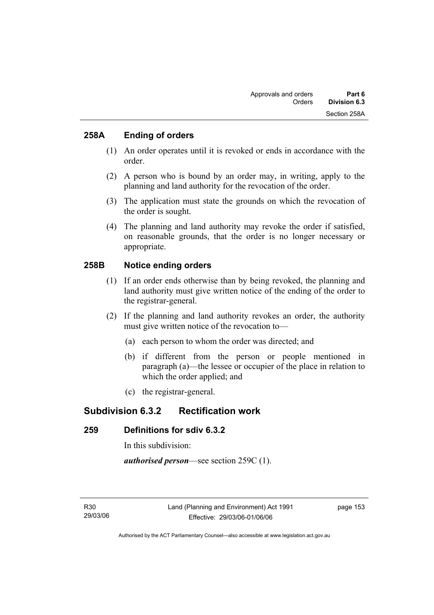## **258A Ending of orders**

- (1) An order operates until it is revoked or ends in accordance with the order.
- (2) A person who is bound by an order may, in writing, apply to the planning and land authority for the revocation of the order.
- (3) The application must state the grounds on which the revocation of the order is sought.
- (4) The planning and land authority may revoke the order if satisfied, on reasonable grounds, that the order is no longer necessary or appropriate.

## **258B Notice ending orders**

- (1) If an order ends otherwise than by being revoked, the planning and land authority must give written notice of the ending of the order to the registrar-general.
- (2) If the planning and land authority revokes an order, the authority must give written notice of the revocation to—
	- (a) each person to whom the order was directed; and
	- (b) if different from the person or people mentioned in paragraph (a)—the lessee or occupier of the place in relation to which the order applied; and
	- (c) the registrar-general.

## **Subdivision 6.3.2 Rectification work**

## **259 Definitions for sdiv 6.3.2**

In this subdivision:

*authorised person*—see section 259C (1).

page 153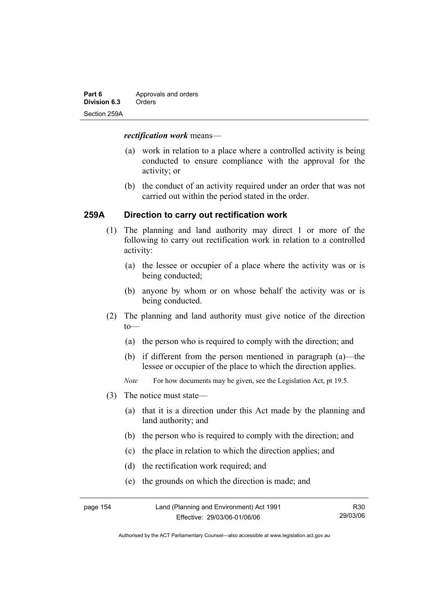| Part 6       | Approvals and orders |
|--------------|----------------------|
| Division 6.3 | Orders               |
| Section 259A |                      |

#### *rectification work* means—

- (a) work in relation to a place where a controlled activity is being conducted to ensure compliance with the approval for the activity; or
- (b) the conduct of an activity required under an order that was not carried out within the period stated in the order.

## **259A Direction to carry out rectification work**

- (1) The planning and land authority may direct 1 or more of the following to carry out rectification work in relation to a controlled activity:
	- (a) the lessee or occupier of a place where the activity was or is being conducted;
	- (b) anyone by whom or on whose behalf the activity was or is being conducted.
- (2) The planning and land authority must give notice of the direction  $to$ —
	- (a) the person who is required to comply with the direction; and
	- (b) if different from the person mentioned in paragraph (a)—the lessee or occupier of the place to which the direction applies.
	- *Note* For how documents may be given, see the Legislation Act, pt 19.5.
- (3) The notice must state—
	- (a) that it is a direction under this Act made by the planning and land authority; and
	- (b) the person who is required to comply with the direction; and
	- (c) the place in relation to which the direction applies; and
	- (d) the rectification work required; and
	- (e) the grounds on which the direction is made; and

| page 154 | Land (Planning and Environment) Act 1991 | R30      |
|----------|------------------------------------------|----------|
|          | Effective: 29/03/06-01/06/06             | 29/03/06 |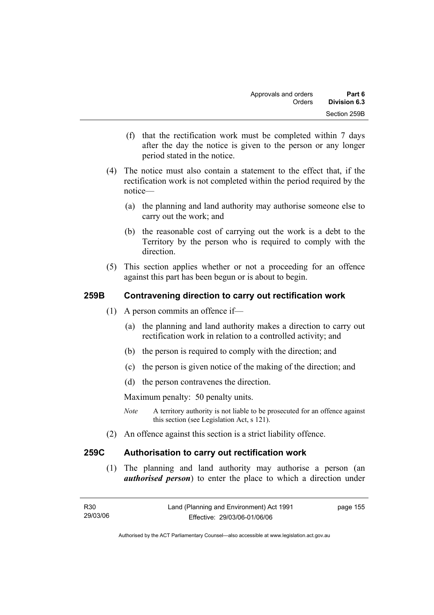- (f) that the rectification work must be completed within 7 days after the day the notice is given to the person or any longer period stated in the notice.
- (4) The notice must also contain a statement to the effect that, if the rectification work is not completed within the period required by the notice—
	- (a) the planning and land authority may authorise someone else to carry out the work; and
	- (b) the reasonable cost of carrying out the work is a debt to the Territory by the person who is required to comply with the direction.
- (5) This section applies whether or not a proceeding for an offence against this part has been begun or is about to begin.

## **259B Contravening direction to carry out rectification work**

- (1) A person commits an offence if—
	- (a) the planning and land authority makes a direction to carry out rectification work in relation to a controlled activity; and
	- (b) the person is required to comply with the direction; and
	- (c) the person is given notice of the making of the direction; and
	- (d) the person contravenes the direction.

Maximum penalty: 50 penalty units.

- *Note* A territory authority is not liable to be prosecuted for an offence against this section (see Legislation Act, s 121).
- (2) An offence against this section is a strict liability offence.

## **259C Authorisation to carry out rectification work**

 (1) The planning and land authority may authorise a person (an *authorised person*) to enter the place to which a direction under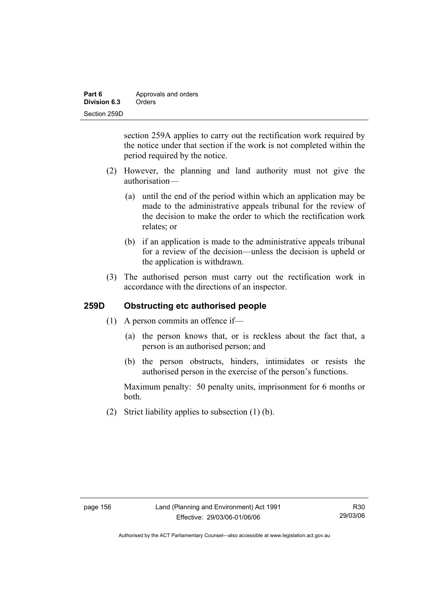| Part 6       | Approvals and orders |
|--------------|----------------------|
| Division 6.3 | Orders               |
| Section 259D |                      |

section 259A applies to carry out the rectification work required by the notice under that section if the work is not completed within the period required by the notice.

- (2) However, the planning and land authority must not give the authorisation—
	- (a) until the end of the period within which an application may be made to the administrative appeals tribunal for the review of the decision to make the order to which the rectification work relates; or
	- (b) if an application is made to the administrative appeals tribunal for a review of the decision—unless the decision is upheld or the application is withdrawn.
- (3) The authorised person must carry out the rectification work in accordance with the directions of an inspector.

## **259D Obstructing etc authorised people**

- (1) A person commits an offence if—
	- (a) the person knows that, or is reckless about the fact that, a person is an authorised person; and
	- (b) the person obstructs, hinders, intimidates or resists the authorised person in the exercise of the person's functions.

Maximum penalty: 50 penalty units, imprisonment for 6 months or both.

(2) Strict liability applies to subsection (1) (b).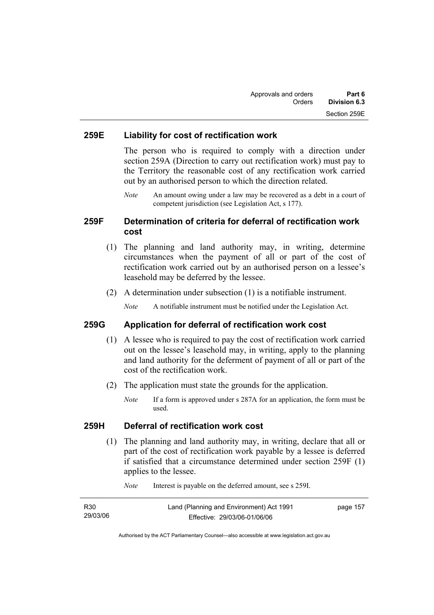### **259E Liability for cost of rectification work**

The person who is required to comply with a direction under section 259A (Direction to carry out rectification work) must pay to the Territory the reasonable cost of any rectification work carried out by an authorised person to which the direction related.

*Note* An amount owing under a law may be recovered as a debt in a court of competent jurisdiction (see Legislation Act, s 177).

## **259F Determination of criteria for deferral of rectification work cost**

- (1) The planning and land authority may, in writing, determine circumstances when the payment of all or part of the cost of rectification work carried out by an authorised person on a lessee's leasehold may be deferred by the lessee.
- (2) A determination under subsection (1) is a notifiable instrument.

*Note* A notifiable instrument must be notified under the Legislation Act.

#### **259G Application for deferral of rectification work cost**

- (1) A lessee who is required to pay the cost of rectification work carried out on the lessee's leasehold may, in writing, apply to the planning and land authority for the deferment of payment of all or part of the cost of the rectification work.
- (2) The application must state the grounds for the application.
	- *Note* If a form is approved under s 287A for an application, the form must be used.

#### **259H Deferral of rectification work cost**

 (1) The planning and land authority may, in writing, declare that all or part of the cost of rectification work payable by a lessee is deferred if satisfied that a circumstance determined under section 259F (1) applies to the lessee.

| R <sub>30</sub> | Land (Planning and Environment) Act 1991 | page 157 |
|-----------------|------------------------------------------|----------|
| 29/03/06        | Effective: 29/03/06-01/06/06             |          |

*Note* Interest is payable on the deferred amount, see s 259I.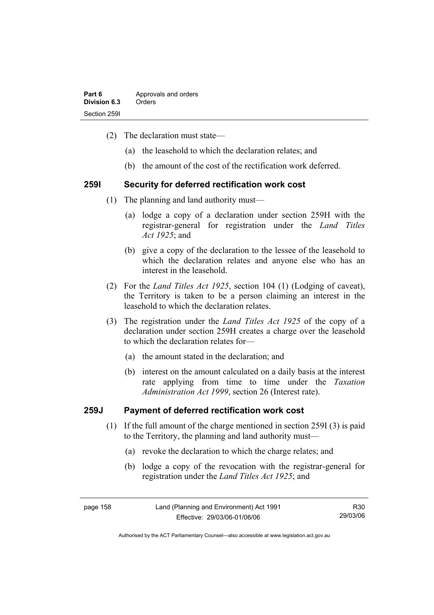| Part 6       | Approvals and orders |
|--------------|----------------------|
| Division 6.3 | Orders               |
| Section 2591 |                      |

- (2) The declaration must state—
	- (a) the leasehold to which the declaration relates; and
	- (b) the amount of the cost of the rectification work deferred.

#### **259I Security for deferred rectification work cost**

- (1) The planning and land authority must—
	- (a) lodge a copy of a declaration under section 259H with the registrar-general for registration under the *Land Titles Act 1925*; and
	- (b) give a copy of the declaration to the lessee of the leasehold to which the declaration relates and anyone else who has an interest in the leasehold.
- (2) For the *Land Titles Act 1925*, section 104 (1) (Lodging of caveat), the Territory is taken to be a person claiming an interest in the leasehold to which the declaration relates.
- (3) The registration under the *Land Titles Act 1925* of the copy of a declaration under section 259H creates a charge over the leasehold to which the declaration relates for—
	- (a) the amount stated in the declaration; and
	- (b) interest on the amount calculated on a daily basis at the interest rate applying from time to time under the *Taxation Administration Act 1999*, section 26 (Interest rate).

### **259J Payment of deferred rectification work cost**

- (1) If the full amount of the charge mentioned in section 259I (3) is paid to the Territory, the planning and land authority must—
	- (a) revoke the declaration to which the charge relates; and
	- (b) lodge a copy of the revocation with the registrar-general for registration under the *Land Titles Act 1925*; and

page 158 Land (Planning and Environment) Act 1991 Effective: 29/03/06-01/06/06 R30 29/03/06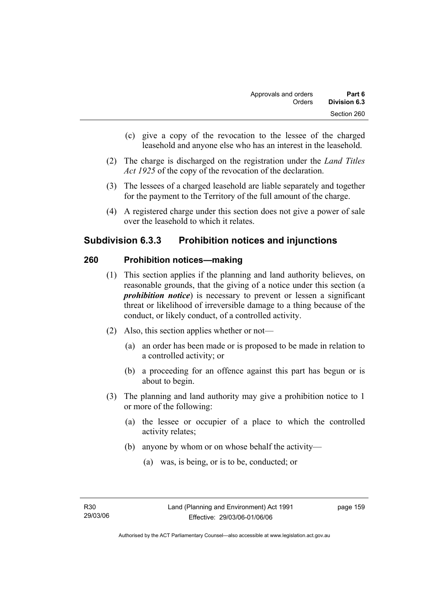- (c) give a copy of the revocation to the lessee of the charged leasehold and anyone else who has an interest in the leasehold.
- (2) The charge is discharged on the registration under the *Land Titles Act 1925* of the copy of the revocation of the declaration.
- (3) The lessees of a charged leasehold are liable separately and together for the payment to the Territory of the full amount of the charge.
- (4) A registered charge under this section does not give a power of sale over the leasehold to which it relates.

# **Subdivision 6.3.3 Prohibition notices and injunctions**

## **260 Prohibition notices—making**

- (1) This section applies if the planning and land authority believes, on reasonable grounds, that the giving of a notice under this section (a *prohibition notice*) is necessary to prevent or lessen a significant threat or likelihood of irreversible damage to a thing because of the conduct, or likely conduct, of a controlled activity.
- (2) Also, this section applies whether or not—
	- (a) an order has been made or is proposed to be made in relation to a controlled activity; or
	- (b) a proceeding for an offence against this part has begun or is about to begin.
- (3) The planning and land authority may give a prohibition notice to 1 or more of the following:
	- (a) the lessee or occupier of a place to which the controlled activity relates;
	- (b) anyone by whom or on whose behalf the activity—
		- (a) was, is being, or is to be, conducted; or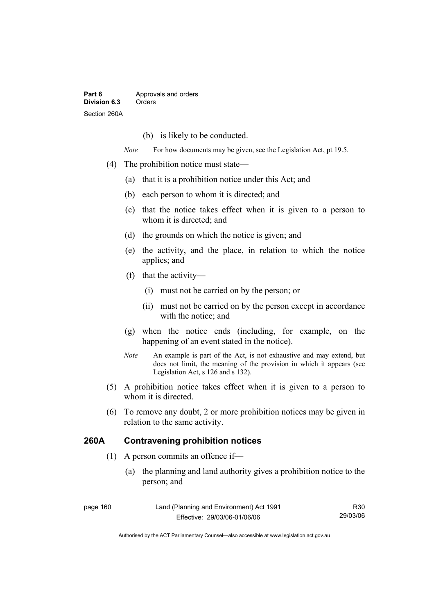(b) is likely to be conducted.

*Note* For how documents may be given, see the Legislation Act, pt 19.5.

- (4) The prohibition notice must state—
	- (a) that it is a prohibition notice under this Act; and
	- (b) each person to whom it is directed; and
	- (c) that the notice takes effect when it is given to a person to whom it is directed; and
	- (d) the grounds on which the notice is given; and
	- (e) the activity, and the place, in relation to which the notice applies; and
	- (f) that the activity—
		- (i) must not be carried on by the person; or
		- (ii) must not be carried on by the person except in accordance with the notice; and
	- (g) when the notice ends (including, for example, on the happening of an event stated in the notice).
	- *Note* An example is part of the Act, is not exhaustive and may extend, but does not limit, the meaning of the provision in which it appears (see Legislation Act, s 126 and s 132).
- (5) A prohibition notice takes effect when it is given to a person to whom it is directed.
- (6) To remove any doubt, 2 or more prohibition notices may be given in relation to the same activity.

## **260A Contravening prohibition notices**

- (1) A person commits an offence if—
	- (a) the planning and land authority gives a prohibition notice to the person; and

| page 160 | Land (Planning and Environment) Act 1991 | R30      |
|----------|------------------------------------------|----------|
|          | Effective: 29/03/06-01/06/06             | 29/03/06 |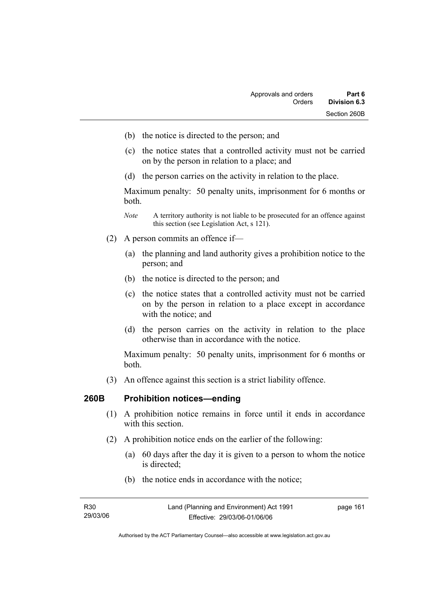- (b) the notice is directed to the person; and
- (c) the notice states that a controlled activity must not be carried on by the person in relation to a place; and
- (d) the person carries on the activity in relation to the place.

Maximum penalty: 50 penalty units, imprisonment for 6 months or both.

- *Note* A territory authority is not liable to be prosecuted for an offence against this section (see Legislation Act, s 121).
- (2) A person commits an offence if—
	- (a) the planning and land authority gives a prohibition notice to the person; and
	- (b) the notice is directed to the person; and
	- (c) the notice states that a controlled activity must not be carried on by the person in relation to a place except in accordance with the notice; and
	- (d) the person carries on the activity in relation to the place otherwise than in accordance with the notice.

Maximum penalty: 50 penalty units, imprisonment for 6 months or both.

(3) An offence against this section is a strict liability offence.

### **260B Prohibition notices—ending**

- (1) A prohibition notice remains in force until it ends in accordance with this section
- (2) A prohibition notice ends on the earlier of the following:
	- (a) 60 days after the day it is given to a person to whom the notice is directed;
	- (b) the notice ends in accordance with the notice;

| R30      | Land (Planning and Environment) Act 1991 | page 161 |
|----------|------------------------------------------|----------|
| 29/03/06 | Effective: 29/03/06-01/06/06             |          |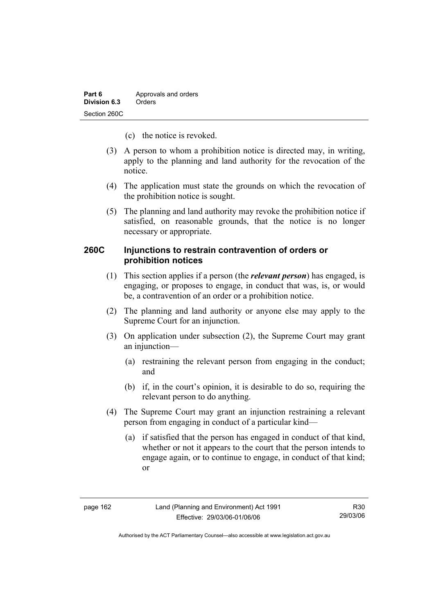- (c) the notice is revoked.
- (3) A person to whom a prohibition notice is directed may, in writing, apply to the planning and land authority for the revocation of the notice.
- (4) The application must state the grounds on which the revocation of the prohibition notice is sought.
- (5) The planning and land authority may revoke the prohibition notice if satisfied, on reasonable grounds, that the notice is no longer necessary or appropriate.

## **260C Injunctions to restrain contravention of orders or prohibition notices**

- (1) This section applies if a person (the *relevant person*) has engaged, is engaging, or proposes to engage, in conduct that was, is, or would be, a contravention of an order or a prohibition notice.
- (2) The planning and land authority or anyone else may apply to the Supreme Court for an injunction.
- (3) On application under subsection (2), the Supreme Court may grant an injunction—
	- (a) restraining the relevant person from engaging in the conduct; and
	- (b) if, in the court's opinion, it is desirable to do so, requiring the relevant person to do anything.
- (4) The Supreme Court may grant an injunction restraining a relevant person from engaging in conduct of a particular kind—
	- (a) if satisfied that the person has engaged in conduct of that kind, whether or not it appears to the court that the person intends to engage again, or to continue to engage, in conduct of that kind; or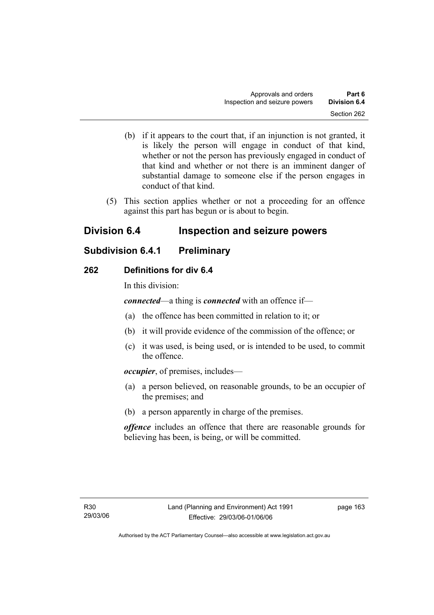- (b) if it appears to the court that, if an injunction is not granted, it is likely the person will engage in conduct of that kind, whether or not the person has previously engaged in conduct of that kind and whether or not there is an imminent danger of substantial damage to someone else if the person engages in conduct of that kind.
- (5) This section applies whether or not a proceeding for an offence against this part has begun or is about to begin.

# **Division 6.4 Inspection and seizure powers**

# **Subdivision 6.4.1 Preliminary**

## **262 Definitions for div 6.4**

In this division:

*connected*—a thing is *connected* with an offence if—

- (a) the offence has been committed in relation to it; or
- (b) it will provide evidence of the commission of the offence; or
- (c) it was used, is being used, or is intended to be used, to commit the offence.

*occupier*, of premises, includes—

- (a) a person believed, on reasonable grounds, to be an occupier of the premises; and
- (b) a person apparently in charge of the premises.

*offence* includes an offence that there are reasonable grounds for believing has been, is being, or will be committed.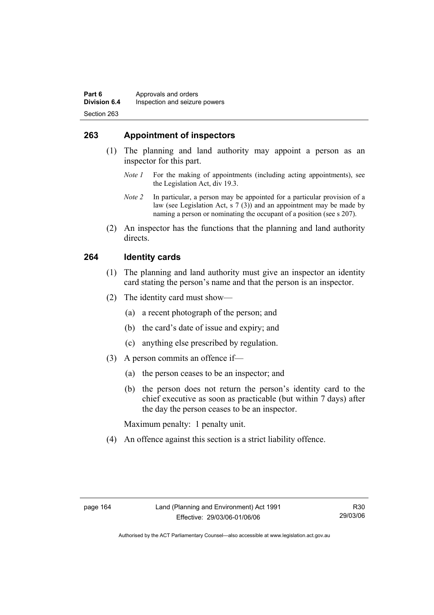## **263 Appointment of inspectors**

- (1) The planning and land authority may appoint a person as an inspector for this part.
	- *Note 1* For the making of appointments (including acting appointments), see the Legislation Act, div 19.3.
	- *Note 2* In particular, a person may be appointed for a particular provision of a law (see Legislation Act, s 7 (3)) and an appointment may be made by naming a person or nominating the occupant of a position (see s 207).
- (2) An inspector has the functions that the planning and land authority directs.

## **264 Identity cards**

- (1) The planning and land authority must give an inspector an identity card stating the person's name and that the person is an inspector.
- (2) The identity card must show—
	- (a) a recent photograph of the person; and
	- (b) the card's date of issue and expiry; and
	- (c) anything else prescribed by regulation.
- (3) A person commits an offence if—
	- (a) the person ceases to be an inspector; and
	- (b) the person does not return the person's identity card to the chief executive as soon as practicable (but within 7 days) after the day the person ceases to be an inspector.

Maximum penalty: 1 penalty unit.

(4) An offence against this section is a strict liability offence.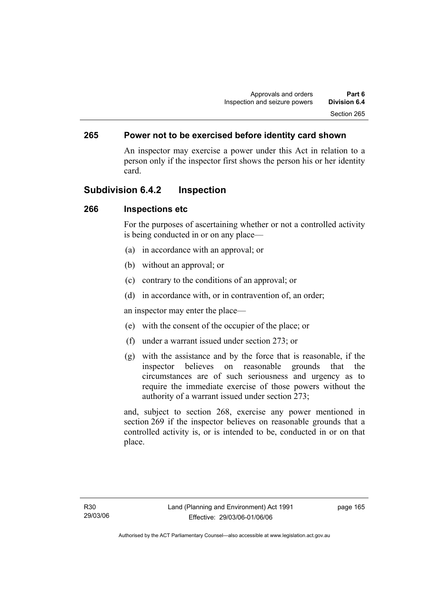## **265 Power not to be exercised before identity card shown**

An inspector may exercise a power under this Act in relation to a person only if the inspector first shows the person his or her identity card.

## **Subdivision 6.4.2 Inspection**

### **266 Inspections etc**

For the purposes of ascertaining whether or not a controlled activity is being conducted in or on any place—

- (a) in accordance with an approval; or
- (b) without an approval; or
- (c) contrary to the conditions of an approval; or
- (d) in accordance with, or in contravention of, an order;

an inspector may enter the place—

- (e) with the consent of the occupier of the place; or
- (f) under a warrant issued under section 273; or
- (g) with the assistance and by the force that is reasonable, if the inspector believes on reasonable grounds that the circumstances are of such seriousness and urgency as to require the immediate exercise of those powers without the authority of a warrant issued under section 273;

and, subject to section 268, exercise any power mentioned in section 269 if the inspector believes on reasonable grounds that a controlled activity is, or is intended to be, conducted in or on that place.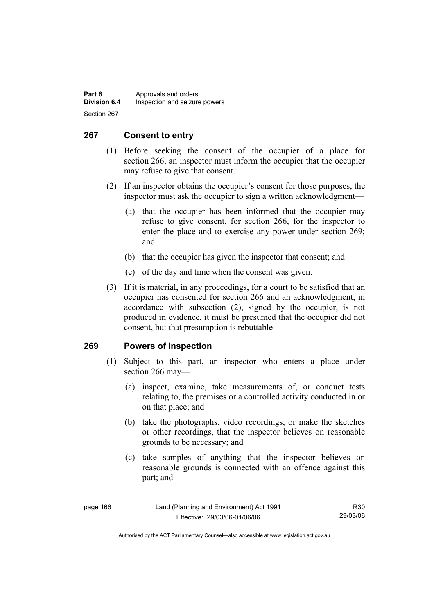| Part 6              | Approvals and orders          |
|---------------------|-------------------------------|
| <b>Division 6.4</b> | Inspection and seizure powers |
| Section 267         |                               |

## **267 Consent to entry**

- (1) Before seeking the consent of the occupier of a place for section 266, an inspector must inform the occupier that the occupier may refuse to give that consent.
- (2) If an inspector obtains the occupier's consent for those purposes, the inspector must ask the occupier to sign a written acknowledgment—
	- (a) that the occupier has been informed that the occupier may refuse to give consent, for section 266, for the inspector to enter the place and to exercise any power under section 269; and
	- (b) that the occupier has given the inspector that consent; and
	- (c) of the day and time when the consent was given.
- (3) If it is material, in any proceedings, for a court to be satisfied that an occupier has consented for section 266 and an acknowledgment, in accordance with subsection (2), signed by the occupier, is not produced in evidence, it must be presumed that the occupier did not consent, but that presumption is rebuttable.

### **269 Powers of inspection**

- (1) Subject to this part, an inspector who enters a place under section 266 may—
	- (a) inspect, examine, take measurements of, or conduct tests relating to, the premises or a controlled activity conducted in or on that place; and
	- (b) take the photographs, video recordings, or make the sketches or other recordings, that the inspector believes on reasonable grounds to be necessary; and
	- (c) take samples of anything that the inspector believes on reasonable grounds is connected with an offence against this part; and

| page 166 |  |
|----------|--|
|----------|--|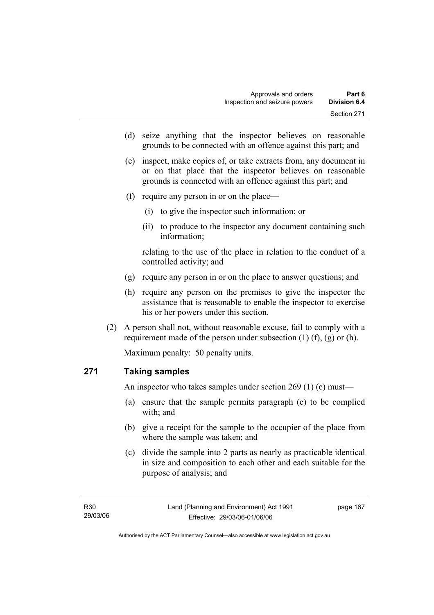- (d) seize anything that the inspector believes on reasonable grounds to be connected with an offence against this part; and
- (e) inspect, make copies of, or take extracts from, any document in or on that place that the inspector believes on reasonable grounds is connected with an offence against this part; and
- (f) require any person in or on the place—
	- (i) to give the inspector such information; or
	- (ii) to produce to the inspector any document containing such information;

relating to the use of the place in relation to the conduct of a controlled activity; and

- (g) require any person in or on the place to answer questions; and
- (h) require any person on the premises to give the inspector the assistance that is reasonable to enable the inspector to exercise his or her powers under this section.
- (2) A person shall not, without reasonable excuse, fail to comply with a requirement made of the person under subsection  $(1)$   $(f)$ ,  $(g)$  or  $(h)$ .

Maximum penalty: 50 penalty units.

## **271 Taking samples**

An inspector who takes samples under section 269 (1) (c) must—

- (a) ensure that the sample permits paragraph (c) to be complied with; and
- (b) give a receipt for the sample to the occupier of the place from where the sample was taken; and
- (c) divide the sample into 2 parts as nearly as practicable identical in size and composition to each other and each suitable for the purpose of analysis; and

page 167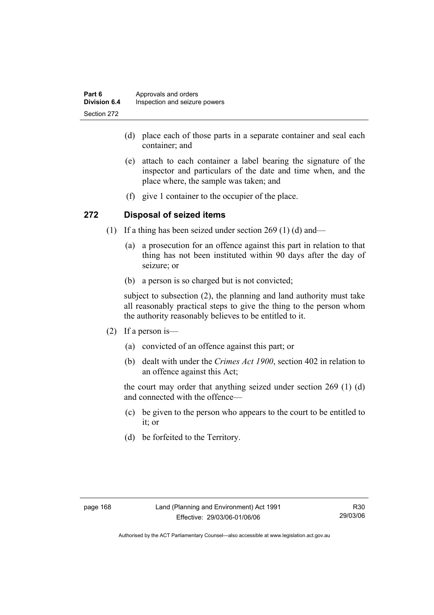| Part 6              | Approvals and orders          |
|---------------------|-------------------------------|
| <b>Division 6.4</b> | Inspection and seizure powers |
| Section 272         |                               |

- (d) place each of those parts in a separate container and seal each container; and
- (e) attach to each container a label bearing the signature of the inspector and particulars of the date and time when, and the place where, the sample was taken; and
- (f) give 1 container to the occupier of the place.

#### **272 Disposal of seized items**

- (1) If a thing has been seized under section 269 (1) (d) and—
	- (a) a prosecution for an offence against this part in relation to that thing has not been instituted within 90 days after the day of seizure; or
	- (b) a person is so charged but is not convicted;

subject to subsection (2), the planning and land authority must take all reasonably practical steps to give the thing to the person whom the authority reasonably believes to be entitled to it.

- (2) If a person is—
	- (a) convicted of an offence against this part; or
	- (b) dealt with under the *Crimes Act 1900*, section 402 in relation to an offence against this Act;

the court may order that anything seized under section 269 (1) (d) and connected with the offence—

- (c) be given to the person who appears to the court to be entitled to it; or
- (d) be forfeited to the Territory.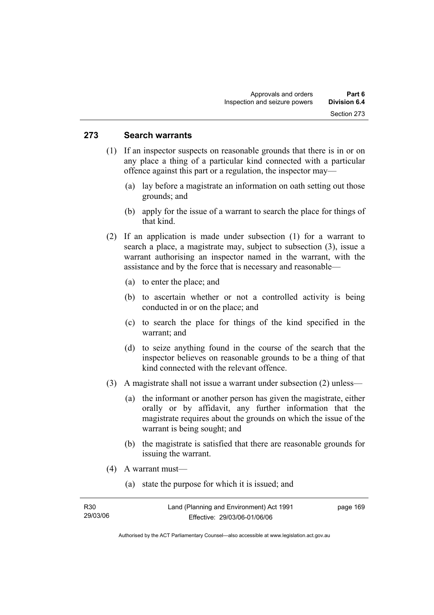#### **273 Search warrants**

- (1) If an inspector suspects on reasonable grounds that there is in or on any place a thing of a particular kind connected with a particular offence against this part or a regulation, the inspector may—
	- (a) lay before a magistrate an information on oath setting out those grounds; and
	- (b) apply for the issue of a warrant to search the place for things of that kind.
- (2) If an application is made under subsection (1) for a warrant to search a place, a magistrate may, subject to subsection (3), issue a warrant authorising an inspector named in the warrant, with the assistance and by the force that is necessary and reasonable—
	- (a) to enter the place; and
	- (b) to ascertain whether or not a controlled activity is being conducted in or on the place; and
	- (c) to search the place for things of the kind specified in the warrant; and
	- (d) to seize anything found in the course of the search that the inspector believes on reasonable grounds to be a thing of that kind connected with the relevant offence.
- (3) A magistrate shall not issue a warrant under subsection (2) unless—
	- (a) the informant or another person has given the magistrate, either orally or by affidavit, any further information that the magistrate requires about the grounds on which the issue of the warrant is being sought; and
	- (b) the magistrate is satisfied that there are reasonable grounds for issuing the warrant.
- (4) A warrant must—
	- (a) state the purpose for which it is issued; and

| R30      | Land (Planning and Environment) Act 1991 | page 169 |
|----------|------------------------------------------|----------|
| 29/03/06 | Effective: 29/03/06-01/06/06             |          |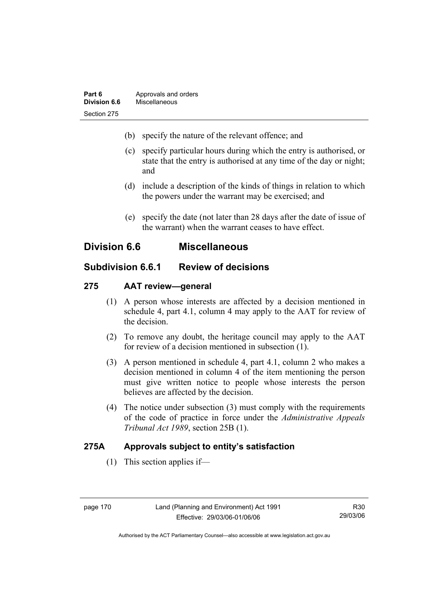| Part 6       | Approvals and orders |
|--------------|----------------------|
| Division 6.6 | Miscellaneous        |
| Section 275  |                      |

- (b) specify the nature of the relevant offence; and
- (c) specify particular hours during which the entry is authorised, or state that the entry is authorised at any time of the day or night; and
- (d) include a description of the kinds of things in relation to which the powers under the warrant may be exercised; and
- (e) specify the date (not later than 28 days after the date of issue of the warrant) when the warrant ceases to have effect.

# **Division 6.6 Miscellaneous**

# **Subdivision 6.6.1 Review of decisions**

#### **275 AAT review—general**

- (1) A person whose interests are affected by a decision mentioned in schedule 4, part 4.1, column 4 may apply to the AAT for review of the decision.
- (2) To remove any doubt, the heritage council may apply to the AAT for review of a decision mentioned in subsection (1).
- (3) A person mentioned in schedule 4, part 4.1, column 2 who makes a decision mentioned in column 4 of the item mentioning the person must give written notice to people whose interests the person believes are affected by the decision.
- (4) The notice under subsection (3) must comply with the requirements of the code of practice in force under the *Administrative Appeals Tribunal Act 1989*, section 25B (1).

## **275A Approvals subject to entity's satisfaction**

(1) This section applies if—

R30 29/03/06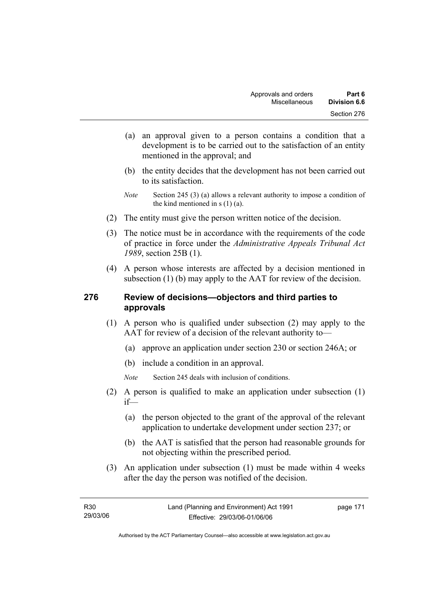- (a) an approval given to a person contains a condition that a development is to be carried out to the satisfaction of an entity mentioned in the approval; and
- (b) the entity decides that the development has not been carried out to its satisfaction.
- *Note* Section 245 (3) (a) allows a relevant authority to impose a condition of the kind mentioned in s (1) (a).
- (2) The entity must give the person written notice of the decision.
- (3) The notice must be in accordance with the requirements of the code of practice in force under the *Administrative Appeals Tribunal Act 1989*, section 25B (1).
- (4) A person whose interests are affected by a decision mentioned in subsection (1) (b) may apply to the AAT for review of the decision.

### **276 Review of decisions—objectors and third parties to approvals**

- (1) A person who is qualified under subsection (2) may apply to the AAT for review of a decision of the relevant authority to—
	- (a) approve an application under section 230 or section 246A; or
	- (b) include a condition in an approval.
	- *Note* Section 245 deals with inclusion of conditions.
- (2) A person is qualified to make an application under subsection (1) if—
	- (a) the person objected to the grant of the approval of the relevant application to undertake development under section 237; or
	- (b) the AAT is satisfied that the person had reasonable grounds for not objecting within the prescribed period.
- (3) An application under subsection (1) must be made within 4 weeks after the day the person was notified of the decision.

page 171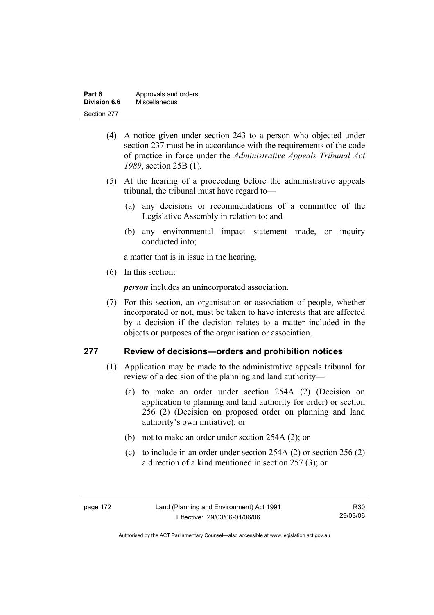| Part 6       | Approvals and orders |
|--------------|----------------------|
| Division 6.6 | Miscellaneous        |
| Section 277  |                      |

- (4) A notice given under section 243 to a person who objected under section 237 must be in accordance with the requirements of the code of practice in force under the *Administrative Appeals Tribunal Act 1989*, section 25B (1)*.*
- (5) At the hearing of a proceeding before the administrative appeals tribunal, the tribunal must have regard to—
	- (a) any decisions or recommendations of a committee of the Legislative Assembly in relation to; and
	- (b) any environmental impact statement made, or inquiry conducted into;

a matter that is in issue in the hearing.

(6) In this section:

*person* includes an unincorporated association.

 (7) For this section, an organisation or association of people, whether incorporated or not, must be taken to have interests that are affected by a decision if the decision relates to a matter included in the objects or purposes of the organisation or association.

#### **277 Review of decisions—orders and prohibition notices**

- (1) Application may be made to the administrative appeals tribunal for review of a decision of the planning and land authority—
	- (a) to make an order under section 254A (2) (Decision on application to planning and land authority for order) or section 256 (2) (Decision on proposed order on planning and land authority's own initiative); or
	- (b) not to make an order under section 254A (2); or
	- (c) to include in an order under section 254A (2) or section 256 (2) a direction of a kind mentioned in section 257 (3); or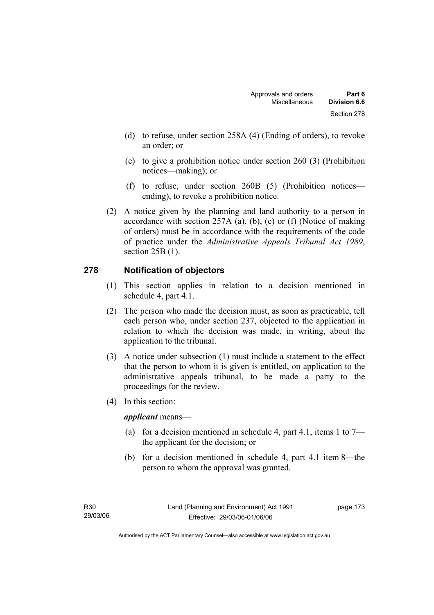- (d) to refuse, under section 258A (4) (Ending of orders), to revoke an order; or
- (e) to give a prohibition notice under section 260 (3) (Prohibition notices—making); or
- (f) to refuse, under section 260B (5) (Prohibition notices ending), to revoke a prohibition notice.
- (2) A notice given by the planning and land authority to a person in accordance with section 257A (a), (b), (c) or (f) (Notice of making of orders) must be in accordance with the requirements of the code of practice under the *Administrative Appeals Tribunal Act 1989*, section 25B (1).

## **278 Notification of objectors**

- (1) This section applies in relation to a decision mentioned in schedule 4, part 4.1.
- (2) The person who made the decision must, as soon as practicable, tell each person who, under section 237, objected to the application in relation to which the decision was made, in writing, about the application to the tribunal.
- (3) A notice under subsection (1) must include a statement to the effect that the person to whom it is given is entitled, on application to the administrative appeals tribunal, to be made a party to the proceedings for the review.
- (4) In this section:

*applicant* means—

- (a) for a decision mentioned in schedule 4, part 4.1, items 1 to  $7$ the applicant for the decision; or
- (b) for a decision mentioned in schedule 4, part 4.1 item 8—the person to whom the approval was granted.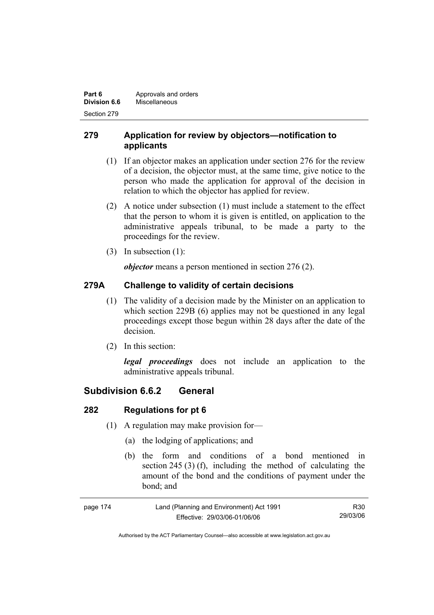| Part 6       | Approvals and orders |
|--------------|----------------------|
| Division 6.6 | Miscellaneous        |
| Section 279  |                      |

## **279 Application for review by objectors—notification to applicants**

- (1) If an objector makes an application under section 276 for the review of a decision, the objector must, at the same time, give notice to the person who made the application for approval of the decision in relation to which the objector has applied for review.
- (2) A notice under subsection (1) must include a statement to the effect that the person to whom it is given is entitled, on application to the administrative appeals tribunal, to be made a party to the proceedings for the review.
- (3) In subsection (1):

*objector* means a person mentioned in section 276 (2).

# **279A Challenge to validity of certain decisions**

- (1) The validity of a decision made by the Minister on an application to which section 229B (6) applies may not be questioned in any legal proceedings except those begun within 28 days after the date of the decision.
- (2) In this section:

*legal proceedings* does not include an application to the administrative appeals tribunal.

# **Subdivision 6.6.2 General**

## **282 Regulations for pt 6**

- (1) A regulation may make provision for—
	- (a) the lodging of applications; and
	- (b) the form and conditions of a bond mentioned in section 245 (3) (f), including the method of calculating the amount of the bond and the conditions of payment under the bond; and

| page 174 | Land (Planning and Environment) Act 1991 | R30      |
|----------|------------------------------------------|----------|
|          | Effective: 29/03/06-01/06/06             | 29/03/06 |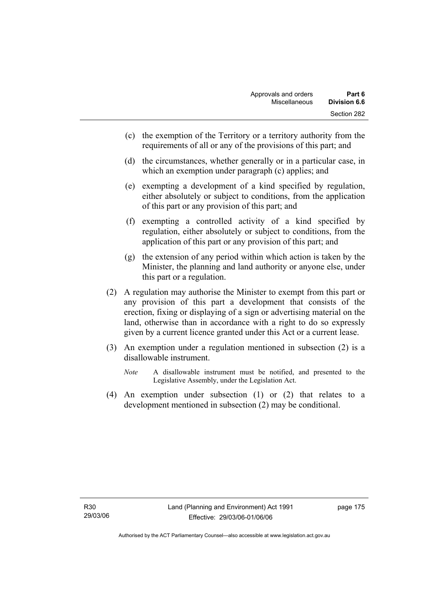- (c) the exemption of the Territory or a territory authority from the requirements of all or any of the provisions of this part; and
- (d) the circumstances, whether generally or in a particular case, in which an exemption under paragraph (c) applies; and
- (e) exempting a development of a kind specified by regulation, either absolutely or subject to conditions, from the application of this part or any provision of this part; and
- (f) exempting a controlled activity of a kind specified by regulation, either absolutely or subject to conditions, from the application of this part or any provision of this part; and
- (g) the extension of any period within which action is taken by the Minister, the planning and land authority or anyone else, under this part or a regulation.
- (2) A regulation may authorise the Minister to exempt from this part or any provision of this part a development that consists of the erection, fixing or displaying of a sign or advertising material on the land, otherwise than in accordance with a right to do so expressly given by a current licence granted under this Act or a current lease.
- (3) An exemption under a regulation mentioned in subsection (2) is a disallowable instrument.
	- *Note* A disallowable instrument must be notified, and presented to the Legislative Assembly, under the Legislation Act.
- (4) An exemption under subsection (1) or (2) that relates to a development mentioned in subsection (2) may be conditional.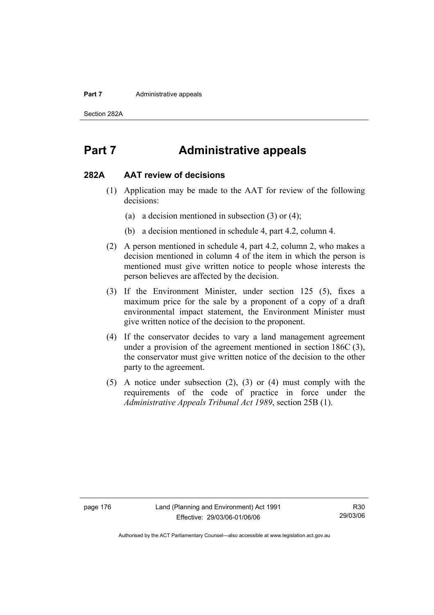#### **Part 7 Administrative appeals**

Section 282A

# **Part 7 Administrative appeals**

#### **282A AAT review of decisions**

- (1) Application may be made to the AAT for review of the following decisions:
	- (a) a decision mentioned in subsection (3) or (4);
	- (b) a decision mentioned in schedule 4, part 4.2, column 4.
- (2) A person mentioned in schedule 4, part 4.2, column 2, who makes a decision mentioned in column 4 of the item in which the person is mentioned must give written notice to people whose interests the person believes are affected by the decision.
- (3) If the Environment Minister, under section 125 (5), fixes a maximum price for the sale by a proponent of a copy of a draft environmental impact statement, the Environment Minister must give written notice of the decision to the proponent.
- (4) If the conservator decides to vary a land management agreement under a provision of the agreement mentioned in section 186C (3), the conservator must give written notice of the decision to the other party to the agreement.
- (5) A notice under subsection (2), (3) or (4) must comply with the requirements of the code of practice in force under the *Administrative Appeals Tribunal Act 1989*, section 25B (1).

R30 29/03/06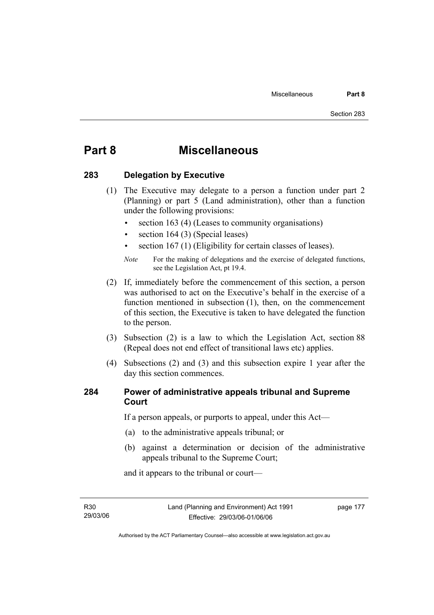# **Part 8 Miscellaneous**

### **283 Delegation by Executive**

- (1) The Executive may delegate to a person a function under part 2 (Planning) or part 5 (Land administration), other than a function under the following provisions:
	- section 163 (4) (Leases to community organisations)
	- section 164 (3) (Special leases)
	- section 167 (1) (Eligibility for certain classes of leases).

- (2) If, immediately before the commencement of this section, a person was authorised to act on the Executive's behalf in the exercise of a function mentioned in subsection (1), then, on the commencement of this section, the Executive is taken to have delegated the function to the person.
- (3) Subsection (2) is a law to which the Legislation Act, section 88 (Repeal does not end effect of transitional laws etc) applies.
- (4) Subsections (2) and (3) and this subsection expire 1 year after the day this section commences.

### **284 Power of administrative appeals tribunal and Supreme Court**

If a person appeals, or purports to appeal, under this Act—

- (a) to the administrative appeals tribunal; or
- (b) against a determination or decision of the administrative appeals tribunal to the Supreme Court;

and it appears to the tribunal or court—

R30 29/03/06 page 177

*Note* For the making of delegations and the exercise of delegated functions, see the Legislation Act, pt 19.4.

Authorised by the ACT Parliamentary Counsel—also accessible at www.legislation.act.gov.au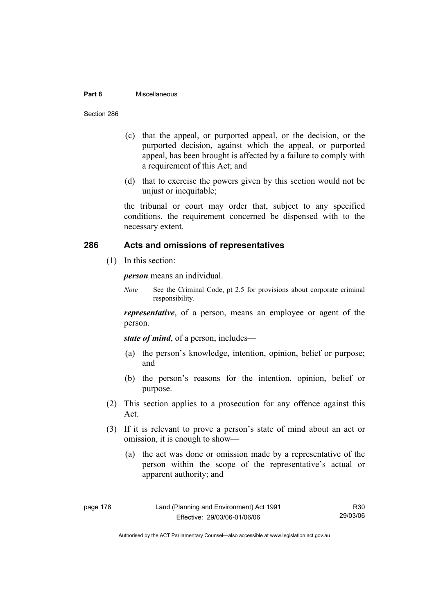#### **Part 8** Miscellaneous

- (c) that the appeal, or purported appeal, or the decision, or the purported decision, against which the appeal, or purported appeal, has been brought is affected by a failure to comply with a requirement of this Act; and
- (d) that to exercise the powers given by this section would not be unjust or inequitable;

the tribunal or court may order that, subject to any specified conditions, the requirement concerned be dispensed with to the necessary extent.

### **286 Acts and omissions of representatives**

(1) In this section:

*person* means an individual.

*Note* See the Criminal Code, pt 2.5 for provisions about corporate criminal responsibility.

*representative*, of a person, means an employee or agent of the person.

*state of mind*, of a person, includes—

- (a) the person's knowledge, intention, opinion, belief or purpose; and
- (b) the person's reasons for the intention, opinion, belief or purpose.
- (2) This section applies to a prosecution for any offence against this Act.
- (3) If it is relevant to prove a person's state of mind about an act or omission, it is enough to show—
	- (a) the act was done or omission made by a representative of the person within the scope of the representative's actual or apparent authority; and

| page | 78<br>-1 |
|------|----------|
|------|----------|

R30 29/03/06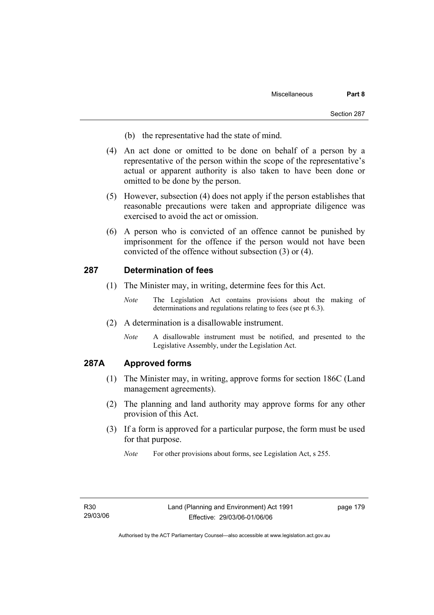- (b) the representative had the state of mind.
- (4) An act done or omitted to be done on behalf of a person by a representative of the person within the scope of the representative's actual or apparent authority is also taken to have been done or omitted to be done by the person.
- (5) However, subsection (4) does not apply if the person establishes that reasonable precautions were taken and appropriate diligence was exercised to avoid the act or omission.
- (6) A person who is convicted of an offence cannot be punished by imprisonment for the offence if the person would not have been convicted of the offence without subsection (3) or (4).

#### **287 Determination of fees**

- (1) The Minister may, in writing, determine fees for this Act.
	- *Note* The Legislation Act contains provisions about the making of determinations and regulations relating to fees (see pt 6.3).
- (2) A determination is a disallowable instrument.
	- *Note* A disallowable instrument must be notified, and presented to the Legislative Assembly, under the Legislation Act.

#### **287A Approved forms**

- (1) The Minister may, in writing, approve forms for section 186C (Land management agreements).
- (2) The planning and land authority may approve forms for any other provision of this Act.
- (3) If a form is approved for a particular purpose, the form must be used for that purpose.

page 179

*Note* For other provisions about forms, see Legislation Act, s 255.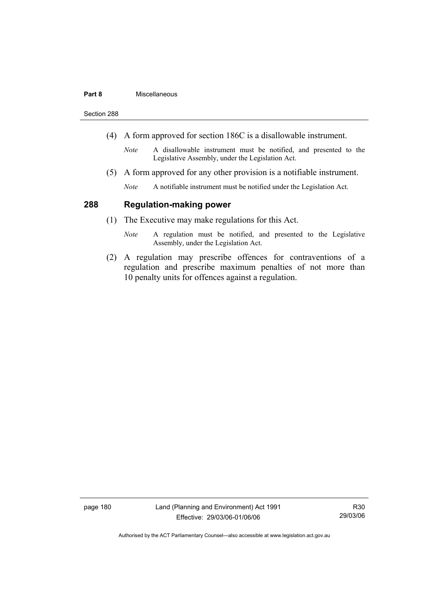#### **Part 8** Miscellaneous

Section 288

- (4) A form approved for section 186C is a disallowable instrument.
	- *Note* A disallowable instrument must be notified, and presented to the Legislative Assembly, under the Legislation Act.
- (5) A form approved for any other provision is a notifiable instrument.
	- *Note* A notifiable instrument must be notified under the Legislation Act.

#### **288 Regulation-making power**

- (1) The Executive may make regulations for this Act.
	- *Note* A regulation must be notified, and presented to the Legislative Assembly, under the Legislation Act.
- (2) A regulation may prescribe offences for contraventions of a regulation and prescribe maximum penalties of not more than 10 penalty units for offences against a regulation.

page 180 Land (Planning and Environment) Act 1991 Effective: 29/03/06-01/06/06

R30 29/03/06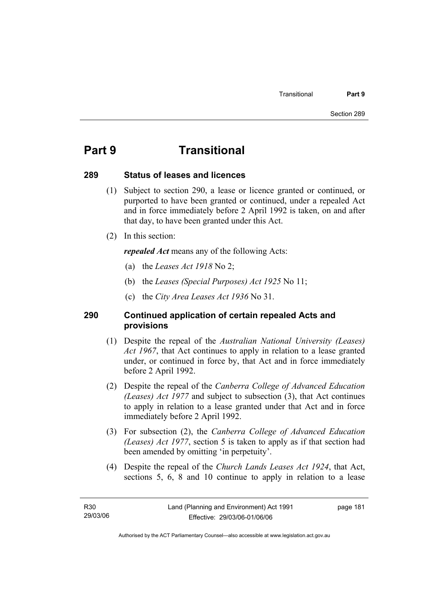# **Part 9 Transitional**

#### **289 Status of leases and licences**

- (1) Subject to section 290, a lease or licence granted or continued, or purported to have been granted or continued, under a repealed Act and in force immediately before 2 April 1992 is taken, on and after that day, to have been granted under this Act.
- (2) In this section:

*repealed Act* means any of the following Acts:

- (a) the *Leases Act 1918* No 2;
- (b) the *Leases (Special Purposes) Act 1925* No 11;
- (c) the *City Area Leases Act 1936* No 31.

### **290 Continued application of certain repealed Acts and provisions**

- (1) Despite the repeal of the *Australian National University (Leases) Act 1967*, that Act continues to apply in relation to a lease granted under, or continued in force by, that Act and in force immediately before 2 April 1992.
- (2) Despite the repeal of the *Canberra College of Advanced Education (Leases) Act 1977* and subject to subsection (3), that Act continues to apply in relation to a lease granted under that Act and in force immediately before 2 April 1992.
- (3) For subsection (2), the *Canberra College of Advanced Education (Leases) Act 1977*, section 5 is taken to apply as if that section had been amended by omitting 'in perpetuity'.
- (4) Despite the repeal of the *Church Lands Leases Act 1924*, that Act, sections 5, 6, 8 and 10 continue to apply in relation to a lease

page 181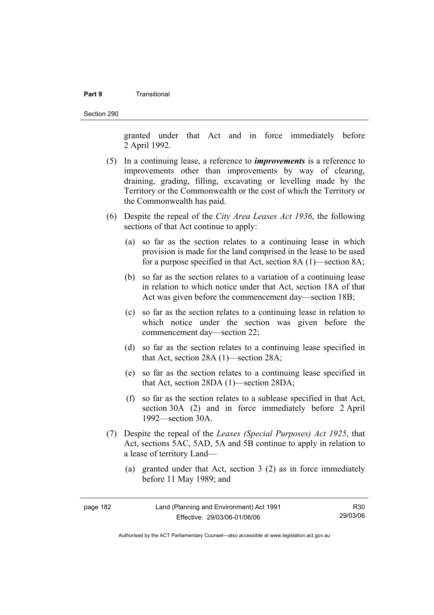#### **Part 9** Transitional

Section 290

granted under that Act and in force immediately before 2 April 1992.

- (5) In a continuing lease, a reference to *improvements* is a reference to improvements other than improvements by way of clearing, draining, grading, filling, excavating or levelling made by the Territory or the Commonwealth or the cost of which the Territory or the Commonwealth has paid.
- (6) Despite the repeal of the *City Area Leases Act 1936*, the following sections of that Act continue to apply:
	- (a) so far as the section relates to a continuing lease in which provision is made for the land comprised in the lease to be used for a purpose specified in that Act, section 8A (1)—section 8A;
	- (b) so far as the section relates to a variation of a continuing lease in relation to which notice under that Act, section 18A of that Act was given before the commencement day—section 18B;
	- (c) so far as the section relates to a continuing lease in relation to which notice under the section was given before the commencement day—section 22;
	- (d) so far as the section relates to a continuing lease specified in that Act, section 28A (1)—section 28A;
	- (e) so far as the section relates to a continuing lease specified in that Act, section 28DA (1)—section 28DA;
	- (f) so far as the section relates to a sublease specified in that Act, section 30A (2) and in force immediately before 2 April 1992—section 30A.
- (7) Despite the repeal of the *Leases (Special Purposes) Act 1925*, that Act, sections 5AC, 5AD, 5A and 5B continue to apply in relation to a lease of territory Land—
	- (a) granted under that Act, section 3 (2) as in force immediately before 11 May 1989; and

| page 182 | Land (Planning and Environment) Act 1991 | R30      |
|----------|------------------------------------------|----------|
|          | Effective: 29/03/06-01/06/06             | 29/03/06 |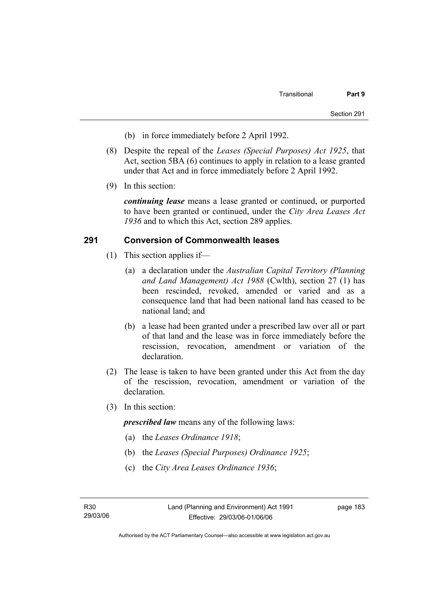- (b) in force immediately before 2 April 1992.
- (8) Despite the repeal of the *Leases (Special Purposes) Act 1925*, that Act, section 5BA (6) continues to apply in relation to a lease granted under that Act and in force immediately before 2 April 1992.
- (9) In this section:

*continuing lease* means a lease granted or continued, or purported to have been granted or continued, under the *City Area Leases Act 1936* and to which this Act, section 289 applies.

#### **291 Conversion of Commonwealth leases**

- (1) This section applies if—
	- (a) a declaration under the *Australian Capital Territory (Planning and Land Management) Act 1988* (Cwlth), section 27 (1) has been rescinded, revoked, amended or varied and as a consequence land that had been national land has ceased to be national land; and
	- (b) a lease had been granted under a prescribed law over all or part of that land and the lease was in force immediately before the rescission, revocation, amendment or variation of the declaration.
- (2) The lease is taken to have been granted under this Act from the day of the rescission, revocation, amendment or variation of the declaration.
- (3) In this section:

*prescribed law* means any of the following laws:

- (a) the *Leases Ordinance 1918*;
- (b) the *Leases (Special Purposes) Ordinance 1925*;
- (c) the *City Area Leases Ordinance 1936*;

page 183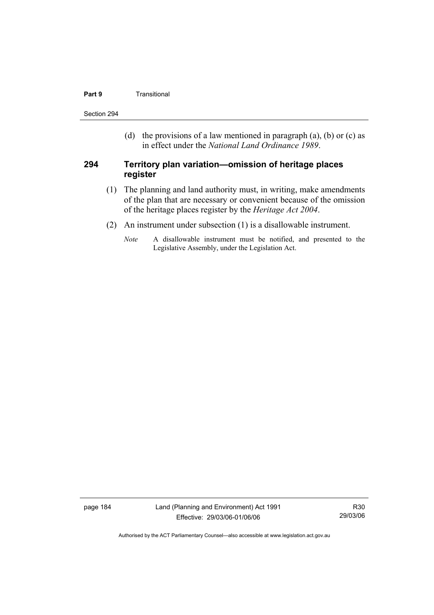#### **Part 9 Transitional**

Section 294

(d) the provisions of a law mentioned in paragraph (a), (b) or (c) as in effect under the *National Land Ordinance 1989*.

#### **294 Territory plan variation—omission of heritage places register**

- (1) The planning and land authority must, in writing, make amendments of the plan that are necessary or convenient because of the omission of the heritage places register by the *Heritage Act 2004*.
- (2) An instrument under subsection (1) is a disallowable instrument.
	- *Note* A disallowable instrument must be notified, and presented to the Legislative Assembly, under the Legislation Act.

page 184 Land (Planning and Environment) Act 1991 Effective: 29/03/06-01/06/06

R30 29/03/06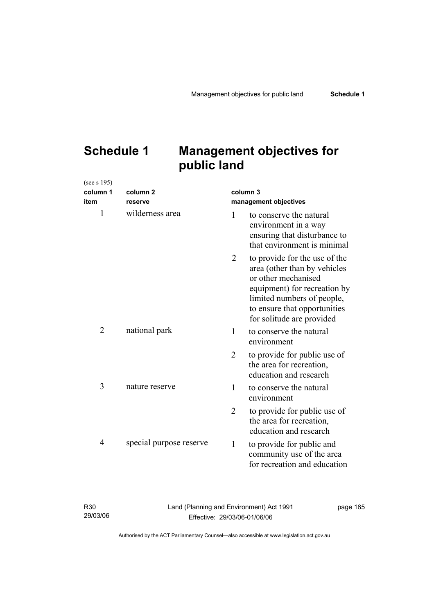# **Schedule 1 Management objectives for public land**

| (see s 195)    |                         |                       |                                                                                                                                                                                                                 |
|----------------|-------------------------|-----------------------|-----------------------------------------------------------------------------------------------------------------------------------------------------------------------------------------------------------------|
| column 1       | column <sub>2</sub>     |                       | column 3                                                                                                                                                                                                        |
| item           | reserve                 | management objectives |                                                                                                                                                                                                                 |
| $\mathbf{1}$   | wilderness area         | 1                     | to conserve the natural<br>environment in a way<br>ensuring that disturbance to<br>that environment is minimal                                                                                                  |
|                |                         | 2                     | to provide for the use of the<br>area (other than by vehicles<br>or other mechanised<br>equipment) for recreation by<br>limited numbers of people,<br>to ensure that opportunities<br>for solitude are provided |
| $\overline{2}$ | national park           | 1                     | to conserve the natural<br>environment                                                                                                                                                                          |
|                |                         | $\overline{2}$        | to provide for public use of<br>the area for recreation,<br>education and research                                                                                                                              |
| 3              | nature reserve          | 1                     | to conserve the natural<br>environment                                                                                                                                                                          |
|                |                         | $\overline{2}$        | to provide for public use of<br>the area for recreation,<br>education and research                                                                                                                              |
| 4              | special purpose reserve | $\mathbf{1}$          | to provide for public and<br>community use of the area<br>for recreation and education                                                                                                                          |

| R <sub>30</sub> | Land (Planning and Environment) Act 1991 | page 185 |
|-----------------|------------------------------------------|----------|
| 29/03/06        | Effective: 29/03/06-01/06/06             |          |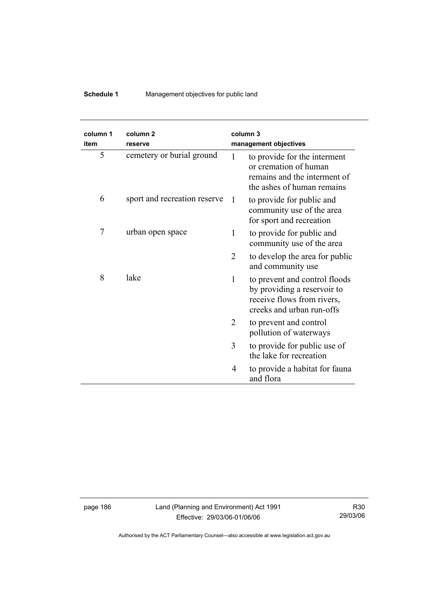# **Schedule 1** Management objectives for public land

| column 1<br>item | column <sub>2</sub><br>reserve |                | column <sub>3</sub><br>management objectives                                                                            |
|------------------|--------------------------------|----------------|-------------------------------------------------------------------------------------------------------------------------|
| 5                | cemetery or burial ground      | 1              | to provide for the interment<br>or cremation of human<br>remains and the interment of<br>the ashes of human remains     |
| 6                | sport and recreation reserve   | $\mathbf{1}$   | to provide for public and<br>community use of the area<br>for sport and recreation                                      |
| 7                | urban open space               | 1              | to provide for public and<br>community use of the area                                                                  |
|                  |                                | $\overline{2}$ | to develop the area for public<br>and community use                                                                     |
| 8                | lake                           | 1              | to prevent and control floods<br>by providing a reservoir to<br>receive flows from rivers,<br>creeks and urban run-offs |
|                  |                                | 2              | to prevent and control<br>pollution of waterways                                                                        |
|                  |                                | 3              | to provide for public use of<br>the lake for recreation                                                                 |
|                  |                                | 4              | to provide a habitat for fauna<br>and flora                                                                             |

page 186 Land (Planning and Environment) Act 1991 Effective: 29/03/06-01/06/06

R30 29/03/06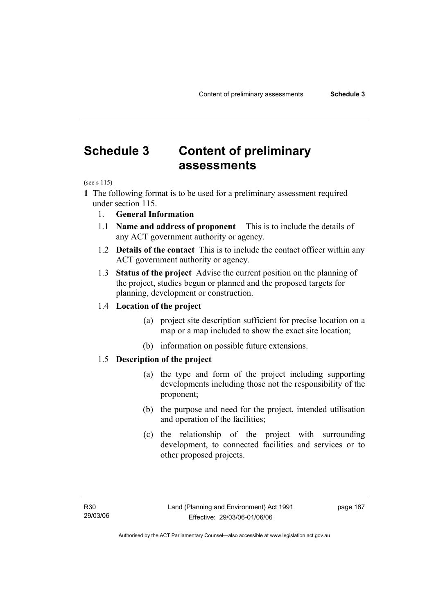# **Schedule 3 Content of preliminary assessments**

(see s 115)

- **1** The following format is to be used for a preliminary assessment required under section 115.
	- 1. **General Information**
	- 1.1 **Name and address of proponent** This is to include the details of any ACT government authority or agency.
	- 1.2 **Details of the contact** This is to include the contact officer within any ACT government authority or agency.
	- 1.3 **Status of the project** Advise the current position on the planning of the project, studies begun or planned and the proposed targets for planning, development or construction.

#### 1.4 **Location of the project**

- (a) project site description sufficient for precise location on a map or a map included to show the exact site location;
- (b) information on possible future extensions.

#### 1.5 **Description of the project**

- (a) the type and form of the project including supporting developments including those not the responsibility of the proponent;
- (b) the purpose and need for the project, intended utilisation and operation of the facilities;
- (c) the relationship of the project with surrounding development, to connected facilities and services or to other proposed projects.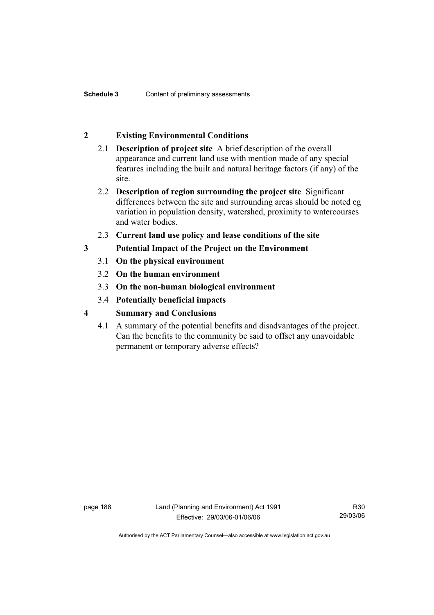## **2 Existing Environmental Conditions**

- 2.1 **Description of project site** A brief description of the overall appearance and current land use with mention made of any special features including the built and natural heritage factors (if any) of the site.
- 2.2 **Description of region surrounding the project site** Significant differences between the site and surrounding areas should be noted eg variation in population density, watershed, proximity to watercourses and water bodies.
- 2.3 **Current land use policy and lease conditions of the site**
- **3 Potential Impact of the Project on the Environment** 
	- 3.1 **On the physical environment**
	- 3.2 **On the human environment**
	- 3.3 **On the non-human biological environment**
	- 3.4 **Potentially beneficial impacts**
- **4 Summary and Conclusions** 
	- 4.1 A summary of the potential benefits and disadvantages of the project. Can the benefits to the community be said to offset any unavoidable permanent or temporary adverse effects?

page 188 Land (Planning and Environment) Act 1991 Effective: 29/03/06-01/06/06

R30 29/03/06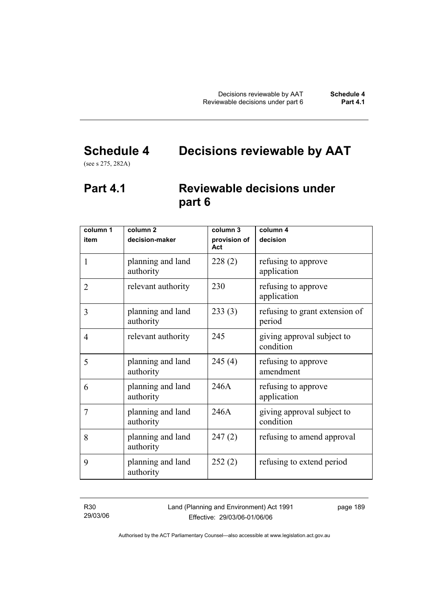# **Schedule 4 Decisions reviewable by AAT**

(see s 275, 282A)

# **Part 4.1 Reviewable decisions under part 6**

| column 1<br>item | column <sub>2</sub><br>decision-maker | column 3<br>provision of | column 4<br>decision                     |
|------------------|---------------------------------------|--------------------------|------------------------------------------|
|                  |                                       | Act                      |                                          |
| $\mathbf{1}$     | planning and land<br>authority        | 228(2)                   | refusing to approve<br>application       |
| $\overline{2}$   | relevant authority                    | 230                      | refusing to approve<br>application       |
| 3                | planning and land<br>authority        | 233(3)                   | refusing to grant extension of<br>period |
| 4                | relevant authority                    | 245                      | giving approval subject to<br>condition  |
| 5                | planning and land<br>authority        | 245(4)                   | refusing to approve<br>amendment         |
| 6                | planning and land<br>authority        | 246A                     | refusing to approve<br>application       |
| 7                | planning and land<br>authority        | 246A                     | giving approval subject to<br>condition  |
| 8                | planning and land<br>authority        | 247(2)                   | refusing to amend approval               |
| 9                | planning and land<br>authority        | 252(2)                   | refusing to extend period                |

R30 29/03/06 Land (Planning and Environment) Act 1991 Effective: 29/03/06-01/06/06

page 189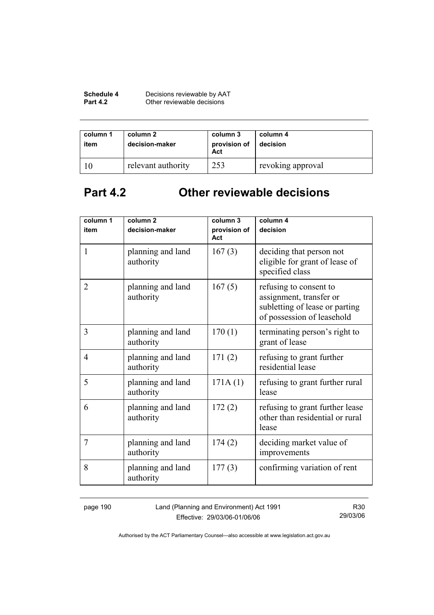| Schedule 4      | Decisions reviewable by AAT |
|-----------------|-----------------------------|
| <b>Part 4.2</b> | Other reviewable decisions  |

| column 1<br>item | column 2<br>decision-maker | column 3<br>provision of<br>Act | column 4<br>decision |
|------------------|----------------------------|---------------------------------|----------------------|
|                  | relevant authority         | 253                             | revoking approval    |

# **Part 4.2 Other reviewable decisions**

| column 1       | column 2                       | column 3            | column 4                                                                                                          |
|----------------|--------------------------------|---------------------|-------------------------------------------------------------------------------------------------------------------|
| item           | decision-maker                 | provision of<br>Act | decision                                                                                                          |
| $\mathbf{1}$   | planning and land<br>authority | 167(3)              | deciding that person not<br>eligible for grant of lease of<br>specified class                                     |
| $\overline{2}$ | planning and land<br>authority | 167(5)              | refusing to consent to<br>assignment, transfer or<br>subletting of lease or parting<br>of possession of leasehold |
| 3              | planning and land<br>authority | 170(1)              | terminating person's right to<br>grant of lease                                                                   |
| $\overline{4}$ | planning and land<br>authority | 171(2)              | refusing to grant further<br>residential lease                                                                    |
| 5              | planning and land<br>authority | 171A(1)             | refusing to grant further rural<br>lease                                                                          |
| 6              | planning and land<br>authority | 172(2)              | refusing to grant further lease<br>other than residential or rural<br>lease                                       |
| 7              | planning and land<br>authority | 174(2)              | deciding market value of<br>improvements                                                                          |
| 8              | planning and land<br>authority | 177(3)              | confirming variation of rent                                                                                      |

page 190 Land (Planning and Environment) Act 1991 Effective: 29/03/06-01/06/06

R30 29/03/06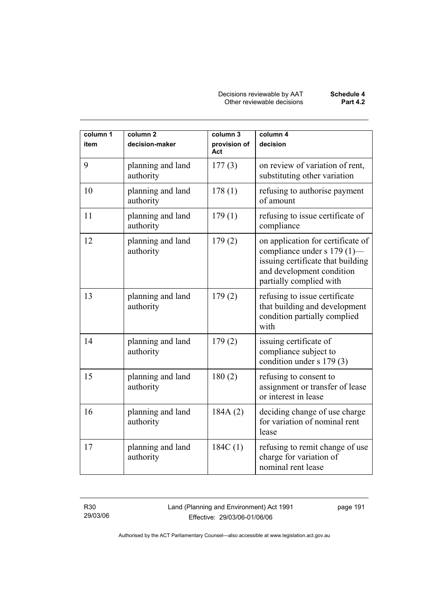| column 1<br>item | column <sub>2</sub><br>decision-maker | column 3<br>provision of<br>Act | column 4<br>decision                                                                                                                                          |
|------------------|---------------------------------------|---------------------------------|---------------------------------------------------------------------------------------------------------------------------------------------------------------|
| 9                | planning and land<br>authority        | 177(3)                          | on review of variation of rent,<br>substituting other variation                                                                                               |
| 10               | planning and land<br>authority        | 178(1)                          | refusing to authorise payment<br>of amount                                                                                                                    |
| 11               | planning and land<br>authority        | 179(1)                          | refusing to issue certificate of<br>compliance                                                                                                                |
| 12               | planning and land<br>authority        | 179(2)                          | on application for certificate of<br>compliance under s 179 (1)—<br>issuing certificate that building<br>and development condition<br>partially complied with |
| 13               | planning and land<br>authority        | 179(2)                          | refusing to issue certificate<br>that building and development<br>condition partially complied<br>with                                                        |
| 14               | planning and land<br>authority        | 179(2)                          | issuing certificate of<br>compliance subject to<br>condition under s 179 (3)                                                                                  |
| 15               | planning and land<br>authority        | 180(2)                          | refusing to consent to<br>assignment or transfer of lease<br>or interest in lease                                                                             |
| 16               | planning and land<br>authority        | 184A(2)                         | deciding change of use charge<br>for variation of nominal rent<br>lease                                                                                       |
| 17               | planning and land<br>authority        | 184C(1)                         | refusing to remit change of use<br>charge for variation of<br>nominal rent lease                                                                              |

R30 29/03/06 Land (Planning and Environment) Act 1991 Effective: 29/03/06-01/06/06

page 191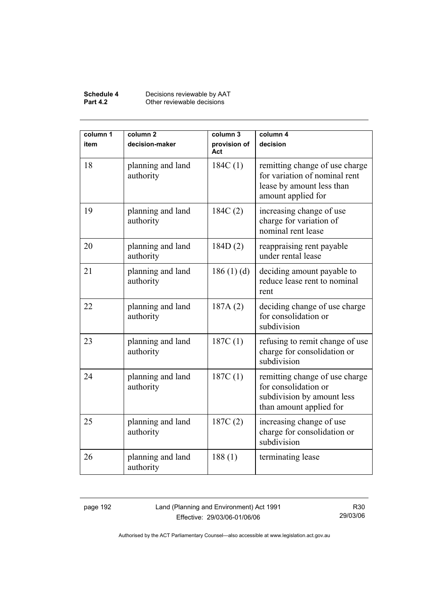#### **Schedule 4** Decisions reviewable by AAT **Part 4.2 Other reviewable decisions**

| column 1<br>item | column <sub>2</sub><br>decision-maker | column 3<br>provision of<br>Act | column 4<br>decision                                                                                               |
|------------------|---------------------------------------|---------------------------------|--------------------------------------------------------------------------------------------------------------------|
| 18               | planning and land<br>authority        | 184C(1)                         | remitting change of use charge<br>for variation of nominal rent<br>lease by amount less than<br>amount applied for |
| 19               | planning and land<br>authority        | 184C(2)                         | increasing change of use<br>charge for variation of<br>nominal rent lease                                          |
| 20               | planning and land<br>authority        | 184D(2)                         | reappraising rent payable<br>under rental lease                                                                    |
| 21               | planning and land<br>authority        | 186(1)(d)                       | deciding amount payable to<br>reduce lease rent to nominal<br>rent                                                 |
| 22               | planning and land<br>authority        | 187A(2)                         | deciding change of use charge<br>for consolidation or<br>subdivision                                               |
| 23               | planning and land<br>authority        | 187C(1)                         | refusing to remit change of use<br>charge for consolidation or<br>subdivision                                      |
| 24               | planning and land<br>authority        | 187C(1)                         | remitting change of use charge<br>for consolidation or<br>subdivision by amount less<br>than amount applied for    |
| 25               | planning and land<br>authority        | 187C(2)                         | increasing change of use<br>charge for consolidation or<br>subdivision                                             |
| 26               | planning and land<br>authority        | 188(1)                          | terminating lease                                                                                                  |

page 192 Land (Planning and Environment) Act 1991 Effective: 29/03/06-01/06/06

R30 29/03/06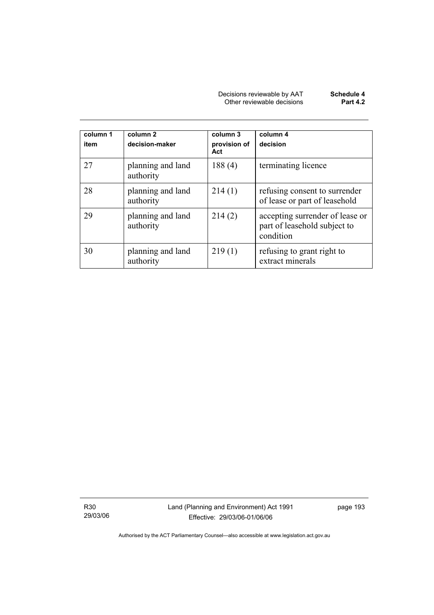| Decisions reviewable by AAT | Schedule 4      |
|-----------------------------|-----------------|
| Other reviewable decisions  | <b>Part 4.2</b> |

| column 1<br>item | column 2<br>decision-maker     | column 3<br>provision of<br>Act | column 4<br>decision                                                         |
|------------------|--------------------------------|---------------------------------|------------------------------------------------------------------------------|
| 27               | planning and land<br>authority | 188(4)                          | terminating licence                                                          |
| 28               | planning and land<br>authority | 214(1)                          | refusing consent to surrender<br>of lease or part of leasehold               |
| 29               | planning and land<br>authority | 214(2)                          | accepting surrender of lease or<br>part of leasehold subject to<br>condition |
| 30               | planning and land<br>authority | 219(1)                          | refusing to grant right to<br>extract minerals                               |

R30 29/03/06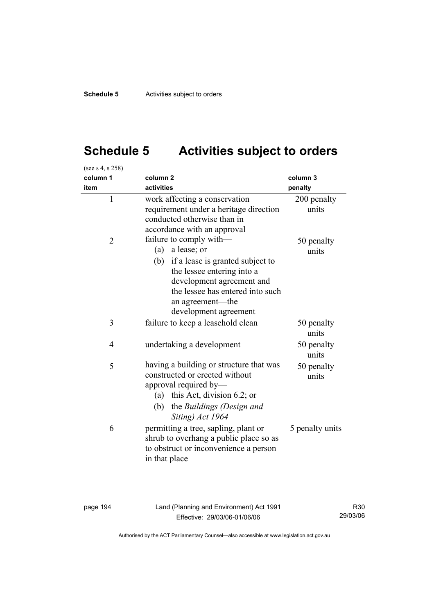# **Schedule 5 Activities subject to orders**

| (see s 4, s 258) |                                                                                                                                                                                                                                   |                      |
|------------------|-----------------------------------------------------------------------------------------------------------------------------------------------------------------------------------------------------------------------------------|----------------------|
| column 1         | column <sub>2</sub>                                                                                                                                                                                                               | column 3             |
| item             | activities                                                                                                                                                                                                                        | penalty              |
| 1                | work affecting a conservation<br>requirement under a heritage direction<br>conducted otherwise than in<br>accordance with an approval                                                                                             | 200 penalty<br>units |
| $\overline{2}$   | failure to comply with—<br>a lease; or<br>(a)<br>(b) if a lease is granted subject to<br>the lessee entering into a<br>development agreement and<br>the lessee has entered into such<br>an agreement—the<br>development agreement | 50 penalty<br>units  |
| 3                | failure to keep a leasehold clean                                                                                                                                                                                                 | 50 penalty<br>units  |
| 4                | undertaking a development                                                                                                                                                                                                         | 50 penalty<br>units  |
| 5                | having a building or structure that was<br>constructed or erected without<br>approval required by-<br>this Act, division $6.2$ ; or<br>(a)<br>the Buildings (Design and<br>(b)<br>Siting) Act 1964                                | 50 penalty<br>units  |
| 6                | permitting a tree, sapling, plant or<br>shrub to overhang a public place so as<br>to obstruct or inconvenience a person<br>in that place                                                                                          | 5 penalty units      |

page 194 Land (Planning and Environment) Act 1991 Effective: 29/03/06-01/06/06

R30 29/03/06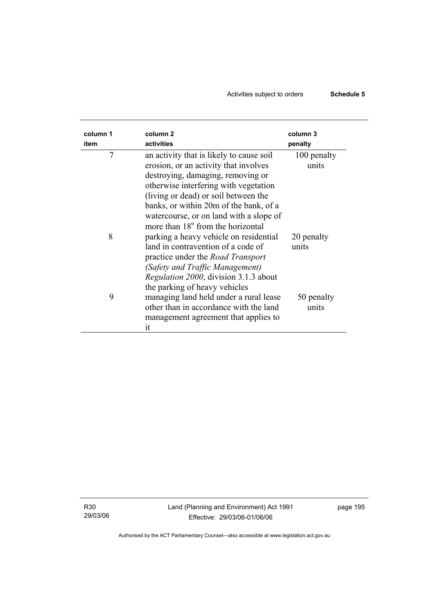# Activities subject to orders **Schedule 5**

| column 1<br>item | column <sub>2</sub><br>activities                                                                                                                                                                                                                                                                                                             | column 3<br>penalty  |
|------------------|-----------------------------------------------------------------------------------------------------------------------------------------------------------------------------------------------------------------------------------------------------------------------------------------------------------------------------------------------|----------------------|
| 7                | an activity that is likely to cause soil<br>erosion, or an activity that involves<br>destroying, damaging, removing or<br>otherwise interfering with vegetation<br>(living or dead) or soil between the<br>banks, or within 20m of the bank, of a<br>watercourse, or on land with a slope of<br>more than 18 <sup>°</sup> from the horizontal | 100 penalty<br>units |
| 8                | parking a heavy vehicle on residential<br>land in contravention of a code of<br>practice under the <i>Road Transport</i><br>(Safety and Traffic Management)<br>Regulation 2000, division 3.1.3 about<br>the parking of heavy vehicles                                                                                                         | 20 penalty<br>units  |
| 9                | managing land held under a rural lease<br>other than in accordance with the land<br>management agreement that applies to<br>it                                                                                                                                                                                                                | 50 penalty<br>units  |

R30 29/03/06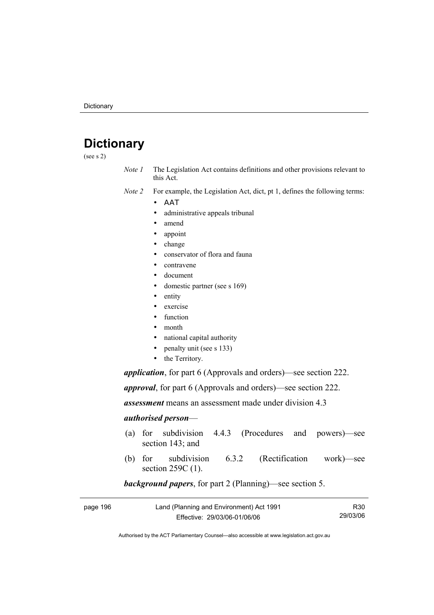# **Dictionary**

(see s 2)

- *Note 1* The Legislation Act contains definitions and other provisions relevant to this Act.
- *Note 2* For example, the Legislation Act, dict, pt 1, defines the following terms:
	- ΑΑΤ
		- administrative appeals tribunal
		- amend
		- appoint
		- change
		- conservator of flora and fauna
		- contravene
		- document
		- domestic partner (see s 169)
		- entity
		- exercise
		- function
		- month
		- national capital authority
		- penalty unit (see s 133)
		- the Territory.

*application*, for part 6 (Approvals and orders)—see section 222.

*approval*, for part 6 (Approvals and orders)—see section 222.

*assessment* means an assessment made under division 4.3

#### *authorised person*—

- (a) for subdivision 4.4.3 (Procedures and powers)—see section 143; and
- (b) for subdivision 6.3.2 (Rectification work)—see section 259C (1).

#### *background papers*, for part 2 (Planning)—see section 5.

| page 196 | Land (Planning and Environment) Act 1991 | R30      |
|----------|------------------------------------------|----------|
|          | Effective: 29/03/06-01/06/06             | 29/03/06 |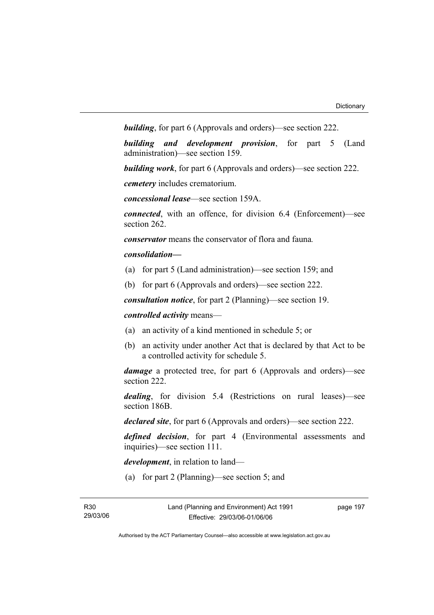*building*, for part 6 (Approvals and orders)—see section 222.

*building and development provision*, for part 5 (Land administration)—see section 159.

*building work*, for part 6 (Approvals and orders)—see section 222.

*cemetery* includes crematorium.

*concessional lease*—see section 159A.

*connected*, with an offence, for division 6.4 (Enforcement)—see section 262.

*conservator* means the conservator of flora and fauna*.*

#### *consolidation—*

- (a) for part 5 (Land administration)—see section 159; and
- (b) for part 6 (Approvals and orders)—see section 222.

*consultation notice*, for part 2 (Planning)—see section 19.

*controlled activity* means—

- (a) an activity of a kind mentioned in schedule 5; or
- (b) an activity under another Act that is declared by that Act to be a controlled activity for schedule 5.

*damage* a protected tree, for part 6 (Approvals and orders)—see section 222.

*dealing*, for division 5.4 (Restrictions on rural leases)—see section 186B.

*declared site*, for part 6 (Approvals and orders)—see section 222.

*defined decision*, for part 4 (Environmental assessments and inquiries)—see section 111.

*development*, in relation to land—

(a) for part 2 (Planning)—see section 5; and

page 197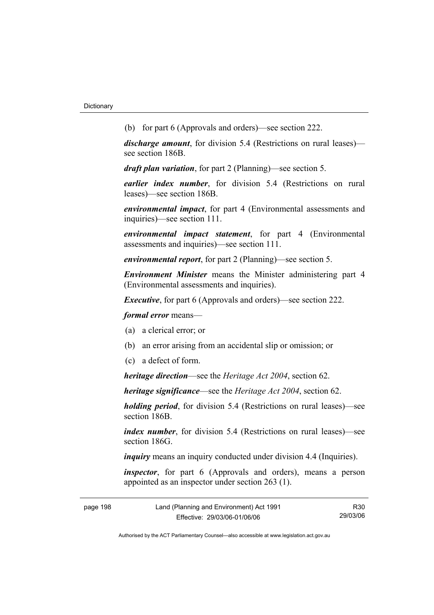(b) for part 6 (Approvals and orders)—see section 222.

*discharge amount*, for division 5.4 (Restrictions on rural leases) see section 186B.

*draft plan variation*, for part 2 (Planning)—see section 5.

*earlier index number*, for division 5.4 (Restrictions on rural leases)—see section 186B.

*environmental impact*, for part 4 (Environmental assessments and inquiries)—see section 111.

*environmental impact statement*, for part 4 (Environmental assessments and inquiries)—see section 111.

*environmental report*, for part 2 (Planning)—see section 5.

*Environment Minister* means the Minister administering part 4 (Environmental assessments and inquiries).

*Executive*, for part 6 (Approvals and orders)—see section 222.

*formal error* means—

- (a) a clerical error; or
- (b) an error arising from an accidental slip or omission; or
- (c) a defect of form.

*heritage direction*—see the *Heritage Act 2004*, section 62.

*heritage significance*—see the *Heritage Act 2004*, section 62.

*holding period*, for division 5.4 (Restrictions on rural leases)—see section 186B.

*index number*, for division 5.4 (Restrictions on rural leases)—see section 186G

*inquiry* means an inquiry conducted under division 4.4 (Inquiries).

*inspector*, for part 6 (Approvals and orders), means a person appointed as an inspector under section 263 (1).

| page 198 | Land (Planning and Environment) Act 1991 | R30      |
|----------|------------------------------------------|----------|
|          | Effective: 29/03/06-01/06/06             | 29/03/06 |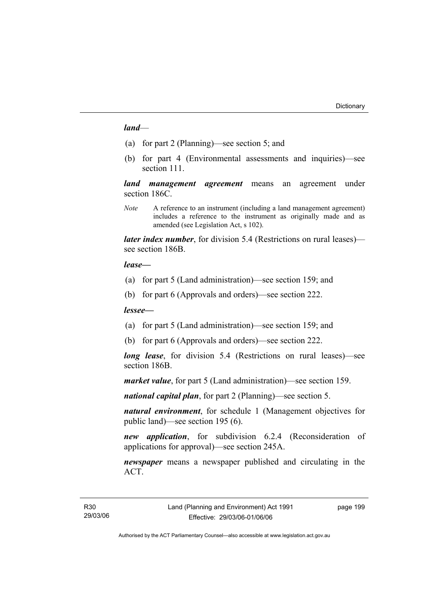#### *land*—

- (a) for part 2 (Planning)—see section 5; and
- (b) for part 4 (Environmental assessments and inquiries)—see section 111.

*land management agreement* means an agreement under section 186C.

*Note* A reference to an instrument (including a land management agreement) includes a reference to the instrument as originally made and as amended (see Legislation Act, s 102).

*later index number*, for division 5.4 (Restrictions on rural leases) see section 186B.

#### *lease—*

- (a) for part 5 (Land administration)—see section 159; and
- (b) for part 6 (Approvals and orders)—see section 222.

#### *lessee—*

- (a) for part 5 (Land administration)—see section 159; and
- (b) for part 6 (Approvals and orders)—see section 222.

*long lease*, for division 5.4 (Restrictions on rural leases)—see section 186B.

*market value*, for part 5 (Land administration)—see section 159.

*national capital plan*, for part 2 (Planning)—see section 5.

*natural environment*, for schedule 1 (Management objectives for public land)—see section 195 (6).

*new application*, for subdivision 6.2.4 (Reconsideration of applications for approval)—see section 245A.

*newspaper* means a newspaper published and circulating in the ACT.

page 199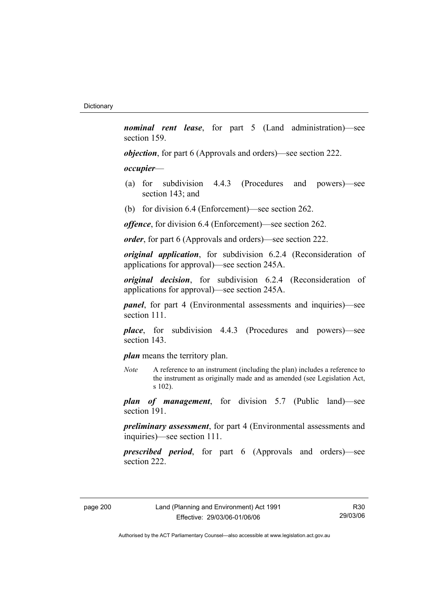*nominal rent lease*, for part 5 (Land administration)—see section 159.

*objection*, for part 6 (Approvals and orders)—see section 222.

#### *occupier*—

- (a) for subdivision 4.4.3 (Procedures and powers)—see section 143; and
- (b) for division 6.4 (Enforcement)—see section 262.

*offence*, for division 6.4 (Enforcement)—see section 262.

*order*, for part 6 (Approvals and orders)—see section 222.

*original application*, for subdivision 6.2.4 (Reconsideration of applications for approval)—see section 245A.

*original decision*, for subdivision 6.2.4 (Reconsideration of applications for approval)—see section 245A.

*panel*, for part 4 (Environmental assessments and inquiries)—see section 111.

*place*, for subdivision 4.4.3 (Procedures and powers)—see section 143.

*plan* means the territory plan.

*Note* A reference to an instrument (including the plan) includes a reference to the instrument as originally made and as amended (see Legislation Act, s 102).

*plan of management*, for division 5.7 (Public land)—see section 191.

*preliminary assessment*, for part 4 (Environmental assessments and inquiries)—see section 111.

*prescribed period*, for part 6 (Approvals and orders)—see section 222.

R30 29/03/06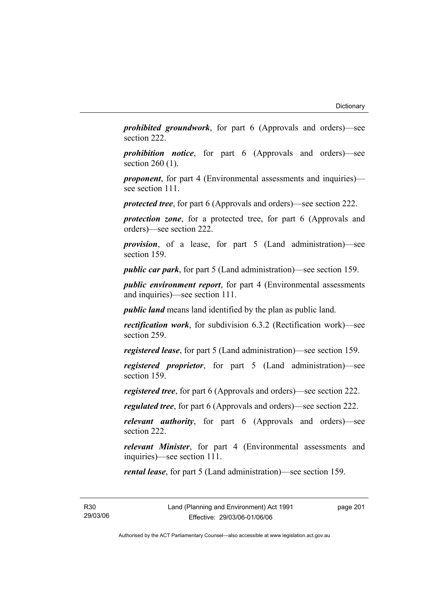*prohibited groundwork*, for part 6 (Approvals and orders)—see section 222.

*prohibition notice*, for part 6 (Approvals and orders)—see section 260 (1).

*proponent*, for part 4 (Environmental assessments and inquiries) see section 111.

*protected tree*, for part 6 (Approvals and orders)—see section 222.

*protection zone*, for a protected tree, for part 6 (Approvals and orders)—see section 222.

*provision*, of a lease, for part 5 (Land administration)—see section 159.

*public car park*, for part 5 (Land administration)—see section 159.

*public environment report*, for part 4 (Environmental assessments and inquiries)—see section 111.

*public land* means land identified by the plan as public land.

*rectification work*, for subdivision 6.3.2 (Rectification work)—see section 259.

*registered lease*, for part 5 (Land administration)—see section 159.

*registered proprietor*, for part 5 (Land administration)—see section 159.

*registered tree*, for part 6 (Approvals and orders)—see section 222.

*regulated tree*, for part 6 (Approvals and orders)—see section 222.

*relevant authority*, for part 6 (Approvals and orders)—see section 222.

*relevant Minister*, for part 4 (Environmental assessments and inquiries)—see section 111.

*rental lease*, for part 5 (Land administration)—see section 159.

R30 29/03/06 page 201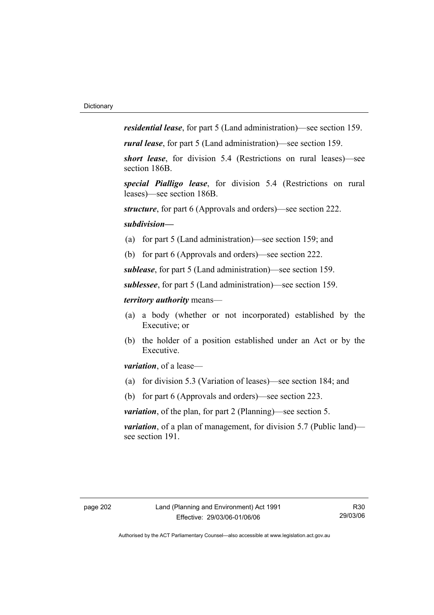*residential lease*, for part 5 (Land administration)—see section 159.

*rural lease*, for part 5 (Land administration)—see section 159.

*short lease*, for division 5.4 (Restrictions on rural leases)—see section 186B.

*special Pialligo lease*, for division 5.4 (Restrictions on rural leases)—see section 186B.

*structure*, for part 6 (Approvals and orders)—see section 222.

#### *subdivision—*

- (a) for part 5 (Land administration)—see section 159; and
- (b) for part 6 (Approvals and orders)—see section 222.

*sublease*, for part 5 (Land administration)—see section 159.

*sublessee*, for part 5 (Land administration)—see section 159.

#### *territory authority* means—

- (a) a body (whether or not incorporated) established by the Executive; or
- (b) the holder of a position established under an Act or by the Executive.

*variation*, of a lease—

- (a) for division 5.3 (Variation of leases)—see section 184; and
- (b) for part 6 (Approvals and orders)—see section 223.

*variation*, of the plan, for part 2 (Planning)—see section 5.

*variation*, of a plan of management, for division 5.7 (Public land) see section 191.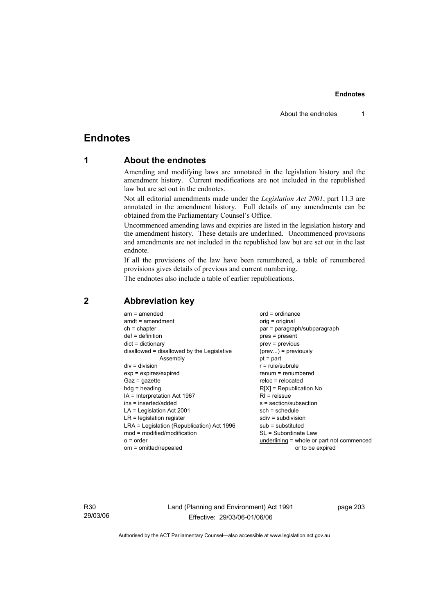## **Endnotes**

## **1 About the endnotes**

Amending and modifying laws are annotated in the legislation history and the amendment history. Current modifications are not included in the republished law but are set out in the endnotes.

Not all editorial amendments made under the *Legislation Act 2001*, part 11.3 are annotated in the amendment history. Full details of any amendments can be obtained from the Parliamentary Counsel's Office.

Uncommenced amending laws and expiries are listed in the legislation history and the amendment history. These details are underlined. Uncommenced provisions and amendments are not included in the republished law but are set out in the last endnote.

If all the provisions of the law have been renumbered, a table of renumbered provisions gives details of previous and current numbering.

The endnotes also include a table of earlier republications.

| $am = amended$                             | $ord = ordinance$                         |
|--------------------------------------------|-------------------------------------------|
| $amdt = amendment$                         | $orig = original$                         |
| $ch = chapter$                             | par = paragraph/subparagraph              |
| $def = definition$                         | pres = present                            |
| $dict = dictionary$                        | $prev = previous$                         |
| disallowed = disallowed by the Legislative | $(\text{prev})$ = previously              |
| Assembly                                   | $pt = part$                               |
| $div = division$                           | $r = rule/subrule$                        |
| $exp = expires/expired$                    | $remum = renumbered$                      |
| $Gaz = gazette$                            | reloc = relocated                         |
| $h dq =$ heading                           | $R[X]$ = Republication No                 |
| IA = Interpretation Act 1967               | $RI =$ reissue                            |
| ins = inserted/added                       | s = section/subsection                    |
| $LA =$ Legislation Act 2001                | $sch = schedule$                          |
| $LR =$ legislation register                | $sdiv = subdivision$                      |
| LRA = Legislation (Republication) Act 1996 | $sub =$ substituted                       |
| mod = modified/modification                | SL = Subordinate Law                      |
| $o = order$                                | underlining = whole or part not commenced |
| om = omitted/repealed                      | or to be expired                          |
|                                            |                                           |

## **2 Abbreviation key**

R30 29/03/06 Land (Planning and Environment) Act 1991 Effective: 29/03/06-01/06/06

page 203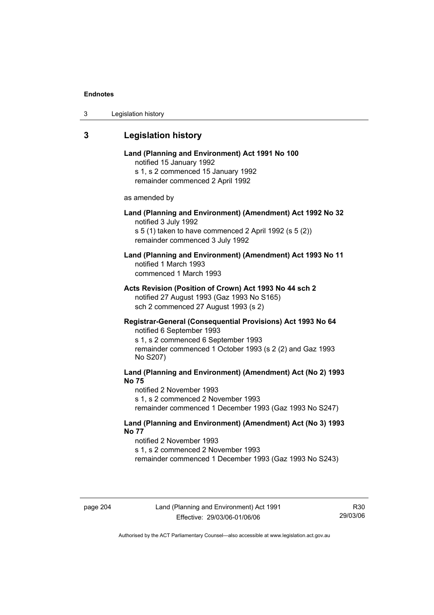| 3 | Legislation history |  |
|---|---------------------|--|
|---|---------------------|--|

## **3 Legislation history**

## **Land (Planning and Environment) Act 1991 No 100**  notified 15 January 1992 s 1, s 2 commenced 15 January 1992 remainder commenced 2 April 1992 as amended by **Land (Planning and Environment) (Amendment) Act 1992 No 32**  notified 3 July 1992 s 5 (1) taken to have commenced 2 April 1992 (s 5 (2)) remainder commenced 3 July 1992 **Land (Planning and Environment) (Amendment) Act 1993 No 11**  notified 1 March 1993 commenced 1 March 1993 **Acts Revision (Position of Crown) Act 1993 No 44 sch 2**  notified 27 August 1993 (Gaz 1993 No S165) sch 2 commenced 27 August 1993 (s 2) **Registrar-General (Consequential Provisions) Act 1993 No 64**  notified 6 September 1993 s 1, s 2 commenced 6 September 1993 remainder commenced 1 October 1993 (s 2 (2) and Gaz 1993 No S207) **Land (Planning and Environment) (Amendment) Act (No 2) 1993 No 75**  notified 2 November 1993 s 1, s 2 commenced 2 November 1993 remainder commenced 1 December 1993 (Gaz 1993 No S247)

**Land (Planning and Environment) (Amendment) Act (No 3) 1993 No 77** 

notified 2 November 1993 s 1, s 2 commenced 2 November 1993 remainder commenced 1 December 1993 (Gaz 1993 No S243)

R30 29/03/06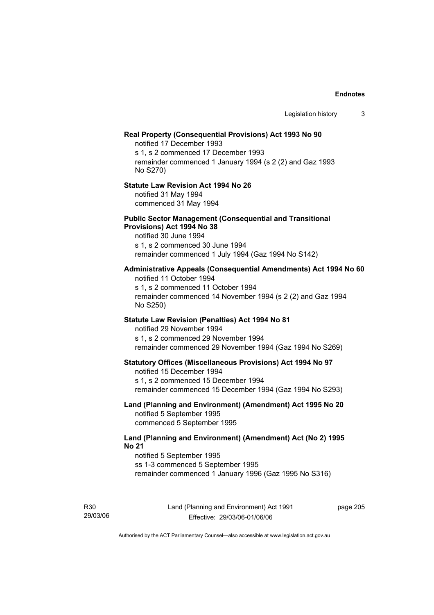|                                                                                                                                                                                                                 | Legislation history | 3 |
|-----------------------------------------------------------------------------------------------------------------------------------------------------------------------------------------------------------------|---------------------|---|
| Real Property (Consequential Provisions) Act 1993 No 90<br>notified 17 December 1993<br>s 1, s 2 commenced 17 December 1993<br>remainder commenced 1 January 1994 (s 2 (2) and Gaz 1993<br>No S270)             |                     |   |
| <b>Statute Law Revision Act 1994 No 26</b><br>notified 31 May 1994<br>commenced 31 May 1994                                                                                                                     |                     |   |
| <b>Public Sector Management (Consequential and Transitional</b><br>Provisions) Act 1994 No 38<br>notified 30 June 1994<br>s 1, s 2 commenced 30 June 1994<br>remainder commenced 1 July 1994 (Gaz 1994 No S142) |                     |   |
| Administrative Appeals (Consequential Amendments) Act 1994 No 60<br>notified 11 October 1994<br>s 1, s 2 commenced 11 October 1994<br>remainder commenced 14 November 1994 (s 2 (2) and Gaz 1994<br>No S250)    |                     |   |
| Statute Law Revision (Penalties) Act 1994 No 81<br>notified 29 November 1994<br>s 1, s 2 commenced 29 November 1994<br>remainder commenced 29 November 1994 (Gaz 1994 No S269)                                  |                     |   |
| <b>Statutory Offices (Miscellaneous Provisions) Act 1994 No 97</b><br>notified 15 December 1994<br>s 1, s 2 commenced 15 December 1994<br>remainder commenced 15 December 1994 (Gaz 1994 No S293)               |                     |   |
| Land (Planning and Environment) (Amendment) Act 1995 No 20<br>notified 5 September 1995<br>commenced 5 September 1995                                                                                           |                     |   |
| Land (Planning and Environment) (Amendment) Act (No 2) 1995<br><b>No 21</b><br>notified 5 September 1995<br>ss 1-3 commenced 5 September 1995<br>remainder commenced 1 January 1996 (Gaz 1995 No S316)          |                     |   |

R30 29/03/06 Land (Planning and Environment) Act 1991 Effective: 29/03/06-01/06/06

page 205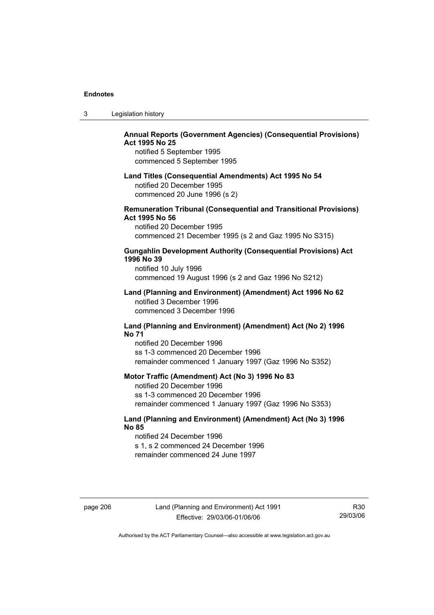| 3 | Legislation history |  |
|---|---------------------|--|
|---|---------------------|--|

## **Annual Reports (Government Agencies) (Consequential Provisions) Act 1995 No 25**

notified 5 September 1995 commenced 5 September 1995

#### **Land Titles (Consequential Amendments) Act 1995 No 54**

notified 20 December 1995 commenced 20 June 1996 (s 2)

### **Remuneration Tribunal (Consequential and Transitional Provisions) Act 1995 No 56**

notified 20 December 1995 commenced 21 December 1995 (s 2 and Gaz 1995 No S315)

### **Gungahlin Development Authority (Consequential Provisions) Act 1996 No 39**

notified 10 July 1996 commenced 19 August 1996 (s 2 and Gaz 1996 No S212)

#### **Land (Planning and Environment) (Amendment) Act 1996 No 62**  notified 3 December 1996 commenced 3 December 1996

#### **Land (Planning and Environment) (Amendment) Act (No 2) 1996 No 71**

notified 20 December 1996 ss 1-3 commenced 20 December 1996 remainder commenced 1 January 1997 (Gaz 1996 No S352)

### **Motor Traffic (Amendment) Act (No 3) 1996 No 83**

notified 20 December 1996 ss 1-3 commenced 20 December 1996 remainder commenced 1 January 1997 (Gaz 1996 No S353)

## **Land (Planning and Environment) (Amendment) Act (No 3) 1996 No 85**

notified 24 December 1996 s 1, s 2 commenced 24 December 1996 remainder commenced 24 June 1997

page 206 Land (Planning and Environment) Act 1991 Effective: 29/03/06-01/06/06

R30 29/03/06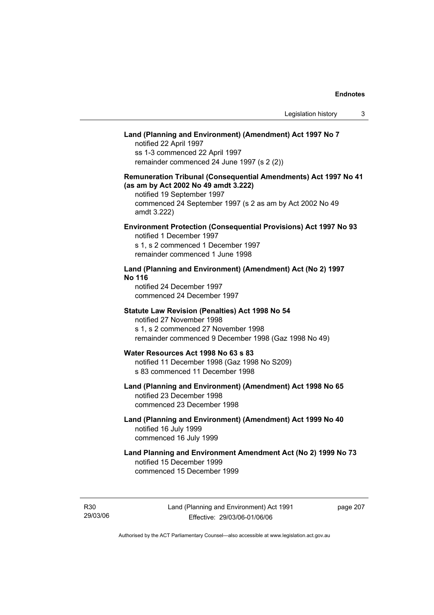## **Land (Planning and Environment) (Amendment) Act 1997 No 7**

notified 22 April 1997 ss 1-3 commenced 22 April 1997 remainder commenced 24 June 1997 (s 2 (2))

## **Remuneration Tribunal (Consequential Amendments) Act 1997 No 41 (as am by Act 2002 No 49 amdt 3.222)**

notified 19 September 1997 commenced 24 September 1997 (s 2 as am by Act 2002 No 49 amdt 3.222)

## **Environment Protection (Consequential Provisions) Act 1997 No 93**

notified 1 December 1997 s 1, s 2 commenced 1 December 1997 remainder commenced 1 June 1998

## **Land (Planning and Environment) (Amendment) Act (No 2) 1997 No 116**

notified 24 December 1997 commenced 24 December 1997

#### **Statute Law Revision (Penalties) Act 1998 No 54**

notified 27 November 1998 s 1, s 2 commenced 27 November 1998 remainder commenced 9 December 1998 (Gaz 1998 No 49)

## **Water Resources Act 1998 No 63 s 83**

notified 11 December 1998 (Gaz 1998 No S209) s 83 commenced 11 December 1998

## **Land (Planning and Environment) (Amendment) Act 1998 No 65**  notified 23 December 1998

commenced 23 December 1998

## **Land (Planning and Environment) (Amendment) Act 1999 No 40**  notified 16 July 1999 commenced 16 July 1999

## **Land Planning and Environment Amendment Act (No 2) 1999 No 73**  notified 15 December 1999 commenced 15 December 1999

R30 29/03/06 page 207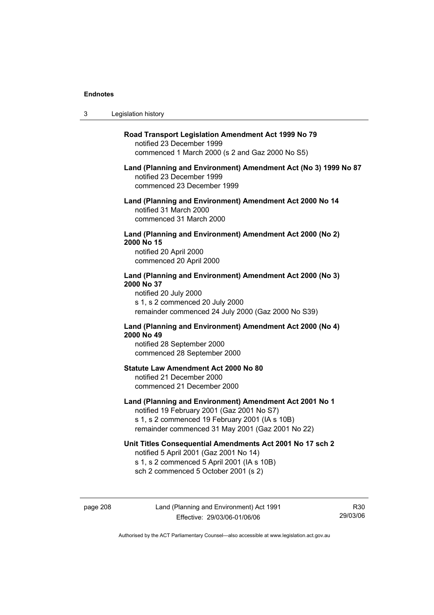$3<sub>1</sub>$ 

R30 29/03/06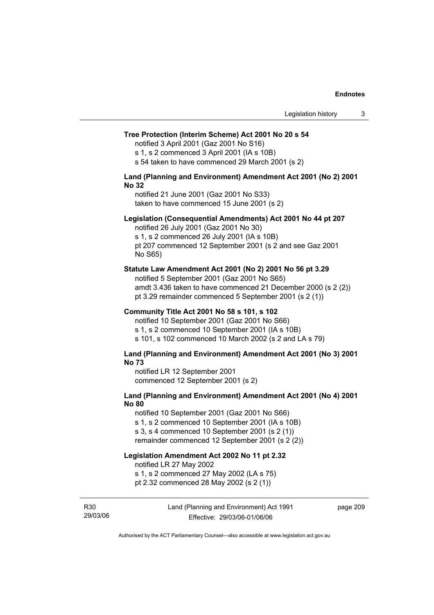#### **Tree Protection (Interim Scheme) Act 2001 No 20 s 54**

notified 3 April 2001 (Gaz 2001 No S16)

s 1, s 2 commenced 3 April 2001 (IA s 10B)

s 54 taken to have commenced 29 March 2001 (s 2)

#### **Land (Planning and Environment) Amendment Act 2001 (No 2) 2001 No 32**

notified 21 June 2001 (Gaz 2001 No S33) taken to have commenced 15 June 2001 (s 2)

#### **Legislation (Consequential Amendments) Act 2001 No 44 pt 207**

notified 26 July 2001 (Gaz 2001 No 30) s 1, s 2 commenced 26 July 2001 (IA s 10B) pt 207 commenced 12 September 2001 (s 2 and see Gaz 2001 No S65)

#### **Statute Law Amendment Act 2001 (No 2) 2001 No 56 pt 3.29**

notified 5 September 2001 (Gaz 2001 No S65) amdt 3.436 taken to have commenced 21 December 2000 (s 2 (2)) pt 3.29 remainder commenced 5 September 2001 (s 2 (1))

#### **Community Title Act 2001 No 58 s 101, s 102**

notified 10 September 2001 (Gaz 2001 No S66) s 1, s 2 commenced 10 September 2001 (IA s 10B) s 101, s 102 commenced 10 March 2002 (s 2 and LA s 79)

#### **Land (Planning and Environment) Amendment Act 2001 (No 3) 2001 No 73**

notified LR 12 September 2001 commenced 12 September 2001 (s 2)

## **Land (Planning and Environment) Amendment Act 2001 (No 4) 2001 No 80**

notified 10 September 2001 (Gaz 2001 No S66) s 1, s 2 commenced 10 September 2001 (IA s 10B) s 3, s 4 commenced 10 September 2001 (s 2 (1)) remainder commenced 12 September 2001 (s 2 (2))

## **Legislation Amendment Act 2002 No 11 pt 2.32**

notified LR 27 May 2002

s 1, s 2 commenced 27 May 2002 (LA s 75)

pt 2.32 commenced 28 May 2002 (s 2 (1))

R30 29/03/06 Land (Planning and Environment) Act 1991 Effective: 29/03/06-01/06/06

page 209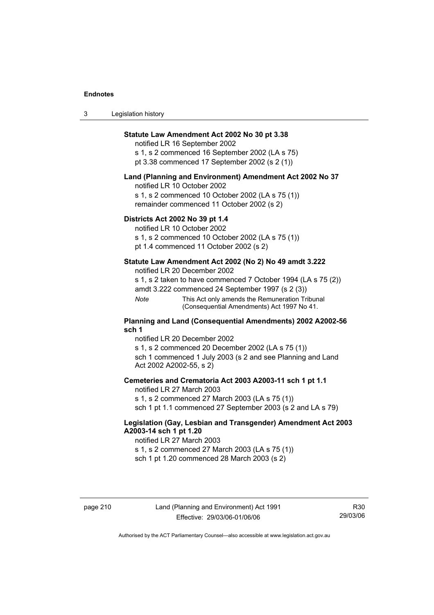| 3 | Legislation history |  |
|---|---------------------|--|
|---|---------------------|--|

## **Statute Law Amendment Act 2002 No 30 pt 3.38**

notified LR 16 September 2002 s 1, s 2 commenced 16 September 2002 (LA s 75) pt 3.38 commenced 17 September 2002 (s 2 (1))

#### **Land (Planning and Environment) Amendment Act 2002 No 37**

notified LR 10 October 2002

s 1, s 2 commenced 10 October 2002 (LA s 75 (1)) remainder commenced 11 October 2002 (s 2)

#### **Districts Act 2002 No 39 pt 1.4**

notified LR 10 October 2002

s 1, s 2 commenced 10 October 2002 (LA s 75 (1))

pt 1.4 commenced 11 October 2002 (s 2)

### **Statute Law Amendment Act 2002 (No 2) No 49 amdt 3.222**

notified LR 20 December 2002

s 1, s 2 taken to have commenced 7 October 1994 (LA s 75 (2)) amdt 3.222 commenced 24 September 1997 (s 2 (3))

*Note* This Act only amends the Remuneration Tribunal (Consequential Amendments) Act 1997 No 41.

#### **Planning and Land (Consequential Amendments) 2002 A2002-56 sch 1**

notified LR 20 December 2002 s 1, s 2 commenced 20 December 2002 (LA s 75 (1)) sch 1 commenced 1 July 2003 (s 2 and see Planning and Land Act 2002 A2002-55, s 2)

### **Cemeteries and Crematoria Act 2003 A2003-11 sch 1 pt 1.1**

notified LR 27 March 2003 s 1, s 2 commenced 27 March 2003 (LA s 75 (1)) sch 1 pt 1.1 commenced 27 September 2003 (s 2 and LA s 79)

## **Legislation (Gay, Lesbian and Transgender) Amendment Act 2003 A2003-14 sch 1 pt 1.20**

notified LR 27 March 2003 s 1, s 2 commenced 27 March 2003 (LA s 75 (1)) sch 1 pt 1.20 commenced 28 March 2003 (s 2)

R30 29/03/06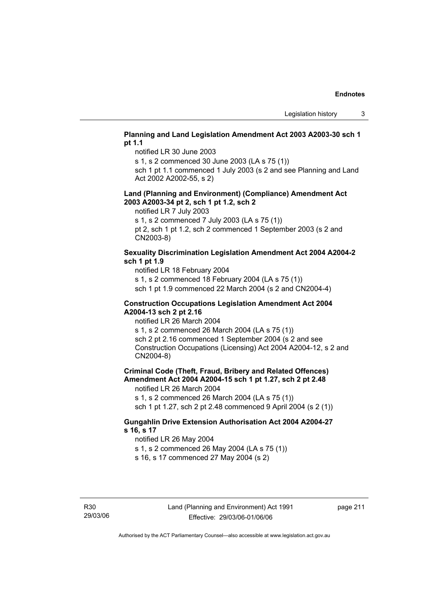## **Planning and Land Legislation Amendment Act 2003 A2003-30 sch 1 pt 1.1**

notified LR 30 June 2003

s 1, s 2 commenced 30 June 2003 (LA s 75 (1))

sch 1 pt 1.1 commenced 1 July 2003 (s 2 and see Planning and Land Act 2002 A2002-55, s 2)

#### **Land (Planning and Environment) (Compliance) Amendment Act 2003 A2003-34 pt 2, sch 1 pt 1.2, sch 2**

notified LR 7 July 2003

s 1, s 2 commenced 7 July 2003 (LA s 75 (1))

pt 2, sch 1 pt 1.2, sch 2 commenced 1 September 2003 (s 2 and CN2003-8)

## **Sexuality Discrimination Legislation Amendment Act 2004 A2004-2 sch 1 pt 1.9**

notified LR 18 February 2004

s 1, s 2 commenced 18 February 2004 (LA s 75 (1))

sch 1 pt 1.9 commenced 22 March 2004 (s 2 and CN2004-4)

#### **Construction Occupations Legislation Amendment Act 2004 A2004-13 sch 2 pt 2.16**

notified LR 26 March 2004

s 1, s 2 commenced 26 March 2004 (LA s 75 (1)) sch 2 pt 2.16 commenced 1 September 2004 (s 2 and see Construction Occupations (Licensing) Act 2004 A2004-12, s 2 and CN2004-8)

## **Criminal Code (Theft, Fraud, Bribery and Related Offences) Amendment Act 2004 A2004-15 sch 1 pt 1.27, sch 2 pt 2.48**

notified LR 26 March 2004

s 1, s 2 commenced 26 March 2004 (LA s 75 (1)) sch 1 pt 1.27, sch 2 pt 2.48 commenced 9 April 2004 (s 2 (1))

## **Gungahlin Drive Extension Authorisation Act 2004 A2004-27 s 16, s 17**

notified LR 26 May 2004

s 1, s 2 commenced 26 May 2004 (LA s 75 (1)) s 16, s 17 commenced 27 May 2004 (s 2)

page 211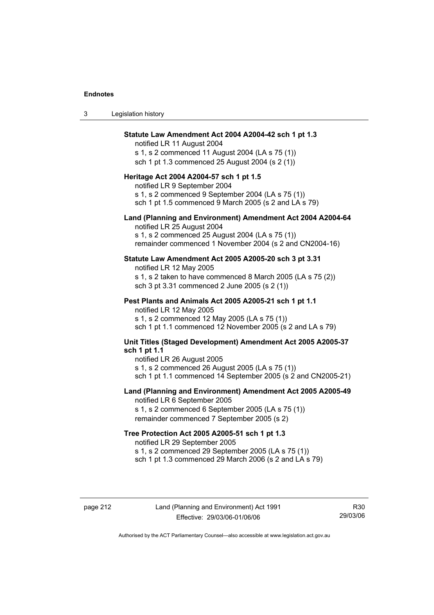| Legislation history<br>-3 |  |
|---------------------------|--|
|---------------------------|--|

#### **Statute Law Amendment Act 2004 A2004-42 sch 1 pt 1.3**

notified LR 11 August 2004 s 1, s 2 commenced 11 August 2004 (LA s 75 (1)) sch 1 pt 1.3 commenced 25 August 2004 (s 2 (1))

#### **Heritage Act 2004 A2004-57 sch 1 pt 1.5**

notified LR 9 September 2004 s 1, s 2 commenced 9 September 2004 (LA s 75 (1)) sch 1 pt 1.5 commenced 9 March 2005 (s 2 and LA s 79)

#### **Land (Planning and Environment) Amendment Act 2004 A2004-64**

notified LR 25 August 2004 s 1, s 2 commenced 25 August 2004 (LA s 75 (1)) remainder commenced 1 November 2004 (s 2 and CN2004-16)

#### **Statute Law Amendment Act 2005 A2005-20 sch 3 pt 3.31**

notified LR 12 May 2005 s 1, s 2 taken to have commenced 8 March 2005 (LA s 75 (2)) sch 3 pt 3.31 commenced 2 June 2005 (s 2 (1))

#### **Pest Plants and Animals Act 2005 A2005-21 sch 1 pt 1.1**

notified LR 12 May 2005 s 1, s 2 commenced 12 May 2005 (LA s 75 (1)) sch 1 pt 1.1 commenced 12 November 2005 (s 2 and LA s 79)

## **Unit Titles (Staged Development) Amendment Act 2005 A2005-37 sch 1 pt 1.1**

notified LR 26 August 2005 s 1, s 2 commenced 26 August 2005 (LA s 75 (1)) sch 1 pt 1.1 commenced 14 September 2005 (s 2 and CN2005-21)

#### **Land (Planning and Environment) Amendment Act 2005 A2005-49**

notified LR 6 September 2005 s 1, s 2 commenced 6 September 2005 (LA s 75 (1)) remainder commenced 7 September 2005 (s 2)

#### **Tree Protection Act 2005 A2005-51 sch 1 pt 1.3**

notified LR 29 September 2005 s 1, s 2 commenced 29 September 2005 (LA s 75 (1)) sch 1 pt 1.3 commenced 29 March 2006 (s 2 and LA s 79)

R30 29/03/06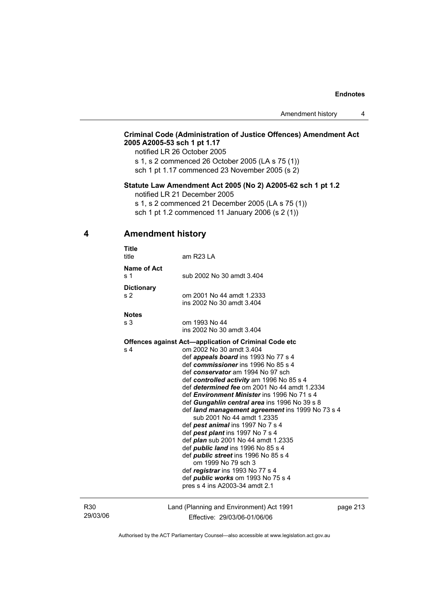## **Criminal Code (Administration of Justice Offences) Amendment Act 2005 A2005-53 sch 1 pt 1.17**

notified LR 26 October 2005

s 1, s 2 commenced 26 October 2005 (LA s 75 (1)) sch 1 pt 1.17 commenced 23 November 2005 (s 2)

## **Statute Law Amendment Act 2005 (No 2) A2005-62 sch 1 pt 1.2**

notified LR 21 December 2005

s 1, s 2 commenced 21 December 2005 (LA s 75 (1))

sch 1 pt 1.2 commenced 11 January 2006 (s 2 (1))

## **4 Amendment history**

| <b>Title</b><br>title         | am R23 LA                                                                             |
|-------------------------------|---------------------------------------------------------------------------------------|
| Name of Act<br>s <sub>1</sub> | sub 2002 No 30 amdt 3.404                                                             |
| <b>Dictionary</b>             |                                                                                       |
| s <sub>2</sub>                | om 2001 No 44 amdt 1.2333                                                             |
|                               | ins 2002 No 30 amdt 3.404                                                             |
| <b>Notes</b>                  |                                                                                       |
| s <sub>3</sub>                | om 1993 No 44                                                                         |
|                               | ins 2002 No 30 amdt 3.404                                                             |
|                               | <b>Offences against Act—application of Criminal Code etc</b>                          |
| s 4                           | om 2002 No 30 amdt 3.404                                                              |
|                               | def <i>appeals board</i> ins 1993 No 77 s 4                                           |
|                               | def commissioner ins 1996 No 85 s 4                                                   |
|                               | def conservator am 1994 No 97 sch                                                     |
|                               | def controlled activity am 1996 No 85 s 4                                             |
|                               | def determined fee om 2001 No 44 amdt 1.2334                                          |
|                               | def <i>Environment Minister</i> ins 1996 No 71 s 4                                    |
|                               | def Gungahlin central area ins 1996 No 39 s 8                                         |
|                               | def <i>land management agreement</i> ins 1999 No 73 s 4<br>sub 2001 No 44 amdt 1.2335 |
|                               | def <i>pest animal</i> ins 1997 No 7 s 4                                              |
|                               | def pest plant ins 1997 No 7 s 4                                                      |
|                               | def <i>plan</i> sub 2001 No 44 amdt 1.2335                                            |
|                               | def <i>public land</i> ins 1996 No 85 s 4                                             |
|                               | def <i>public street</i> ins 1996 No 85 s 4                                           |
|                               | om 1999 No 79 sch 3                                                                   |
|                               | def <i>registrar</i> ins 1993 No 77 s 4                                               |
|                               | def <i>public</i> works om 1993 No 75 s 4                                             |
|                               | pres s 4 ins A2003-34 amdt 2.1                                                        |
|                               |                                                                                       |

R30 29/03/06 Land (Planning and Environment) Act 1991 Effective: 29/03/06-01/06/06

page 213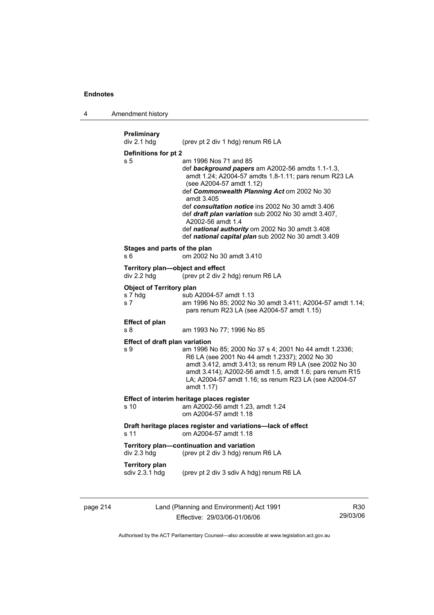4 Amendment history

```
Preliminary 
                  (prev pt 2 div 1 hdg) renum R6 LA
Definitions for pt 2 
s 5 am 1996 Nos 71 and 85 
                   def background papers am A2002-56 amdts 1.1-1.3, 
                   amdt 1.24; A2004-57 amdts 1.8-1.11; pars renum R23 LA 
                   (see A2004-57 amdt 1.12) 
                   def Commonwealth Planning Act om 2002 No 30 
                   amdt 3.405 
                   def consultation notice ins 2002 No 30 amdt 3.406 
                   def draft plan variation sub 2002 No 30 amdt 3.407, 
                   A2002-56 amdt 1.4 
                   def national authority om 2002 No 30 amdt 3.408 
                   def national capital plan sub 2002 No 30 amdt 3.409 
Stages and parts of the plan 
s 6 om 2002 No 30 amdt 3.410 
Territory plan—object and effect 
div 2.2 hdg (prev pt 2 div 2 hdg) renum R6 LA 
Object of Territory plan 
s 7 hdg sub A2004-57 amdt 1.13 
s 7 am 1996 No 85; 2002 No 30 amdt 3.411; A2004-57 amdt 1.14; 
                   pars renum R23 LA (see A2004-57 amdt 1.15) 
Effect of plan 
s 8 am 1993 No 77; 1996 No 85 
Effect of draft plan variation 
s 9 am 1996 No 85; 2000 No 37 s 4; 2001 No 44 amdt 1.2336; 
                   R6 LA (see 2001 No 44 amdt 1.2337); 2002 No 30 
                   amdt 3.412, amdt 3.413; ss renum R9 LA (see 2002 No 30 
                   amdt 3.414); A2002-56 amdt 1.5, amdt 1.6; pars renum R15 
                   LA; A2004-57 amdt 1.16; ss renum R23 LA (see A2004-57 
                   amdt 1.17) 
Effect of interim heritage places register 
s 10 am A2002-56 amdt 1.23, amdt 1.24 
                   om A2004-57 amdt 1.18 
Draft heritage places register and variations—lack of effect 
s 11 om A2004-57 amdt 1.18 
Territory plan—continuation and variation<br>div 2.3 hdg (prev pt 2 div 3 hdg) renu
                  (prev pt 2 div 3 hdg) renum R6 LA
Territory plan 
sdiv 2.3.1 hdg (prev pt 2 div 3 sdiv A hdg) renum R6 LA
```
page 214 Land (Planning and Environment) Act 1991 Effective: 29/03/06-01/06/06

R30 29/03/06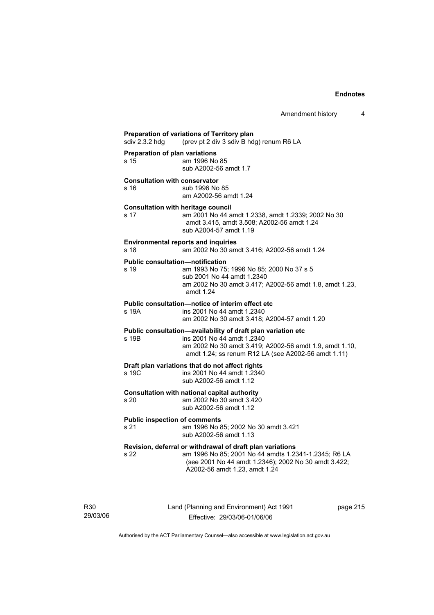| sdiv 2.3.2 hdg | (prev pt 2 div 3 sdiv B hdg) renum R6 LA                                                                                                                                                                     |
|----------------|--------------------------------------------------------------------------------------------------------------------------------------------------------------------------------------------------------------|
| s 15           | Preparation of plan variations<br>am 1996 No 85<br>sub A2002-56 amdt 1.7                                                                                                                                     |
| s 16           | <b>Consultation with conservator</b><br>sub 1996 No 85<br>am A2002-56 amdt 1.24                                                                                                                              |
| s 17           | <b>Consultation with heritage council</b><br>am 2001 No 44 amdt 1.2338, amdt 1.2339; 2002 No 30<br>amdt 3.415, amdt 3.508; A2002-56 amdt 1.24<br>sub A2004-57 amdt 1.19                                      |
| s 18           | <b>Environmental reports and inquiries</b><br>am 2002 No 30 amdt 3.416; A2002-56 amdt 1.24                                                                                                                   |
| s 19           | <b>Public consultation-notification</b><br>am 1993 No 75; 1996 No 85; 2000 No 37 s 5<br>sub 2001 No 44 amdt 1.2340<br>am 2002 No 30 amdt 3.417; A2002-56 amdt 1.8, amdt 1.23,<br>amdt 1.24                   |
| s 19A          | Public consultation-notice of interim effect etc<br>ins 2001 No 44 amdt 1.2340<br>am 2002 No 30 amdt 3.418; A2004-57 amdt 1.20                                                                               |
| s 19B          | Public consultation-availability of draft plan variation etc<br>ins 2001 No 44 amdt 1.2340<br>am 2002 No 30 amdt 3.419; A2002-56 amdt 1.9, amdt 1.10,<br>amdt 1.24; ss renum R12 LA (see A2002-56 amdt 1.11) |
| s 19C          | Draft plan variations that do not affect rights<br>ins 2001 No 44 amdt 1.2340<br>sub A2002-56 amdt 1.12                                                                                                      |
| s 20           | Consultation with national capital authority<br>am 2002 No 30 amdt 3.420<br>sub A2002-56 amdt 1.12                                                                                                           |
| s 21           | <b>Public inspection of comments</b><br>am 1996 No 85; 2002 No 30 amdt 3.421<br>sub A2002-56 amdt 1.13                                                                                                       |
| s 22           | Revision, deferral or withdrawal of draft plan variations<br>am 1996 No 85; 2001 No 44 amdts 1.2341-1.2345; R6 LA<br>(see 2001 No 44 amdt 1.2346); 2002 No 30 amdt 3.422;<br>A2002-56 amdt 1.23, amdt 1.24   |

R30 29/03/06 Land (Planning and Environment) Act 1991 Effective: 29/03/06-01/06/06

page 215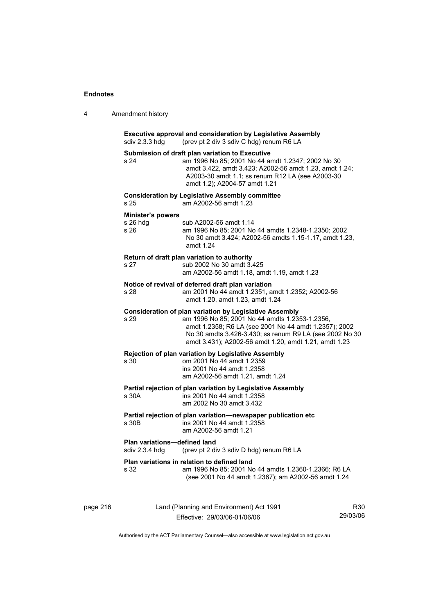| 4        | Amendment history                                                                                                                 |                                                                                                                                                                                                                                                                                               |     |
|----------|-----------------------------------------------------------------------------------------------------------------------------------|-----------------------------------------------------------------------------------------------------------------------------------------------------------------------------------------------------------------------------------------------------------------------------------------------|-----|
|          | <b>Executive approval and consideration by Legislative Assembly</b><br>sdiv 2.3.3 hdg<br>(prev pt 2 div 3 sdiv C hdg) renum R6 LA |                                                                                                                                                                                                                                                                                               |     |
|          | s 24                                                                                                                              | Submission of draft plan variation to Executive<br>am 1996 No 85; 2001 No 44 amdt 1.2347; 2002 No 30<br>amdt 3.422, amdt 3.423; A2002-56 amdt 1.23, amdt 1.24;<br>A2003-30 amdt 1.1; ss renum R12 LA (see A2003-30<br>amdt 1.2); A2004-57 amdt 1.21                                           |     |
|          | s 25                                                                                                                              | <b>Consideration by Legislative Assembly committee</b><br>am A2002-56 amdt 1.23                                                                                                                                                                                                               |     |
|          | <b>Minister's powers</b><br>$s$ 26 hdg<br>s 26                                                                                    | sub A2002-56 amdt 1.14<br>am 1996 No 85; 2001 No 44 amdts 1.2348-1.2350; 2002<br>No 30 amdt 3.424; A2002-56 amdts 1.15-1.17, amdt 1.23,<br>amdt 1.24                                                                                                                                          |     |
|          | s 27                                                                                                                              | Return of draft plan variation to authority<br>sub 2002 No 30 amdt 3.425<br>am A2002-56 amdt 1.18, amdt 1.19, amdt 1.23                                                                                                                                                                       |     |
|          | s 28                                                                                                                              | Notice of revival of deferred draft plan variation<br>am 2001 No 44 amdt 1.2351, amdt 1.2352; A2002-56<br>amdt 1.20, amdt 1.23, amdt 1.24                                                                                                                                                     |     |
|          | s <sub>29</sub>                                                                                                                   | <b>Consideration of plan variation by Legislative Assembly</b><br>am 1996 No 85; 2001 No 44 amdts 1.2353-1.2356,<br>amdt 1.2358; R6 LA (see 2001 No 44 amdt 1.2357); 2002<br>No 30 amdts 3.426-3.430; ss renum R9 LA (see 2002 No 30<br>amdt 3.431); A2002-56 amdt 1.20, amdt 1.21, amdt 1.23 |     |
|          | s 30                                                                                                                              | Rejection of plan variation by Legislative Assembly<br>om 2001 No 44 amdt 1.2359<br>ins 2001 No 44 amdt 1.2358<br>am A2002-56 amdt 1.21, amdt 1.24                                                                                                                                            |     |
|          | s 30A                                                                                                                             | Partial rejection of plan variation by Legislative Assembly<br>ins 2001 No 44 amdt 1.2358<br>am 2002 No 30 amdt 3.432                                                                                                                                                                         |     |
|          | s 30B                                                                                                                             | Partial rejection of plan variation-newspaper publication etc<br>ins 2001 No 44 amdt 1.2358<br>am A2002-56 amdt 1.21                                                                                                                                                                          |     |
|          | Plan variations-defined land<br>sdiv 2.3.4 hdg                                                                                    | (prev pt 2 div 3 sdiv D hdg) renum R6 LA                                                                                                                                                                                                                                                      |     |
|          | s 32                                                                                                                              | Plan variations in relation to defined land<br>am 1996 No 85; 2001 No 44 amdts 1.2360-1.2366; R6 LA<br>(see 2001 No 44 amdt 1.2367); am A2002-56 amdt 1.24                                                                                                                                    |     |
| page 216 |                                                                                                                                   | Land (Planning and Environment) Act 1991                                                                                                                                                                                                                                                      | R30 |

Authorised by the ACT Parliamentary Counsel—also accessible at www.legislation.act.gov.au

Effective: 29/03/06-01/06/06

29/03/06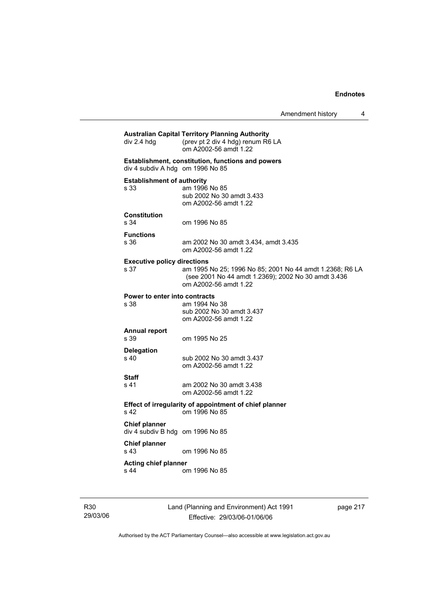| div 2.4 hdg                                              | <b>Australian Capital Territory Planning Authority</b><br>(prev pt 2 div 4 hdg) renum R6 LA<br>om A2002-56 amdt 1.22                     |
|----------------------------------------------------------|------------------------------------------------------------------------------------------------------------------------------------------|
| div 4 subdiv A hdg om 1996 No 85                         | Establishment, constitution, functions and powers                                                                                        |
| <b>Establishment of authority</b><br>s 33                | am 1996 No 85<br>sub 2002 No 30 amdt 3.433<br>om A2002-56 amdt 1.22                                                                      |
| <b>Constitution</b><br>s 34                              | om 1996 No 85                                                                                                                            |
| <b>Functions</b><br>s 36                                 | am 2002 No 30 amdt 3.434, amdt 3.435<br>om A2002-56 amdt 1.22                                                                            |
| <b>Executive policy directions</b><br>s 37               | am 1995 No 25; 1996 No 85; 2001 No 44 amdt 1.2368; R6 LA<br>(see 2001 No 44 amdt 1.2369); 2002 No 30 amdt 3.436<br>om A2002-56 amdt 1.22 |
| Power to enter into contracts<br>s 38                    | am 1994 No 38<br>sub 2002 No 30 amdt 3.437<br>om A2002-56 amdt 1.22                                                                      |
| <b>Annual report</b><br>s 39                             | om 1995 No 25                                                                                                                            |
| <b>Delegation</b>                                        |                                                                                                                                          |
| s 40                                                     | sub 2002 No 30 amdt 3.437<br>om A2002-56 amdt 1.22                                                                                       |
|                                                          |                                                                                                                                          |
|                                                          | am 2002 No 30 amdt 3.438<br>om A2002-56 amdt 1.22                                                                                        |
| Staff<br>s 41<br>s <sub>42</sub>                         | Effect of irregularity of appointment of chief planner<br>om 1996 No 85                                                                  |
| <b>Chief planner</b><br>div 4 subdiv B hdg om 1996 No 85 |                                                                                                                                          |
| Chief planner<br>s 43                                    | om 1996 No 85                                                                                                                            |

R30 29/03/06 Land (Planning and Environment) Act 1991 Effective: 29/03/06-01/06/06

page 217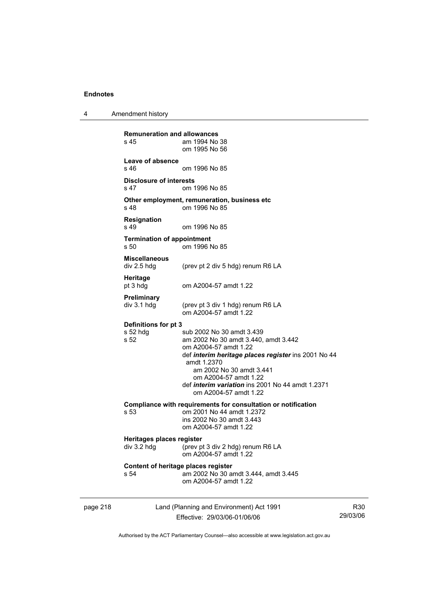4 Amendment history

page 218 Land (Planning and Environment) Act 1991 Effective: 29/03/06-01/06/06 **Remuneration and allowances**  am 1994 No 38 om 1995 No 56 **Leave of absence**  s 46 om 1996 No 85 **Disclosure of interests**  s 47 om 1996 No 85 **Other employment, remuneration, business etc**  s 48 om 1996 No 85 **Resignation**  om 1996 No 85 **Termination of appointment**  s 50 om 1996 No 85 **Miscellaneous**  div 2.5 hdg (prev pt 2 div 5 hdg) renum R6 LA **Heritage**  pt 3 hdg om A2004-57 amdt 1.22 **Preliminary**  div 3.1 hdg (prev pt 3 div 1 hdg) renum R6 LA om A2004-57 amdt 1.22 **Definitions for pt 3**  s 52 hdg sub 2002 No 30 amdt 3.439<br>s 52 am 2002 No 30 amdt 3.440, am 2002 No 30 amdt 3.440, amdt 3.442 om A2004-57 amdt 1.22 def *interim heritage places register* ins 2001 No 44 amdt 1.2370 am 2002 No 30 amdt 3.441 om A2004-57 amdt 1.22 def *interim variation* ins 2001 No 44 amdt 1.2371 om A2004-57 amdt 1.22 **Compliance with requirements for consultation or notification s 53** om 2001 No 44 amdt 1.2372 om 2001 No 44 amdt 1.2372 ins 2002 No 30 amdt 3.443 om A2004-57 amdt 1.22 **Heritages places register**  div 3.2 hdg (prev pt 3 div 2 hdg) renum R6 LA om A2004-57 amdt 1.22 **Content of heritage places register**  s 54 am 2002 No 30 amdt 3.444, amdt 3.445 om A2004-57 amdt 1.22

R30 29/03/06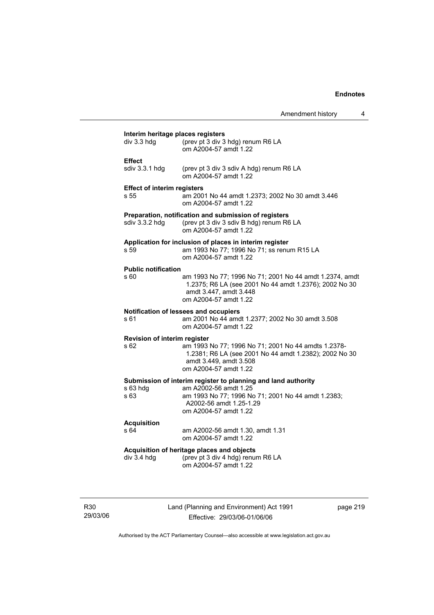|                                                    |                                                                                                                                                                                                  | Amendment history | 4 |
|----------------------------------------------------|--------------------------------------------------------------------------------------------------------------------------------------------------------------------------------------------------|-------------------|---|
| Interim heritage places registers<br>$div$ 3.3 hdg | (prev pt 3 div 3 hdg) renum R6 LA<br>om A2004-57 amdt 1.22                                                                                                                                       |                   |   |
| <b>Effect</b><br>sdiv 3.3.1 hdg                    | (prev pt 3 div 3 sdiv A hdg) renum R6 LA<br>om A2004-57 amdt 1.22                                                                                                                                |                   |   |
| <b>Effect of interim registers</b><br>s 55         | am 2001 No 44 amdt 1.2373; 2002 No 30 amdt 3.446<br>om A2004-57 amdt 1.22                                                                                                                        |                   |   |
| sdiv 3.3.2 hdg                                     | Preparation, notification and submission of registers<br>(prev pt 3 div 3 sdiv B hdg) renum R6 LA<br>om A2004-57 amdt 1.22                                                                       |                   |   |
| s 59                                               | Application for inclusion of places in interim register<br>am 1993 No 77; 1996 No 71; ss renum R15 LA<br>om A2004-57 amdt 1.22                                                                   |                   |   |
| <b>Public notification</b><br>s 60                 | am 1993 No 77; 1996 No 71; 2001 No 44 amdt 1.2374, amdt<br>1.2375; R6 LA (see 2001 No 44 amdt 1.2376); 2002 No 30<br>amdt 3.447, amdt 3.448<br>om A2004-57 amdt 1.22                             |                   |   |
| s 61                                               | Notification of lessees and occupiers<br>am 2001 No 44 amdt 1.2377; 2002 No 30 amdt 3.508<br>om A2004-57 amdt 1.22                                                                               |                   |   |
| <b>Revision of interim register</b><br>s 62        | am 1993 No 77; 1996 No 71; 2001 No 44 amdts 1.2378-<br>1.2381; R6 LA (see 2001 No 44 amdt 1.2382); 2002 No 30<br>amdt 3.449, amdt 3.508<br>om A2004-57 amdt 1.22                                 |                   |   |
| $s$ 63 hdg<br>s 63                                 | Submission of interim register to planning and land authority<br>am A2002-56 amdt 1.25<br>am 1993 No 77; 1996 No 71; 2001 No 44 amdt 1.2383;<br>A2002-56 amdt 1.25-1.29<br>om A2004-57 amdt 1.22 |                   |   |
| <b>Acquisition</b><br>s 64                         | am A2002-56 amdt 1.30, amdt 1.31<br>om A2004-57 amdt 1.22                                                                                                                                        |                   |   |
| $div$ 3.4 hdg                                      | Acquisition of heritage places and objects<br>(prev pt 3 div 4 hdg) renum R6 LA<br>om A2004-57 amdt 1.22                                                                                         |                   |   |

R30 29/03/06 Land (Planning and Environment) Act 1991 Effective: 29/03/06-01/06/06

page 219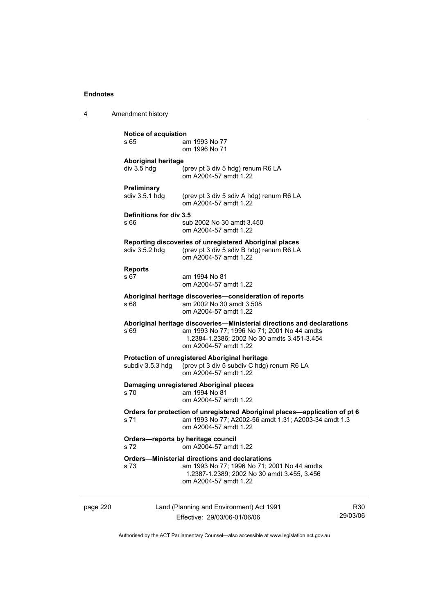4 Amendment history

page 220 Land (Planning and Environment) Act 1991 R30 **Notice of acquistion**  am 1993 No 77 om 1996 No 71 **Aboriginal heritage**  (prev pt 3 div 5 hdg) renum R6 LA om A2004-57 amdt 1.22 **Preliminary**  sdiv 3.5.1 hdg (prev pt 3 div 5 sdiv A hdg) renum R6 LA om A2004-57 amdt 1.22 **Definitions for div 3.5**  s 66 sub 2002 No 30 amdt 3.450 om A2004-57 amdt 1.22 **Reporting discoveries of unregistered Aboriginal places**  sdiv 3.5.2 hdg (prev pt 3 div 5 sdiv B hdg) renum R6 LA om A2004-57 amdt 1.22 **Reports**  am 1994 No 81 om A2004-57 amdt 1.22 **Aboriginal heritage discoveries—consideration of reports**  s 68 am 2002 No 30 amdt 3.508 om A2004-57 amdt 1.22 **Aboriginal heritage discoveries—Ministerial directions and declarations**  s 69 **am 1993 No 77; 1996 No 71; 2001 No 44 amdts** 1.2384-1.2386; 2002 No 30 amdts 3.451-3.454 om A2004-57 amdt 1.22 **Protection of unregistered Aboriginal heritage**<br>subdiv 3.5.3 hdg (prev pt 3 div 5 subdiv C hdg) (prev pt 3 div 5 subdiv C hdg) renum R6 LA om A2004-57 amdt 1.22 **Damaging unregistered Aboriginal places**  s 70 am 1994 No 81 om A2004-57 amdt 1.22 **Orders for protection of unregistered Aboriginal places—application of pt 6**  s 71 am 1993 No 77; A2002-56 amdt 1.31; A2003-34 amdt 1.3 om A2004-57 amdt 1.22 **Orders—reports by heritage council**  s 72 om A2004-57 amdt 1.22 **Orders—Ministerial directions and declarations**  s 73 am 1993 No 77; 1996 No 71; 2001 No 44 amdts 1.2387-1.2389; 2002 No 30 amdt 3.455, 3.456 om A2004-57 amdt 1.22

Authorised by the ACT Parliamentary Counsel—also accessible at www.legislation.act.gov.au

29/03/06

Effective: 29/03/06-01/06/06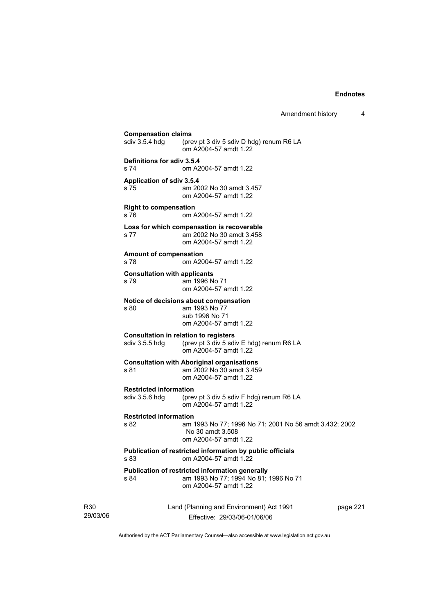$\overline{\phantom{a}}$ 

Amendment history 4

|                                                                                | <b>Compensation claims</b><br>sdiv 3.5.4 hdg                      | (prev pt 3 div 5 sdiv D hdg) renum R6 LA<br>om A2004-57 amdt 1.22                                                 |          |
|--------------------------------------------------------------------------------|-------------------------------------------------------------------|-------------------------------------------------------------------------------------------------------------------|----------|
|                                                                                | Definitions for sdiv 3.5.4<br>s 74                                | om A2004-57 amdt 1.22                                                                                             |          |
|                                                                                | Application of sdiv 3.5.4<br>s 75                                 | am 2002 No 30 amdt 3.457<br>om A2004-57 amdt 1.22                                                                 |          |
|                                                                                | <b>Right to compensation</b><br>s 76                              | om A2004-57 amdt 1.22                                                                                             |          |
|                                                                                | s 77                                                              | Loss for which compensation is recoverable<br>am 2002 No 30 amdt 3.458<br>om A2004-57 amdt 1.22                   |          |
|                                                                                | <b>Amount of compensation</b><br>s 78                             | om A2004-57 amdt 1.22                                                                                             |          |
|                                                                                | <b>Consultation with applicants</b><br>s 79                       | am 1996 No 71<br>om A2004-57 amdt 1.22                                                                            |          |
| s 80<br><b>Consultation in relation to registers</b><br>sdiv 3.5.5 hdg<br>s 81 |                                                                   | Notice of decisions about compensation<br>am 1993 No 77<br>sub 1996 No 71<br>om A2004-57 amdt 1.22                |          |
|                                                                                | (prev pt 3 div 5 sdiv E hdg) renum R6 LA<br>om A2004-57 amdt 1.22 |                                                                                                                   |          |
|                                                                                |                                                                   | <b>Consultation with Aboriginal organisations</b><br>am 2002 No 30 amdt 3.459<br>om A2004-57 amdt 1.22            |          |
|                                                                                | <b>Restricted information</b><br>sdiv 3.5.6 hdg                   | (prev pt 3 div 5 sdiv F hdg) renum R6 LA<br>om A2004-57 amdt 1.22                                                 |          |
|                                                                                | <b>Restricted information</b><br>s 82                             | am 1993 No 77; 1996 No 71; 2001 No 56 amdt 3.432; 2002<br>No 30 amdt 3.508<br>om A2004-57 amdt 1.22               |          |
|                                                                                | s 83                                                              | Publication of restricted information by public officials<br>om A2004-57 amdt 1.22                                |          |
|                                                                                | s 84                                                              | Publication of restricted information generally<br>am 1993 No 77; 1994 No 81; 1996 No 71<br>om A2004-57 amdt 1.22 |          |
| R <sub>30</sub><br>29/03/06                                                    |                                                                   | Land (Planning and Environment) Act 1991<br>Effective: 29/03/06-01/06/06                                          | page 221 |

Authorised by the ACT Parliamentary Counsel—also accessible at www.legislation.act.gov.au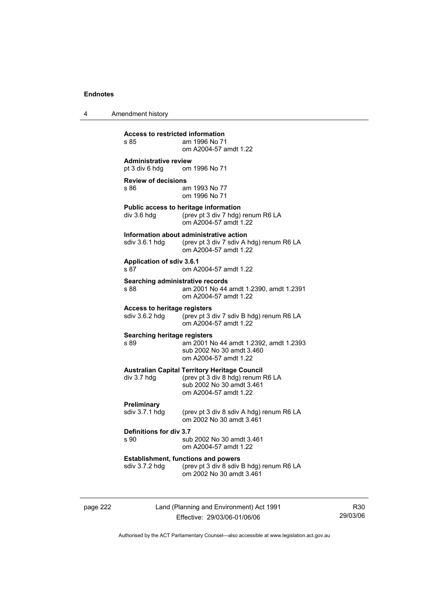4 Amendment history

**Access to restricted information**  am 1996 No 71 om A2004-57 amdt 1.22 **Administrative review**  pt 3 div 6 hdg om 1996 No 71 **Review of decisions**  s 86 am 1993 No 77 om 1996 No 71 **Public access to heritage information**  div 3.6 hdg (prev pt 3 div 7 hdg) renum R6 LA om A2004-57 amdt 1.22 **Information about administrative action**  sdiv 3.6.1 hdg (prev pt 3 div 7 sdiv A hdg) renum R6 LA om A2004-57 amdt 1.22 **Application of sdiv 3.6.1**  s 87 om A2004-57 amdt 1.22 **Searching administrative records**  s 88 am 2001 No 44 amdt 1.2390, amdt 1.2391 om A2004-57 amdt 1.22 **Access to heritage registers**<br>sdiv 3.6.2 hdg (prev pt 3 (prev pt 3 div 7 sdiv B hdg) renum R6 LA om A2004-57 amdt 1.22 **Searching heritage registers**  s 89 am 2001 No 44 amdt 1.2392, amdt 1.2393 sub 2002 No 30 amdt 3.460 om A2004-57 amdt 1.22 **Australian Capital Territory Heritage Council**  div 3.7 hdg (prev pt 3 div 8 hdg) renum R6 LA sub 2002 No 30 amdt 3.461 om A2004-57 amdt 1.22 **Preliminary**<br>sdiv 3.7.1 hdg (prev pt  $3$  div  $8$  sdiv A hdg) renum R6 LA om 2002 No 30 amdt 3.461 **Definitions for div 3.7**  sub 2002 No 30 amdt 3.461 om A2004-57 amdt 1.22 **Establishment, functions and powers**  sdiv 3.7.2 hdg (prev pt 3 div 8 sdiv B hdg) renum R6 LA om 2002 No 30 amdt 3.461

page 222 Land (Planning and Environment) Act 1991 Effective: 29/03/06-01/06/06

R30 29/03/06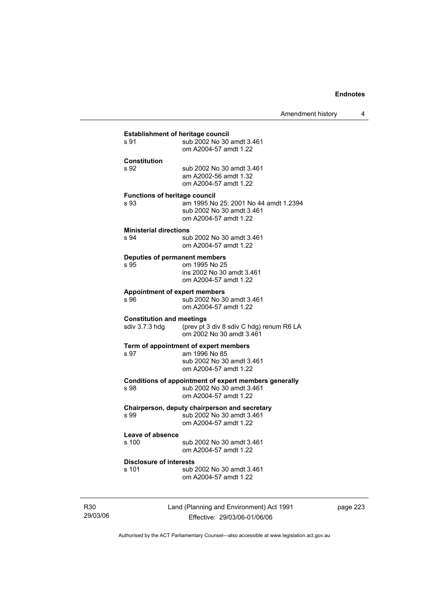|                                  | <b>Establishment of heritage council</b>              |
|----------------------------------|-------------------------------------------------------|
| s 91                             | sub 2002 No 30 amdt 3.461                             |
|                                  | om A2004-57 amdt 1.22                                 |
|                                  |                                                       |
| <b>Constitution</b>              |                                                       |
| s 92                             | sub 2002 No 30 amdt 3.461                             |
|                                  | am A2002-56 amdt 1.32                                 |
|                                  | om A2004-57 amdt 1.22                                 |
|                                  |                                                       |
|                                  | <b>Functions of heritage council</b>                  |
| s.93                             | am 1995 No 25; 2001 No 44 amdt 1.2394                 |
|                                  | sub 2002 No 30 amdt 3.461                             |
|                                  | om A2004-57 amdt 1.22                                 |
|                                  |                                                       |
| <b>Ministerial directions</b>    |                                                       |
| s 94                             | sub 2002 No 30 amdt 3.461                             |
|                                  | om A2004-57 amdt 1.22                                 |
|                                  | Deputies of permanent members                         |
| s 95                             | om 1995 No 25                                         |
|                                  | ins 2002 No 30 amdt 3.461                             |
|                                  | om A2004-57 amdt 1.22                                 |
|                                  |                                                       |
|                                  | <b>Appointment of expert members</b>                  |
| s 96                             | sub 2002 No 30 amdt 3.461                             |
|                                  | om A2004-57 amdt 1.22                                 |
| <b>Constitution and meetings</b> |                                                       |
| sdiv 3.7.3 hdg                   | (prev pt 3 div 8 sdiv C hdg) renum R6 LA              |
|                                  | om 2002 No 30 amdt 3.461                              |
|                                  |                                                       |
|                                  | Term of appointment of expert members                 |
| s 97                             | am 1996 No 85                                         |
|                                  | sub 2002 No 30 amdt 3.461                             |
|                                  | om A2004-57 amdt 1.22                                 |
|                                  |                                                       |
|                                  | Conditions of appointment of expert members generally |
| s 98                             | sub 2002 No 30 amdt 3.461                             |
|                                  | om A2004-57 amdt 1.22                                 |
|                                  | Chairperson, deputy chairperson and secretary         |
| s.99                             | sub 2002 No 30 amdt 3.461                             |
|                                  | om A2004-57 amdt 1.22                                 |
|                                  |                                                       |
| Leave of absence                 |                                                       |
| s 100                            | sub 2002 No 30 amdt 3.461                             |
|                                  | om A2004-57 amdt 1.22                                 |
|                                  |                                                       |
| <b>Disclosure of interests</b>   |                                                       |
| s 101                            | sub 2002 No 30 amdt 3.461                             |
|                                  | om A2004-57 amdt 1.22                                 |

R30 29/03/06 Land (Planning and Environment) Act 1991 Effective: 29/03/06-01/06/06

page 223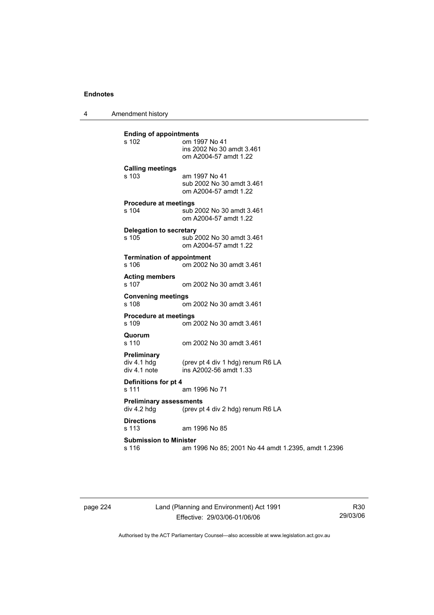4 Amendment history

**Ending of appointments**  om 1997 No 41 ins 2002 No 30 amdt 3.461 om A2004-57 amdt 1.22 **Calling meetings**  s 103 am 1997 No 41 sub 2002 No 30 amdt 3.461 om A2004-57 amdt 1.22 **Procedure at meetings**  s 104 sub 2002 No 30 amdt 3.461 om A2004-57 amdt 1.22 **Delegation to secretary**  sub 2002 No 30 amdt 3.461 om A2004-57 amdt 1.22 **Termination of appointment**  s 106 om 2002 No 30 amdt 3.461 **Acting members**  s 107 om 2002 No 30 amdt 3.461 **Convening meetings**  s 108 om 2002 No 30 amdt 3.461 **Procedure at meetings**  s 109 om 2002 No 30 amdt 3.461 **Quorum**  s 110 om 2002 No 30 amdt 3.461 **Preliminary**  div 4.1 hdg  $($ prev pt 4 div 1 hdg) renum R6 LA div 4.1 note  $\frac{1}{2}$  ins A2002-56 amdt 1.33 ins A2002-56 amdt 1.33 **Definitions for pt 4**  s 111 am 1996 No 71 **Preliminary assessments**  div 4.2 hdg (prev pt 4 div 2 hdg) renum R6 LA **Directions**  am 1996 No 85 **Submission to Minister**  s 116 am 1996 No 85; 2001 No 44 amdt 1.2395, amdt 1.2396

page 224 Land (Planning and Environment) Act 1991 Effective: 29/03/06-01/06/06

R30 29/03/06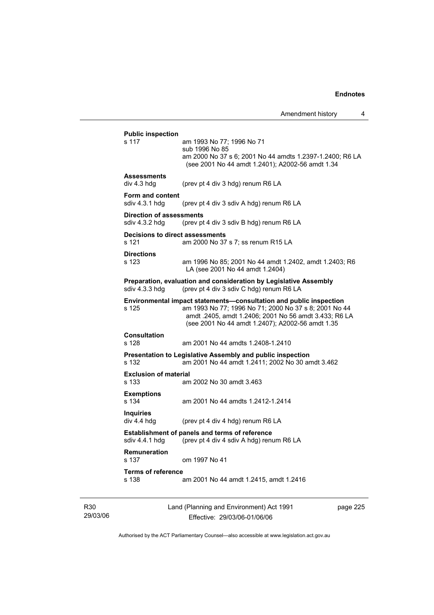|                                                   | <b>Public inspection</b>                                                                                                                                                                                                                 |
|---------------------------------------------------|------------------------------------------------------------------------------------------------------------------------------------------------------------------------------------------------------------------------------------------|
| s 117                                             | am 1993 No 77; 1996 No 71<br>sub 1996 No 85                                                                                                                                                                                              |
|                                                   | am 2000 No 37 s 6; 2001 No 44 amdts 1.2397-1.2400; R6 LA<br>(see 2001 No 44 amdt 1.2401); A2002-56 amdt 1.34                                                                                                                             |
| <b>Assessments</b><br>div 4.3 hdg                 | (prev pt 4 div 3 hdg) renum R6 LA                                                                                                                                                                                                        |
| Form and content<br>sdiv 4.3.1 hdg                | (prev pt 4 div 3 sdiv A hdg) renum R6 LA                                                                                                                                                                                                 |
| <b>Direction of assessments</b><br>sdiv 4.3.2 hdg | (prev pt 4 div 3 sdiv B hdg) renum R6 LA                                                                                                                                                                                                 |
| s 121                                             | <b>Decisions to direct assessments</b><br>am 2000 No 37 s 7; ss renum R15 LA                                                                                                                                                             |
| <b>Directions</b><br>s 123                        | am 1996 No 85; 2001 No 44 amdt 1.2402, amdt 1.2403; R6<br>LA (see 2001 No 44 amdt 1.2404)                                                                                                                                                |
| sdiv 4.3.3 hdg                                    | Preparation, evaluation and consideration by Legislative Assembly<br>(prev pt 4 div 3 sdiv C hdg) renum R6 LA                                                                                                                            |
| s 125                                             | Environmental impact statements-consultation and public inspection<br>am 1993 No 77; 1996 No 71; 2000 No 37 s 8; 2001 No 44<br>amdt .2405, amdt 1.2406; 2001 No 56 amdt 3.433; R6 LA<br>(see 2001 No 44 amdt 1.2407); A2002-56 amdt 1.35 |
| <b>Consultation</b><br>s 128                      | am 2001 No 44 amdts 1.2408-1.2410                                                                                                                                                                                                        |
| s 132                                             | Presentation to Legislative Assembly and public inspection<br>am 2001 No 44 amdt 1.2411: 2002 No 30 amdt 3.462                                                                                                                           |
| <b>Exclusion of material</b><br>s 133             | am 2002 No 30 amdt 3.463                                                                                                                                                                                                                 |
| <b>Exemptions</b><br>s 134                        | am 2001 No 44 amdts 1.2412-1.2414                                                                                                                                                                                                        |
| <b>Inquiries</b><br>div 4.4 hdg                   | (prev pt 4 div 4 hdg) renum R6 LA                                                                                                                                                                                                        |
| sdiv 4.4.1 hdg                                    | <b>Establishment of panels and terms of reference</b><br>(prev pt 4 div 4 sdiv A hdg) renum R6 LA                                                                                                                                        |
|                                                   |                                                                                                                                                                                                                                          |
| <b>Remuneration</b><br>s 137                      | om 1997 No 41                                                                                                                                                                                                                            |

R30 29/03/06 Land (Planning and Environment) Act 1991 Effective: 29/03/06-01/06/06

page 225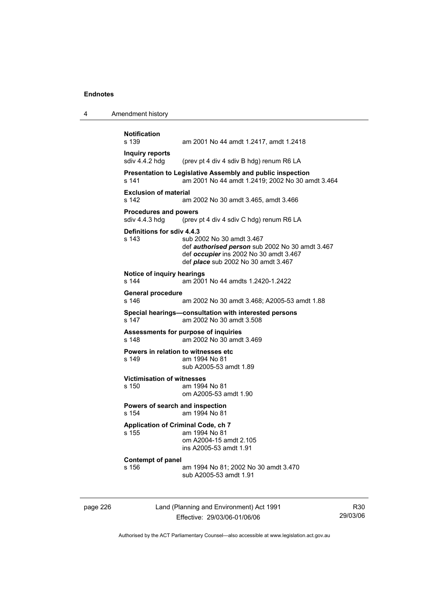4 Amendment history

|          | <b>Notification</b><br>s 139                       | am 2001 No 44 amdt 1.2417, amdt 1.2418                                                                                                                                      |
|----------|----------------------------------------------------|-----------------------------------------------------------------------------------------------------------------------------------------------------------------------------|
|          | <b>Inquiry reports</b><br>sdiv 4.4.2 hdg           | (prev pt 4 div 4 sdiv B hdg) renum R6 LA                                                                                                                                    |
|          | s 141                                              | Presentation to Legislative Assembly and public inspection<br>am 2001 No 44 amdt 1.2419; 2002 No 30 amdt 3.464                                                              |
|          | <b>Exclusion of material</b><br>s 142              | am 2002 No 30 amdt 3.465, amdt 3.466                                                                                                                                        |
|          | <b>Procedures and powers</b><br>sdiv 4.4.3 hdg     | (prev pt 4 div 4 sdiv C hdg) renum R6 LA                                                                                                                                    |
|          | Definitions for sdiv 4.4.3<br>s 143                | sub 2002 No 30 amdt 3.467<br>def <i>authorised person</i> sub 2002 No 30 amdt 3.467<br>def occupier ins 2002 No 30 amdt 3.467<br>def <i>place</i> sub 2002 No 30 amdt 3.467 |
|          | Notice of inquiry hearings<br>s 144                | am 2001 No 44 amdts 1.2420-1.2422                                                                                                                                           |
|          | <b>General procedure</b><br>s 146                  | am 2002 No 30 amdt 3.468; A2005-53 amdt 1.88                                                                                                                                |
|          | s 147                                              | Special hearings-consultation with interested persons<br>am 2002 No 30 amdt 3.508                                                                                           |
|          | s 148                                              | Assessments for purpose of inquiries<br>am 2002 No 30 amdt 3.469                                                                                                            |
|          | Powers in relation to witnesses etc<br>s 149       | am 1994 No 81<br>sub A2005-53 amdt 1.89                                                                                                                                     |
|          | <b>Victimisation of witnesses</b><br>s 150         | am 1994 No 81<br>om A2005-53 amdt 1.90                                                                                                                                      |
|          | Powers of search and inspection<br>s 154           | am 1994 No 81                                                                                                                                                               |
|          | <b>Application of Criminal Code, ch 7</b><br>s 155 | am 1994 No 81<br>om A2004-15 amdt 2.105<br>ins A2005-53 amdt 1.91                                                                                                           |
|          | Contempt of panel<br>s 156                         | am 1994 No 81; 2002 No 30 amdt 3.470<br>sub A2005-53 amdt 1.91                                                                                                              |
| page 226 |                                                    | Land (Planning and Environment) Act 1991                                                                                                                                    |

Authorised by the ACT Parliamentary Counsel—also accessible at www.legislation.act.gov.au

Effective: 29/03/06-01/06/06

R30 29/03/06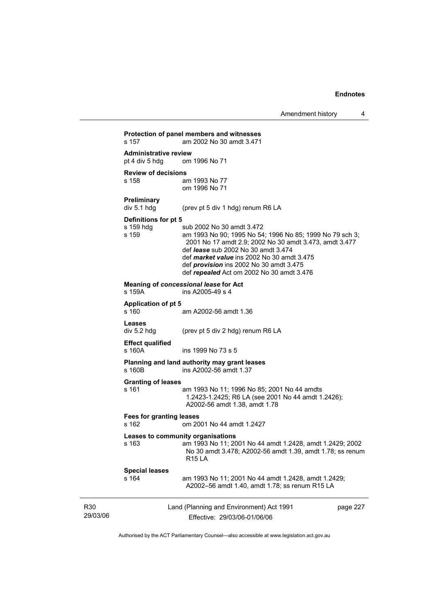|                 |                                                |                                                                                                                                                                                                                                                                                                                                            | Amendment history | 4        |
|-----------------|------------------------------------------------|--------------------------------------------------------------------------------------------------------------------------------------------------------------------------------------------------------------------------------------------------------------------------------------------------------------------------------------------|-------------------|----------|
|                 | s 157                                          | Protection of panel members and witnesses<br>am 2002 No 30 amdt 3.471                                                                                                                                                                                                                                                                      |                   |          |
|                 | <b>Administrative review</b><br>pt 4 div 5 hdg | om 1996 No 71                                                                                                                                                                                                                                                                                                                              |                   |          |
|                 | <b>Review of decisions</b><br>s 158            | am 1993 No 77<br>om 1996 No 71                                                                                                                                                                                                                                                                                                             |                   |          |
|                 | <b>Preliminary</b><br>div 5.1 hdg              | (prev pt 5 div 1 hdg) renum R6 LA                                                                                                                                                                                                                                                                                                          |                   |          |
|                 | Definitions for pt 5<br>s 159 hdg<br>s 159     | sub 2002 No 30 amdt 3.472<br>am 1993 No 90; 1995 No 54; 1996 No 85; 1999 No 79 sch 3;<br>2001 No 17 amdt 2.9; 2002 No 30 amdt 3.473, amdt 3.477<br>def <i>lease</i> sub 2002 No 30 amdt 3.474<br>def market value ins 2002 No 30 amdt 3.475<br>def <i>provision</i> ins 2002 No 30 amdt 3.475<br>def repealed Act om 2002 No 30 amdt 3.476 |                   |          |
|                 | s 159A                                         | Meaning of concessional lease for Act<br>ins A2005-49 s 4                                                                                                                                                                                                                                                                                  |                   |          |
|                 | <b>Application of pt 5</b><br>s 160            | am A2002-56 amdt 1.36                                                                                                                                                                                                                                                                                                                      |                   |          |
|                 | <b>Leases</b><br>div 5.2 hdg                   | (prev pt 5 div 2 hdg) renum R6 LA                                                                                                                                                                                                                                                                                                          |                   |          |
|                 | <b>Effect qualified</b><br>s 160A              | ins 1999 No 73 s 5                                                                                                                                                                                                                                                                                                                         |                   |          |
|                 | s 160B                                         | Planning and land authority may grant leases<br>ins A2002-56 amdt 1.37                                                                                                                                                                                                                                                                     |                   |          |
|                 | <b>Granting of leases</b><br>s 161             | am 1993 No 11; 1996 No 85; 2001 No 44 amdts<br>1.2423-1.2425; R6 LA (see 2001 No 44 amdt 1.2426);<br>A2002-56 amdt 1.38, amdt 1.78                                                                                                                                                                                                         |                   |          |
|                 | <b>Fees for granting leases</b><br>s 162       | om 2001 No 44 amdt 1.2427                                                                                                                                                                                                                                                                                                                  |                   |          |
|                 | s 163                                          | Leases to community organisations<br>am 1993 No 11; 2001 No 44 amdt 1.2428, amdt 1.2429; 2002<br>No 30 amdt 3.478; A2002-56 amdt 1.39, amdt 1.78; ss renum<br><b>R15 LA</b>                                                                                                                                                                |                   |          |
|                 | <b>Special leases</b><br>s 164                 | am 1993 No 11; 2001 No 44 amdt 1.2428, amdt 1.2429;<br>A2002-56 amdt 1.40, amdt 1.78; ss renum R15 LA                                                                                                                                                                                                                                      |                   |          |
| R30<br>29/03/06 |                                                | Land (Planning and Environment) Act 1991<br>Effective: 29/03/06-01/06/06                                                                                                                                                                                                                                                                   |                   | page 227 |

Authorised by the ACT Parliamentary Counsel—also accessible at www.legislation.act.gov.au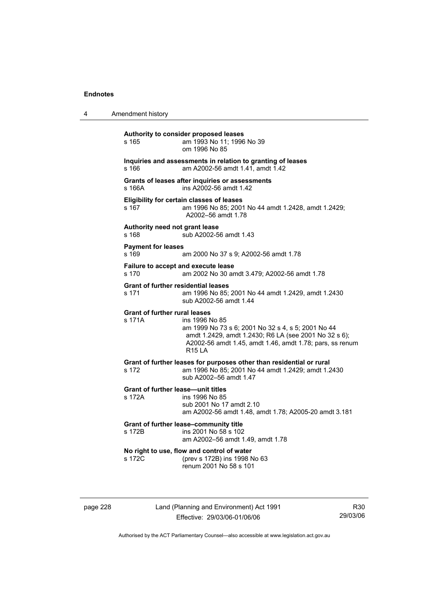| 4 | Amendment history                                   |                                                                                                                                                                                                            |
|---|-----------------------------------------------------|------------------------------------------------------------------------------------------------------------------------------------------------------------------------------------------------------------|
|   | s 165                                               | Authority to consider proposed leases<br>am 1993 No 11; 1996 No 39<br>om 1996 No 85                                                                                                                        |
|   | s 166                                               | Inquiries and assessments in relation to granting of leases<br>am A2002-56 amdt 1.41, amdt 1.42                                                                                                            |
|   | s 166A                                              | Grants of leases after inquiries or assessments<br>ins A2002-56 amdt 1.42                                                                                                                                  |
|   | s <sub>167</sub>                                    | <b>Eligibility for certain classes of leases</b><br>am 1996 No 85; 2001 No 44 amdt 1.2428, amdt 1.2429;<br>A2002-56 amdt 1.78                                                                              |
|   | Authority need not grant lease<br>s 168             | sub A2002-56 amdt 1.43                                                                                                                                                                                     |
|   | <b>Payment for leases</b><br>s 169                  | am 2000 No 37 s 9; A2002-56 amdt 1.78                                                                                                                                                                      |
|   | Failure to accept and execute lease<br>s 170        | am 2002 No 30 amdt 3.479; A2002-56 amdt 1.78                                                                                                                                                               |
|   | <b>Grant of further residential leases</b><br>s 171 | am 1996 No 85; 2001 No 44 amdt 1.2429, amdt 1.2430<br>sub A2002-56 amdt 1.44                                                                                                                               |
|   | <b>Grant of further rural leases</b><br>s 171A      | ins 1996 No 85<br>am 1999 No 73 s 6; 2001 No 32 s 4, s 5; 2001 No 44<br>amdt 1.2429, amdt 1.2430; R6 LA (see 2001 No 32 s 6);<br>A2002-56 amdt 1.45, amdt 1.46, amdt 1.78; pars, ss renum<br><b>R15 LA</b> |
|   | s 172                                               | Grant of further leases for purposes other than residential or rural<br>am 1996 No 85; 2001 No 44 amdt 1.2429; amdt 1.2430<br>sub A2002-56 amdt 1.47                                                       |
|   | <b>Grant of further lease-unit titles</b><br>s 172A | ins 1996 No 85<br>sub 2001 No 17 amdt 2.10<br>am A2002-56 amdt 1.48, amdt 1.78; A2005-20 amdt 3.181                                                                                                        |
|   | s 172B                                              | Grant of further lease-community title<br>ins 2001 No 58 s 102<br>am A2002-56 amdt 1.49, amdt 1.78                                                                                                         |
|   | s 172C                                              | No right to use, flow and control of water<br>(prev s 172B) ins 1998 No 63<br>renum 2001 No 58 s 101                                                                                                       |
|   |                                                     |                                                                                                                                                                                                            |

page 228 Land (Planning and Environment) Act 1991 Effective: 29/03/06-01/06/06

R30 29/03/06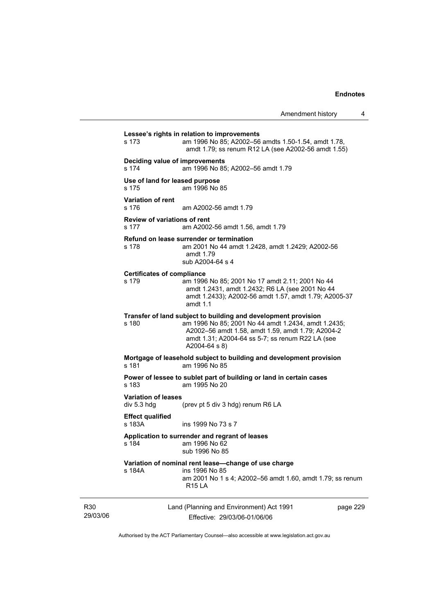Land (Planning and Environment) Act 1991 page 229 **Lessee's rights in relation to improvements**  s 173 am 1996 No 85; A2002–56 amdts 1.50-1.54, amdt 1.78, amdt 1.79; ss renum R12 LA (see A2002-56 amdt 1.55) **Deciding value of improvements**  s 174 am 1996 No 85; A2002–56 amdt 1.79 **Use of land for leased purpose**  s 175 am 1996 No 85 **Variation of rent**  s 176 am A2002-56 amdt 1.79 **Review of variations of rent**  s 177 am A2002-56 amdt 1.56, amdt 1.79 **Refund on lease surrender or termination**  s 178 am 2001 No 44 amdt 1.2428, amdt 1.2429; A2002-56 amdt 1.79 sub A2004-64 s 4 **Certificates of compliance**  s 179 am 1996 No 85; 2001 No 17 amdt 2.11; 2001 No 44 amdt 1.2431, amdt 1.2432; R6 LA (see 2001 No 44 amdt 1.2433); A2002-56 amdt 1.57, amdt 1.79; A2005-37 amdt 1.1 **Transfer of land subject to building and development provision**  s 180 am 1996 No 85; 2001 No 44 amdt 1.2434, amdt 1.2435; A2002–56 amdt 1.58, amdt 1.59, amdt 1.79; A2004-2 amdt 1.31; A2004-64 ss 5-7; ss renum R22 LA (see A2004-64 s 8) **Mortgage of leasehold subject to building and development provision**  am 1996 No 85 **Power of lessee to sublet part of building or land in certain cases**  s 183 am 1995 No 20 **Variation of leases**  (prev pt 5 div 3 hdg) renum R6 LA **Effect qualified**  s 183A ins 1999 No 73 s 7 **Application to surrender and regrant of leases**  s 184 am 1996 No 62 sub 1996 No 85 **Variation of nominal rent lease—change of use charge**  s 184A ins 1996 No 85 am 2001 No 1 s 4; A2002–56 amdt 1.60, amdt 1.79; ss renum R15 LA

29/03/06

R30

Effective: 29/03/06-01/06/06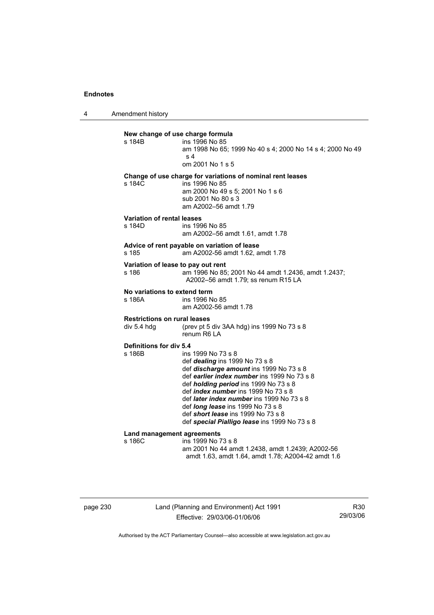4 Amendment history

| New change of use charge formula<br>s 184B         | ins 1996 No 85<br>am 1998 No 65; 1999 No 40 s 4; 2000 No 14 s 4; 2000 No 49<br>s <sub>4</sub><br>om 2001 No 1 s 5                                                                                                                                                                                                                                                                                                                                        |
|----------------------------------------------------|----------------------------------------------------------------------------------------------------------------------------------------------------------------------------------------------------------------------------------------------------------------------------------------------------------------------------------------------------------------------------------------------------------------------------------------------------------|
| s 184C                                             | Change of use charge for variations of nominal rent leases<br>ins 1996 No 85<br>am 2000 No 49 s 5; 2001 No 1 s 6<br>sub 2001 No 80 s 3<br>am A2002-56 amdt 1.79                                                                                                                                                                                                                                                                                          |
| Variation of rental leases<br>s 184D               | ins 1996 No 85<br>am A2002-56 amdt 1.61, amdt 1.78                                                                                                                                                                                                                                                                                                                                                                                                       |
| s 185                                              | Advice of rent payable on variation of lease<br>am A2002-56 amdt 1.62, amdt 1.78                                                                                                                                                                                                                                                                                                                                                                         |
| Variation of lease to pay out rent<br>s 186        | am 1996 No 85; 2001 No 44 amdt 1.2436, amdt 1.2437;<br>A2002-56 amdt 1.79; ss renum R15 LA                                                                                                                                                                                                                                                                                                                                                               |
| No variations to extend term<br>s 186A             | ins 1996 No 85<br>am A2002-56 amdt 1.78                                                                                                                                                                                                                                                                                                                                                                                                                  |
| <b>Restrictions on rural leases</b><br>div 5.4 hdg | (prev pt 5 div 3AA hdg) ins 1999 No 73 s 8<br>renum R6 LA                                                                                                                                                                                                                                                                                                                                                                                                |
| Definitions for div 5.4<br>s 186B                  | ins 1999 No 73 s 8<br>def <i>dealing</i> ins 1999 No 73 s 8<br>def <i>discharge amount</i> ins 1999 No 73 s 8<br>def earlier index number ins 1999 No 73 s 8<br>def <i>holding period</i> ins 1999 No 73 s 8<br>def <i>index number</i> ins 1999 No 73 s 8<br>def <i>later index number</i> ins 1999 No 73 s 8<br>def <i>long lease</i> ins 1999 No 73 s 8<br>def <b>short lease</b> ins 1999 No 73 s 8<br>def special Pialligo lease ins 1999 No 73 s 8 |
| Land management agreements<br>s 186C               | ins 1999 No 73 s 8<br>am 2001 No 44 amdt 1.2438, amdt 1.2439; A2002-56<br>amdt 1.63, amdt 1.64, amdt 1.78; A2004-42 amdt 1.6                                                                                                                                                                                                                                                                                                                             |

page 230 Land (Planning and Environment) Act 1991 Effective: 29/03/06-01/06/06

R30 29/03/06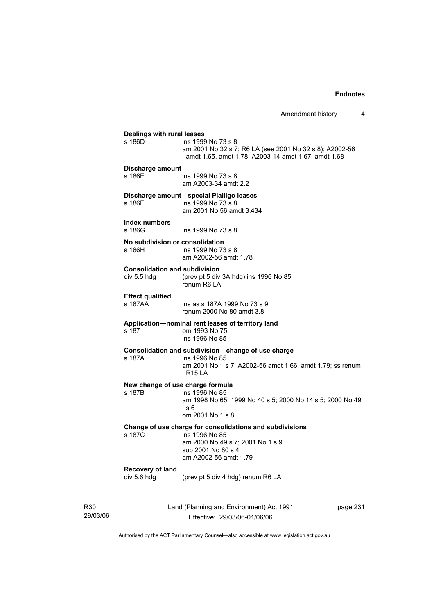Amendment history 4

| Dealings with rural leases                          |                                                                                                                                                               |
|-----------------------------------------------------|---------------------------------------------------------------------------------------------------------------------------------------------------------------|
| s 186D                                              | ins 1999 No 73 s 8<br>am 2001 No 32 s 7; R6 LA (see 2001 No 32 s 8); A2002-56<br>amdt 1.65, amdt 1.78; A2003-14 amdt 1.67, amdt 1.68                          |
| Discharge amount                                    |                                                                                                                                                               |
| s 186E                                              | ins 1999 No 73 s 8<br>am A2003-34 amdt 2.2                                                                                                                    |
| s 186F                                              | Discharge amount—special Pialligo leases<br>ins 1999 No 73 s 8<br>am 2001 No 56 amdt 3.434                                                                    |
| Index numbers<br>s 186G                             | ins 1999 No 73 s 8                                                                                                                                            |
| No subdivision or consolidation<br>s 186H           | ins 1999 No 73 s 8<br>am A2002-56 amdt 1.78                                                                                                                   |
| <b>Consolidation and subdivision</b><br>div 5.5 hdg | (prev pt 5 div 3A hdg) ins 1996 No 85<br>renum R6 LA                                                                                                          |
| <b>Effect qualified</b><br>s 187AA                  | ins as s 187A 1999 No 73 s 9<br>renum 2000 No 80 amdt 3.8                                                                                                     |
| s 187                                               | Application-nominal rent leases of territory land<br>om 1993 No 75<br>ins 1996 No 85                                                                          |
| s 187A                                              | Consolidation and subdivision-change of use charge<br>ins 1996 No 85<br>am 2001 No 1 s 7; A2002-56 amdt 1.66, amdt 1.79; ss renum<br><b>R15 LA</b>            |
| New change of use charge formula<br>s 187B          | ins 1996 No 85<br>am 1998 No 65; 1999 No 40 s 5; 2000 No 14 s 5; 2000 No 49<br>s 6<br>om 2001 No 1 s 8                                                        |
| s 187C                                              | Change of use charge for consolidations and subdivisions<br>ins 1996 No 85<br>am 2000 No 49 s 7; 2001 No 1 s 9<br>sub 2001 No 80 s 4<br>am A2002-56 amdt 1.79 |
| Recovery of land                                    |                                                                                                                                                               |

R30 29/03/06 Land (Planning and Environment) Act 1991 Effective: 29/03/06-01/06/06

page 231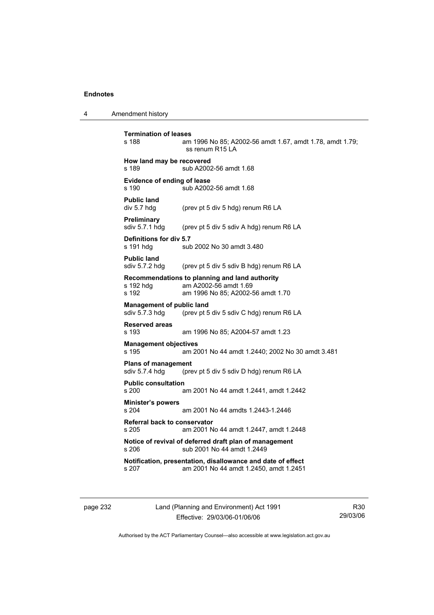4 Amendment history

**Termination of leases**  am 1996 No 85; A2002-56 amdt 1.67, amdt 1.78, amdt 1.79; ss renum R15 LA **How land may be recovered**  s 189 sub A2002-56 amdt 1.68 **Evidence of ending of lease**  s 190 sub A2002-56 amdt 1.68 **Public land**<br>div 5.7 hdg (prev pt 5 div 5 hdg) renum R6 LA **Preliminary**  sdiv 5.7.1 hdg (prev pt 5 div 5 sdiv A hdg) renum R6 LA **Definitions for div 5.7**  s 191 hdg sub 2002 No 30 amdt 3.480 **Public land**  sdiv 5.7.2 hdg (prev pt 5 div 5 sdiv B hdg) renum R6 LA **Recommendations to planning and land authority**  am A2002-56 amdt 1.69 s 192 am 1996 No 85; A2002-56 amdt 1.70 **Management of public land**  sdiv 5.7.3 hdg (prev pt 5 div 5 sdiv C hdg) renum R6 LA **Reserved areas**  am 1996 No 85; A2004-57 amdt 1.23 **Management objectives**  s 195 am 2001 No 44 amdt 1.2440; 2002 No 30 amdt 3.481 **Plans of management**<br>sdiv 5.7.4 hdg (pre (prev pt 5 div 5 sdiv D hdg) renum R6 LA **Public consultation**  s 200 am 2001 No 44 amdt 1.2441, amdt 1.2442 **Minister's powers**  s 204 am 2001 No 44 amdts 1.2443-1.2446 **Referral back to conservator**  s 205 am 2001 No 44 amdt 1.2447, amdt 1.2448 **Notice of revival of deferred draft plan of management**  s 206 sub 2001 No 44 amdt 1.2449 **Notification, presentation, disallowance and date of effect**  s 207 am 2001 No 44 amdt 1.2450, amdt 1.2451

page 232 Land (Planning and Environment) Act 1991 Effective: 29/03/06-01/06/06

R30 29/03/06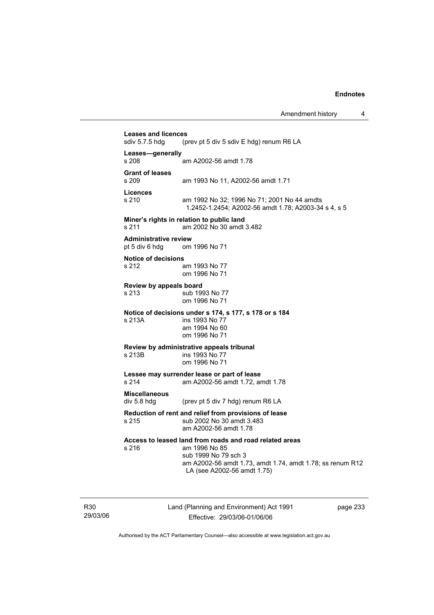**Leases and licences**  (prev pt 5 div 5 sdiv  $E$  hdg) renum R6 LA **Leases—generally**  am A2002-56 amdt 1.78 **Grant of leases**  am 1993 No 11, A2002-56 amdt 1.71 **Licences**  s 210 am 1992 No 32; 1996 No 71; 2001 No 44 amdts 1.2452-1.2454; A2002-56 amdt 1.78; A2003-34 s 4, s 5 **Miner's rights in relation to public land**  s 211 am 2002 No 30 amdt 3.482 **Administrative review**  pt 5 div 6 hdg om 1996 No 71 **Notice of decisions**  s 212 am 1993 No 77 om 1996 No 71 **Review by appeals board**  s 213 sub 1993 No 77 om 1996 No 71 **Notice of decisions under s 174, s 177, s 178 or s 184**  s 213A ins 1993 No 77 am 1994 No 60 om 1996 No 71 **Review by administrative appeals tribunal**  ins 1993 No 77 om 1996 No 71 **Lessee may surrender lease or part of lease**  s 214 am A2002-56 amdt 1.72, amdt 1.78 **Miscellaneous**  div 5.8 hdg (prev pt 5 div 7 hdg) renum R6 LA **Reduction of rent and relief from provisions of lease**  s 215 sub 2002 No 30 amdt 3.483 am A2002-56 amdt 1.78 **Access to leased land from roads and road related areas**  s 216 am 1996 No 85 sub 1999 No 79 sch 3 am A2002-56 amdt 1.73, amdt 1.74, amdt 1.78; ss renum R12 LA (see A2002-56 amdt 1.75)

R30 29/03/06 Land (Planning and Environment) Act 1991 Effective: 29/03/06-01/06/06

page 233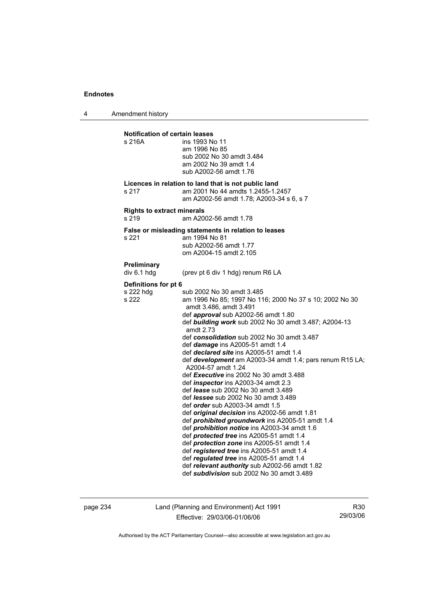4 Amendment history

**Notification of certain leases**  s 216A ins 1993 No 11 am 1996 No 85 sub 2002 No 30 amdt 3.484 am 2002 No 39 amdt 1.4 sub A2002-56 amdt 1.76 **Licences in relation to land that is not public land**  s 217 am 2001 No 44 amdts 1.2455-1.2457 am A2002-56 amdt 1.78; A2003-34 s 6, s 7 **Rights to extract minerals**  s 219 am A2002-56 amdt 1.78 **False or misleading statements in relation to leases**  s 221 am 1994 No 81 sub A2002-56 amdt 1.77 om A2004-15 amdt 2.105 **Preliminary**  div 6.1 hdg (prev pt 6 div 1 hdg) renum R6 LA **Definitions for pt 6**  s 222 hdg sub 2002 No 30 amdt 3.485<br>s 222 sam 1996 No 85: 1997 No 11 am 1996 No 85; 1997 No 116; 2000 No 37 s 10; 2002 No 30 amdt 3.486, amdt 3.491 def *approval* sub A2002-56 amdt 1.80 def *building work* sub 2002 No 30 amdt 3.487; A2004-13 amdt 2.73 def *consolidation* sub 2002 No 30 amdt 3.487 def *damage* ins A2005-51 amdt 1.4 def *declared site* ins A2005-51 amdt 1.4 def *development* am A2003-34 amdt 1.4; pars renum R15 LA; A2004-57 amdt 1.24 def *Executive* ins 2002 No 30 amdt 3.488 def *inspector* ins A2003-34 amdt 2.3 def *lease* sub 2002 No 30 amdt 3.489 def *lessee* sub 2002 No 30 amdt 3.489 def *order* sub A2003-34 amdt 1.5 def *original decision* ins A2002-56 amdt 1.81 def *prohibited groundwork* ins A2005-51 amdt 1.4 def *prohibition notice* ins A2003-34 amdt 1.6 def *protected tree* ins A2005-51 amdt 1.4 def *protection zone* ins A2005-51 amdt 1.4 def *registered tree* ins A2005-51 amdt 1.4 def *regulated tree* ins A2005-51 amdt 1.4 def *relevant authority* sub A2002-56 amdt 1.82 def *subdivision* sub 2002 No 30 amdt 3.489

page 234 Land (Planning and Environment) Act 1991 Effective: 29/03/06-01/06/06

R30 29/03/06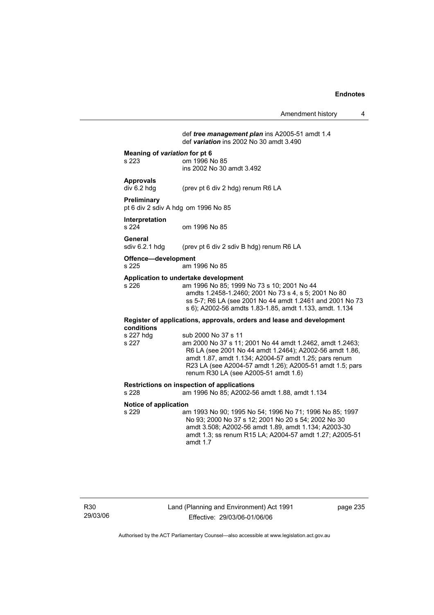#### def *tree management plan* ins A2005-51 amdt 1.4 def *variation* ins 2002 No 30 amdt 3.490

#### **Meaning of** *variation* **for pt 6**

s 223 om 1996 No 85 ins 2002 No 30 amdt 3.492

## **Approvals**

div 6.2 hdg (prev pt 6 div 2 hdg) renum R6 LA

#### **Preliminary**

pt 6 div 2 sdiv A hdg om 1996 No 85

# **Interpretation**

om 1996 No 85

General<br>sdiv 6.2.1 hdg (prev pt 6 div 2 sdiv B hdg) renum R6 LA

#### **Offence—development**

s 225 am 1996 No 85

#### **Application to undertake development**

s 226 am 1996 No 85; 1999 No 73 s 10; 2001 No 44 amdts 1.2458-1.2460; 2001 No 73 s 4, s 5; 2001 No 80 ss 5-7; R6 LA (see 2001 No 44 amdt 1.2461 and 2001 No 73 s 6); A2002-56 amdts 1.83-1.85, amdt 1.133, amdt. 1.134

#### **Register of applications, approvals, orders and lease and development conditions**

| s 227 hdg | sub 2000 No 37 s 11                                      |
|-----------|----------------------------------------------------------|
| s 227     | am 2000 No 37 s 11; 2001 No 44 amdt 1.2462, amdt 1.2463; |
|           | R6 LA (see 2001 No 44 amdt 1.2464); A2002-56 amdt 1.86,  |
|           | amdt 1.87, amdt 1.134; A2004-57 amdt 1.25; pars renum    |
|           | R23 LA (see A2004-57 amdt 1.26); A2005-51 amdt 1.5; pars |
|           | renum R30 LA (see A2005-51 amdt 1.6)                     |
|           |                                                          |

## **Restrictions on inspection of applications**

am 1996 No 85; A2002-56 amdt 1.88, amdt 1.134

# **Notice of application**

am 1993 No 90; 1995 No 54; 1996 No 71; 1996 No 85; 1997 No 93; 2000 No 37 s 12; 2001 No 20 s 54; 2002 No 30 amdt 3.508; A2002-56 amdt 1.89, amdt 1.134; A2003-30 amdt 1.3; ss renum R15 LA; A2004-57 amdt 1.27; A2005-51 amdt 1.7

page 235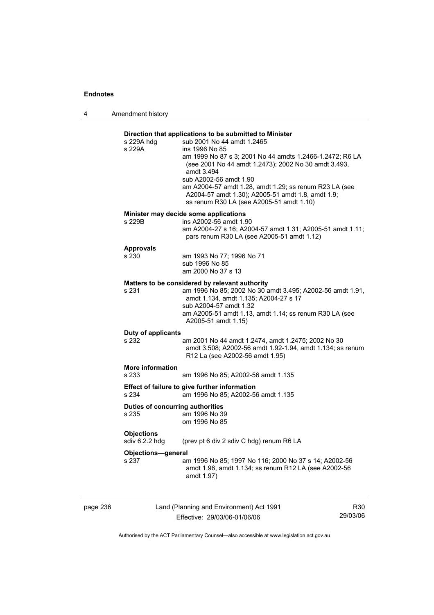4 Amendment history

| s 229A                                           | ins 1996 No 85<br>am 1999 No 87 s 3; 2001 No 44 amdts 1.2466-1.2472; R6 LA<br>(see 2001 No 44 amdt 1.2473); 2002 No 30 amdt 3.493,<br>amdt 3.494<br>sub A2002-56 amdt 1.90<br>am A2004-57 amdt 1.28, amdt 1.29; ss renum R23 LA (see<br>A2004-57 amdt 1.30); A2005-51 amdt 1.8, amdt 1.9;<br>ss renum R30 LA (see A2005-51 amdt 1.10) |
|--------------------------------------------------|---------------------------------------------------------------------------------------------------------------------------------------------------------------------------------------------------------------------------------------------------------------------------------------------------------------------------------------|
| s 229B                                           | Minister may decide some applications<br>ins A2002-56 amdt 1.90<br>am A2004-27 s 16; A2004-57 amdt 1.31; A2005-51 amdt 1.11;<br>pars renum R30 LA (see A2005-51 amdt 1.12)                                                                                                                                                            |
| <b>Approvals</b><br>s 230                        | am 1993 No 77; 1996 No 71<br>sub 1996 No 85<br>am 2000 No 37 s 13                                                                                                                                                                                                                                                                     |
| s 231                                            | Matters to be considered by relevant authority<br>am 1996 No 85; 2002 No 30 amdt 3.495; A2002-56 amdt 1.91,<br>amdt 1.134, amdt 1.135; A2004-27 s 17<br>sub A2004-57 amdt 1.32<br>am A2005-51 amdt 1.13, amdt 1.14; ss renum R30 LA (see<br>A2005-51 amdt 1.15)                                                                       |
| Duty of applicants<br>s 232                      | am 2001 No 44 amdt 1.2474, amdt 1.2475; 2002 No 30<br>amdt 3.508; A2002-56 amdt 1.92-1.94, amdt 1.134; ss renum<br>R12 La (see A2002-56 amdt 1.95)                                                                                                                                                                                    |
| <b>More information</b><br>s 233                 | am 1996 No 85; A2002-56 amdt 1.135                                                                                                                                                                                                                                                                                                    |
| s 234                                            | Effect of failure to give further information<br>am 1996 No 85; A2002-56 amdt 1.135                                                                                                                                                                                                                                                   |
| <b>Duties of concurring authorities</b><br>s 235 | am 1996 No 39<br>om 1996 No 85                                                                                                                                                                                                                                                                                                        |
| <b>Objections</b><br>sdiv 6.2.2 hdg              | (prev pt 6 div 2 sdiv C hdg) renum R6 LA                                                                                                                                                                                                                                                                                              |
| <b>Objections-general</b><br>s 237               | am 1996 No 85; 1997 No 116; 2000 No 37 s 14; A2002-56<br>amdt 1.96, amdt 1.134; ss renum R12 LA (see A2002-56<br>amdt 1.97)                                                                                                                                                                                                           |

page 236 Land (Planning and Environment) Act 1991 Effective: 29/03/06-01/06/06

R30 29/03/06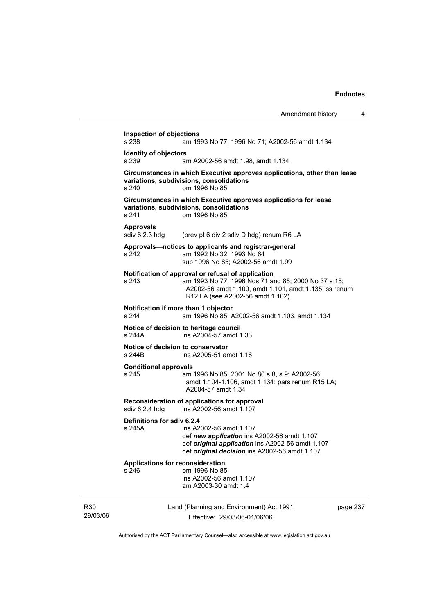|                 |                                             |                                                                                                                                                                                                        | Amendment history | 4        |
|-----------------|---------------------------------------------|--------------------------------------------------------------------------------------------------------------------------------------------------------------------------------------------------------|-------------------|----------|
|                 | <b>Inspection of objections</b><br>s 238    | am 1993 No 77; 1996 No 71; A2002-56 amdt 1.134                                                                                                                                                         |                   |          |
|                 | <b>Identity of objectors</b><br>s 239       | am A2002-56 amdt 1.98, amdt 1.134                                                                                                                                                                      |                   |          |
|                 | s 240                                       | Circumstances in which Executive approves applications, other than lease<br>variations, subdivisions, consolidations<br>om 1996 No 85                                                                  |                   |          |
|                 | s 241                                       | Circumstances in which Executive approves applications for lease<br>variations, subdivisions, consolidations<br>om 1996 No 85                                                                          |                   |          |
|                 | <b>Approvals</b><br>sdiv 6.2.3 hdg          | (prev pt 6 div 2 sdiv D hdg) renum R6 LA                                                                                                                                                               |                   |          |
|                 | s 242                                       | Approvals-notices to applicants and registrar-general<br>am 1992 No 32: 1993 No 64<br>sub 1996 No 85: A2002-56 amdt 1.99                                                                               |                   |          |
|                 | s 243                                       | Notification of approval or refusal of application<br>am 1993 No 77; 1996 Nos 71 and 85; 2000 No 37 s 15;<br>A2002-56 amdt 1.100, amdt 1.101, amdt 1.135; ss renum<br>R12 LA (see A2002-56 amdt 1.102) |                   |          |
|                 | s 244                                       | Notification if more than 1 objector<br>am 1996 No 85; A2002-56 amdt 1.103, amdt 1.134                                                                                                                 |                   |          |
|                 | s 244A                                      | Notice of decision to heritage council<br>ins A2004-57 amdt 1.33                                                                                                                                       |                   |          |
|                 | Notice of decision to conservator<br>s 244B | ins A2005-51 amdt 1.16                                                                                                                                                                                 |                   |          |
|                 | <b>Conditional approvals</b><br>s 245       | am 1996 No 85; 2001 No 80 s 8, s 9; A2002-56<br>amdt 1.104-1.106, amdt 1.134; pars renum R15 LA;<br>A2004-57 amdt 1.34                                                                                 |                   |          |
|                 | sdiv 6.2.4 hdg                              | Reconsideration of applications for approval<br>ins A2002-56 amdt 1.107                                                                                                                                |                   |          |
|                 | Definitions for sdiv 6.2.4<br>s 245A        | ins A2002-56 amdt 1.107<br>def new application ins A2002-56 amdt 1.107<br>def original application ins A2002-56 amdt 1.107<br>def original decision ins A2002-56 amdt 1.107                            |                   |          |
|                 | Applications for reconsideration<br>s 246   | om 1996 No 85<br>ins A2002-56 amdt 1.107<br>am A2003-30 amdt 1.4                                                                                                                                       |                   |          |
| R30<br>29/03/06 |                                             | Land (Planning and Environment) Act 1991<br>Effective: 29/03/06-01/06/06                                                                                                                               |                   | page 237 |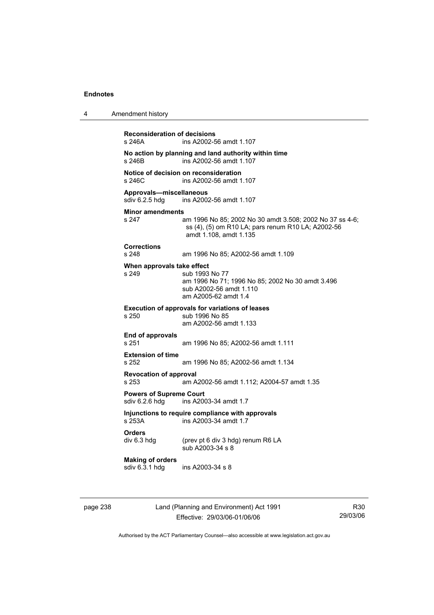| 4 | Amendment history                                |                                                                                                                                          |
|---|--------------------------------------------------|------------------------------------------------------------------------------------------------------------------------------------------|
|   | <b>Reconsideration of decisions</b><br>s 246A    | ins A2002-56 amdt 1.107                                                                                                                  |
|   | s 246B                                           | No action by planning and land authority within time<br>ins A2002-56 amdt 1.107                                                          |
|   | s 246C                                           | Notice of decision on reconsideration<br>ins A2002-56 amdt 1.107                                                                         |
|   | Approvals-miscellaneous<br>sdiv 6.2.5 hdg        | ins A2002-56 amdt 1.107                                                                                                                  |
|   | <b>Minor amendments</b><br>s 247                 | am 1996 No 85; 2002 No 30 amdt 3.508; 2002 No 37 ss 4-6;<br>ss (4), (5) om R10 LA; pars renum R10 LA; A2002-56<br>amdt 1.108, amdt 1.135 |
|   | <b>Corrections</b><br>s 248                      | am 1996 No 85; A2002-56 amdt 1.109                                                                                                       |
|   | When approvals take effect<br>s 249              | sub 1993 No 77<br>am 1996 No 71; 1996 No 85; 2002 No 30 amdt 3.496<br>sub A2002-56 amdt 1.110<br>am A2005-62 amdt 1.4                    |
|   | s 250                                            | <b>Execution of approvals for variations of leases</b><br>sub 1996 No 85<br>am A2002-56 amdt 1.133                                       |
|   | End of approvals<br>s 251                        | am 1996 No 85; A2002-56 amdt 1.111                                                                                                       |
|   | <b>Extension of time</b><br>s 252                | am 1996 No 85; A2002-56 amdt 1.134                                                                                                       |
|   | <b>Revocation of approval</b><br>s 253           | am A2002-56 amdt 1.112; A2004-57 amdt 1.35                                                                                               |
|   | <b>Powers of Supreme Court</b><br>sdiv 6.2.6 hdg | ins A2003-34 amdt 1.7                                                                                                                    |
|   | s 253A                                           | Injunctions to require compliance with approvals<br>ins A2003-34 amdt 1.7                                                                |
|   | <b>Orders</b><br>div 6.3 hdg                     | (prev pt 6 div 3 hdg) renum R6 LA<br>sub A2003-34 s 8                                                                                    |
|   | <b>Making of orders</b><br>sdiv 6.3.1 hdg        | ins A2003-34 s 8                                                                                                                         |
|   |                                                  |                                                                                                                                          |

page 238 Land (Planning and Environment) Act 1991 Effective: 29/03/06-01/06/06

R30 29/03/06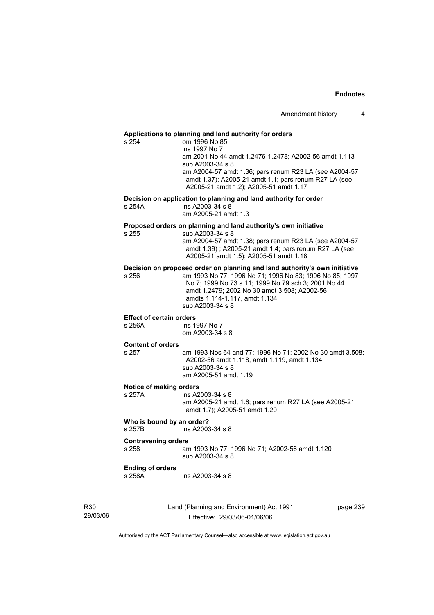## **Applications to planning and land authority for orders**

| Applications to planning and land authority for orders |                                                                                                                                                                                                                     |  |  |  |
|--------------------------------------------------------|---------------------------------------------------------------------------------------------------------------------------------------------------------------------------------------------------------------------|--|--|--|
| s 254                                                  | om 1996 No 85<br>ins 1997 No 7                                                                                                                                                                                      |  |  |  |
|                                                        | am 2001 No 44 amdt 1.2476-1.2478; A2002-56 amdt 1.113<br>sub A2003-34 s 8                                                                                                                                           |  |  |  |
|                                                        | am A2004-57 amdt 1.36; pars renum R23 LA (see A2004-57<br>amdt 1.37); A2005-21 amdt 1.1; pars renum R27 LA (see<br>A2005-21 amdt 1.2); A2005-51 amdt 1.17                                                           |  |  |  |
|                                                        | Decision on application to planning and land authority for order                                                                                                                                                    |  |  |  |
| s 254A                                                 | ins A2003-34 s 8<br>am A2005-21 amdt 1.3                                                                                                                                                                            |  |  |  |
|                                                        | Proposed orders on planning and land authority's own initiative                                                                                                                                                     |  |  |  |
| s 255                                                  | sub A2003-34 s 8                                                                                                                                                                                                    |  |  |  |
|                                                        | am A2004-57 amdt 1.38; pars renum R23 LA (see A2004-57<br>amdt 1.39); A2005-21 amdt 1.4; pars renum R27 LA (see<br>A2005-21 amdt 1.5); A2005-51 amdt 1.18                                                           |  |  |  |
|                                                        | Decision on proposed order on planning and land authority's own initiative                                                                                                                                          |  |  |  |
| s 256                                                  | am 1993 No 77; 1996 No 71; 1996 No 83; 1996 No 85; 1997<br>No 7; 1999 No 73 s 11; 1999 No 79 sch 3; 2001 No 44<br>amdt 1.2479; 2002 No 30 amdt 3.508; A2002-56<br>amdts 1.114-1.117, amdt 1.134<br>sub A2003-34 s 8 |  |  |  |
| <b>Effect of certain orders</b>                        |                                                                                                                                                                                                                     |  |  |  |
|                                                        |                                                                                                                                                                                                                     |  |  |  |
| s 256A                                                 | ins 1997 No 7                                                                                                                                                                                                       |  |  |  |
|                                                        | om A2003-34 s 8                                                                                                                                                                                                     |  |  |  |
| <b>Content of orders</b>                               |                                                                                                                                                                                                                     |  |  |  |
| s 257                                                  | am 1993 Nos 64 and 77; 1996 No 71; 2002 No 30 amdt 3.508;                                                                                                                                                           |  |  |  |
|                                                        | A2002-56 amdt 1.118, amdt 1.119, amdt 1.134<br>sub A2003-34 s 8                                                                                                                                                     |  |  |  |
|                                                        | am A2005-51 amdt 1.19                                                                                                                                                                                               |  |  |  |
| Notice of making orders                                |                                                                                                                                                                                                                     |  |  |  |
| s 257A                                                 | ins A2003-34 s 8                                                                                                                                                                                                    |  |  |  |
|                                                        | am A2005-21 amdt 1.6; pars renum R27 LA (see A2005-21<br>amdt 1.7); A2005-51 amdt 1.20                                                                                                                              |  |  |  |
| Who is bound by an order?<br>s 257B                    | ins A2003-34 s 8                                                                                                                                                                                                    |  |  |  |
|                                                        |                                                                                                                                                                                                                     |  |  |  |
| <b>Contravening orders</b><br>s 258                    | am 1993 No 77; 1996 No 71; A2002-56 amdt 1.120<br>sub A2003-34 s 8                                                                                                                                                  |  |  |  |
| <b>Ending of orders</b>                                |                                                                                                                                                                                                                     |  |  |  |
| s 258A                                                 | ins A2003-34 s 8                                                                                                                                                                                                    |  |  |  |

R30 29/03/06 Land (Planning and Environment) Act 1991 Effective: 29/03/06-01/06/06

page 239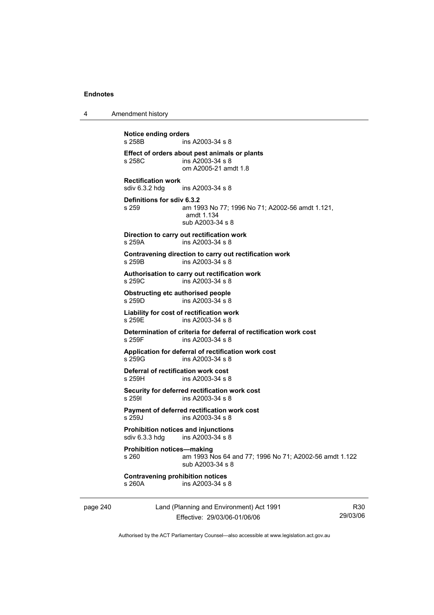4 Amendment history

| <b>Notice ending orders</b><br>s 258B              | ins A2003-34 s 8                                                                              |
|----------------------------------------------------|-----------------------------------------------------------------------------------------------|
| s 258C                                             | Effect of orders about pest animals or plants<br>ins $A2003-34$ s $8$<br>om A2005-21 amdt 1.8 |
| <b>Rectification work</b><br>sdiv 6.3.2 hdg        | ins A2003-34 s 8                                                                              |
| Definitions for sdiv 6.3.2<br>s 259                | am 1993 No 77; 1996 No 71; A2002-56 amdt 1.121,<br>amdt 1.134<br>sub A2003-34 s 8             |
| s 259A                                             | Direction to carry out rectification work<br>ins A2003-34 s 8                                 |
| s 259B                                             | Contravening direction to carry out rectification work<br>ins A2003-34 s 8                    |
| $s$ 259 $C$                                        | Authorisation to carry out rectification work<br>ins A2003-34 s 8                             |
| <b>Obstructing etc authorised people</b><br>s 259D | ins A2003-34 s 8                                                                              |
| s 259F                                             | Liability for cost of rectification work<br>ins $A2003-34$ s $8$                              |
| s 259F                                             | Determination of criteria for deferral of rectification work cost<br>ins A2003-34 s 8         |
| s 259G                                             | Application for deferral of rectification work cost<br>ins A2003-34 s 8                       |
| Deferral of rectification work cost<br>s 259H      | ins A2003-34 s 8                                                                              |
| s 259I                                             | Security for deferred rectification work cost<br>ins A2003-34 s 8                             |
| s 259J                                             | Payment of deferred rectification work cost<br>ins A2003-34 s 8                               |
| sdiv 6.3.3 hdg                                     | <b>Prohibition notices and injunctions</b><br>ins A2003-34 s 8                                |
| <b>Prohibition notices-making</b><br>s 260         | am 1993 Nos 64 and 77; 1996 No 71; A2002-56 amdt 1.122<br>sub A2003-34 s 8                    |
| <b>Contravening prohibition notices</b><br>s 260A  | ins A2003-34 s 8                                                                              |

page 240 Land (Planning and Environment) Act 1991 Effective: 29/03/06-01/06/06

R30 29/03/06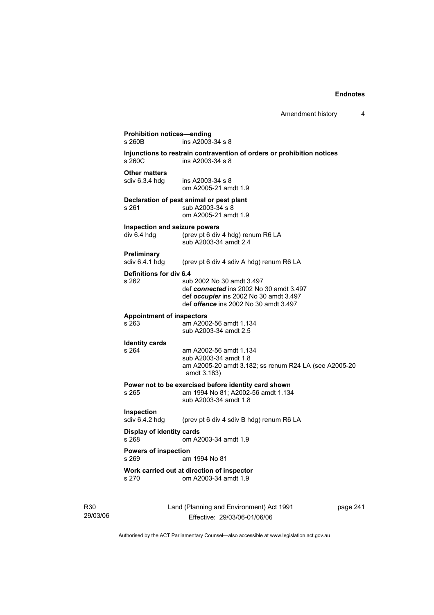| Amendment history |  |
|-------------------|--|
|-------------------|--|

| s 260B                                       | ins A2003-34 s 8                                                                                                                                               |  |
|----------------------------------------------|----------------------------------------------------------------------------------------------------------------------------------------------------------------|--|
| s 260C                                       | Injunctions to restrain contravention of orders or prohibition notices<br>ins A2003-34 s 8                                                                     |  |
| <b>Other matters</b>                         | sdiv 6.3.4 hdg ins A2003-34 s 8<br>om A2005-21 amdt 1.9                                                                                                        |  |
| s 261                                        | Declaration of pest animal or pest plant<br>sub A2003-34 s 8<br>om A2005-21 amdt 1.9                                                                           |  |
| Inspection and seizure powers<br>div 6.4 hdg | (prev pt 6 div 4 hdg) renum R6 LA<br>sub A2003-34 amdt 2.4                                                                                                     |  |
| <b>Preliminary</b><br>sdiv 6.4.1 hdg         | (prev pt 6 div 4 sdiv A hdg) renum R6 LA                                                                                                                       |  |
| Definitions for div 6.4<br>s 262             | sub 2002 No 30 amdt 3.497<br>def connected ins 2002 No 30 amdt 3.497<br>def occupier ins 2002 No 30 amdt 3.497<br>def <i>offence</i> ins 2002 No 30 amdt 3.497 |  |
| <b>Appointment of inspectors</b><br>s 263    | am A2002-56 amdt 1.134<br>sub A2003-34 amdt 2.5                                                                                                                |  |
| <b>Identity cards</b><br>s 264               | am A2002-56 amdt 1.134<br>sub A2003-34 amdt 1.8<br>am A2005-20 amdt 3.182; ss renum R24 LA (see A2005-20<br>amdt 3.183)                                        |  |
| s 265                                        | Power not to be exercised before identity card shown<br>am 1994 No 81; A2002-56 amdt 1.134<br>sub A2003-34 amdt 1.8                                            |  |
| Inspection<br>sdiv 6.4.2 hdg                 | (prev pt 6 div 4 sdiv B hdg) renum R6 LA                                                                                                                       |  |
| <b>Display of identity cards</b><br>s 268    | om A2003-34 amdt 1.9                                                                                                                                           |  |
| <b>Powers of inspection</b><br>s 269         | am 1994 No 81                                                                                                                                                  |  |
| s 270                                        | Work carried out at direction of inspector<br>om A2003-34 amdt 1.9                                                                                             |  |

29/03/06

R30

Effective: 29/03/06-01/06/06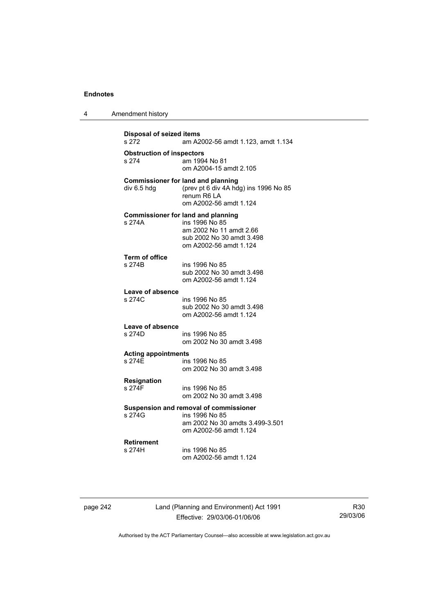| 4 | Amendment history |
|---|-------------------|
|---|-------------------|

```
Disposal of seized items 
                 am A2002-56 amdt 1.123, amdt 1.134
Obstruction of inspectors 
s 274 am 1994 No 81
                  om A2004-15 amdt 2.105 
Commissioner for land and planning 
div 6.5 hdg (prev pt 6 div 4A hdg) ins 1996 No 85 
                  renum R6 LA 
                  om A2002-56 amdt 1.124 
Commissioner for land and planning 
s 274A ins 1996 No 85 
                  am 2002 No 11 amdt 2.66 
                  sub 2002 No 30 amdt 3.498 
                  om A2002-56 amdt 1.124 
Term of office 
                 ins 1996 No 85
                  sub 2002 No 30 amdt 3.498 
                  om A2002-56 amdt 1.124 
Leave of absence 
                 ins 1996 No 85
                  sub 2002 No 30 amdt 3.498 
                  om A2002-56 amdt 1.124 
Leave of absence 
s 274D ins 1996 No 85 
                  om 2002 No 30 amdt 3.498 
Acting appointments 
                 ins 1996 No 85
                  om 2002 No 30 amdt 3.498 
Resignation 
                 ins 1996 No 85
                  om 2002 No 30 amdt 3.498 
Suspension and removal of commissioner 
s 274G ins 1996 No 85 
                  am 2002 No 30 amdts 3.499-3.501 
                  om A2002-56 amdt 1.124 
Retirement 
s 274H ins 1996 No 85 
                  om A2002-56 amdt 1.124
```
page 242 Land (Planning and Environment) Act 1991 Effective: 29/03/06-01/06/06

R30 29/03/06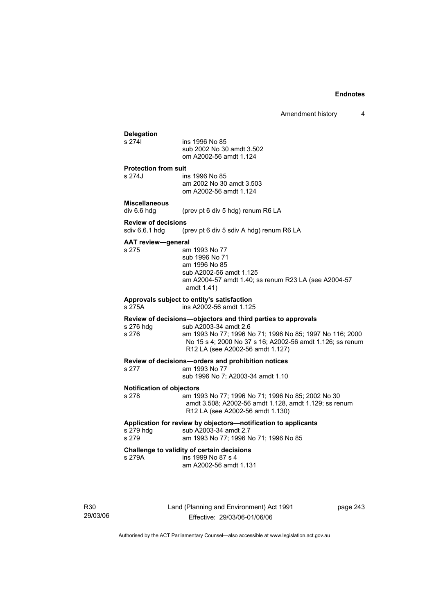## **Delegation**

ins 1996 No 85 sub 2002 No 30 amdt 3.502 om A2002-56 amdt 1.124

#### **Protection from suit**

s 274J ins 1996 No 85 am 2002 No 30 amdt 3.503 om A2002-56 amdt 1.124

## **Miscellaneous**

div 6.6 hdg (prev pt 6 div 5 hdg) renum R6 LA

## **Review of decisions**

(prev pt 6 div 5 sdiv A hdg) renum R6 LA

#### **AAT review—general**

s 275 am 1993 No 77 sub 1996 No 71 am 1996 No 85 sub A2002-56 amdt 1.125 am A2004-57 amdt 1.40; ss renum R23 LA (see A2004-57 amdt 1.41)

#### **Approvals subject to entity's satisfaction**

s 275A ins A2002-56 amdt 1.125

## **Review of decisions—objectors and third parties to approvals**

sub A2003-34 amdt 2.6 s 276 am 1993 No 77; 1996 No 71; 1996 No 85; 1997 No 116; 2000 No 15 s 4; 2000 No 37 s 16; A2002-56 amdt 1.126; ss renum R12 LA (see A2002-56 amdt 1.127)

#### **Review of decisions—orders and prohibition notices**

- s 277 am 1993 No 77
	- sub 1996 No 7; A2003-34 amdt 1.10

# **Notification of objectors**

am 1993 No 77; 1996 No 71; 1996 No 85; 2002 No 30 amdt 3.508; A2002-56 amdt 1.128, amdt 1.129; ss renum R12 LA (see A2002-56 amdt 1.130)

am 1993 No 77; 1996 No 71; 1996 No 85

### **Application for review by objectors—notification to applicants**

s 279 hdg sub A2003-34 amdt 2.7<br>s 279 sam 1993 No 77: 1996 N

#### **Challenge to validity of certain decisions**

s 279A ins 1999 No 87 s 4 am A2002-56 amdt 1.131

R30 29/03/06 Land (Planning and Environment) Act 1991 Effective: 29/03/06-01/06/06

page 243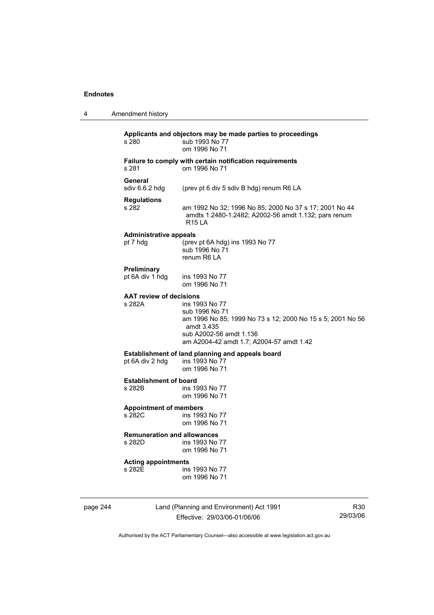| 4        | Amendment history                            |                                                                                                                                                                                     |
|----------|----------------------------------------------|-------------------------------------------------------------------------------------------------------------------------------------------------------------------------------------|
|          | s 280                                        | Applicants and objectors may be made parties to proceedings<br>sub 1993 No 77<br>om 1996 No 71                                                                                      |
|          | s 281                                        | Failure to comply with certain notification requirements<br>om 1996 No 71                                                                                                           |
|          | General<br>sdiv $6.6.2$ hdg                  | (prev pt 6 div 5 sdiv B hdg) renum R6 LA                                                                                                                                            |
|          | <b>Regulations</b><br>s 282                  | am 1992 No 32; 1996 No 85; 2000 No 37 s 17; 2001 No 44<br>amdts 1.2480-1.2482; A2002-56 amdt 1.132; pars renum<br><b>R15 LA</b>                                                     |
|          | <b>Administrative appeals</b><br>pt 7 hdg    | (prev pt 6A hdg) ins 1993 No 77<br>sub 1996 No 71<br>renum R6 LA                                                                                                                    |
|          | Preliminary<br>pt 6A div 1 hdg               | ins 1993 No 77<br>om 1996 No 71                                                                                                                                                     |
|          | <b>AAT review of decisions</b><br>s 282A     | ins 1993 No 77<br>sub 1996 No 71<br>am 1996 No 85; 1999 No 73 s 12; 2000 No 15 s 5; 2001 No 56<br>amdt 3.435<br>sub A2002-56 amdt 1.136<br>am A2004-42 amdt 1.7; A2004-57 amdt 1.42 |
|          | pt 6A div 2 hdg                              | Establishment of land planning and appeals board<br>ins 1993 No 77<br>om 1996 No 71                                                                                                 |
|          | <b>Establishment of board</b><br>s 282B      | ins 1993 No 77<br>om 1996 No 71                                                                                                                                                     |
|          | <b>Appointment of members</b><br>s 282C      | ins 1993 No 77<br>om 1996 No 71                                                                                                                                                     |
|          | <b>Remuneration and allowances</b><br>s 282D | ins 1993 No 77<br>om 1996 No 71                                                                                                                                                     |
|          | <b>Acting appointments</b><br>s 282E         | ins 1993 No 77<br>om 1996 No 71                                                                                                                                                     |
| page 244 |                                              | Land (Planning and Environment) Act 1991<br>R30                                                                                                                                     |

Effective: 29/03/06-01/06/06

R30 29/03/06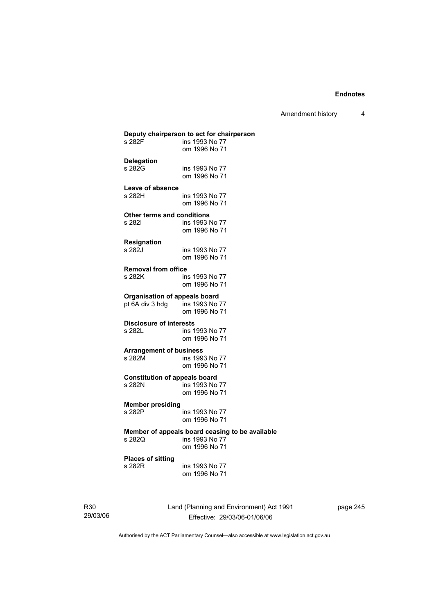Amendment history 4

|                                      | Deputy chairperson to act for chairperson       |
|--------------------------------------|-------------------------------------------------|
| s 282F                               | ins 1993 No 77                                  |
|                                      | om 1996 No 71                                   |
| <b>Delegation</b>                    |                                                 |
| s 282G                               | ins 1993 No 77                                  |
|                                      | om 1996 No 71                                   |
| Leave of absence                     |                                                 |
| s 282H                               | ins 1993 No 77                                  |
|                                      | om 1996 No 71                                   |
|                                      |                                                 |
| Other terms and conditions           |                                                 |
| s 282I                               | ins 1993 No 77                                  |
|                                      | om 1996 No 71                                   |
| <b>Resignation</b>                   |                                                 |
| s 282J                               | ins 1993 No 77                                  |
|                                      | om 1996 No 71                                   |
| <b>Removal from office</b>           |                                                 |
| s 282K                               | ins 1993 No 77                                  |
|                                      | om 1996 No 71                                   |
|                                      |                                                 |
| <b>Organisation of appeals board</b> |                                                 |
| pt 6A div 3 hdg                      | ins 1993 No 77<br>om 1996 No 71                 |
|                                      |                                                 |
| <b>Disclosure of interests</b>       |                                                 |
| s 282L                               | ins 1993 No 77                                  |
|                                      | om 1996 No 71                                   |
| <b>Arrangement of business</b>       |                                                 |
| s 282M                               | ins 1993 No 77                                  |
|                                      | om 1996 No 71                                   |
| <b>Constitution of appeals board</b> |                                                 |
| s 282N                               | ins 1993 No 77                                  |
|                                      | om 1996 No 71                                   |
|                                      |                                                 |
| <b>Member presiding</b>              |                                                 |
| s 282P                               | ins 1993 No 77                                  |
|                                      | om 1996 No 71                                   |
|                                      | Member of appeals board ceasing to be available |
| s 282Q                               | ins 1993 No 77                                  |
|                                      | om 1996 No 71                                   |
| <b>Places of sitting</b>             |                                                 |
| s 282R                               | ins 1993 No 77                                  |
|                                      | om 1996 No 71                                   |
|                                      |                                                 |

R30 29/03/06 Land (Planning and Environment) Act 1991 Effective: 29/03/06-01/06/06

page 245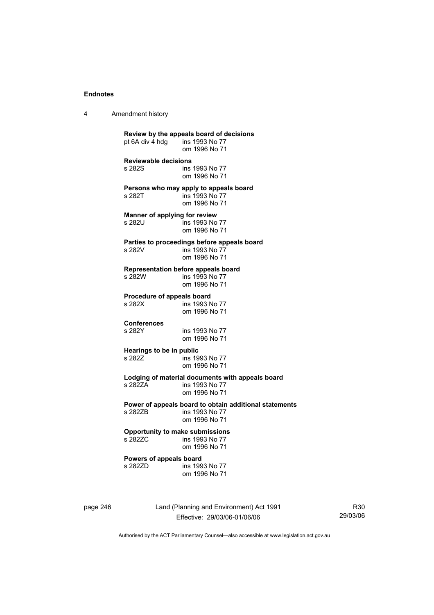4 Amendment history

**Review by the appeals board of decisions**  pt 6A div  $\frac{1}{4}$  hdg om 1996 No 71 **Reviewable decisions**  ins 1993 No 77 om 1996 No 71 **Persons who may apply to appeals board**  s 282T ins 1993 No 77 om 1996 No 71 **Manner of applying for review**  s 282U ins 1993 No 77 om 1996 No 71 **Parties to proceedings before appeals board**  s 282V ins 1993 No 77 om 1996 No 71 **Representation before appeals board**  ins 1993 No 77 om 1996 No 71 **Procedure of appeals board**<br>s 282X **ins 1993** N ins 1993 No 77 om 1996 No 71 **Conferences**  ins 1993 No 77 om 1996 No 71 **Hearings to be in public<br>s 2827 ins 19** ins 1993 No 77 om 1996 No 71 **Lodging of material documents with appeals board**  s 282ZA ins 1993 No 77 om 1996 No 71 **Power of appeals board to obtain additional statements**  ins 1993 No 77 om 1996 No 71 **Opportunity to make submissions**  ins 1993 No 77 om 1996 No 71 **Powers of appeals board**  s 282ZD **ins 1993** No 77 om 1996 No 71

page 246 Land (Planning and Environment) Act 1991 Effective: 29/03/06-01/06/06

R30 29/03/06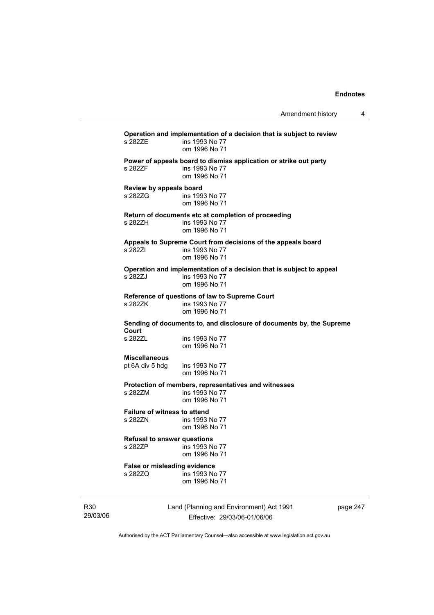**Operation and implementation of a decision that is subject to review**  ins 1993 No 77 om 1996 No 71 **Power of appeals board to dismiss application or strike out party**  s 282ZF ins 1993 No 77 om 1996 No 71 **Review by appeals board**  s 282ZG ins 1993 No 77 om 1996 No 71 **Return of documents etc at completion of proceeding**  s 282ZH ins 1993 No 77 om 1996 No 71 **Appeals to Supreme Court from decisions of the appeals board**  s 282ZI ins 1993 No 77 om 1996 No 71 **Operation and implementation of a decision that is subject to appeal**  ins 1993 No 77 om 1996 No 71 **Reference of questions of law to Supreme Court**  s 282ZK ins 1993 No 77 om 1996 No 71 **Sending of documents to, and disclosure of documents by, the Supreme Court**  s 282ZL ins 1993 No 77 om 1996 No 71 **Miscellaneous**  pt 6A div 5 hdg ins 1993 No 77 om 1996 No 71 **Protection of members, representatives and witnesses**  s 282ZM ins 1993 No 77 om 1996 No 71 **Failure of witness to attend**  s 282ZN ins 1993 No 77 om 1996 No 71 **Refusal to answer questions**  s 282ZP ins 1993 No 77 om 1996 No 71 **False or misleading evidence**  s 282ZQ ins 1993 No 77 om 1996 No 71

R30 29/03/06 Land (Planning and Environment) Act 1991 Effective: 29/03/06-01/06/06

page 247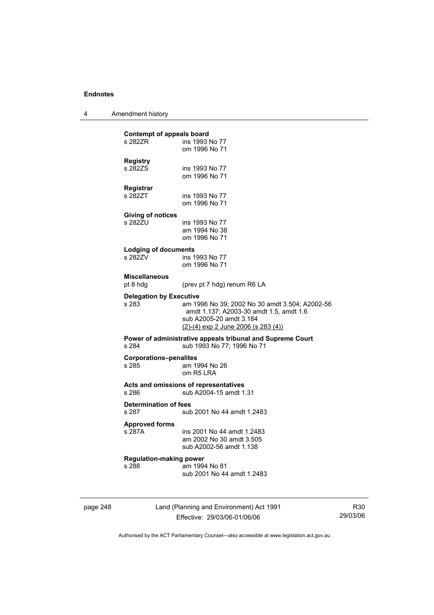4 Amendment history

| page 248 |                                         | Land (Planning and Environment) Act 1991                                                                                                                      | R |
|----------|-----------------------------------------|---------------------------------------------------------------------------------------------------------------------------------------------------------------|---|
|          | <b>Regulation-making power</b><br>s 288 | am 1994 No 81<br>sub 2001 No 44 amdt 1.2483                                                                                                                   |   |
|          | <b>Approved forms</b><br>s 287A         | ins 2001 No 44 amdt 1.2483<br>am 2002 No 30 amdt 3.505<br>sub A2002-56 amdt 1.138                                                                             |   |
|          | <b>Determination of fees</b><br>s 287   | sub 2001 No 44 amdt 1.2483                                                                                                                                    |   |
|          | s 286                                   | Acts and omissions of representatives<br>sub A2004-15 amdt 1.31                                                                                               |   |
|          | <b>Corporations-penalites</b><br>s 285  | am 1994 No 26<br>om R5 LRA                                                                                                                                    |   |
|          | s 284                                   | Power of administrative appeals tribunal and Supreme Court<br>sub 1993 No 77; 1996 No 71                                                                      |   |
|          | <b>Delegation by Executive</b><br>s 283 | am 1996 No 39; 2002 No 30 amdt 3.504; A2002-56<br>amdt 1.137; A2003-30 amdt 1.5, amdt 1.6<br>sub A2005-20 amdt 3.184<br>$(2)-(4)$ exp 2 June 2006 (s 283 (4)) |   |
|          | <b>Miscellaneous</b><br>pt 8 hdg        | (prev pt 7 hdg) renum R6 LA                                                                                                                                   |   |
|          | <b>Lodging of documents</b><br>s 282ZV  | ins 1993 No 77<br>om 1996 No 71                                                                                                                               |   |
|          | <b>Giving of notices</b><br>s 282ZU     | ins 1993 No 77<br>am 1994 No 38<br>om 1996 No 71                                                                                                              |   |
|          | Registrar<br>s 282ZT                    | ins 1993 No 77<br>om 1996 No 71                                                                                                                               |   |
|          | <b>Registry</b><br>s 282ZS              | ins 1993 No 77<br>om 1996 No 71                                                                                                                               |   |
|          | s 282ZR .                               | ins 1993 No 77<br>om 1996 No 71                                                                                                                               |   |
|          | Contempt of appeals board               |                                                                                                                                                               |   |

Effective: 29/03/06-01/06/06

R30 29/03/06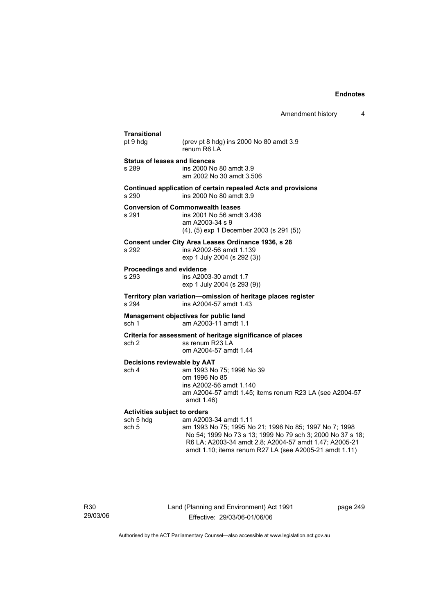| <b>Transitional</b><br>pt 9 hdg                           | (prev pt 8 hdg) ins 2000 No 80 amdt 3.9<br>renum R6   A                                                                                                                                                                                                           |
|-----------------------------------------------------------|-------------------------------------------------------------------------------------------------------------------------------------------------------------------------------------------------------------------------------------------------------------------|
| <b>Status of leases and licences</b><br>s 289             | ins 2000 No 80 amdt 3.9<br>am 2002 No 30 amdt 3.506                                                                                                                                                                                                               |
| s 290                                                     | Continued application of certain repealed Acts and provisions<br>ins 2000 No 80 amdt 3.9                                                                                                                                                                          |
| s 291                                                     | <b>Conversion of Commonwealth leases</b><br>ins 2001 No 56 amdt 3.436<br>am A2003-34 s 9<br>(4), (5) exp 1 December 2003 (s 291 (5))                                                                                                                              |
| s 292                                                     | Consent under City Area Leases Ordinance 1936, s 28<br>ins A2002-56 amdt 1.139<br>exp 1 July 2004 (s 292 (3))                                                                                                                                                     |
| Proceedings and evidence<br>s 293                         | ins A2003-30 amdt 1.7<br>exp 1 July 2004 (s 293 (9))                                                                                                                                                                                                              |
| s 294                                                     | Territory plan variation-omission of heritage places register<br>ins A2004-57 amdt 1.43                                                                                                                                                                           |
| sch <sub>1</sub>                                          | Management objectives for public land<br>am A2003-11 amdt 1.1                                                                                                                                                                                                     |
| sch <sub>2</sub>                                          | Criteria for assessment of heritage significance of places<br>ss renum R23 LA<br>om A2004-57 amdt 1.44                                                                                                                                                            |
| Decisions reviewable by AAT<br>sch 4                      | am 1993 No 75; 1996 No 39<br>om 1996 No 85<br>ins A2002-56 amdt 1.140<br>am A2004-57 amdt 1.45; items renum R23 LA (see A2004-57<br>amdt 1.46)                                                                                                                    |
| <b>Activities subject to orders</b><br>sch 5 hdg<br>sch 5 | am A2003-34 amdt 1.11<br>am 1993 No 75; 1995 No 21; 1996 No 85; 1997 No 7; 1998<br>No 54; 1999 No 73 s 13; 1999 No 79 sch 3; 2000 No 37 s 18;<br>R6 LA; A2003-34 amdt 2.8; A2004-57 amdt 1.47; A2005-21<br>amdt 1.10; items renum R27 LA (see A2005-21 amdt 1.11) |

R30 29/03/06 Land (Planning and Environment) Act 1991 Effective: 29/03/06-01/06/06

page 249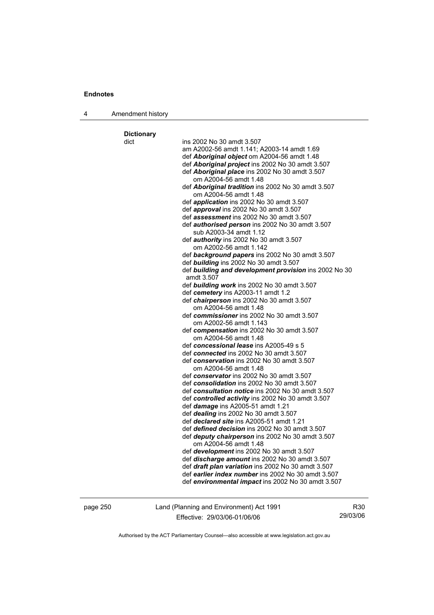| 4 | Amendment history |  |
|---|-------------------|--|
|---|-------------------|--|

**Dictionary**  dict ins 2002 No 30 amdt 3.507 am A2002-56 amdt 1.141; A2003-14 amdt 1.69 def *Aboriginal object* om A2004-56 amdt 1.48 def *Aboriginal project* ins 2002 No 30 amdt 3.507 def *Aboriginal place* ins 2002 No 30 amdt 3.507 om A2004-56 amdt 1.48 def *Aboriginal tradition* ins 2002 No 30 amdt 3.507 om A2004-56 amdt 1.48 def *application* ins 2002 No 30 amdt 3.507 def *approval* ins 2002 No 30 amdt 3.507 def *assessment* ins 2002 No 30 amdt 3.507 def *authorised person* ins 2002 No 30 amdt 3.507 sub A2003-34 amdt 1.12 def *authority* ins 2002 No 30 amdt 3.507 om A2002-56 amdt 1.142 def *background papers* ins 2002 No 30 amdt 3.507 def *building* ins 2002 No 30 amdt 3.507 def *building and development provision* ins 2002 No 30 amdt 3.507 def *building work* ins 2002 No 30 amdt 3.507 def *cemetery* ins A2003-11 amdt 1.2 def *chairperson* ins 2002 No 30 amdt 3.507 om A2004-56 amdt 1.48 def *commissioner* ins 2002 No 30 amdt 3.507 om A2002-56 amdt 1.143 def *compensation* ins 2002 No 30 amdt 3.507 om A2004-56 amdt 1.48 def *concessional lease* ins A2005-49 s 5 def *connected* ins 2002 No 30 amdt 3.507 def *conservation* ins 2002 No 30 amdt 3.507 om A2004-56 amdt 1.48 def *conservator* ins 2002 No 30 amdt 3.507 def *consolidation* ins 2002 No 30 amdt 3.507 def *consultation notice* ins 2002 No 30 amdt 3.507 def *controlled activity* ins 2002 No 30 amdt 3.507 def *damage* ins A2005-51 amdt 1.21 def *dealing* ins 2002 No 30 amdt 3.507 def *declared site* ins A2005-51 amdt 1.21 def *defined decision* ins 2002 No 30 amdt 3.507 def *deputy chairperson* ins 2002 No 30 amdt 3.507 om A2004-56 amdt 1.48 def *development* ins 2002 No 30 amdt 3.507 def *discharge amount* ins 2002 No 30 amdt 3.507 def *draft plan variation* ins 2002 No 30 amdt 3.507 def *earlier index number* ins 2002 No 30 amdt 3.507 def *environmental impact* ins 2002 No 30 amdt 3.507

page 250 Land (Planning and Environment) Act 1991 Effective: 29/03/06-01/06/06

R30 29/03/06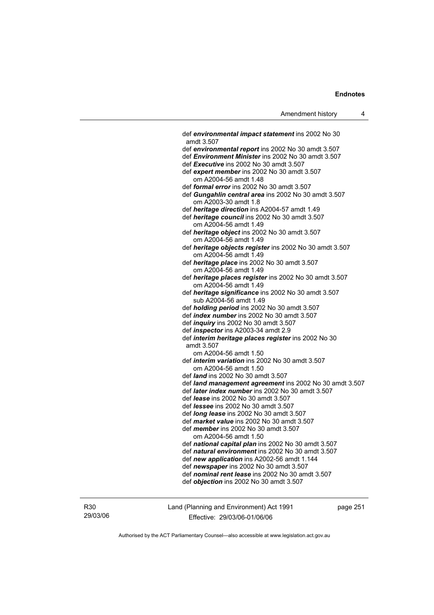def *environmental impact statement* ins 2002 No 30 amdt 3.507 def *environmental report* ins 2002 No 30 amdt 3.507 def *Environment Minister* ins 2002 No 30 amdt 3.507 def *Executive* ins 2002 No 30 amdt 3.507 def *expert member* ins 2002 No 30 amdt 3.507 om A2004-56 amdt 1.48 def *formal error* ins 2002 No 30 amdt 3.507 def *Gungahlin central area* ins 2002 No 30 amdt 3.507 om A2003-30 amdt 1.8 def *heritage direction* ins A2004-57 amdt 1.49 def *heritage council* ins 2002 No 30 amdt 3.507 om A2004-56 amdt 1.49 def *heritage object* ins 2002 No 30 amdt 3.507 om A2004-56 amdt 1.49 def *heritage objects register* ins 2002 No 30 amdt 3.507 om A2004-56 amdt 1.49 def *heritage place* ins 2002 No 30 amdt 3.507 om A2004-56 amdt 1.49 def *heritage places register* ins 2002 No 30 amdt 3.507 om A2004-56 amdt 1.49 def *heritage significance* ins 2002 No 30 amdt 3.507 sub A2004-56 amdt 1.49 def *holding period* ins 2002 No 30 amdt 3.507 def *index number* ins 2002 No 30 amdt 3.507 def *inquiry* ins 2002 No 30 amdt 3.507 def *inspector* ins A2003-34 amdt 2.9 def *interim heritage places register* ins 2002 No 30 amdt 3.507 om A2004-56 amdt 1.50 def *interim variation* ins 2002 No 30 amdt 3.507 om A2004-56 amdt 1.50 def *land* ins 2002 No 30 amdt 3.507 def *land management agreement* ins 2002 No 30 amdt 3.507 def *later index number* ins 2002 No 30 amdt 3.507 def *lease* ins 2002 No 30 amdt 3.507 def *lessee* ins 2002 No 30 amdt 3.507 def *long lease* ins 2002 No 30 amdt 3.507 def *market value* ins 2002 No 30 amdt 3.507 def *member* ins 2002 No 30 amdt 3.507 om A2004-56 amdt 1.50 def *national capital plan* ins 2002 No 30 amdt 3.507 def *natural environment* ins 2002 No 30 amdt 3.507 def *new application* ins A2002-56 amdt 1.144 def *newspaper* ins 2002 No 30 amdt 3.507 def *nominal rent lease* ins 2002 No 30 amdt 3.507 def *objection* ins 2002 No 30 amdt 3.507

R30 29/03/06 Land (Planning and Environment) Act 1991 Effective: 29/03/06-01/06/06

page 251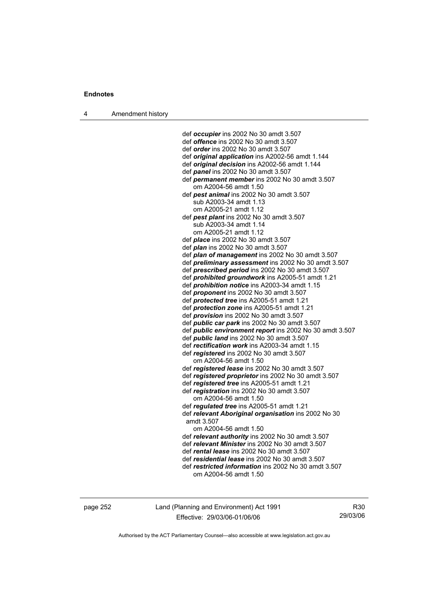4 Amendment history

 def *occupier* ins 2002 No 30 amdt 3.507 def *offence* ins 2002 No 30 amdt 3.507 def *order* ins 2002 No 30 amdt 3.507 def *original application* ins A2002-56 amdt 1.144 def *original decision* ins A2002-56 amdt 1.144 def *panel* ins 2002 No 30 amdt 3.507 def *permanent member* ins 2002 No 30 amdt 3.507 om A2004-56 amdt 1.50 def *pest animal* ins 2002 No 30 amdt 3.507 sub A2003-34 amdt 1.13 om A2005-21 amdt 1.12 def *pest plant* ins 2002 No 30 amdt 3.507 sub A2003-34 amdt 1.14 om A2005-21 amdt 1.12 def *place* ins 2002 No 30 amdt 3.507 def *plan* ins 2002 No 30 amdt 3.507 def *plan of management* ins 2002 No 30 amdt 3.507 def *preliminary assessment* ins 2002 No 30 amdt 3.507 def *prescribed period* ins 2002 No 30 amdt 3.507 def *prohibited groundwork* ins A2005-51 amdt 1.21 def *prohibition notice* ins A2003-34 amdt 1.15 def *proponent* ins 2002 No 30 amdt 3.507 def *protected tree* ins A2005-51 amdt 1.21 def *protection zone* ins A2005-51 amdt 1.21 def *provision* ins 2002 No 30 amdt 3.507 def *public car park* ins 2002 No 30 amdt 3.507 def *public environment report* ins 2002 No 30 amdt 3.507 def *public land* ins 2002 No 30 amdt 3.507 def *rectification work* ins A2003-34 amdt 1.15 def *registered* ins 2002 No 30 amdt 3.507 om A2004-56 amdt 1.50 def *registered lease* ins 2002 No 30 amdt 3.507 def *registered proprietor* ins 2002 No 30 amdt 3.507 def *registered tree* ins A2005-51 amdt 1.21 def *registration* ins 2002 No 30 amdt 3.507 om A2004-56 amdt 1.50 def *regulated tree* ins A2005-51 amdt 1.21 def *relevant Aboriginal organisation* ins 2002 No 30 amdt 3.507 om A2004-56 amdt 1.50 def *relevant authority* ins 2002 No 30 amdt 3.507 def *relevant Minister* ins 2002 No 30 amdt 3.507 def *rental lease* ins 2002 No 30 amdt 3.507 def *residential lease* ins 2002 No 30 amdt 3.507 def *restricted information* ins 2002 No 30 amdt 3.507 om A2004-56 amdt 1.50

page 252 Land (Planning and Environment) Act 1991 Effective: 29/03/06-01/06/06

R30 29/03/06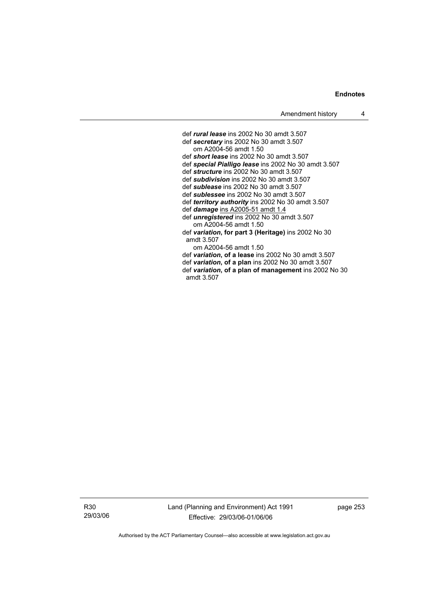def *rural lease* ins 2002 No 30 amdt 3.507 def *secretary* ins 2002 No 30 amdt 3.507 om A2004-56 amdt 1.50 def *short lease* ins 2002 No 30 amdt 3.507 def *special Pialligo lease* ins 2002 No 30 amdt 3.507 def *structure* ins 2002 No 30 amdt 3.507 def *subdivision* ins 2002 No 30 amdt 3.507 def *sublease* ins 2002 No 30 amdt 3.507 def *sublessee* ins 2002 No 30 amdt 3.507 def *territory authority* ins 2002 No 30 amdt 3.507 def *damage* ins A2005-51 amdt 1.4 def *unregistered* ins 2002 No 30 amdt 3.507 om A2004-56 amdt 1.50 def *variation***, for part 3 (Heritage)** ins 2002 No 30 amdt 3.507 om A2004-56 amdt 1.50 def *variation***, of a lease** ins 2002 No 30 amdt 3.507 def *variation***, of a plan** ins 2002 No 30 amdt 3.507 def *variation***, of a plan of management** ins 2002 No 30 amdt 3.507

R30 29/03/06 Land (Planning and Environment) Act 1991 Effective: 29/03/06-01/06/06

page 253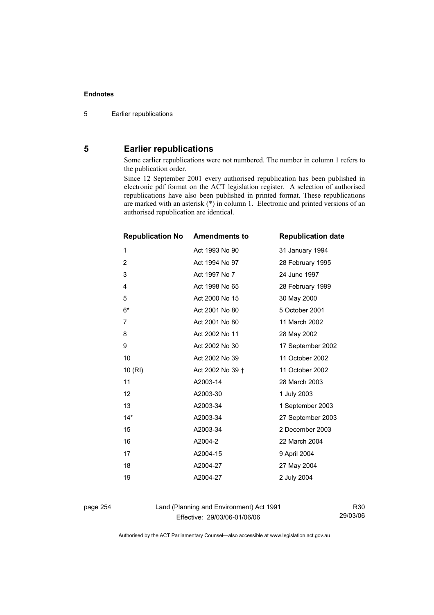## **5 Earlier republications**

Some earlier republications were not numbered. The number in column 1 refers to the publication order.

Since 12 September 2001 every authorised republication has been published in electronic pdf format on the ACT legislation register. A selection of authorised republications have also been published in printed format. These republications are marked with an asterisk (\*) in column 1. Electronic and printed versions of an authorised republication are identical.

| <b>Republication No</b> | <b>Amendments to</b> | <b>Republication date</b> |
|-------------------------|----------------------|---------------------------|
| 1                       | Act 1993 No 90       | 31 January 1994           |
| $\overline{2}$          | Act 1994 No 97       | 28 February 1995          |
| 3                       | Act 1997 No 7        | 24 June 1997              |
| $\overline{4}$          | Act 1998 No 65       | 28 February 1999          |
| 5                       | Act 2000 No 15       | 30 May 2000               |
| $6*$                    | Act 2001 No 80       | 5 October 2001            |
| 7                       | Act 2001 No 80       | 11 March 2002             |
| 8                       | Act 2002 No 11       | 28 May 2002               |
| 9                       | Act 2002 No 30       | 17 September 2002         |
| 10                      | Act 2002 No 39       | 11 October 2002           |
| 10 (RI)                 | Act 2002 No 39 +     | 11 October 2002           |
| 11                      | A2003-14             | 28 March 2003             |
| 12                      | A2003-30             | 1 July 2003               |
| 13                      | A2003-34             | 1 September 2003          |
| $14*$                   | A2003-34             | 27 September 2003         |
| 15                      | A2003-34             | 2 December 2003           |
| 16                      | A2004-2              | 22 March 2004             |
| 17                      | A2004-15             | 9 April 2004              |
| 18                      | A2004-27             | 27 May 2004               |
| 19                      | A2004-27             | 2 July 2004               |
|                         |                      |                           |

page 254 Land (Planning and Environment) Act 1991 Effective: 29/03/06-01/06/06

R30 29/03/06